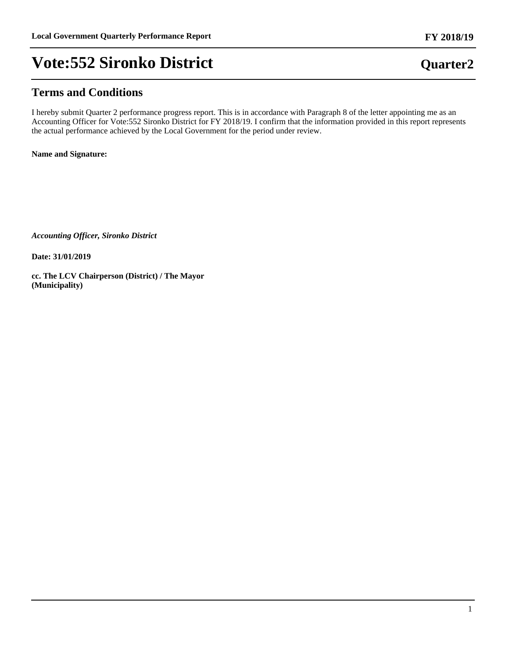### **Terms and Conditions**

I hereby submit Quarter 2 performance progress report. This is in accordance with Paragraph 8 of the letter appointing me as an Accounting Officer for Vote:552 Sironko District for FY 2018/19. I confirm that the information provided in this report represents the actual performance achieved by the Local Government for the period under review.

**Name and Signature:**

*Accounting Officer, Sironko District*

**Date: 31/01/2019**

**cc. The LCV Chairperson (District) / The Mayor (Municipality)**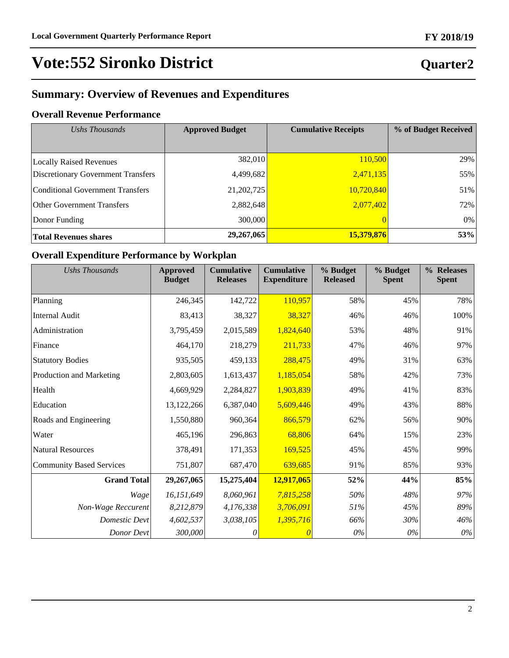### **FY 2018/19**

## **Quarter2**

## **Summary: Overview of Revenues and Expenditures**

### **Overall Revenue Performance**

| Ushs Thousands                     | <b>Approved Budget</b> | <b>Cumulative Receipts</b> | % of Budget Received |  |
|------------------------------------|------------------------|----------------------------|----------------------|--|
|                                    |                        |                            |                      |  |
| <b>Locally Raised Revenues</b>     | 382,010                | 110,500                    | 29%                  |  |
| Discretionary Government Transfers | 4,499,682              | 2,471,135                  | 55%                  |  |
| Conditional Government Transfers   | 21,202,725             | 10,720,840                 | 51%                  |  |
| <b>Other Government Transfers</b>  | 2,882,648              | 2,077,402                  | 72%                  |  |
| Donor Funding                      | 300,000                |                            | 0%                   |  |
| Total Revenues shares              | 29,267,065             | 15,379,876                 | 53%                  |  |

### **Overall Expenditure Performance by Workplan**

| Ushs Thousands                  | <b>Approved</b><br><b>Budget</b> | <b>Cumulative</b><br><b>Releases</b> | <b>Cumulative</b><br><b>Expenditure</b> | % Budget<br><b>Released</b> | % Budget<br><b>Spent</b> | % Releases<br><b>Spent</b> |
|---------------------------------|----------------------------------|--------------------------------------|-----------------------------------------|-----------------------------|--------------------------|----------------------------|
| Planning                        | 246,345                          | 142,722                              | 110,957                                 | 58%                         | 45%                      | 78%                        |
| <b>Internal Audit</b>           | 83,413                           | 38,327                               | 38,327                                  | 46%                         | 46%                      | 100%                       |
| Administration                  | 3,795,459                        | 2,015,589                            | 1,824,640                               | 53%                         | 48%                      | 91%                        |
| Finance                         | 464,170                          | 218,279                              | 211,733                                 | 47%                         | 46%                      | 97%                        |
| <b>Statutory Bodies</b>         | 935,505                          | 459,133                              | 288,475                                 | 49%                         | 31%                      | 63%                        |
| Production and Marketing        | 2,803,605                        | 1,613,437                            | 1,185,054                               | 58%                         | 42%                      | 73%                        |
| Health                          | 4,669,929                        | 2,284,827                            | 1,903,839                               | 49%                         | 41%                      | 83%                        |
| Education                       | 13,122,266                       | 6,387,040                            | 5,609,446                               | 49%                         | 43%                      | 88%                        |
| Roads and Engineering           | 1,550,880                        | 960,364                              | 866,579                                 | 62%                         | 56%                      | 90%                        |
| Water                           | 465,196                          | 296,863                              | 68,806                                  | 64%                         | 15%                      | 23%                        |
| <b>Natural Resources</b>        | 378,491                          | 171,353                              | 169,525                                 | 45%                         | 45%                      | 99%                        |
| <b>Community Based Services</b> | 751,807                          | 687,470                              | 639,685                                 | 91%                         | 85%                      | 93%                        |
| <b>Grand Total</b>              | 29,267,065                       | 15,275,404                           | 12,917,065                              | 52%                         | 44%                      | 85%                        |
| Wage                            | 16,151,649                       | 8,060,961                            | 7,815,258                               | 50%                         | 48%                      | 97%                        |
| Non-Wage Reccurent              | 8,212,879                        | 4,176,338                            | 3,706,091                               | 51%                         | 45%                      | 89%                        |
| Domestic Devt                   | 4,602,537                        | 3,038,105                            | 1,395,716                               | 66%                         | 30%                      | 46%                        |
| Donor Devt                      | 300,000                          | 0                                    |                                         | $0\%$                       | $0\%$                    | $0\%$                      |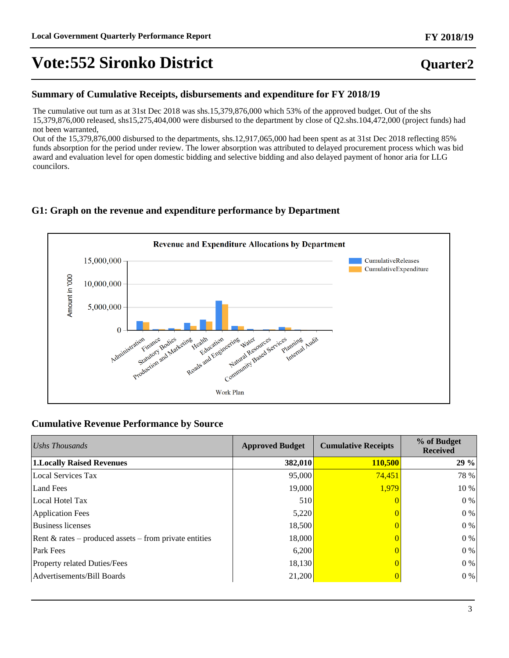## **Quarter2**

#### **Summary of Cumulative Receipts, disbursements and expenditure for FY 2018/19**

The cumulative out turn as at 31st Dec 2018 was shs.15,379,876,000 which 53% of the approved budget. Out of the shs 15,379,876,000 released, shs15,275,404,000 were disbursed to the department by close of Q2.shs.104,472,000 (project funds) had not been warranted,

Out of the 15,379,876,000 disbursed to the departments, shs.12,917,065,000 had been spent as at 31st Dec 2018 reflecting 85% funds absorption for the period under review. The lower absorption was attributed to delayed procurement process which was bid award and evaluation level for open domestic bidding and selective bidding and also delayed payment of honor aria for LLG councilors.

#### **G1: Graph on the revenue and expenditure performance by Department**



#### **Cumulative Revenue Performance by Source**

| $ Ushs\;Thomas$                                           | <b>Approved Budget</b> | <b>Cumulative Receipts</b> | % of Budget<br><b>Received</b> |
|-----------------------------------------------------------|------------------------|----------------------------|--------------------------------|
| <b>1. Locally Raised Revenues</b>                         | 382,010                | 110.500                    | 29%                            |
| <b>Local Services Tax</b>                                 | 95,000                 | 74.451                     | 78 %                           |
| <b>Land Fees</b>                                          | 19,000                 | 1,979                      | 10 %                           |
| Local Hotel Tax                                           | 510                    |                            | $0\%$                          |
| Application Fees                                          | 5,220                  |                            | 0 %                            |
| Business licenses                                         | 18,500                 |                            | 0 %                            |
| Rent $\&$ rates – produced assets – from private entities | 18,000                 |                            | 0 %                            |
| <b>Park Fees</b>                                          | 6,200                  |                            | 0 %                            |
| <b>Property related Duties/Fees</b>                       | 18,130                 |                            | 0 %                            |
| Advertisements/Bill Boards                                | 21,200                 |                            | $0\%$                          |

## **FY 2018/19**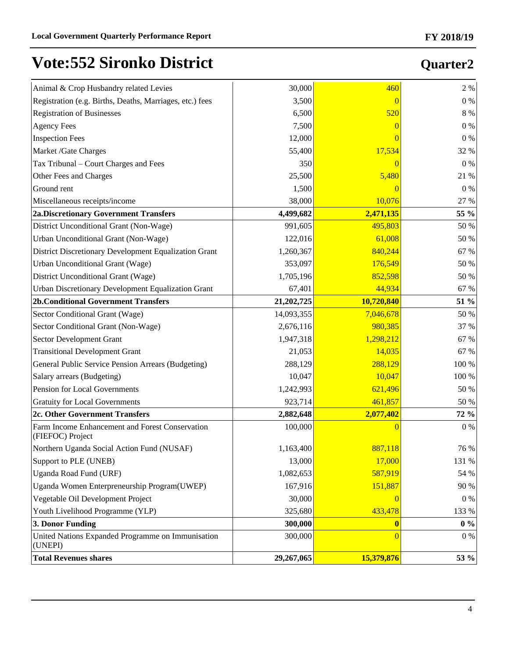| Animal & Crop Husbandry related Levies                              | 30,000     | 460            | 2 %     |
|---------------------------------------------------------------------|------------|----------------|---------|
| Registration (e.g. Births, Deaths, Marriages, etc.) fees            | 3,500      | $\overline{0}$ | $0\ \%$ |
| <b>Registration of Businesses</b>                                   | 6,500      | 520            | 8 %     |
| <b>Agency Fees</b>                                                  | 7,500      | $\Omega$       | $0\ \%$ |
| <b>Inspection Fees</b>                                              | 12,000     | $\overline{0}$ | $0\ \%$ |
| Market /Gate Charges                                                | 55,400     | 17,534         | 32 %    |
| Tax Tribunal - Court Charges and Fees                               | 350        | $\Omega$       | $0\ \%$ |
| Other Fees and Charges                                              | 25,500     | 5,480          | 21 %    |
| Ground rent                                                         | 1,500      | $\overline{0}$ | $0\%$   |
| Miscellaneous receipts/income                                       | 38,000     | 10,076         | 27 %    |
| <b>2a.Discretionary Government Transfers</b>                        | 4,499,682  | 2,471,135      | 55 %    |
| District Unconditional Grant (Non-Wage)                             | 991,605    | 495,803        | 50 %    |
| Urban Unconditional Grant (Non-Wage)                                | 122,016    | 61,008         | 50 %    |
| District Discretionary Development Equalization Grant               | 1,260,367  | 840,244        | 67 %    |
| Urban Unconditional Grant (Wage)                                    | 353,097    | 176,549        | 50 %    |
| District Unconditional Grant (Wage)                                 | 1,705,196  | 852,598        | 50 %    |
| Urban Discretionary Development Equalization Grant                  | 67,401     | 44,934         | 67 %    |
| <b>2b.Conditional Government Transfers</b>                          | 21,202,725 | 10,720,840     | 51 %    |
| Sector Conditional Grant (Wage)                                     | 14,093,355 | 7,046,678      | 50 %    |
| Sector Conditional Grant (Non-Wage)                                 | 2,676,116  | 980,385        | 37 %    |
| Sector Development Grant                                            | 1,947,318  | 1,298,212      | 67 %    |
| <b>Transitional Development Grant</b>                               | 21,053     | 14,035         | 67 %    |
| General Public Service Pension Arrears (Budgeting)                  | 288,129    | 288,129        | 100 %   |
| Salary arrears (Budgeting)                                          | 10,047     | 10,047         | 100 %   |
| Pension for Local Governments                                       | 1,242,993  | 621,496        | 50 %    |
| <b>Gratuity for Local Governments</b>                               | 923,714    | 461,857        | 50 %    |
| 2c. Other Government Transfers                                      | 2,882,648  | 2,077,402      | 72 %    |
| Farm Income Enhancement and Forest Conservation<br>(FIEFOC) Project | 100,000    | $\overline{0}$ | $0\ \%$ |
| Northern Uganda Social Action Fund (NUSAF)                          | 1,163,400  | 887,118        | 76 %    |
| Support to PLE (UNEB)                                               | 13,000     | 17,000         | 131 %   |
| Uganda Road Fund (URF)                                              | 1,082,653  | 587,919        | 54 %    |
| Uganda Women Enterpreneurship Program(UWEP)                         | 167,916    | 151,887        | 90 %    |
| Vegetable Oil Development Project                                   | 30,000     | $\Omega$       | $0\ \%$ |
| Youth Livelihood Programme (YLP)                                    | 325,680    | 433,478        | 133 %   |
| 3. Donor Funding                                                    | 300,000    | $\bf{0}$       | $0\%$   |
| United Nations Expanded Programme on Immunisation<br>(UNEPI)        | 300,000    | $\overline{0}$ | $0\%$   |
| <b>Total Revenues shares</b>                                        | 29,267,065 | 15,379,876     | 53 %    |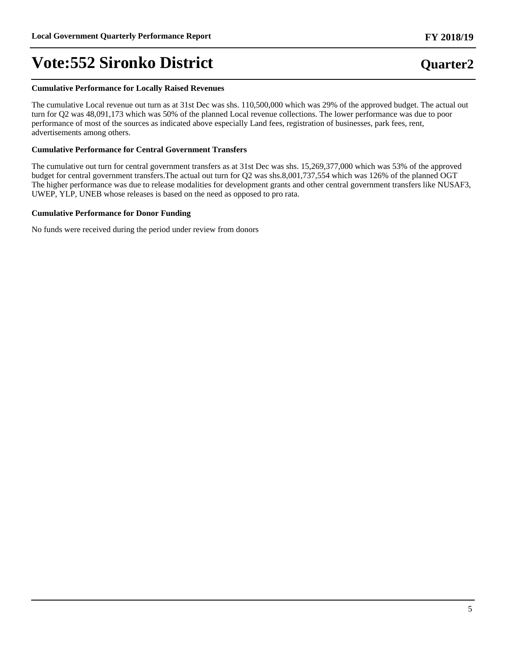#### **Cumulative Performance for Locally Raised Revenues**

The cumulative Local revenue out turn as at 31st Dec was shs. 110,500,000 which was 29% of the approved budget. The actual out turn for Q2 was 48,091,173 which was 50% of the planned Local revenue collections. The lower performance was due to poor performance of most of the sources as indicated above especially Land fees, registration of businesses, park fees, rent, advertisements among others.

#### **Cumulative Performance for Central Government Transfers**

The cumulative out turn for central government transfers as at 31st Dec was shs. 15,269,377,000 which was 53% of the approved budget for central government transfers.The actual out turn for Q2 was shs.8,001,737,554 which was 126% of the planned OGT The higher performance was due to release modalities for development grants and other central government transfers like NUSAF3, UWEP, YLP, UNEB whose releases is based on the need as opposed to pro rata.

#### **Cumulative Performance for Donor Funding**

No funds were received during the period under review from donors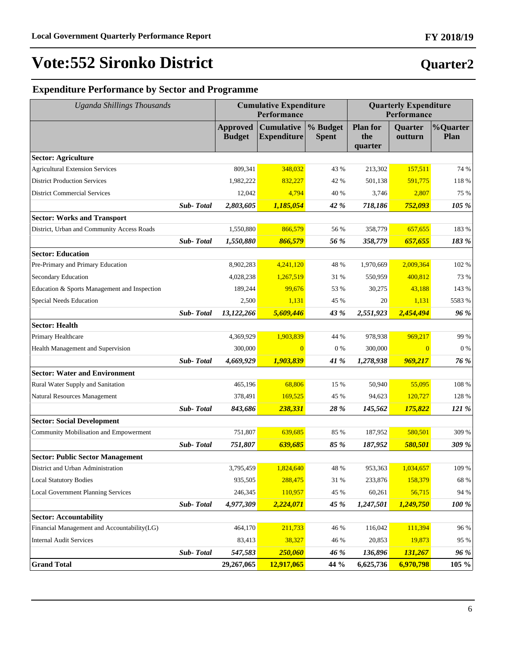# **Quarter2**

## **Expenditure Performance by Sector and Programme**

|                                              | <b>Uganda Shillings Thousands</b> |                                  | <b>Cumulative Expenditure</b><br>Performance | <b>Quarterly Expenditure</b><br>Performance |                                   |                    |                                |
|----------------------------------------------|-----------------------------------|----------------------------------|----------------------------------------------|---------------------------------------------|-----------------------------------|--------------------|--------------------------------|
|                                              |                                   | <b>Approved</b><br><b>Budget</b> | <b>Cumulative</b><br><b>Expenditure</b>      | % Budget<br><b>Spent</b>                    | <b>Plan for</b><br>the<br>quarter | Quarter<br>outturn | <b>%Quarter</b><br><b>Plan</b> |
| <b>Sector: Agriculture</b>                   |                                   |                                  |                                              |                                             |                                   |                    |                                |
| <b>Agricultural Extension Services</b>       |                                   | 809,341                          | 348,032                                      | 43 %                                        | 213,302                           | 157,511            | 74 %                           |
| <b>District Production Services</b>          |                                   | 1,982,222                        | 832,227                                      | 42 %                                        | 501,138                           | 591,775            | 118 %                          |
| <b>District Commercial Services</b>          |                                   | 12,042                           | 4,794                                        | 40 %                                        | 3,746                             | 2,807              | 75 %                           |
|                                              | Sub-Total                         | 2,803,605                        | 1,185,054                                    | 42 %                                        | 718,186                           | 752,093            | 105 %                          |
| <b>Sector: Works and Transport</b>           |                                   |                                  |                                              |                                             |                                   |                    |                                |
| District, Urban and Community Access Roads   |                                   | 1,550,880                        | 866,579                                      | 56 %                                        | 358,779                           | 657,655            | 183 %                          |
|                                              | Sub-Total                         | 1,550,880                        | 866,579                                      | 56 %                                        | 358,779                           | 657,655            | 183 %                          |
| <b>Sector: Education</b>                     |                                   |                                  |                                              |                                             |                                   |                    |                                |
| Pre-Primary and Primary Education            |                                   | 8,902,283                        | 4,241,120                                    | 48 %                                        | 1,970,669                         | 2,009,364          | 102 %                          |
| Secondary Education                          |                                   | 4,028,238                        | 1,267,519                                    | 31 %                                        | 550,959                           | 400,812            | 73 %                           |
| Education & Sports Management and Inspection |                                   | 189,244                          | 99,676                                       | 53 %                                        | 30,275                            | 43,188             | 143 %                          |
| Special Needs Education                      |                                   | 2,500                            | 1,131                                        | 45 %                                        | 20                                | 1,131              | 5583 %                         |
|                                              | Sub-Total                         | 13,122,266                       | 5,609,446                                    | 43 %                                        | 2,551,923                         | 2,454,494          | 96 %                           |
| <b>Sector: Health</b>                        |                                   |                                  |                                              |                                             |                                   |                    |                                |
| Primary Healthcare                           |                                   | 4,369,929                        | 1,903,839                                    | 44 %                                        | 978,938                           | 969,217            | 99 %                           |
| Health Management and Supervision            |                                   | 300,000                          | $\overline{0}$                               | $0\%$                                       | 300,000                           | $\overline{0}$     | $0\%$                          |
|                                              | Sub-Total                         | 4,669,929                        | 1,903,839                                    | 41 %                                        | 1,278,938                         | 969,217            | 76 %                           |
| <b>Sector: Water and Environment</b>         |                                   |                                  |                                              |                                             |                                   |                    |                                |
| Rural Water Supply and Sanitation            |                                   | 465,196                          | 68,806                                       | 15 %                                        | 50,940                            | 55,095             | 108 %                          |
| Natural Resources Management                 |                                   | 378,491                          | 169,525                                      | 45 %                                        | 94,623                            | 120,727            | 128 %                          |
|                                              | Sub-Total                         | 843,686                          | 238,331                                      | 28 %                                        | 145,562                           | 175,822            | 121 %                          |
| <b>Sector: Social Development</b>            |                                   |                                  |                                              |                                             |                                   |                    |                                |
| Community Mobilisation and Empowerment       |                                   | 751,807                          | 639,685                                      | 85 %                                        | 187,952                           | 580,501            | 309 %                          |
|                                              | Sub-Total                         | 751,807                          | 639,685                                      | 85 %                                        | 187,952                           | 580,501            | 309 %                          |
| <b>Sector: Public Sector Management</b>      |                                   |                                  |                                              |                                             |                                   |                    |                                |
| District and Urban Administration            |                                   | 3,795,459                        | 1,824,640                                    | 48 %                                        | 953,363                           | 1,034,657          | 109 %                          |
| <b>Local Statutory Bodies</b>                |                                   | 935,505                          | 288,475                                      | 31 %                                        | 233,876                           | 158,379            | 68 %                           |
| <b>Local Government Planning Services</b>    |                                   | 246,345                          | 110,957                                      | 45 %                                        | 60,261                            | 56,715             | $94\ \%$                       |
|                                              | Sub-Total                         | 4,977,309                        | 2,224,071                                    | 45 %                                        | 1,247,501                         | 1,249,750          | 100 %                          |
| <b>Sector: Accountability</b>                |                                   |                                  |                                              |                                             |                                   |                    |                                |
| Financial Management and Accountability(LG)  |                                   | 464,170                          | 211,733                                      | 46 %                                        | 116,042                           | 111,394            | 96 %                           |
| <b>Internal Audit Services</b>               |                                   | 83,413                           | 38,327                                       | 46 %                                        | 20,853                            | 19,873             | 95 %                           |
|                                              | Sub-Total                         | 547,583                          | 250,060                                      | 46 %                                        | 136,896                           | 131,267            | 96 %                           |
| <b>Grand Total</b>                           |                                   | 29,267,065                       | 12,917,065                                   | 44 %                                        | 6,625,736                         | 6,970,798          | 105 %                          |

**FY 2018/19**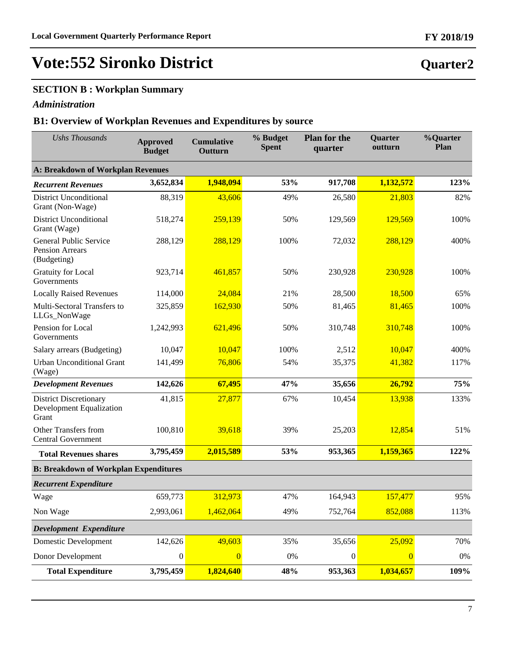### **SECTION B : Workplan Summary**

#### *Administration*

### **B1: Overview of Workplan Revenues and Expenditures by source**

| <b>Ushs Thousands</b>                                                     | <b>Approved</b><br><b>Budget</b> | <b>Cumulative</b><br>Outturn | % Budget<br><b>Spent</b> | <b>Plan for the</b><br>quarter | Quarter<br>outturn | %Quarter<br>Plan |
|---------------------------------------------------------------------------|----------------------------------|------------------------------|--------------------------|--------------------------------|--------------------|------------------|
| <b>A: Breakdown of Workplan Revenues</b>                                  |                                  |                              |                          |                                |                    |                  |
| <b>Recurrent Revenues</b>                                                 | 3,652,834                        | 1,948,094                    | 53%                      | 917,708                        | 1,132,572          | 123%             |
| <b>District Unconditional</b><br>Grant (Non-Wage)                         | 88,319                           | 43,606                       | 49%                      | 26,580                         | 21,803             | 82%              |
| <b>District Unconditional</b><br>Grant (Wage)                             | 518,274                          | 259,139                      | 50%                      | 129,569                        | 129,569            | 100%             |
| General Public Service<br><b>Pension Arrears</b><br>(Budgeting)           | 288,129                          | 288,129                      | 100%                     | 72,032                         | 288,129            | 400%             |
| <b>Gratuity for Local</b><br>Governments                                  | 923,714                          | 461,857                      | 50%                      | 230,928                        | 230,928            | 100%             |
| <b>Locally Raised Revenues</b>                                            | 114,000                          | 24,084                       | 21%                      | 28,500                         | 18,500             | 65%              |
| Multi-Sectoral Transfers to<br>LLGs_NonWage                               | 325,859                          | 162,930                      | 50%                      | 81,465                         | 81,465             | 100%             |
| Pension for Local<br>Governments                                          | 1,242,993                        | 621,496                      | 50%                      | 310,748                        | 310,748            | 100%             |
| Salary arrears (Budgeting)                                                | 10,047                           | 10,047                       | 100%                     | 2,512                          | 10,047             | 400%             |
| <b>Urban Unconditional Grant</b><br>(Wage)                                | 141,499                          | 76,806                       | 54%                      | 35,375                         | 41,382             | 117%             |
| <b>Development Revenues</b>                                               | 142,626                          | 67,495                       | 47%                      | 35,656                         | 26,792             | 75%              |
| <b>District Discretionary</b><br><b>Development Equalization</b><br>Grant | 41,815                           | 27,877                       | 67%                      | 10,454                         | 13,938             | 133%             |
| Other Transfers from<br><b>Central Government</b>                         | 100,810                          | 39,618                       | 39%                      | 25,203                         | 12,854             | 51%              |
| <b>Total Revenues shares</b>                                              | 3,795,459                        | 2,015,589                    | 53%                      | 953,365                        | 1,159,365          | 122%             |
| <b>B: Breakdown of Workplan Expenditures</b>                              |                                  |                              |                          |                                |                    |                  |
| <b>Recurrent Expenditure</b>                                              |                                  |                              |                          |                                |                    |                  |
| Wage                                                                      | 659,773                          | 312,973                      | 47%                      | 164,943                        | 157,477            | 95%              |
| Non Wage                                                                  | 2,993,061                        | 1,462,064                    | 49%                      | 752,764                        | 852,088            | 113%             |
| Development Expenditure                                                   |                                  |                              |                          |                                |                    |                  |
| <b>Domestic Development</b>                                               | 142,626                          | 49,603                       | 35%                      | 35,656                         | 25,092             | 70%              |
| Donor Development                                                         | $\boldsymbol{0}$                 | $\overline{0}$               | 0%                       | $\boldsymbol{0}$               | $\overline{0}$     | $0\%$            |
| <b>Total Expenditure</b>                                                  | 3,795,459                        | 1,824,640                    | 48%                      | 953,363                        | 1,034,657          | 109%             |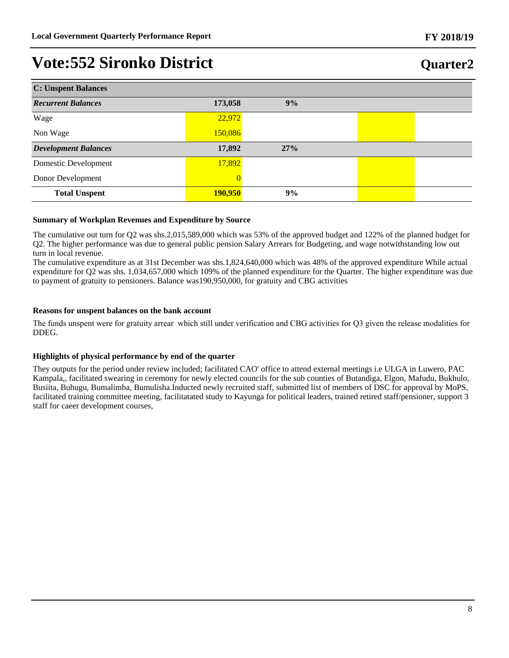## **Quarter2**

| <b>C: Unspent Balances</b>  |          |     |  |  |  |  |
|-----------------------------|----------|-----|--|--|--|--|
| <b>Recurrent Balances</b>   | 173,058  | 9%  |  |  |  |  |
| Wage                        | 22,972   |     |  |  |  |  |
| Non Wage                    | 150,086  |     |  |  |  |  |
| <b>Development Balances</b> | 17,892   | 27% |  |  |  |  |
| Domestic Development        | 17,892   |     |  |  |  |  |
| Donor Development           | $\Omega$ |     |  |  |  |  |
| <b>Total Unspent</b>        | 190,950  | 9%  |  |  |  |  |

#### **Summary of Workplan Revenues and Expenditure by Source**

The cumulative out turn for Q2 was shs.2,015,589,000 which was 53% of the approved budget and 122% of the planned budget for Q2. The higher performance was due to general public pension Salary Arrears for Budgeting, and wage notwithstanding low out turn in local revenue.

The cumulative expenditure as at 31st December was shs.1,824,640,000 which was 48% of the approved expenditure While actual expenditure for Q2 was shs. 1,034,657,000 which 109% of the planned expenditure for the Quarter. The higher expenditure was due to payment of gratuity to pensioners. Balance was190,950,000, for gratuity and CBG activities

#### **Reasons for unspent balances on the bank account**

The funds unspent were for gratuity arrear which still under verification and CBG activities for Q3 given the release modalities for DDEG.

#### **Highlights of physical performance by end of the quarter**

They outputs for the period under review included; facilitated CAO' office to attend external meetings i.e ULGA in Luwero, PAC Kampala,, facilitated swearing in ceremony for newly elected councils for the sub counties of Butandiga, Elgon, Mafudu, Bukhulo, Busiita, Buhugu, Bumalimba, Bumulisha.Inducted newly recruited staff, submitted list of members of DSC for approval by MoPS, facilitated training committee meeting, facilitatated study to Kayunga for political leaders, trained retired staff/pensioner, support 3 staff for caeer development courses,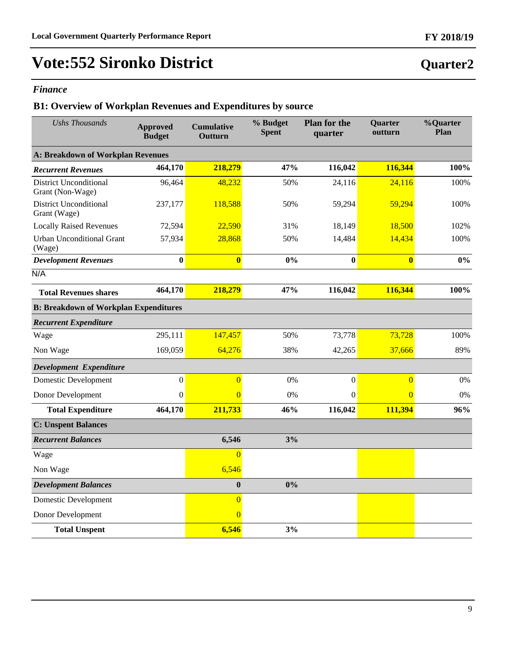### *Finance*

### **B1: Overview of Workplan Revenues and Expenditures by source**

| <b>Ushs Thousands</b>                             | <b>Approved</b><br><b>Budget</b> | <b>Cumulative</b><br>Outturn | % Budget<br><b>Spent</b> | <b>Plan for the</b><br>quarter | Quarter<br>outturn | %Quarter<br>Plan |  |  |
|---------------------------------------------------|----------------------------------|------------------------------|--------------------------|--------------------------------|--------------------|------------------|--|--|
| <b>A: Breakdown of Workplan Revenues</b>          |                                  |                              |                          |                                |                    |                  |  |  |
| <b>Recurrent Revenues</b>                         | 464,170                          | 218,279                      | 47%                      | 116,042                        | 116,344            | 100%             |  |  |
| <b>District Unconditional</b><br>Grant (Non-Wage) | 96,464                           | 48,232                       | 50%                      | 24,116                         | 24,116             | 100%             |  |  |
| <b>District Unconditional</b><br>Grant (Wage)     | 237,177                          | 118,588                      | 50%                      | 59,294                         | 59,294             | 100%             |  |  |
| <b>Locally Raised Revenues</b>                    | 72,594                           | 22,590                       | 31%                      | 18,149                         | 18,500             | 102%             |  |  |
| <b>Urban Unconditional Grant</b><br>(Wage)        | 57,934                           | 28,868                       | 50%                      | 14,484                         | 14,434             | 100%             |  |  |
| <b>Development Revenues</b>                       | $\bf{0}$                         | $\overline{\mathbf{0}}$      | 0%                       | $\bf{0}$                       | $\boldsymbol{0}$   | 0%               |  |  |
| N/A                                               |                                  |                              |                          |                                |                    |                  |  |  |
| <b>Total Revenues shares</b>                      | 464,170                          | 218,279                      | 47%                      | 116,042                        | 116,344            | 100%             |  |  |
| <b>B: Breakdown of Workplan Expenditures</b>      |                                  |                              |                          |                                |                    |                  |  |  |
| <b>Recurrent Expenditure</b>                      |                                  |                              |                          |                                |                    |                  |  |  |
| Wage                                              | 295,111                          | 147,457                      | 50%                      | 73,778                         | 73,728             | 100%             |  |  |
| Non Wage                                          | 169,059                          | 64,276                       | 38%                      | 42,265                         | 37,666             | 89%              |  |  |
| Development Expenditure                           |                                  |                              |                          |                                |                    |                  |  |  |
| Domestic Development                              | $\overline{0}$                   | $\overline{0}$               | 0%                       | $\boldsymbol{0}$               | $\overline{0}$     | $0\%$            |  |  |
| Donor Development                                 | $\mathbf{0}$                     | $\overline{0}$               | 0%                       | $\mathbf{0}$                   | $\overline{0}$     | $0\%$            |  |  |
| <b>Total Expenditure</b>                          | 464,170                          | 211,733                      | 46%                      | 116,042                        | 111,394            | 96%              |  |  |
| <b>C: Unspent Balances</b>                        |                                  |                              |                          |                                |                    |                  |  |  |
| <b>Recurrent Balances</b>                         |                                  | 6,546                        | 3%                       |                                |                    |                  |  |  |
| Wage                                              |                                  | $\overline{0}$               |                          |                                |                    |                  |  |  |
| Non Wage                                          |                                  | 6,546                        |                          |                                |                    |                  |  |  |
| <b>Development Balances</b>                       |                                  | $\mathbf{0}$                 | 0%                       |                                |                    |                  |  |  |
| <b>Domestic Development</b>                       |                                  | $\overline{0}$               |                          |                                |                    |                  |  |  |
| Donor Development                                 |                                  | $\overline{0}$               |                          |                                |                    |                  |  |  |
| <b>Total Unspent</b>                              |                                  | 6,546                        | 3%                       |                                |                    |                  |  |  |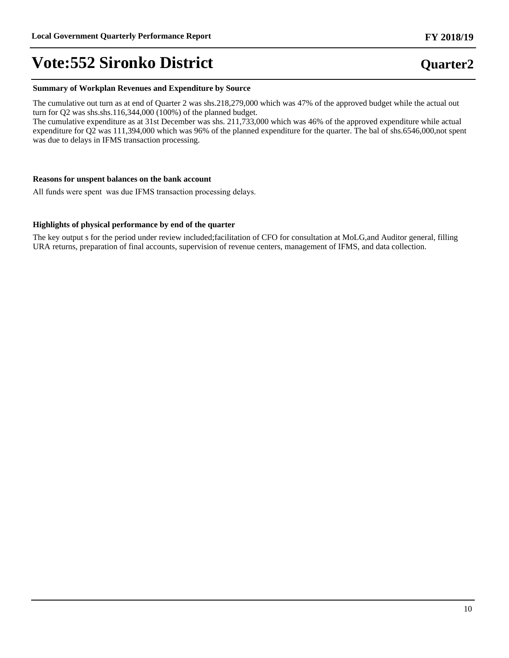#### **Summary of Workplan Revenues and Expenditure by Source**

The cumulative out turn as at end of Quarter 2 was shs.218,279,000 which was 47% of the approved budget while the actual out turn for Q2 was shs.shs.116,344,000 (100%) of the planned budget.

The cumulative expenditure as at 31st December was shs. 211,733,000 which was 46% of the approved expenditure while actual expenditure for Q2 was 111,394,000 which was 96% of the planned expenditure for the quarter. The bal of shs.6546,000,not spent was due to delays in IFMS transaction processing.

#### **Reasons for unspent balances on the bank account**

All funds were spent was due IFMS transaction processing delays.

#### **Highlights of physical performance by end of the quarter**

The key output s for the period under review included;facilitation of CFO for consultation at MoLG,and Auditor general, filling URA returns, preparation of final accounts, supervision of revenue centers, management of IFMS, and data collection.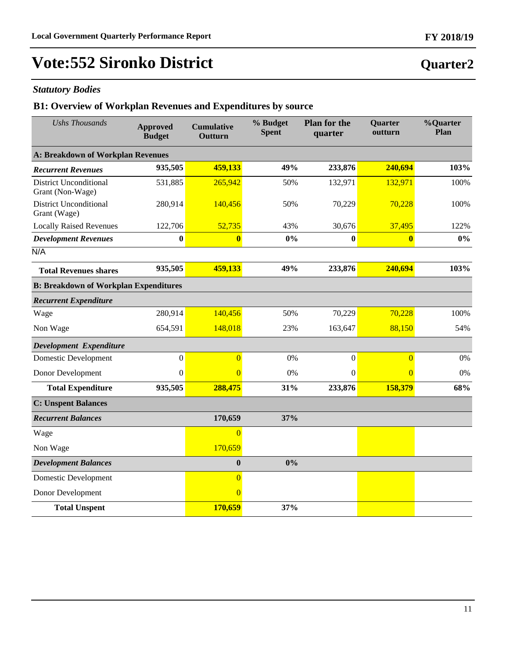#### *Statutory Bodies*

### **B1: Overview of Workplan Revenues and Expenditures by source**

| <b>Ushs Thousands</b>                             | <b>Approved</b><br><b>Budget</b> | <b>Cumulative</b><br><b>Outturn</b> | % Budget<br><b>Spent</b> | <b>Plan for the</b><br>quarter | <b>Quarter</b><br>outturn | %Quarter<br>Plan |
|---------------------------------------------------|----------------------------------|-------------------------------------|--------------------------|--------------------------------|---------------------------|------------------|
| A: Breakdown of Workplan Revenues                 |                                  |                                     |                          |                                |                           |                  |
| <b>Recurrent Revenues</b>                         | 935,505                          | 459,133                             | 49%                      | 233,876                        | 240,694                   | 103%             |
| <b>District Unconditional</b><br>Grant (Non-Wage) | 531,885                          | 265,942                             | 50%                      | 132,971                        | 132,971                   | 100%             |
| <b>District Unconditional</b><br>Grant (Wage)     | 280,914                          | 140,456                             | 50%                      | 70,229                         | 70,228                    | 100%             |
| <b>Locally Raised Revenues</b>                    | 122,706                          | 52,735                              | 43%                      | 30,676                         | 37,495                    | 122%             |
| <b>Development Revenues</b>                       | $\bf{0}$                         | $\mathbf{0}$                        | 0%                       | $\bf{0}$                       | $\mathbf{0}$              | $0\%$            |
| N/A                                               |                                  |                                     |                          |                                |                           |                  |
| <b>Total Revenues shares</b>                      | 935,505                          | 459,133                             | 49%                      | 233,876                        | 240,694                   | 103%             |
| <b>B: Breakdown of Workplan Expenditures</b>      |                                  |                                     |                          |                                |                           |                  |
| <b>Recurrent Expenditure</b>                      |                                  |                                     |                          |                                |                           |                  |
| Wage                                              | 280,914                          | 140,456                             | 50%                      | 70,229                         | 70,228                    | 100%             |
| Non Wage                                          | 654,591                          | 148,018                             | 23%                      | 163,647                        | 88,150                    | 54%              |
| Development Expenditure                           |                                  |                                     |                          |                                |                           |                  |
| Domestic Development                              | $\boldsymbol{0}$                 | $\overline{0}$                      | 0%                       | $\boldsymbol{0}$               | $\overline{0}$            | 0%               |
| Donor Development                                 | $\Omega$                         | $\Omega$                            | 0%                       | $\mathbf{0}$                   | $\overline{0}$            | $0\%$            |
| <b>Total Expenditure</b>                          | 935,505                          | 288,475                             | 31%                      | 233,876                        | 158,379                   | 68%              |
| <b>C: Unspent Balances</b>                        |                                  |                                     |                          |                                |                           |                  |
| <b>Recurrent Balances</b>                         |                                  | 170,659                             | 37%                      |                                |                           |                  |
| Wage                                              |                                  | $\Omega$                            |                          |                                |                           |                  |
| Non Wage                                          |                                  | 170,659                             |                          |                                |                           |                  |
| <b>Development Balances</b>                       |                                  | $\mathbf{0}$                        | 0%                       |                                |                           |                  |
| Domestic Development                              |                                  | $\overline{0}$                      |                          |                                |                           |                  |
| Donor Development                                 |                                  | $\overline{0}$                      |                          |                                |                           |                  |
| <b>Total Unspent</b>                              |                                  | 170,659                             | 37%                      |                                |                           |                  |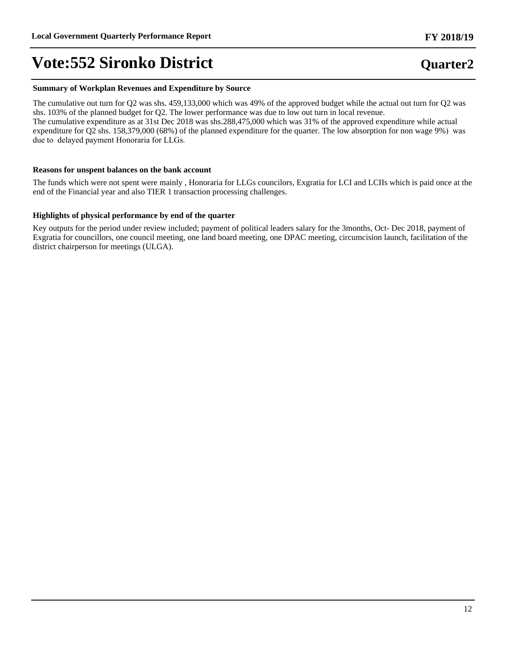#### **Summary of Workplan Revenues and Expenditure by Source**

The cumulative out turn for Q2 was shs. 459,133,000 which was 49% of the approved budget while the actual out turn for Q2 was shs. 103% of the planned budget for Q2. The lower performance was due to low out turn in local revenue. The cumulative expenditure as at 31st Dec 2018 was shs.288,475,000 which was 31% of the approved expenditure while actual expenditure for Q2 shs. 158,379,000 (68%) of the planned expenditure for the quarter. The low absorption for non wage 9%) was due to delayed payment Honoraria for LLGs.

#### **Reasons for unspent balances on the bank account**

The funds which were not spent were mainly , Honoraria for LLGs councilors, Exgratia for LCI and LCIIs which is paid once at the end of the Financial year and also TIER 1 transaction processing challenges.

#### **Highlights of physical performance by end of the quarter**

Key outputs for the period under review included; payment of political leaders salary for the 3months, Oct- Dec 2018, payment of Exgratia for councillors, one council meeting, one land board meeting, one DPAC meeting, circumcision launch, facilitation of the district chairperson for meetings (ULGA).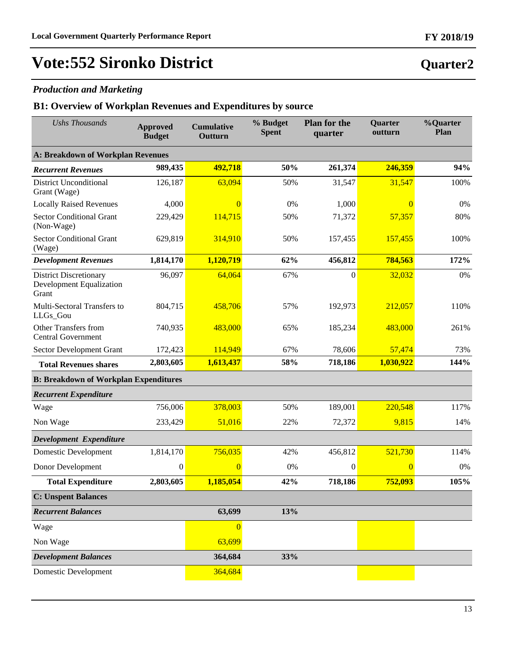### *Production and Marketing*

### **B1: Overview of Workplan Revenues and Expenditures by source**

| <b>Ushs Thousands</b>                                                     | <b>Approved</b><br><b>Budget</b> | <b>Cumulative</b><br>Outturn | % Budget<br><b>Spent</b> | <b>Plan for the</b><br>quarter | Quarter<br>outturn | %Quarter<br>Plan |
|---------------------------------------------------------------------------|----------------------------------|------------------------------|--------------------------|--------------------------------|--------------------|------------------|
| <b>A: Breakdown of Workplan Revenues</b>                                  |                                  |                              |                          |                                |                    |                  |
| <b>Recurrent Revenues</b>                                                 | 989,435                          | 492,718                      | 50%                      | 261,374                        | 246,359            | 94%              |
| <b>District Unconditional</b><br>Grant (Wage)                             | 126,187                          | 63,094                       | 50%                      | 31,547                         | 31,547             | 100%             |
| <b>Locally Raised Revenues</b>                                            | 4,000                            | $\overline{0}$               | 0%                       | 1,000                          | $\Omega$           | $0\%$            |
| <b>Sector Conditional Grant</b><br>(Non-Wage)                             | 229,429                          | 114,715                      | 50%                      | 71,372                         | 57,357             | 80%              |
| <b>Sector Conditional Grant</b><br>(Wage)                                 | 629,819                          | 314,910                      | 50%                      | 157,455                        | 157,455            | 100%             |
| <b>Development Revenues</b>                                               | 1,814,170                        | 1,120,719                    | 62%                      | 456,812                        | 784,563            | 172%             |
| <b>District Discretionary</b><br><b>Development Equalization</b><br>Grant | 96,097                           | 64,064                       | 67%                      | $\boldsymbol{0}$               | 32,032             | $0\%$            |
| Multi-Sectoral Transfers to<br>LLGs_Gou                                   | 804,715                          | 458,706                      | 57%                      | 192,973                        | 212,057            | 110%             |
| Other Transfers from<br><b>Central Government</b>                         | 740,935                          | 483,000                      | 65%                      | 185,234                        | 483,000            | 261%             |
| <b>Sector Development Grant</b>                                           | 172,423                          | 114,949                      | 67%                      | 78,606                         | 57,474             | 73%              |
| <b>Total Revenues shares</b>                                              | 2,803,605                        | 1,613,437                    | 58%                      | 718,186                        | 1,030,922          | 144%             |
| <b>B: Breakdown of Workplan Expenditures</b>                              |                                  |                              |                          |                                |                    |                  |
| <b>Recurrent Expenditure</b>                                              |                                  |                              |                          |                                |                    |                  |
| Wage                                                                      | 756,006                          | 378,003                      | 50%                      | 189,001                        | 220,548            | 117%             |
| Non Wage                                                                  | 233,429                          | 51,016                       | 22%                      | 72,372                         | 9,815              | 14%              |
| Development Expenditure                                                   |                                  |                              |                          |                                |                    |                  |
| Domestic Development                                                      | 1,814,170                        | 756,035                      | 42%                      | 456,812                        | 521,730            | 114%             |
| Donor Development                                                         | $\overline{0}$                   | $\overline{0}$               | 0%                       | $\boldsymbol{0}$               | $\overline{0}$     | 0%               |
| <b>Total Expenditure</b>                                                  | 2,803,605                        | 1,185,054                    | 42%                      | 718,186                        | 752,093            | 105%             |
| <b>C: Unspent Balances</b>                                                |                                  |                              |                          |                                |                    |                  |
| <b>Recurrent Balances</b>                                                 |                                  | 63,699                       | 13%                      |                                |                    |                  |
| Wage                                                                      |                                  | $\overline{0}$               |                          |                                |                    |                  |
| Non Wage                                                                  |                                  | 63,699                       |                          |                                |                    |                  |
| <b>Development Balances</b>                                               |                                  | 364,684                      | 33%                      |                                |                    |                  |
| <b>Domestic Development</b>                                               |                                  | 364,684                      |                          |                                |                    |                  |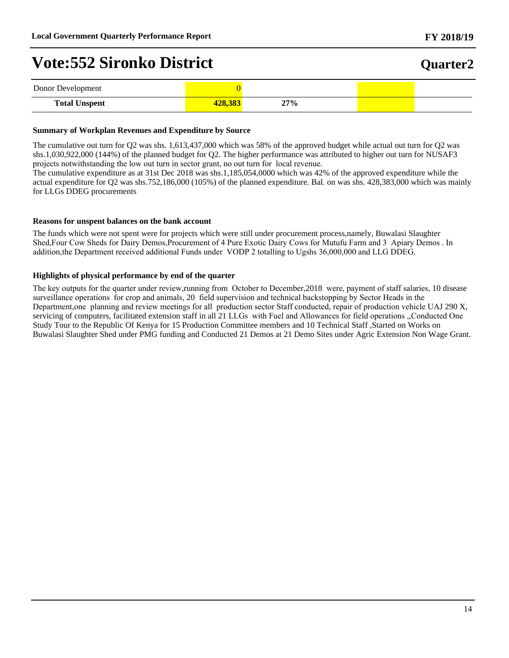| Donor Development    |     |  |
|----------------------|-----|--|
| <b>Total Unspent</b> | 27% |  |

#### **Summary of Workplan Revenues and Expenditure by Source**

The cumulative out turn for Q2 was shs. 1,613,437,000 which was 58% of the approved budget while actual out turn for Q2 was shs.1,030,922,000 (144%) of the planned budget for Q2. The higher performance was attributed to higher out turn for NUSAF3 projects notwithstanding the low out turn in sector grant, no out turn for local revenue.

The cumulative expenditure as at 31st Dec 2018 was shs.1,185,054,0000 which was 42% of the approved expenditure while the actual expenditure for Q2 was shs.752,186,000 (105%) of the planned expenditure. Bal. on was shs. 428,383,000 which was mainly for LLGs DDEG procurements

#### **Reasons for unspent balances on the bank account**

The funds which were not spent were for projects which were still under procurement process,namely, Buwalasi Slaughter Shed, Four Cow Sheds for Dairy Demos, Procurement of 4 Pure Exotic Dairy Cows for Mutufu Farm and 3 Apiary Demos. In addition, the Department received additional Funds under VODP 2 totalling to Ugshs 36,000,000 and LLG DDEG.

#### **Highlights of physical performance by end of the quarter**

The key outputs for the quarter under review, running from October to December, 2018 were, payment of staff salaries, 10 disease surveillance operations for crop and animals, 20 field supervision and technical backstopping by Sector Heads in the Department, one planning and review meetings for all production sector Staff conducted, repair of production vehicle UAJ 290 X, servicing of computers, facilitated extension staff in all 21 LLGs with Fuel and Allowances for field operations "Conducted One Study Tour to the Republic Of Kenya for 15 Production Committee members and 10 Technical Staff ,Started on Works on Buwalasi Slaughter Shed under PMG funding and Conducted 21 Demos at 21 Demo Sites under Agric Extension Non Wage Grant.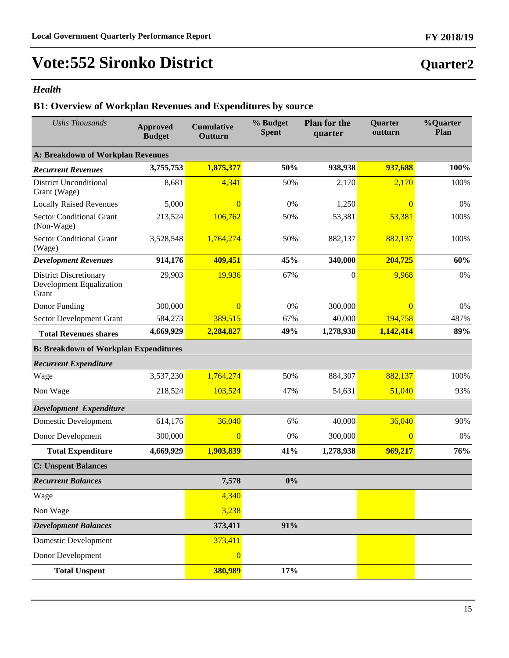### *Health*

### **B1: Overview of Workplan Revenues and Expenditures by source**

| <b>Ushs Thousands</b>                                              | <b>Approved</b><br><b>Budget</b> | <b>Cumulative</b><br>Outturn | % Budget<br><b>Spent</b> | <b>Plan for the</b><br>quarter | <b>Ouarter</b><br>outturn | %Quarter<br>Plan |  |  |
|--------------------------------------------------------------------|----------------------------------|------------------------------|--------------------------|--------------------------------|---------------------------|------------------|--|--|
| A: Breakdown of Workplan Revenues                                  |                                  |                              |                          |                                |                           |                  |  |  |
| <b>Recurrent Revenues</b>                                          | 3,755,753                        | 1,875,377                    | 50%                      | 938,938                        | 937,688                   | 100%             |  |  |
| <b>District Unconditional</b><br>Grant (Wage)                      | 8,681                            | 4,341                        | 50%                      | 2,170                          | 2,170                     | 100%             |  |  |
| <b>Locally Raised Revenues</b>                                     | 5,000                            | $\overline{0}$               | 0%                       | 1,250                          | $\Omega$                  | 0%               |  |  |
| <b>Sector Conditional Grant</b><br>(Non-Wage)                      | 213,524                          | 106,762                      | 50%                      | 53,381                         | 53,381                    | 100%             |  |  |
| <b>Sector Conditional Grant</b><br>(Wage)                          | 3,528,548                        | 1,764,274                    | 50%                      | 882,137                        | 882,137                   | 100%             |  |  |
| <b>Development Revenues</b>                                        | 914,176                          | 409,451                      | 45%                      | 340,000                        | 204,725                   | 60%              |  |  |
| <b>District Discretionary</b><br>Development Equalization<br>Grant | 29,903                           | 19,936                       | 67%                      | $\Omega$                       | 9,968                     | 0%               |  |  |
| Donor Funding                                                      | 300,000                          | $\overline{0}$               | 0%                       | 300,000                        | $\overline{0}$            | 0%               |  |  |
| Sector Development Grant                                           | 584,273                          | 389,515                      | 67%                      | 40,000                         | 194,758                   | 487%             |  |  |
| <b>Total Revenues shares</b>                                       | 4,669,929                        | 2,284,827                    | 49%                      | 1,278,938                      | 1,142,414                 | 89%              |  |  |
| <b>B: Breakdown of Workplan Expenditures</b>                       |                                  |                              |                          |                                |                           |                  |  |  |
| <b>Recurrent Expenditure</b>                                       |                                  |                              |                          |                                |                           |                  |  |  |
| Wage                                                               | 3,537,230                        | 1,764,274                    | 50%                      | 884,307                        | 882,137                   | 100%             |  |  |
| Non Wage                                                           | 218,524                          | 103,524                      | 47%                      | 54,631                         | 51,040                    | 93%              |  |  |
| Development Expenditure                                            |                                  |                              |                          |                                |                           |                  |  |  |
| <b>Domestic Development</b>                                        | 614,176                          | 36,040                       | 6%                       | 40,000                         | 36,040                    | 90%              |  |  |
| Donor Development                                                  | 300,000                          | $\overline{0}$               | 0%                       | 300,000                        | $\overline{0}$            | 0%               |  |  |
| <b>Total Expenditure</b>                                           | 4,669,929                        | 1,903,839                    | 41%                      | 1,278,938                      | 969,217                   | 76%              |  |  |
| <b>C: Unspent Balances</b>                                         |                                  |                              |                          |                                |                           |                  |  |  |
| <b>Recurrent Balances</b>                                          |                                  | 7,578                        | 0%                       |                                |                           |                  |  |  |
| Wage                                                               |                                  | 4,340                        |                          |                                |                           |                  |  |  |
| Non Wage                                                           |                                  | 3,238                        |                          |                                |                           |                  |  |  |
| <b>Development Balances</b>                                        |                                  | 373,411                      | 91%                      |                                |                           |                  |  |  |
| <b>Domestic Development</b>                                        |                                  | 373,411                      |                          |                                |                           |                  |  |  |
| Donor Development                                                  |                                  | $\overline{0}$               |                          |                                |                           |                  |  |  |
| <b>Total Unspent</b>                                               |                                  | 380,989                      | 17%                      |                                |                           |                  |  |  |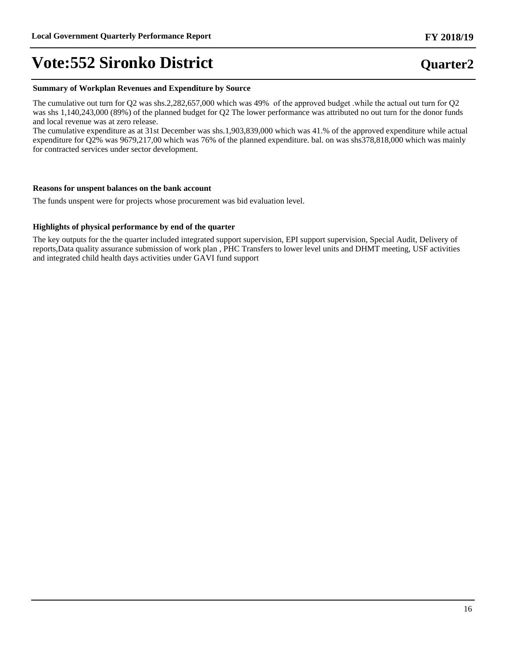#### **Summary of Workplan Revenues and Expenditure by Source**

The cumulative out turn for Q2 was shs.2,282,657,000 which was 49% of the approved budget while the actual out turn for  $Q2$ was shs 1,140,243,000 (89%) of the planned budget for Q2 The lower performance was attributed no out turn for the donor funds and local revenue was at zero release.

The cumulative expenditure as at 31st December was shs.1,903,839,000 which was 41.% of the approved expenditure while actual expenditure for Q2% was 9679,217,00 which was 76% of the planned expenditure. bal. on was shs378,818,000 which was mainly for contracted services under sector development.

#### **Reasons for unspent balances on the bank account**

The funds unspent were for projects whose procurement was bid evaluation level.

#### **Highlights of physical performance by end of the quarter**

The key outputs for the the quarter included integrated support supervision, EPI support supervision, Special Audit, Delivery of reports,Data quality assurance submission of work plan , PHC Transfers to lower level units and DHMT meeting, USF activities and integrated child health days activities under GAVI fund support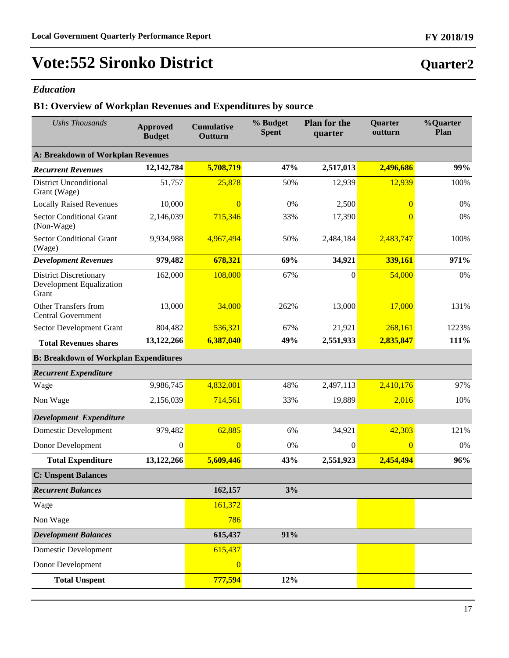### *Education*

### **B1: Overview of Workplan Revenues and Expenditures by source**

| <b>Ushs Thousands</b>                                              | <b>Approved</b><br><b>Budget</b> | <b>Cumulative</b><br>Outturn | % Budget<br><b>Spent</b> | <b>Plan for the</b><br>quarter | Quarter<br>outturn | %Quarter<br>Plan |  |  |
|--------------------------------------------------------------------|----------------------------------|------------------------------|--------------------------|--------------------------------|--------------------|------------------|--|--|
| <b>A: Breakdown of Workplan Revenues</b>                           |                                  |                              |                          |                                |                    |                  |  |  |
| <b>Recurrent Revenues</b>                                          | 12,142,784                       | 5,708,719                    | 47%                      | 2,517,013                      | 2,496,686          | 99%              |  |  |
| <b>District Unconditional</b><br>Grant (Wage)                      | 51,757                           | 25,878                       | 50%                      | 12,939                         | 12,939             | 100%             |  |  |
| <b>Locally Raised Revenues</b>                                     | 10,000                           | $\overline{0}$               | 0%                       | 2,500                          | $\theta$           | 0%               |  |  |
| <b>Sector Conditional Grant</b><br>(Non-Wage)                      | 2,146,039                        | 715,346                      | 33%                      | 17,390                         | $\overline{0}$     | 0%               |  |  |
| <b>Sector Conditional Grant</b><br>(Wage)                          | 9,934,988                        | 4,967,494                    | 50%                      | 2,484,184                      | 2,483,747          | 100%             |  |  |
| <b>Development Revenues</b>                                        | 979,482                          | 678,321                      | 69%                      | 34,921                         | 339,161            | 971%             |  |  |
| <b>District Discretionary</b><br>Development Equalization<br>Grant | 162,000                          | 108,000                      | 67%                      | $\boldsymbol{0}$               | 54,000             | $0\%$            |  |  |
| Other Transfers from<br><b>Central Government</b>                  | 13,000                           | 34,000                       | 262%                     | 13,000                         | 17,000             | 131%             |  |  |
| Sector Development Grant                                           | 804,482                          | 536,321                      | 67%                      | 21,921                         | 268,161            | 1223%            |  |  |
| <b>Total Revenues shares</b>                                       | 13,122,266                       | 6,387,040                    | 49%                      | 2,551,933                      | 2,835,847          | 111%             |  |  |
| <b>B: Breakdown of Workplan Expenditures</b>                       |                                  |                              |                          |                                |                    |                  |  |  |
| <b>Recurrent Expenditure</b>                                       |                                  |                              |                          |                                |                    |                  |  |  |
| Wage                                                               | 9,986,745                        | 4,832,001                    | 48%                      | 2,497,113                      | 2,410,176          | 97%              |  |  |
| Non Wage                                                           | 2,156,039                        | 714,561                      | 33%                      | 19,889                         | 2,016              | 10%              |  |  |
| Development Expenditure                                            |                                  |                              |                          |                                |                    |                  |  |  |
| Domestic Development                                               | 979,482                          | 62,885                       | 6%                       | 34,921                         | 42,303             | 121%             |  |  |
| Donor Development                                                  | $\boldsymbol{0}$                 | $\Omega$                     | 0%                       | $\boldsymbol{0}$               | $\overline{0}$     | 0%               |  |  |
| <b>Total Expenditure</b>                                           | 13,122,266                       | 5,609,446                    | 43%                      | 2,551,923                      | 2,454,494          | 96%              |  |  |
| <b>C: Unspent Balances</b>                                         |                                  |                              |                          |                                |                    |                  |  |  |
| <b>Recurrent Balances</b>                                          |                                  | 162,157                      | 3%                       |                                |                    |                  |  |  |
| Wage                                                               |                                  | 161,372                      |                          |                                |                    |                  |  |  |
| Non Wage                                                           |                                  | 786                          |                          |                                |                    |                  |  |  |
| <b>Development Balances</b>                                        |                                  | 615,437                      | 91%                      |                                |                    |                  |  |  |
| <b>Domestic Development</b>                                        |                                  | 615,437                      |                          |                                |                    |                  |  |  |
| Donor Development                                                  |                                  | $\overline{0}$               |                          |                                |                    |                  |  |  |
| <b>Total Unspent</b>                                               |                                  | 777,594                      | 12%                      |                                |                    |                  |  |  |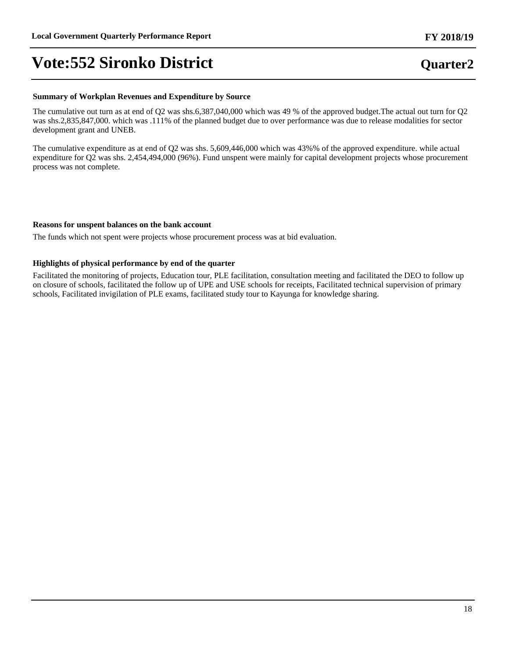#### **Summary of Workplan Revenues and Expenditure by Source**

The cumulative out turn as at end of Q2 was shs.6,387,040,000 which was 49 % of the approved budget.The actual out turn for Q2 was shs.2,835,847,000. which was .111% of the planned budget due to over performance was due to release modalities for sector development grant and UNEB.

The cumulative expenditure as at end of Q2 was shs. 5,609,446,000 which was 43%% of the approved expenditure. while actual expenditure for Q2 was shs. 2,454,494,000 (96%). Fund unspent were mainly for capital development projects whose procurement process was not complete.

#### **Reasons for unspent balances on the bank account**

The funds which not spent were projects whose procurement process was at bid evaluation.

#### **Highlights of physical performance by end of the quarter**

Facilitated the monitoring of projects, Education tour, PLE facilitation, consultation meeting and facilitated the DEO to follow up on closure of schools, facilitated the follow up of UPE and USE schools for receipts, Facilitated technical supervision of primary schools, Facilitated invigilation of PLE exams, facilitated study tour to Kayunga for knowledge sharing.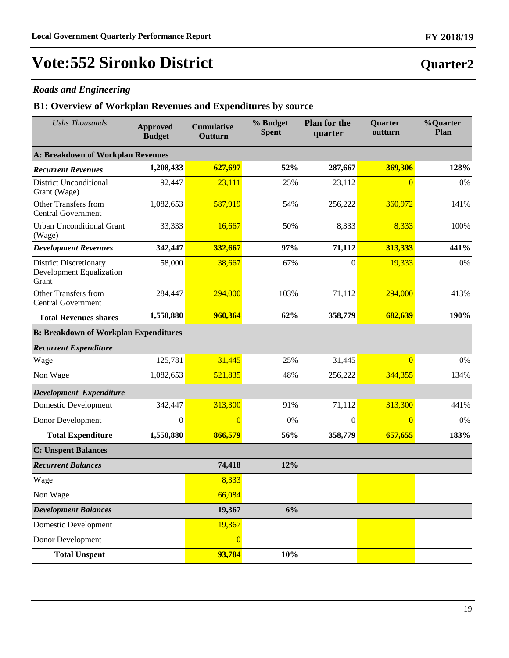### *Roads and Engineering*

### **B1: Overview of Workplan Revenues and Expenditures by source**

| <b>Ushs Thousands</b>                                              | <b>Approved</b><br><b>Budget</b> | <b>Cumulative</b><br>Outturn | % Budget<br><b>Spent</b> | <b>Plan for the</b><br>quarter | <b>Quarter</b><br>outturn | %Quarter<br>Plan |  |  |  |
|--------------------------------------------------------------------|----------------------------------|------------------------------|--------------------------|--------------------------------|---------------------------|------------------|--|--|--|
| <b>A: Breakdown of Workplan Revenues</b>                           |                                  |                              |                          |                                |                           |                  |  |  |  |
| <b>Recurrent Revenues</b>                                          | 1,208,433                        | 627,697                      | 52%                      | 287,667                        | 369,306                   | 128%             |  |  |  |
| <b>District Unconditional</b><br>Grant (Wage)                      | 92,447                           | 23,111                       | 25%                      | 23,112                         | $\overline{0}$            | 0%               |  |  |  |
| Other Transfers from<br><b>Central Government</b>                  | 1,082,653                        | 587,919                      | 54%                      | 256,222                        | 360,972                   | 141%             |  |  |  |
| <b>Urban Unconditional Grant</b><br>(Wage)                         | 33,333                           | 16,667                       | 50%                      | 8,333                          | 8,333                     | 100%             |  |  |  |
| <b>Development Revenues</b>                                        | 342,447                          | 332,667                      | 97%                      | 71,112                         | 313,333                   | 441%             |  |  |  |
| <b>District Discretionary</b><br>Development Equalization<br>Grant | 58,000                           | 38,667                       | 67%                      | $\Omega$                       | 19,333                    | $0\%$            |  |  |  |
| <b>Other Transfers from</b><br><b>Central Government</b>           | 284,447                          | 294,000                      | 103%                     | 71,112                         | 294,000                   | 413%             |  |  |  |
| <b>Total Revenues shares</b>                                       | 1,550,880                        | 960,364                      | 62%                      | 358,779                        | 682,639                   | 190%             |  |  |  |
| <b>B: Breakdown of Workplan Expenditures</b>                       |                                  |                              |                          |                                |                           |                  |  |  |  |
| <b>Recurrent Expenditure</b>                                       |                                  |                              |                          |                                |                           |                  |  |  |  |
| Wage                                                               | 125,781                          | 31,445                       | 25%                      | 31,445                         | $\overline{0}$            | $0\%$            |  |  |  |
| Non Wage                                                           | 1,082,653                        | 521,835                      | 48%                      | 256,222                        | 344,355                   | 134%             |  |  |  |
| Development Expenditure                                            |                                  |                              |                          |                                |                           |                  |  |  |  |
| Domestic Development                                               | 342,447                          | 313,300                      | 91%                      | 71,112                         | 313,300                   | 441%             |  |  |  |
| Donor Development                                                  | $\mathbf{0}$                     | $\overline{0}$               | 0%                       | $\theta$                       | $\overline{0}$            | 0%               |  |  |  |
| <b>Total Expenditure</b>                                           | 1,550,880                        | 866,579                      | 56%                      | 358,779                        | 657,655                   | 183%             |  |  |  |
| <b>C: Unspent Balances</b>                                         |                                  |                              |                          |                                |                           |                  |  |  |  |
| <b>Recurrent Balances</b>                                          |                                  | 74,418                       | 12%                      |                                |                           |                  |  |  |  |
| Wage                                                               |                                  | 8,333                        |                          |                                |                           |                  |  |  |  |
| Non Wage                                                           |                                  | 66,084                       |                          |                                |                           |                  |  |  |  |
| <b>Development Balances</b>                                        |                                  | 19,367                       | 6%                       |                                |                           |                  |  |  |  |
| <b>Domestic Development</b>                                        |                                  | 19,367                       |                          |                                |                           |                  |  |  |  |
| Donor Development                                                  |                                  | $\overline{0}$               |                          |                                |                           |                  |  |  |  |
| <b>Total Unspent</b>                                               |                                  | 93,784                       | 10%                      |                                |                           |                  |  |  |  |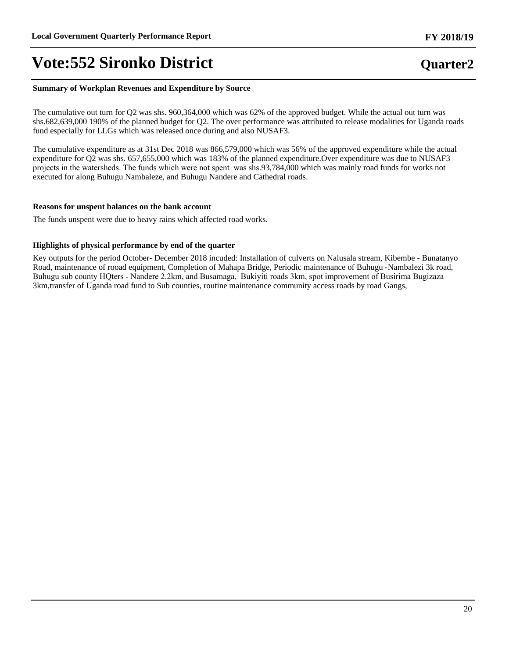#### **Summary of Workplan Revenues and Expenditure by Source**

The cumulative out turn for Q2 was shs. 960,364,000 which was 62% of the approved budget. While the actual out turn was shs.682,639,000 190% of the planned budget for Q2. The over performance was attributed to release modalities for Uganda roads fund especially for LLGs which was released once during and also NUSAF3.

The cumulative expenditure as at 31st Dec 2018 was 866,579,000 which was 56% of the approved expenditure while the actual expenditure for Q2 was shs. 657,655,000 which was 183% of the planned expenditure.Over expenditure was due to NUSAF3 projects in the watersheds. The funds which were not spent was shs.93,784,000 which was mainly road funds for works not executed for along Buhugu Nambaleze, and Buhugu Nandere and Cathedral roads.

#### **Reasons for unspent balances on the bank account**

The funds unspent were due to heavy rains which affected road works.

#### **Highlights of physical performance by end of the quarter**

Key outputs for the period October- December 2018 incuded: Installation of culverts on Nalusala stream, Kibembe - Bunatanyo Road, maintenance of rooad equipment, Completion of Mahapa Bridge, Periodic maintenance of Buhugu -Nambalezi 3k road, Buhugu sub county HQters - Nandere 2.2km, and Busamaga, Bukiyiti roads 3km, spot improvement of Busirima Bugizaza 3km,transfer of Uganda road fund to Sub counties, routine maintenance community access roads by road Gangs,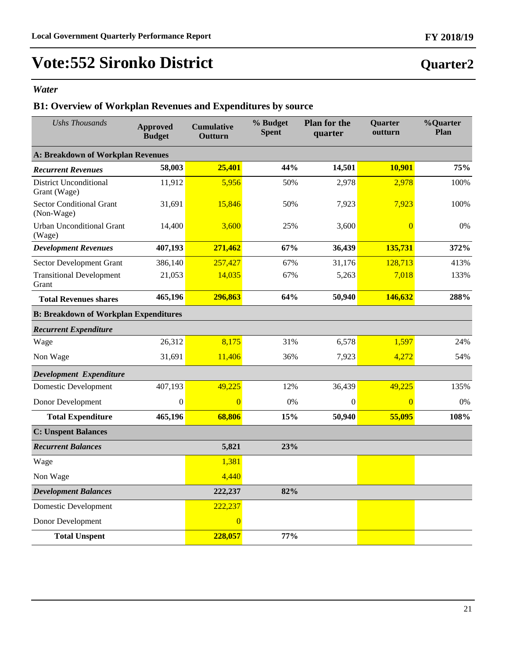### *Water*

### **B1: Overview of Workplan Revenues and Expenditures by source**

| <b>Ushs Thousands</b>                         | <b>Approved</b><br><b>Budget</b> | <b>Cumulative</b><br>Outturn | % Budget<br><b>Spent</b> | <b>Plan for the</b><br>quarter | Quarter<br>outturn | %Quarter<br>Plan |
|-----------------------------------------------|----------------------------------|------------------------------|--------------------------|--------------------------------|--------------------|------------------|
| <b>A: Breakdown of Workplan Revenues</b>      |                                  |                              |                          |                                |                    |                  |
| <b>Recurrent Revenues</b>                     | 58,003                           | 25,401                       | 44%                      | 14,501                         | 10,901             | 75%              |
| <b>District Unconditional</b><br>Grant (Wage) | 11,912                           | 5,956                        | 50%                      | 2,978                          | 2,978              | 100%             |
| <b>Sector Conditional Grant</b><br>(Non-Wage) | 31,691                           | 15,846                       | 50%                      | 7,923                          | 7,923              | 100%             |
| <b>Urban Unconditional Grant</b><br>(Wage)    | 14,400                           | 3,600                        | 25%                      | 3,600                          | $\overline{0}$     | 0%               |
| <b>Development Revenues</b>                   | 407,193                          | 271,462                      | 67%                      | 36,439                         | 135,731            | 372%             |
| Sector Development Grant                      | 386,140                          | 257,427                      | 67%                      | 31,176                         | 128,713            | 413%             |
| <b>Transitional Development</b><br>Grant      | 21,053                           | 14,035                       | 67%                      | 5,263                          | 7,018              | 133%             |
| <b>Total Revenues shares</b>                  | 465,196                          | 296,863                      | 64%                      | 50,940                         | 146,632            | 288%             |
| <b>B: Breakdown of Workplan Expenditures</b>  |                                  |                              |                          |                                |                    |                  |
| <b>Recurrent Expenditure</b>                  |                                  |                              |                          |                                |                    |                  |
| Wage                                          | 26,312                           | 8,175                        | 31%                      | 6,578                          | 1,597              | 24%              |
| Non Wage                                      | 31,691                           | 11,406                       | 36%                      | 7,923                          | 4,272              | 54%              |
| Development Expenditure                       |                                  |                              |                          |                                |                    |                  |
| <b>Domestic Development</b>                   | 407,193                          | 49,225                       | 12%                      | 36,439                         | 49,225             | 135%             |
| Donor Development                             | $\mathbf{0}$                     | $\overline{0}$               | 0%                       | $\mathbf{0}$                   | $\overline{0}$     | 0%               |
| <b>Total Expenditure</b>                      | 465,196                          | 68,806                       | 15%                      | 50,940                         | 55,095             | 108%             |
| <b>C: Unspent Balances</b>                    |                                  |                              |                          |                                |                    |                  |
| <b>Recurrent Balances</b>                     |                                  | 5,821                        | 23%                      |                                |                    |                  |
| Wage                                          |                                  | 1,381                        |                          |                                |                    |                  |
| Non Wage                                      |                                  | 4,440                        |                          |                                |                    |                  |
| <b>Development Balances</b>                   |                                  | 222,237                      | 82%                      |                                |                    |                  |
| <b>Domestic Development</b>                   |                                  | 222,237                      |                          |                                |                    |                  |
| Donor Development                             |                                  | $\overline{0}$               |                          |                                |                    |                  |
| <b>Total Unspent</b>                          |                                  | 228,057                      | 77%                      |                                |                    |                  |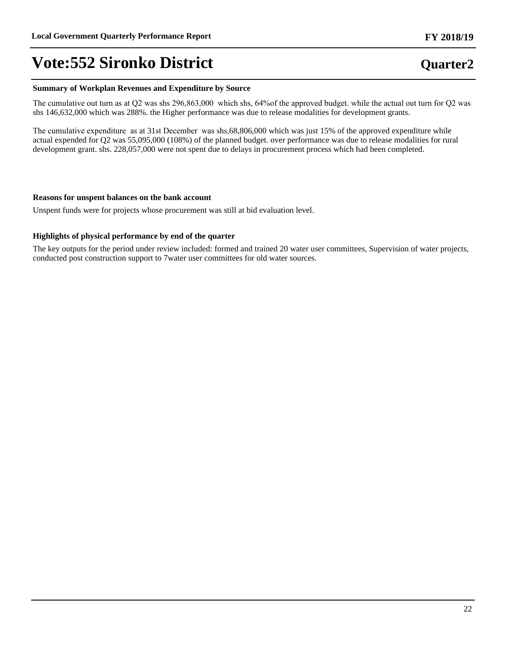#### **Summary of Workplan Revenues and Expenditure by Source**

The cumulative out turn as at Q2 was shs  $296,863,000$  which shs, 64% of the approved budget, while the actual out turn for Q2 was shs 146,632,000 which was 288%. the Higher performance was due to release modalities for development grants.

The cumulative expenditure as at 31st December was shs, 68,806,000 which was just 15% of the approved expenditure while actual expended for Q2 was 55,095,000 (108%) of the planned budget. over performance was due to release modalities for rural development grant. shs. 228,057,000 were not spent due to delays in procurement process which had been completed.

#### **Reasons for unspent balances on the bank account**

Unspent funds were for projects whose procurement was still at bid evaluation level.

#### **Highlights of physical performance by end of the quarter**

The key outputs for the period under review included: formed and trained 20 water user committees, Supervision of water projects, conducted post construction support to 7water user committees for old water sources.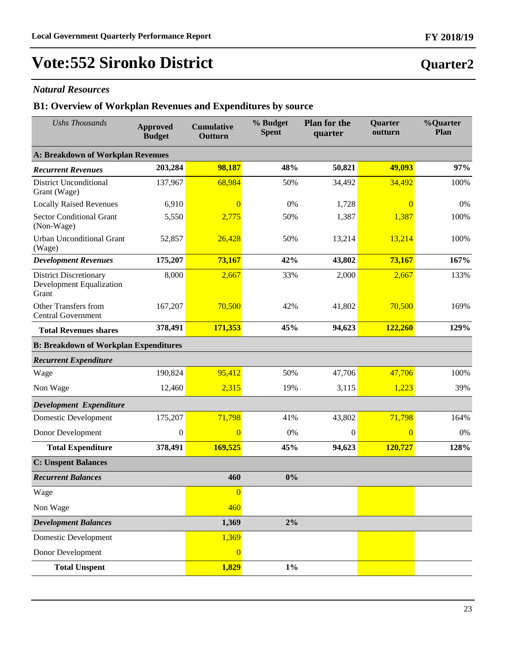### *Natural Resources*

### **B1: Overview of Workplan Revenues and Expenditures by source**

| <b>Ushs Thousands</b>                                                     | <b>Approved</b><br><b>Budget</b> | <b>Cumulative</b><br>Outturn | % Budget<br><b>Spent</b> | <b>Plan for the</b><br>quarter | Quarter<br>outturn | %Quarter<br>Plan |  |  |
|---------------------------------------------------------------------------|----------------------------------|------------------------------|--------------------------|--------------------------------|--------------------|------------------|--|--|
| A: Breakdown of Workplan Revenues                                         |                                  |                              |                          |                                |                    |                  |  |  |
| <b>Recurrent Revenues</b>                                                 | 203,284                          | 98,187                       | 48%                      | 50,821                         | 49,093             | 97%              |  |  |
| <b>District Unconditional</b><br>Grant (Wage)                             | 137,967                          | 68,984                       | 50%                      | 34,492                         | 34,492             | 100%             |  |  |
| <b>Locally Raised Revenues</b>                                            | 6,910                            | $\overline{0}$               | 0%                       | 1,728                          | $\Omega$           | 0%               |  |  |
| <b>Sector Conditional Grant</b><br>(Non-Wage)                             | 5,550                            | 2,775                        | 50%                      | 1,387                          | 1,387              | 100%             |  |  |
| <b>Urban Unconditional Grant</b><br>(Wage)                                | 52,857                           | 26,428                       | 50%                      | 13,214                         | 13,214             | 100%             |  |  |
| <b>Development Revenues</b>                                               | 175,207                          | 73,167                       | 42%                      | 43,802                         | 73,167             | 167%             |  |  |
| <b>District Discretionary</b><br><b>Development Equalization</b><br>Grant | 8,000                            | 2,667                        | 33%                      | 2,000                          | 2,667              | 133%             |  |  |
| <b>Other Transfers from</b><br><b>Central Government</b>                  | 167,207                          | 70,500                       | 42%                      | 41,802                         | 70,500             | 169%             |  |  |
| <b>Total Revenues shares</b>                                              | 378,491                          | 171,353                      | 45%                      | 94,623                         | 122,260            | 129%             |  |  |
| <b>B: Breakdown of Workplan Expenditures</b>                              |                                  |                              |                          |                                |                    |                  |  |  |
| <b>Recurrent Expenditure</b>                                              |                                  |                              |                          |                                |                    |                  |  |  |
| Wage                                                                      | 190,824                          | 95,412                       | 50%                      | 47,706                         | 47,706             | 100%             |  |  |
| Non Wage                                                                  | 12,460                           | 2,315                        | 19%                      | 3,115                          | 1,223              | 39%              |  |  |
| Development Expenditure                                                   |                                  |                              |                          |                                |                    |                  |  |  |
| <b>Domestic Development</b>                                               | 175,207                          | 71,798                       | 41%                      | 43,802                         | 71,798             | 164%             |  |  |
| Donor Development                                                         | $\boldsymbol{0}$                 | $\overline{0}$               | 0%                       | 0                              | $\overline{0}$     | $0\%$            |  |  |
| <b>Total Expenditure</b>                                                  | 378,491                          | 169,525                      | 45%                      | 94,623                         | 120,727            | 128%             |  |  |
| <b>C: Unspent Balances</b>                                                |                                  |                              |                          |                                |                    |                  |  |  |
| <b>Recurrent Balances</b>                                                 |                                  | 460                          | $0\%$                    |                                |                    |                  |  |  |
| Wage                                                                      |                                  | $\overline{0}$               |                          |                                |                    |                  |  |  |
| Non Wage                                                                  |                                  | 460                          |                          |                                |                    |                  |  |  |
| <b>Development Balances</b>                                               |                                  | 1,369                        | 2%                       |                                |                    |                  |  |  |
| <b>Domestic Development</b>                                               |                                  | 1,369                        |                          |                                |                    |                  |  |  |
| Donor Development                                                         |                                  | $\overline{0}$               |                          |                                |                    |                  |  |  |
| <b>Total Unspent</b>                                                      |                                  | 1,829                        | $1\%$                    |                                |                    |                  |  |  |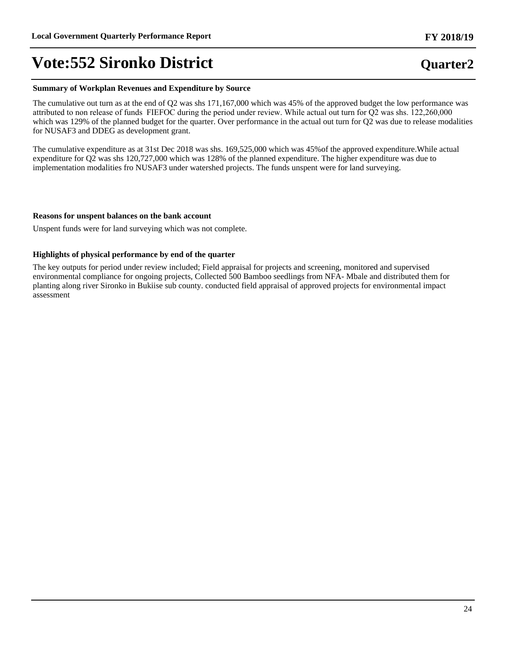#### **Summary of Workplan Revenues and Expenditure by Source**

The cumulative out turn as at the end of Q2 was shs 171,167,000 which was 45% of the approved budget the low performance was attributed to non release of funds FIEFOC during the period under review. While actual out turn for Q2 was shs. 122,260,000 which was 129% of the planned budget for the quarter. Over performance in the actual out turn for Q2 was due to release modalities for NUSAF3 and DDEG as development grant.

The cumulative expenditure as at 31st Dec 2018 was shs. 169,525,000 which was 45%of the approved expenditure.While actual expenditure for Q2 was shs 120,727,000 which was 128% of the planned expenditure. The higher expenditure was due to implementation modalities fro NUSAF3 under watershed projects. The funds unspent were for land surveying.

#### **Reasons for unspent balances on the bank account**

Unspent funds were for land surveying which was not complete.

#### **Highlights of physical performance by end of the quarter**

The key outputs for period under review included; Field appraisal for projects and screening, monitored and supervised environmental compliance for ongoing projects, Collected 500 Bamboo seedlings from NFA- Mbale and distributed them for planting along river Sironko in Bukiise sub county. conducted field appraisal of approved projects for environmental impact assessment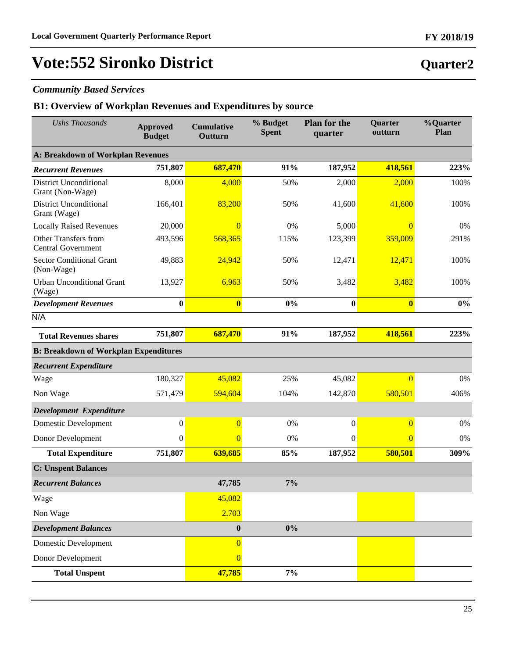### *Community Based Services*

### **B1: Overview of Workplan Revenues and Expenditures by source**

| <b>Ushs Thousands</b>                             | <b>Approved</b><br><b>Budget</b> | <b>Cumulative</b><br>Outturn | % Budget<br><b>Spent</b> | <b>Plan for the</b><br>quarter | Quarter<br>outturn | %Quarter<br>Plan |  |  |
|---------------------------------------------------|----------------------------------|------------------------------|--------------------------|--------------------------------|--------------------|------------------|--|--|
| A: Breakdown of Workplan Revenues                 |                                  |                              |                          |                                |                    |                  |  |  |
| <b>Recurrent Revenues</b>                         | 751,807                          | 687,470                      | 91%                      | 187,952                        | 418,561            | 223%             |  |  |
| <b>District Unconditional</b><br>Grant (Non-Wage) | 8,000                            | 4,000                        | 50%                      | 2,000                          | 2,000              | 100%             |  |  |
| <b>District Unconditional</b><br>Grant (Wage)     | 166,401                          | 83,200                       | 50%                      | 41,600                         | 41,600             | 100%             |  |  |
| <b>Locally Raised Revenues</b>                    | 20,000                           | $\Omega$                     | 0%                       | 5,000                          | $\Omega$           | 0%               |  |  |
| Other Transfers from<br><b>Central Government</b> | 493,596                          | 568,365                      | 115%                     | 123,399                        | 359,009            | 291%             |  |  |
| <b>Sector Conditional Grant</b><br>(Non-Wage)     | 49,883                           | 24,942                       | 50%                      | 12,471                         | 12,471             | 100%             |  |  |
| <b>Urban Unconditional Grant</b><br>(Wage)        | 13,927                           | 6,963                        | 50%                      | 3,482                          | 3,482              | 100%             |  |  |
| <b>Development Revenues</b>                       | $\bf{0}$                         | $\mathbf{0}$                 | 0%                       | $\bf{0}$                       | $\bf{0}$           | $0\%$            |  |  |
| N/A                                               |                                  |                              |                          |                                |                    |                  |  |  |
| <b>Total Revenues shares</b>                      | 751,807                          | 687,470                      | 91%                      | 187,952                        | 418,561            | 223%             |  |  |
| <b>B: Breakdown of Workplan Expenditures</b>      |                                  |                              |                          |                                |                    |                  |  |  |
| <b>Recurrent Expenditure</b>                      |                                  |                              |                          |                                |                    |                  |  |  |
| Wage                                              | 180,327                          | 45,082                       | 25%                      | 45,082                         | $\overline{0}$     | 0%               |  |  |
| Non Wage                                          | 571,479                          | 594,604                      | 104%                     | 142,870                        | 580,501            | 406%             |  |  |
| Development Expenditure                           |                                  |                              |                          |                                |                    |                  |  |  |
| Domestic Development                              | $\boldsymbol{0}$                 | $\overline{0}$               | 0%                       | $\boldsymbol{0}$               | $\overline{0}$     | 0%               |  |  |
| Donor Development                                 | $\boldsymbol{0}$                 | $\Omega$                     | 0%                       | $\mathbf{0}$                   | $\overline{0}$     | 0%               |  |  |
| <b>Total Expenditure</b>                          | 751,807                          | 639,685                      | 85%                      | 187,952                        | 580,501            | 309%             |  |  |
| <b>C: Unspent Balances</b>                        |                                  |                              |                          |                                |                    |                  |  |  |
| <b>Recurrent Balances</b>                         |                                  | 47,785                       | 7%                       |                                |                    |                  |  |  |
| Wage                                              |                                  | 45,082                       |                          |                                |                    |                  |  |  |
| Non Wage                                          |                                  | 2,703                        |                          |                                |                    |                  |  |  |
| <b>Development Balances</b>                       |                                  | $\boldsymbol{0}$             | 0%                       |                                |                    |                  |  |  |
| <b>Domestic Development</b>                       |                                  | $\overline{0}$               |                          |                                |                    |                  |  |  |
| Donor Development                                 |                                  | $\Omega$                     |                          |                                |                    |                  |  |  |
| <b>Total Unspent</b>                              |                                  | 47,785                       | $7\%$                    |                                |                    |                  |  |  |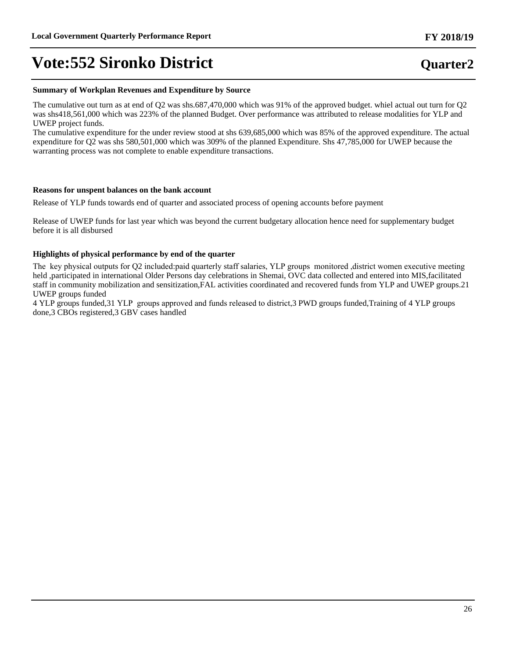#### **Summary of Workplan Revenues and Expenditure by Source**

The cumulative out turn as at end of Q2 was shs.687,470,000 which was 91% of the approved budget. whiel actual out turn for Q2 was shs418,561,000 which was 223% of the planned Budget. Over performance was attributed to release modalities for YLP and UWEP project funds.

The cumulative expenditure for the under review stood at shs 639,685,000 which was 85% of the approved expenditure. The actual expenditure for Q2 was shs 580,501,000 which was 309% of the planned Expenditure. Shs 47,785,000 for UWEP because the warranting process was not complete to enable expenditure transactions.

#### **Reasons for unspent balances on the bank account**

Release of YLP funds towards end of quarter and associated process of opening accounts before payment

Release of UWEP funds for last year which was beyond the current budgetary allocation hence need for supplementary budget before it is all disbursed

#### **Highlights of physical performance by end of the quarter**

The key physical outputs for Q2 included:paid quarterly staff salaries, YLP groups monitored district women executive meeting held ,participated in international Older Persons day celebrations in Shemai, OVC data collected and entered into MIS,facilitated staff in community mobilization and sensitization,FAL activities coordinated and recovered funds from YLP and UWEP groups.21 UWEP groups funded

4 YLP groups funded,31 YLP groups approved and funds released to district,3 PWD groups funded,Training of 4 YLP groups done,3 CBOs registered,3 GBV cases handled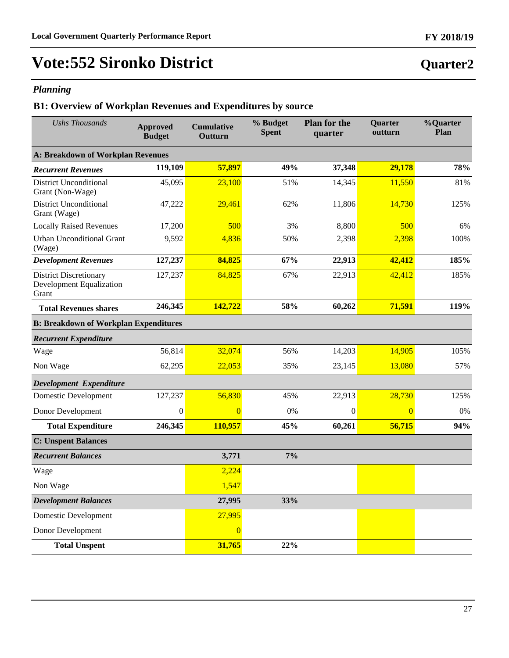### *Planning*

### **B1: Overview of Workplan Revenues and Expenditures by source**

| <b>Ushs Thousands</b>                                              | <b>Approved</b><br><b>Budget</b> | <b>Cumulative</b><br>Outturn | % Budget<br><b>Spent</b> | <b>Plan for the</b><br>quarter | Quarter<br>outturn | %Quarter<br>Plan |
|--------------------------------------------------------------------|----------------------------------|------------------------------|--------------------------|--------------------------------|--------------------|------------------|
| A: Breakdown of Workplan Revenues                                  |                                  |                              |                          |                                |                    |                  |
| <b>Recurrent Revenues</b>                                          | 119,109                          | 57,897                       | 49%                      | 37,348                         | 29,178             | 78%              |
| <b>District Unconditional</b><br>Grant (Non-Wage)                  | 45,095                           | 23,100                       | 51%                      | 14,345                         | 11,550             | 81%              |
| <b>District Unconditional</b><br>Grant (Wage)                      | 47,222                           | 29,461                       | 62%                      | 11,806                         | 14,730             | 125%             |
| <b>Locally Raised Revenues</b>                                     | 17,200                           | 500                          | 3%                       | 8,800                          | 500                | 6%               |
| <b>Urban Unconditional Grant</b><br>(Wage)                         | 9,592                            | 4,836                        | 50%                      | 2,398                          | 2,398              | 100%             |
| <b>Development Revenues</b>                                        | 127,237                          | 84,825                       | 67%                      | 22,913                         | 42,412             | 185%             |
| <b>District Discretionary</b><br>Development Equalization<br>Grant | 127,237                          | 84,825                       | 67%                      | 22,913                         | 42,412             | 185%             |
| <b>Total Revenues shares</b>                                       | 246,345                          | 142,722                      | 58%                      | 60,262                         | 71,591             | 119%             |
| <b>B: Breakdown of Workplan Expenditures</b>                       |                                  |                              |                          |                                |                    |                  |
| <b>Recurrent Expenditure</b>                                       |                                  |                              |                          |                                |                    |                  |
| Wage                                                               | 56,814                           | 32,074                       | 56%                      | 14,203                         | 14,905             | 105%             |
| Non Wage                                                           | 62,295                           | 22,053                       | 35%                      | 23,145                         | 13,080             | 57%              |
| Development Expenditure                                            |                                  |                              |                          |                                |                    |                  |
| Domestic Development                                               | 127,237                          | 56,830                       | 45%                      | 22,913                         | 28,730             | 125%             |
| Donor Development                                                  | $\mathbf{0}$                     | $\overline{0}$               | 0%                       | $\theta$                       | $\Omega$           | 0%               |
| <b>Total Expenditure</b>                                           | 246,345                          | 110,957                      | 45%                      | 60,261                         | 56,715             | 94%              |
| <b>C: Unspent Balances</b>                                         |                                  |                              |                          |                                |                    |                  |
| <b>Recurrent Balances</b>                                          |                                  | 3,771                        | 7%                       |                                |                    |                  |
| Wage                                                               |                                  | 2,224                        |                          |                                |                    |                  |
| Non Wage                                                           |                                  | 1,547                        |                          |                                |                    |                  |
| <b>Development Balances</b>                                        |                                  | 27,995                       | 33%                      |                                |                    |                  |
| <b>Domestic Development</b>                                        |                                  | 27,995                       |                          |                                |                    |                  |
| Donor Development                                                  |                                  | $\overline{0}$               |                          |                                |                    |                  |
| <b>Total Unspent</b>                                               |                                  | 31,765                       | 22%                      |                                |                    |                  |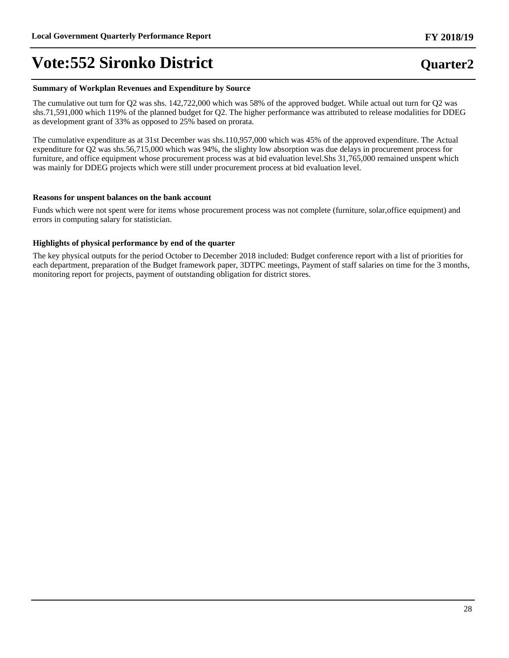#### **Summary of Workplan Revenues and Expenditure by Source**

The cumulative out turn for Q2 was shs. 142,722,000 which was 58% of the approved budget. While actual out turn for Q2 was shs.71,591,000 which 119% of the planned budget for Q2. The higher performance was attributed to release modalities for DDEG as development grant of 33% as opposed to 25% based on prorata.

The cumulative expenditure as at 31st December was shs.110,957,000 which was 45% of the approved expenditure. The Actual expenditure for Q2 was shs.56,715,000 which was 94%, the slighty low absorption was due delays in procurement process for furniture, and office equipment whose procurement process was at bid evaluation level.Shs 31,765,000 remained unspent which was mainly for DDEG projects which were still under procurement process at bid evaluation level.

#### **Reasons for unspent balances on the bank account**

Funds which were not spent were for items whose procurement process was not complete (furniture, solar,office equipment) and errors in computing salary for statistician.

#### **Highlights of physical performance by end of the quarter**

The key physical outputs for the period October to December 2018 included: Budget conference report with a list of priorities for each department, preparation of the Budget framework paper, 3DTPC meetings, Payment of staff salaries on time for the 3 months, monitoring report for projects, payment of outstanding obligation for district stores.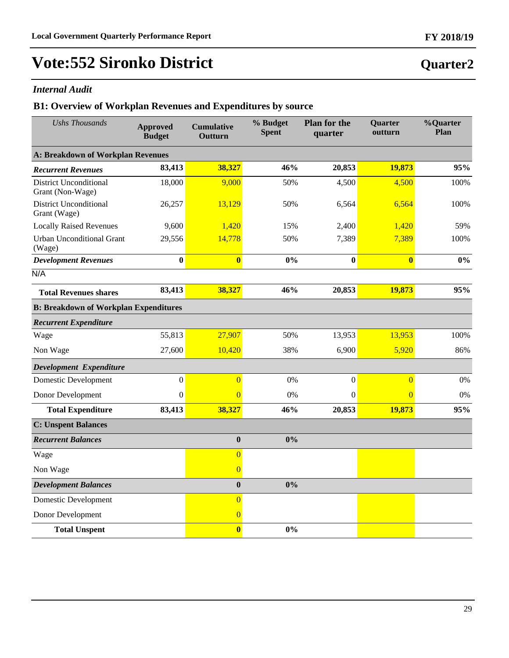### *Internal Audit*

### **B1: Overview of Workplan Revenues and Expenditures by source**

| <b>Ushs Thousands</b>                             | <b>Approved</b><br><b>Budget</b> | <b>Cumulative</b><br>Outturn | % Budget<br><b>Spent</b> | <b>Plan for the</b><br>quarter | Quarter<br>outturn | %Quarter<br>Plan |
|---------------------------------------------------|----------------------------------|------------------------------|--------------------------|--------------------------------|--------------------|------------------|
| <b>A: Breakdown of Workplan Revenues</b>          |                                  |                              |                          |                                |                    |                  |
| <b>Recurrent Revenues</b>                         | 83,413                           | 38,327                       | 46%                      | 20,853                         | 19,873             | 95%              |
| <b>District Unconditional</b><br>Grant (Non-Wage) | 18,000                           | 9,000                        | 50%                      | 4,500                          | 4,500              | 100%             |
| <b>District Unconditional</b><br>Grant (Wage)     | 26,257                           | 13,129                       | 50%                      | 6,564                          | 6,564              | 100%             |
| <b>Locally Raised Revenues</b>                    | 9,600                            | 1,420                        | 15%                      | 2,400                          | 1,420              | 59%              |
| <b>Urban Unconditional Grant</b><br>(Wage)        | 29,556                           | 14,778                       | 50%                      | 7,389                          | 7,389              | 100%             |
| <b>Development Revenues</b>                       | $\bf{0}$                         | $\overline{\mathbf{0}}$      | 0%                       | $\bf{0}$                       | $\boldsymbol{0}$   | 0%               |
| N/A                                               |                                  |                              |                          |                                |                    |                  |
| <b>Total Revenues shares</b>                      | 83,413                           | 38,327                       | 46%                      | 20,853                         | 19,873             | 95%              |
| <b>B: Breakdown of Workplan Expenditures</b>      |                                  |                              |                          |                                |                    |                  |
| <b>Recurrent Expenditure</b>                      |                                  |                              |                          |                                |                    |                  |
| Wage                                              | 55,813                           | 27,907                       | 50%                      | 13,953                         | 13,953             | 100%             |
| Non Wage                                          | 27,600                           | 10,420                       | 38%                      | 6,900                          | 5,920              | 86%              |
| <b>Development Expenditure</b>                    |                                  |                              |                          |                                |                    |                  |
| Domestic Development                              | $\overline{0}$                   | $\overline{0}$               | 0%                       | $\boldsymbol{0}$               | $\overline{0}$     | $0\%$            |
| Donor Development                                 | $\mathbf{0}$                     | $\overline{0}$               | 0%                       | $\mathbf{0}$                   | $\overline{0}$     | $0\%$            |
| <b>Total Expenditure</b>                          | 83,413                           | 38,327                       | 46%                      | 20,853                         | 19,873             | 95%              |
| <b>C: Unspent Balances</b>                        |                                  |                              |                          |                                |                    |                  |
| <b>Recurrent Balances</b>                         |                                  | $\bf{0}$                     | 0%                       |                                |                    |                  |
| Wage                                              |                                  | $\overline{0}$               |                          |                                |                    |                  |
| Non Wage                                          |                                  | $\overline{0}$               |                          |                                |                    |                  |
| <b>Development Balances</b>                       |                                  | $\boldsymbol{0}$             | 0%                       |                                |                    |                  |
| <b>Domestic Development</b>                       |                                  | $\overline{0}$               |                          |                                |                    |                  |
| Donor Development                                 |                                  | $\overline{0}$               |                          |                                |                    |                  |
| <b>Total Unspent</b>                              |                                  | $\mathbf{0}$                 | 0%                       |                                |                    |                  |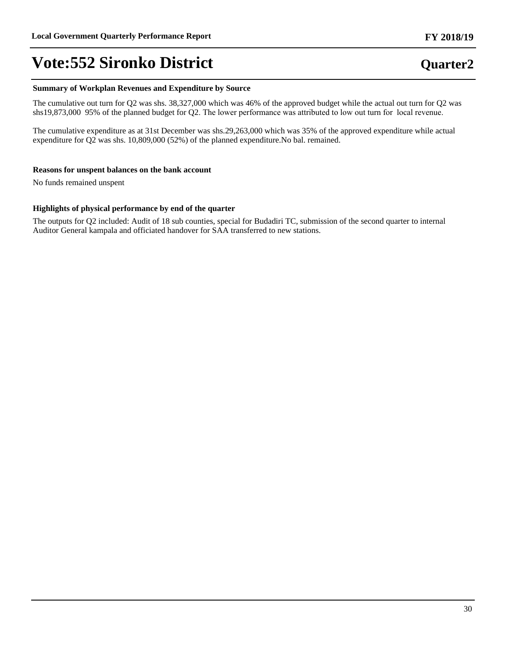#### **Summary of Workplan Revenues and Expenditure by Source**

The cumulative out turn for Q2 was shs. 38,327,000 which was 46% of the approved budget while the actual out turn for Q2 was shs19,873,000 95% of the planned budget for Q2. The lower performance was attributed to low out turn for local revenue.

The cumulative expenditure as at 31st December was shs.29,263,000 which was 35% of the approved expenditure while actual expenditure for Q2 was shs. 10,809,000 (52%) of the planned expenditure.No bal. remained.

#### **Reasons for unspent balances on the bank account**

No funds remained unspent

#### **Highlights of physical performance by end of the quarter**

The outputs for Q2 included: Audit of 18 sub counties, special for Budadiri TC, submission of the second quarter to internal Auditor General kampala and officiated handover for SAA transferred to new stations.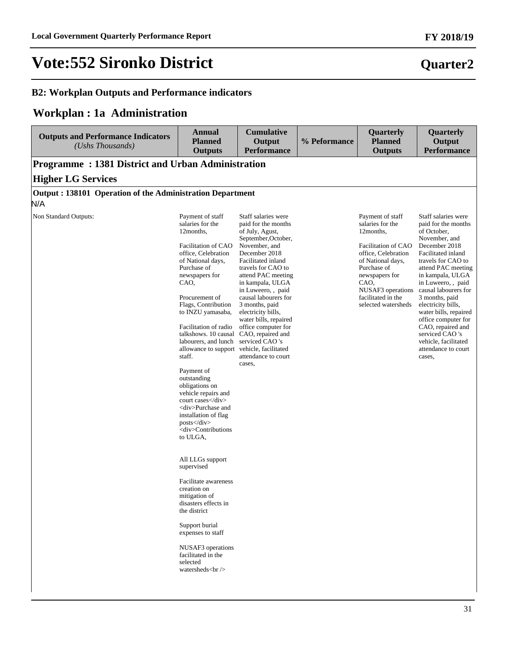**Quarter2**

# **Vote:552 Sironko District**

### **B2: Workplan Outputs and Performance indicators**

## **Workplan : 1a Administration**

| <b>Outputs and Performance Indicators</b><br>(Ushs Thousands)    | <b>Annual</b><br><b>Planned</b><br><b>Outputs</b>                                                                                                                                                                                                                                                                                                                                                                                                                                                                                                                                                                                                                                                                                                                                                                                                    | <b>Cumulative</b><br>Output<br><b>Performance</b>                                                                                                                                                                                                                                                                                                                                                                                                 | % Peformance | Quarterly<br><b>Planned</b><br><b>Outputs</b>                                                                                                                                                                                          | Quarterly<br>Output<br><b>Performance</b>                                                                                                                                                                                                                                                                                                                                                                               |
|------------------------------------------------------------------|------------------------------------------------------------------------------------------------------------------------------------------------------------------------------------------------------------------------------------------------------------------------------------------------------------------------------------------------------------------------------------------------------------------------------------------------------------------------------------------------------------------------------------------------------------------------------------------------------------------------------------------------------------------------------------------------------------------------------------------------------------------------------------------------------------------------------------------------------|---------------------------------------------------------------------------------------------------------------------------------------------------------------------------------------------------------------------------------------------------------------------------------------------------------------------------------------------------------------------------------------------------------------------------------------------------|--------------|----------------------------------------------------------------------------------------------------------------------------------------------------------------------------------------------------------------------------------------|-------------------------------------------------------------------------------------------------------------------------------------------------------------------------------------------------------------------------------------------------------------------------------------------------------------------------------------------------------------------------------------------------------------------------|
| Programme: 1381 District and Urban Administration                |                                                                                                                                                                                                                                                                                                                                                                                                                                                                                                                                                                                                                                                                                                                                                                                                                                                      |                                                                                                                                                                                                                                                                                                                                                                                                                                                   |              |                                                                                                                                                                                                                                        |                                                                                                                                                                                                                                                                                                                                                                                                                         |
| <b>Higher LG Services</b>                                        |                                                                                                                                                                                                                                                                                                                                                                                                                                                                                                                                                                                                                                                                                                                                                                                                                                                      |                                                                                                                                                                                                                                                                                                                                                                                                                                                   |              |                                                                                                                                                                                                                                        |                                                                                                                                                                                                                                                                                                                                                                                                                         |
| Output: 138101 Operation of the Administration Department<br>N/A |                                                                                                                                                                                                                                                                                                                                                                                                                                                                                                                                                                                                                                                                                                                                                                                                                                                      |                                                                                                                                                                                                                                                                                                                                                                                                                                                   |              |                                                                                                                                                                                                                                        |                                                                                                                                                                                                                                                                                                                                                                                                                         |
| Non Standard Outputs:                                            | Payment of staff<br>salaries for the<br>12months,<br>Facilitation of CAO<br>office, Celebration<br>of National days,<br>Purchase of<br>newspapers for<br>CAO,<br>Procurement of<br>Flags, Contribution<br>to INZU yamasaba,<br>Facilitation of radio<br>talkshows. 10 causal<br>labourers, and lunch<br>allowance to support<br>staff.<br>Payment of<br>outstanding<br>obligations on<br>vehicle repairs and<br>court cases<br><div>Purchase and<br/>installation of flag<br/><math>\text{posts} \text{1} \text{-} \text{div}</math><br/><div>Contributions<br/>to ULGA,<br/>All LLGs support<br/>supervised<br/>Facilitate awareness<br/>creation on<br/>mitigation of<br/>disasters effects in<br/>the district<br/>Support burial<br/>expenses to staff<br/>NUSAF3 operations<br/>facilitated in the<br/>selected<br/>watersheds<br/></div></div> | Staff salaries were<br>paid for the months<br>of July, Agust,<br>September, October,<br>November, and<br>December 2018<br>Facilitated inland<br>travels for CAO to<br>attend PAC meeting<br>in kampala, ULGA<br>in Luweero,, paid<br>causal labourers for<br>3 months, paid<br>electricity bills,<br>water bills, repaired<br>office computer for<br>CAO, repaired and<br>serviced CAO's<br>vehicle, facilitated<br>attendance to court<br>cases, |              | Payment of staff<br>salaries for the<br>12months,<br><b>Facilitation of CAO</b><br>office, Celebration<br>of National days,<br>Purchase of<br>newspapers for<br>CAO,<br>NUSAF3 operations<br>facilitated in the<br>selected watersheds | Staff salaries were<br>paid for the months<br>of October,<br>November, and<br>December 2018<br>Facilitated inland<br>travels for CAO to<br>attend PAC meeting<br>in kampala, ULGA<br>in Luweero, , paid<br>causal labourers for<br>3 months, paid<br>electricity bills,<br>water bills, repaired<br>office computer for<br>CAO, repaired and<br>serviced CAO's<br>vehicle, facilitated<br>attendance to court<br>cases, |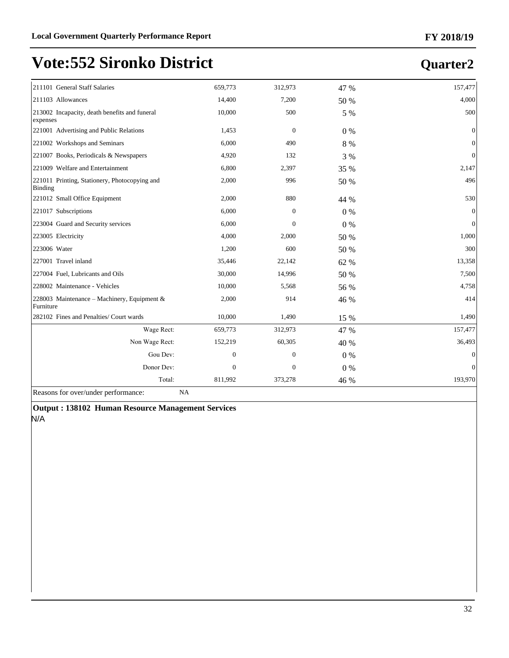## **Quarter2**

| 211101 General Staff Salaries                             | 659,773          | 312,973          | 47 %  | 157,477          |
|-----------------------------------------------------------|------------------|------------------|-------|------------------|
| 211103 Allowances                                         | 14,400           | 7,200            | 50 %  | 4,000            |
| 213002 Incapacity, death benefits and funeral<br>expenses | 10,000           | 500              | 5 %   | 500              |
| 221001 Advertising and Public Relations                   | 1,453            | $\mathbf{0}$     | $0\%$ | $\mathbf{0}$     |
| 221002 Workshops and Seminars                             | 6,000            | 490              | 8 %   | $\mathbf{0}$     |
| 221007 Books, Periodicals & Newspapers                    | 4,920            | 132              | 3 %   | $\boldsymbol{0}$ |
| 221009 Welfare and Entertainment                          | 6,800            | 2,397            | 35 %  | 2,147            |
| 221011 Printing, Stationery, Photocopying and<br>Binding  | 2,000            | 996              | 50 %  | 496              |
| 221012 Small Office Equipment                             | 2,000            | 880              | 44 %  | 530              |
| 221017 Subscriptions                                      | 6,000            | $\boldsymbol{0}$ | $0\%$ | $\mathbf{0}$     |
| 223004 Guard and Security services                        | 6,000            | $\mathbf{0}$     | $0\%$ | $\boldsymbol{0}$ |
| 223005 Electricity                                        | 4,000            | 2,000            | 50 %  | 1,000            |
| 223006 Water                                              | 1,200            | 600              | 50 %  | 300              |
| 227001 Travel inland                                      | 35,446           | 22,142           | 62 %  | 13,358           |
| 227004 Fuel, Lubricants and Oils                          | 30,000           | 14,996           | 50 %  | 7,500            |
| 228002 Maintenance - Vehicles                             | 10,000           | 5,568            | 56 %  | 4,758            |
| 228003 Maintenance - Machinery, Equipment &<br>Furniture  | 2,000            | 914              | 46 %  | 414              |
| 282102 Fines and Penalties/ Court wards                   | 10,000           | 1,490            | 15 %  | 1,490            |
| Wage Rect:                                                | 659,773          | 312,973          | 47 %  | 157,477          |
| Non Wage Rect:                                            | 152,219          | 60,305           | 40 %  | 36,493           |
| Gou Dev:                                                  | $\boldsymbol{0}$ | $\boldsymbol{0}$ | $0\%$ | $\boldsymbol{0}$ |
| Donor Dev:                                                | $\mathbf{0}$     | $\boldsymbol{0}$ | $0\%$ | $\mathbf{0}$     |
| Total:                                                    | 811,992          | 373,278          | 46 %  | 193,970          |
| <b>NTA</b><br>$\epsilon$                                  |                  |                  |       |                  |

Reasons for over/under performance: NA

**Output : 138102 Human Resource Management Services** N/A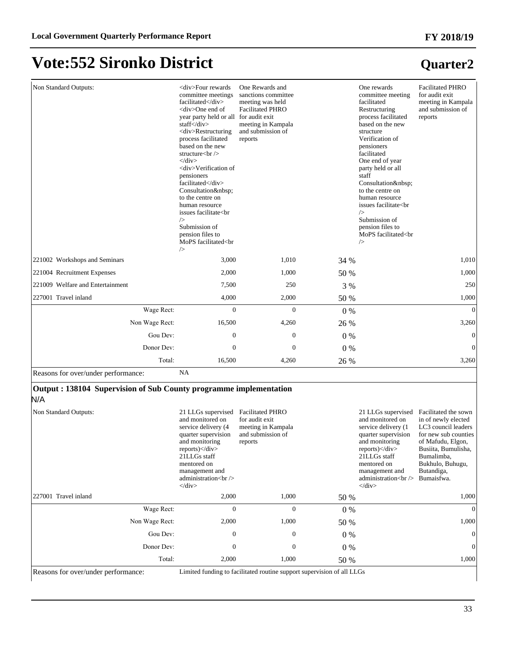## **Quarter2**

| Non Standard Outputs:                                                                             | <div>Four rewards<br/>committee meetings<br/>facilitated</div><br><div>One end of<br/>year party held or all for audit exit<br/>staff</div><br><div>Restructuring<br/>process facilitated<br/>based on the new<br/>structure<math>&gt;</math><br/><math>\langle</math>/div<math>\rangle</math><br/><div>Verification of<br/>pensioners<br/>facilitated</div><br/>Consultation <br/>to the centre on<br/>human resource<br/>issues facilitate<br<br><math>\rightarrow</math><br/>Submission of<br/>pension files to<br/>MoPS facilitated<br<br><math>\rightarrow</math></br<br></br<br></div> | One Rewards and<br>sanctions committee<br>meeting was held<br><b>Facilitated PHRO</b><br>meeting in Kampala<br>and submission of<br>reports |       | One rewards<br>committee meeting<br>facilitated<br>Restructuring<br>process facilitated<br>based on the new<br>structure<br>Verification of<br>pensioners<br>facilitated<br>One end of year<br>party held or all<br>staff<br>Consultation<br>to the centre on<br>human resource<br>issues facilitate <br<br><math>\rightarrow</math><br/>Submission of<br/>pension files to<br/>MoPS facilitated<br<br><math>\rightarrow</math></br<br></br<br> | <b>Facilitated PHRO</b><br>for audit exit<br>meeting in Kampala<br>and submission of<br>reports                                                                                                                         |
|---------------------------------------------------------------------------------------------------|----------------------------------------------------------------------------------------------------------------------------------------------------------------------------------------------------------------------------------------------------------------------------------------------------------------------------------------------------------------------------------------------------------------------------------------------------------------------------------------------------------------------------------------------------------------------------------------------|---------------------------------------------------------------------------------------------------------------------------------------------|-------|-------------------------------------------------------------------------------------------------------------------------------------------------------------------------------------------------------------------------------------------------------------------------------------------------------------------------------------------------------------------------------------------------------------------------------------------------|-------------------------------------------------------------------------------------------------------------------------------------------------------------------------------------------------------------------------|
| 221002 Workshops and Seminars                                                                     | 3,000                                                                                                                                                                                                                                                                                                                                                                                                                                                                                                                                                                                        | 1,010                                                                                                                                       | 34 %  |                                                                                                                                                                                                                                                                                                                                                                                                                                                 | 1,010                                                                                                                                                                                                                   |
| 221004 Recruitment Expenses                                                                       | 2,000                                                                                                                                                                                                                                                                                                                                                                                                                                                                                                                                                                                        | 1,000                                                                                                                                       | 50 %  |                                                                                                                                                                                                                                                                                                                                                                                                                                                 | 1,000                                                                                                                                                                                                                   |
| 221009 Welfare and Entertainment                                                                  | 7,500                                                                                                                                                                                                                                                                                                                                                                                                                                                                                                                                                                                        | 250                                                                                                                                         | 3 %   |                                                                                                                                                                                                                                                                                                                                                                                                                                                 | 250                                                                                                                                                                                                                     |
| 227001 Travel inland                                                                              | 4,000                                                                                                                                                                                                                                                                                                                                                                                                                                                                                                                                                                                        | 2,000                                                                                                                                       | 50 %  |                                                                                                                                                                                                                                                                                                                                                                                                                                                 | 1,000                                                                                                                                                                                                                   |
| Wage Rect:                                                                                        | $\theta$                                                                                                                                                                                                                                                                                                                                                                                                                                                                                                                                                                                     | $\theta$                                                                                                                                    | 0%    |                                                                                                                                                                                                                                                                                                                                                                                                                                                 | $\theta$                                                                                                                                                                                                                |
| Non Wage Rect:                                                                                    | 16,500                                                                                                                                                                                                                                                                                                                                                                                                                                                                                                                                                                                       | 4,260                                                                                                                                       | 26 %  |                                                                                                                                                                                                                                                                                                                                                                                                                                                 | 3,260                                                                                                                                                                                                                   |
| Gou Dev:                                                                                          | $\boldsymbol{0}$                                                                                                                                                                                                                                                                                                                                                                                                                                                                                                                                                                             | $\boldsymbol{0}$                                                                                                                            | $0\%$ |                                                                                                                                                                                                                                                                                                                                                                                                                                                 | $\boldsymbol{0}$                                                                                                                                                                                                        |
| Donor Dev:                                                                                        | $\mathbf{0}$                                                                                                                                                                                                                                                                                                                                                                                                                                                                                                                                                                                 | $\boldsymbol{0}$                                                                                                                            | $0\%$ |                                                                                                                                                                                                                                                                                                                                                                                                                                                 | $\boldsymbol{0}$                                                                                                                                                                                                        |
| Total:                                                                                            | 16,500                                                                                                                                                                                                                                                                                                                                                                                                                                                                                                                                                                                       | 4,260                                                                                                                                       | 26 %  |                                                                                                                                                                                                                                                                                                                                                                                                                                                 | 3,260                                                                                                                                                                                                                   |
| Reasons for over/under performance:                                                               | NA                                                                                                                                                                                                                                                                                                                                                                                                                                                                                                                                                                                           |                                                                                                                                             |       |                                                                                                                                                                                                                                                                                                                                                                                                                                                 |                                                                                                                                                                                                                         |
| Output: 138104 Supervision of Sub County programme implementation<br>N/A<br>Non Standard Outputs: | 21 LLGs supervised<br>and monitored on<br>service delivery (4<br>quarter supervision<br>and monitoring<br>reports)<br>21LLGs staff<br>mentored on<br>management and<br>administration<br>br/><br>$\langle$ div>                                                                                                                                                                                                                                                                                                                                                                              | <b>Facilitated PHRO</b><br>for audit exit<br>meeting in Kampala<br>and submission of<br>reports                                             |       | and monitored on<br>service delivery (1<br>quarter supervision<br>and monitoring<br>reports)<br>21LLGs staff<br>mentored on<br>management and<br>administration<br>br/><br>$\langle$ div>                                                                                                                                                                                                                                                       | 21 LLGs supervised Facilitated the sown<br>in of newly elected<br>LC3 council leaders<br>for new sub counties<br>of Mafudu, Elgon,<br>Busiita, Bumulisha,<br>Bumalimba,<br>Bukhulo, Buhugu,<br>Butandiga,<br>Bumaisfwa. |
| 227001 Travel inland                                                                              | 2,000                                                                                                                                                                                                                                                                                                                                                                                                                                                                                                                                                                                        | 1,000                                                                                                                                       | 50 %  |                                                                                                                                                                                                                                                                                                                                                                                                                                                 | 1,000                                                                                                                                                                                                                   |
| Wage Rect:                                                                                        | $\overline{0}$                                                                                                                                                                                                                                                                                                                                                                                                                                                                                                                                                                               | $\overline{0}$                                                                                                                              | 0%    |                                                                                                                                                                                                                                                                                                                                                                                                                                                 | $\boldsymbol{0}$                                                                                                                                                                                                        |

Non Wage Rect: 2,000 1,000 50 % 1,000 1,000 Gou Dev:  $0 \t 0 \t 0 \t 0 \t 0$ Donor Dev:  $0 \t 0 \t 0 \t 0 \t 0$ Total: 2,000 1,000 50 % 1,000

Reasons for over/under performance: Limited funding to facilitated routine support supervision of all LLGs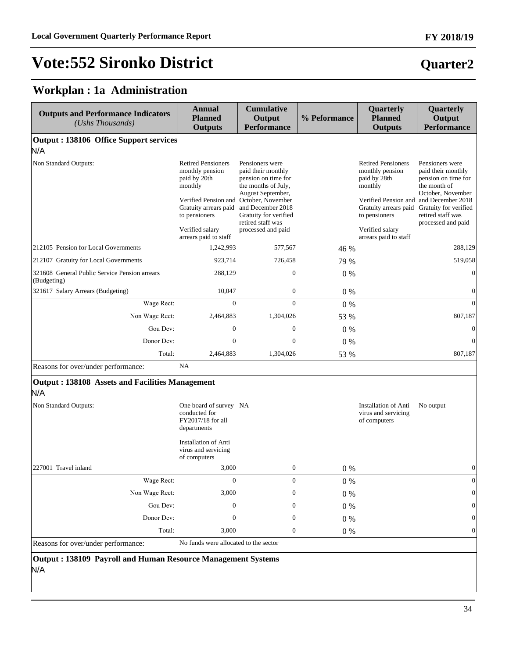## **Quarter2**

## **Workplan : 1a Administration**

| <b>Outputs and Performance Indicators</b><br>(Ushs Thousands) | Annual<br><b>Planned</b><br><b>Outputs</b>                                                         | <b>Cumulative</b><br>Output<br><b>Performance</b>                                                        | % Peformance | Quarterly<br><b>Planned</b><br><b>Outputs</b>                           | Quarterly<br>Output<br><b>Performance</b>                                                         |
|---------------------------------------------------------------|----------------------------------------------------------------------------------------------------|----------------------------------------------------------------------------------------------------------|--------------|-------------------------------------------------------------------------|---------------------------------------------------------------------------------------------------|
| Output: 138106 Office Support services<br>N/A                 |                                                                                                    |                                                                                                          |              |                                                                         |                                                                                                   |
| Non Standard Outputs:                                         | <b>Retired Pensioners</b><br>monthly pension<br>paid by 20th<br>monthly                            | Pensioners were<br>paid their monthly<br>pension on time for<br>the months of July,<br>August September, |              | <b>Retired Pensioners</b><br>monthly pension<br>paid by 28th<br>monthly | Pensioners were<br>paid their monthly<br>pension on time for<br>the month of<br>October, November |
|                                                               | Verified Pension and October, November<br>Gratuity arrears paid and December 2018<br>to pensioners | Gratuity for verified<br>retired staff was                                                               |              | Verified Pension and and December 2018<br>to pensioners                 | Gratuity arrears paid Gratuity for verified<br>retired staff was<br>processed and paid            |
|                                                               | Verified salary<br>arrears paid to staff                                                           | processed and paid                                                                                       |              | Verified salary<br>arrears paid to staff                                |                                                                                                   |
| 212105 Pension for Local Governments                          | 1,242,993                                                                                          | 577,567                                                                                                  | 46 %         |                                                                         | 288,129                                                                                           |
| 212107 Gratuity for Local Governments                         | 923,714                                                                                            | 726,458                                                                                                  | 79 %         |                                                                         | 519,058                                                                                           |
| 321608 General Public Service Pension arrears<br>(Budgeting)  | 288,129                                                                                            | $\boldsymbol{0}$                                                                                         | $0\%$        |                                                                         | $\boldsymbol{0}$                                                                                  |
| 321617 Salary Arrears (Budgeting)                             | 10,047                                                                                             | $\boldsymbol{0}$                                                                                         | 0%           |                                                                         | $\boldsymbol{0}$                                                                                  |
| Wage Rect:                                                    | $\overline{0}$                                                                                     | $\overline{0}$                                                                                           | $0\%$        |                                                                         | $\boldsymbol{0}$                                                                                  |
| Non Wage Rect:                                                | 2,464,883                                                                                          | 1,304,026                                                                                                | 53 %         |                                                                         | 807,187                                                                                           |
| Gou Dev:                                                      | $\boldsymbol{0}$                                                                                   | $\boldsymbol{0}$                                                                                         | $0\%$        |                                                                         | $\boldsymbol{0}$                                                                                  |
| Donor Dev:                                                    | $\mathbf{0}$                                                                                       | $\mathbf{0}$                                                                                             | 0%           |                                                                         | $\boldsymbol{0}$                                                                                  |
| Total:<br>Reasons for over/under performance:                 | 2,464,883<br><b>NA</b>                                                                             | 1,304,026                                                                                                | 53 %         |                                                                         | 807,187                                                                                           |
|                                                               |                                                                                                    |                                                                                                          |              |                                                                         |                                                                                                   |
| <b>Output: 138108 Assets and Facilities Management</b><br>N/A |                                                                                                    |                                                                                                          |              |                                                                         |                                                                                                   |
| Non Standard Outputs:                                         | One board of survey NA<br>conducted for<br>FY2017/18 for all<br>departments                        |                                                                                                          |              | <b>Installation of Anti</b><br>virus and servicing<br>of computers      | No output                                                                                         |
|                                                               | <b>Installation of Anti</b><br>virus and servicing<br>of computers                                 |                                                                                                          |              |                                                                         |                                                                                                   |
| 227001 Travel inland                                          | 3,000                                                                                              | $\boldsymbol{0}$                                                                                         | $0\%$        |                                                                         | $\mathbf{0}$                                                                                      |
| Wage Rect:                                                    | $\boldsymbol{0}$                                                                                   | $\boldsymbol{0}$                                                                                         | $0\%$        |                                                                         | $\boldsymbol{0}$                                                                                  |
| Non Wage Rect:                                                | 3,000                                                                                              | $\boldsymbol{0}$                                                                                         | $0\ \%$      |                                                                         | $\boldsymbol{0}$                                                                                  |
| Gou Dev:                                                      | $\boldsymbol{0}$                                                                                   | $\boldsymbol{0}$                                                                                         | $0\%$        |                                                                         | $\theta$                                                                                          |
| Donor Dev:                                                    | $\boldsymbol{0}$                                                                                   | $\boldsymbol{0}$                                                                                         | $0\ \%$      |                                                                         | $\theta$                                                                                          |
| Total:                                                        | 3,000                                                                                              | $\boldsymbol{0}$                                                                                         | $0\ \%$      |                                                                         | $\boldsymbol{0}$                                                                                  |
| Reasons for over/under performance:                           | No funds were allocated to the sector                                                              |                                                                                                          |              |                                                                         |                                                                                                   |

**Output : 138109 Payroll and Human Resource Management Systems** N/A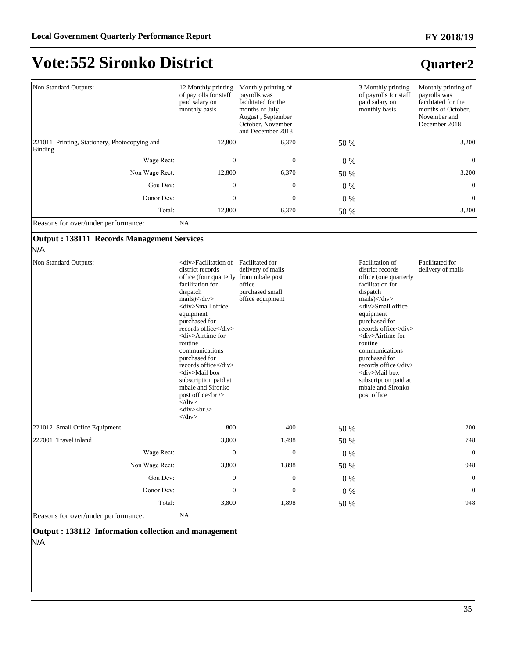## **Quarter2**

| Non Standard Outputs:                                           | 12 Monthly printing<br>of payrolls for staff<br>paid salary on<br>monthly basis                                                                                                                                                                                                                                                                                                                                                                                                                                                                                            | Monthly printing of<br>payrolls was<br>facilitated for the<br>months of July,<br>August, September<br>October, November<br>and December 2018 |       | 3 Monthly printing<br>of payrolls for staff<br>paid salary on<br>monthly basis                                                                                                                                                                                                                                                                                           | Monthly printing of<br>payrolls was<br>facilitated for the<br>months of October,<br>November and<br>December 2018 |
|-----------------------------------------------------------------|----------------------------------------------------------------------------------------------------------------------------------------------------------------------------------------------------------------------------------------------------------------------------------------------------------------------------------------------------------------------------------------------------------------------------------------------------------------------------------------------------------------------------------------------------------------------------|----------------------------------------------------------------------------------------------------------------------------------------------|-------|--------------------------------------------------------------------------------------------------------------------------------------------------------------------------------------------------------------------------------------------------------------------------------------------------------------------------------------------------------------------------|-------------------------------------------------------------------------------------------------------------------|
| 221011 Printing, Stationery, Photocopying and<br><b>Binding</b> | 12,800                                                                                                                                                                                                                                                                                                                                                                                                                                                                                                                                                                     | 6,370                                                                                                                                        | 50 %  |                                                                                                                                                                                                                                                                                                                                                                          | 3,200                                                                                                             |
| Wage Rect:                                                      | $\Omega$                                                                                                                                                                                                                                                                                                                                                                                                                                                                                                                                                                   | $\Omega$                                                                                                                                     | 0%    |                                                                                                                                                                                                                                                                                                                                                                          | $\Omega$                                                                                                          |
| Non Wage Rect:                                                  | 12,800                                                                                                                                                                                                                                                                                                                                                                                                                                                                                                                                                                     | 6,370                                                                                                                                        | 50 %  |                                                                                                                                                                                                                                                                                                                                                                          | 3,200                                                                                                             |
| Gou Dev:                                                        | $\boldsymbol{0}$                                                                                                                                                                                                                                                                                                                                                                                                                                                                                                                                                           | $\boldsymbol{0}$                                                                                                                             | $0\%$ |                                                                                                                                                                                                                                                                                                                                                                          | $\boldsymbol{0}$                                                                                                  |
| Donor Dev:                                                      | $\mathbf{0}$                                                                                                                                                                                                                                                                                                                                                                                                                                                                                                                                                               | $\overline{0}$                                                                                                                               | $0\%$ |                                                                                                                                                                                                                                                                                                                                                                          | $\mathbf{0}$                                                                                                      |
| Total:                                                          | 12,800                                                                                                                                                                                                                                                                                                                                                                                                                                                                                                                                                                     | 6,370                                                                                                                                        | 50 %  |                                                                                                                                                                                                                                                                                                                                                                          | 3,200                                                                                                             |
| Reasons for over/under performance:                             | NA                                                                                                                                                                                                                                                                                                                                                                                                                                                                                                                                                                         |                                                                                                                                              |       |                                                                                                                                                                                                                                                                                                                                                                          |                                                                                                                   |
| <b>Output: 138111 Records Management Services</b>               |                                                                                                                                                                                                                                                                                                                                                                                                                                                                                                                                                                            |                                                                                                                                              |       |                                                                                                                                                                                                                                                                                                                                                                          |                                                                                                                   |
| N/A                                                             |                                                                                                                                                                                                                                                                                                                                                                                                                                                                                                                                                                            |                                                                                                                                              |       |                                                                                                                                                                                                                                                                                                                                                                          |                                                                                                                   |
| Non Standard Outputs:                                           | <div>Facilitation of<br/>district records<br/>office (four quarterly from mbale post<br/>facilitation for<br/>dispatch<br/>mails)</div><br><div>Small office<br/>equipment<br/>purchased for<br/>records office</div><br>$\langle$ div $>\rangle$ Airtime for<br>routine<br>communications<br>purchased for<br>records office<br><div>Mail box<br/>subscription paid at<br/>mbale and Sironko<br/>post office<br/><br/><math>\langle</math>div&gt;<br/><math>\langle</math>div<math>&gt;</math>br/<math>&gt;</math><br><math>\langle</math>div<math>&gt;</math></br></div> | Facilitated for<br>delivery of mails<br>office<br>purchased small<br>office equipment                                                        |       | Facilitation of<br>district records<br>office (one quarterly<br>facilitation for<br>dispatch<br>mails)<br><div>Small office<br/>equipment<br/>purchased for<br/>records office</div><br><div>Airtime for<br/>routine<br/>communications<br/>purchased for<br/>records office</div><br><div>Mail box<br/>subscription paid at<br/>mbale and Sironko<br/>post office</div> | Facilitated for<br>delivery of mails                                                                              |
| 221012 Small Office Equipment                                   | 800                                                                                                                                                                                                                                                                                                                                                                                                                                                                                                                                                                        | 400                                                                                                                                          | 50 %  |                                                                                                                                                                                                                                                                                                                                                                          | 200                                                                                                               |
| 227001 Travel inland                                            | 3,000                                                                                                                                                                                                                                                                                                                                                                                                                                                                                                                                                                      | 1,498                                                                                                                                        | 50 %  |                                                                                                                                                                                                                                                                                                                                                                          | 748                                                                                                               |
| Wage Rect:                                                      | $\mathbf{0}$                                                                                                                                                                                                                                                                                                                                                                                                                                                                                                                                                               | $\mathbf{0}$                                                                                                                                 | $0\%$ |                                                                                                                                                                                                                                                                                                                                                                          | $\overline{0}$                                                                                                    |
| Non Wage Rect:                                                  | 3,800                                                                                                                                                                                                                                                                                                                                                                                                                                                                                                                                                                      | 1,898                                                                                                                                        | 50 %  |                                                                                                                                                                                                                                                                                                                                                                          | 948                                                                                                               |
| Gou Dev:                                                        | $\mathbf{0}$                                                                                                                                                                                                                                                                                                                                                                                                                                                                                                                                                               | $\mathbf{0}$                                                                                                                                 | 0 %   |                                                                                                                                                                                                                                                                                                                                                                          | $\theta$                                                                                                          |
| Donor Dev:                                                      | $\mathbf{0}$                                                                                                                                                                                                                                                                                                                                                                                                                                                                                                                                                               | $\mathbf{0}$                                                                                                                                 | $0\%$ |                                                                                                                                                                                                                                                                                                                                                                          | $\theta$                                                                                                          |
| Total:                                                          | 3,800                                                                                                                                                                                                                                                                                                                                                                                                                                                                                                                                                                      | 1,898                                                                                                                                        | 50 %  |                                                                                                                                                                                                                                                                                                                                                                          | 948                                                                                                               |

Reasons for over/under performance: NA

**Output : 138112 Information collection and management**  N/A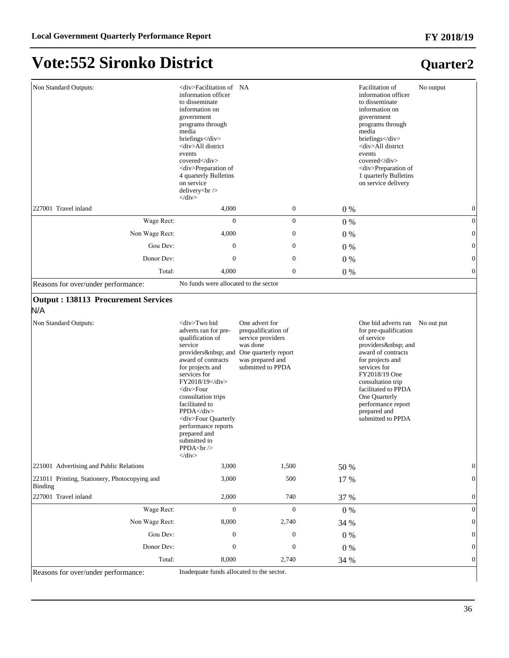## **FY 2018/19**

# **Vote:552 Sironko District**

## **Quarter2**

| Non Standard Outputs:                                                                                                 | <div>Facilitation of NA<br/>information officer<br/>to disseminate<br/>information on<br/>government<br/>programs through<br/>media<br/>briefings</div><br><div>All district<br/>events<br/>covered</div><br><div>Preparation of<br/>4 quarterly Bulletins<br/>on service<br/>delivery<br/><br/><math>\langle</math>div<math>\rangle</math></div>                                                         |                                                                                                                                                                 |         | Facilitation of<br>No output<br>information officer<br>to disseminate<br>information on<br>government<br>programs through<br>media<br>briefings<br><div>All district<br/>events<br/>covered</div><br><div>Preparation of<br/>1 quarterly Bulletins<br/>on service delivery</div>                    |
|-----------------------------------------------------------------------------------------------------------------------|-----------------------------------------------------------------------------------------------------------------------------------------------------------------------------------------------------------------------------------------------------------------------------------------------------------------------------------------------------------------------------------------------------------|-----------------------------------------------------------------------------------------------------------------------------------------------------------------|---------|-----------------------------------------------------------------------------------------------------------------------------------------------------------------------------------------------------------------------------------------------------------------------------------------------------|
| 227001 Travel inland                                                                                                  | 4,000                                                                                                                                                                                                                                                                                                                                                                                                     | $\boldsymbol{0}$                                                                                                                                                | $0\ \%$ | $\boldsymbol{0}$                                                                                                                                                                                                                                                                                    |
| Wage Rect:                                                                                                            | $\overline{0}$                                                                                                                                                                                                                                                                                                                                                                                            | $\boldsymbol{0}$                                                                                                                                                | $0\ \%$ | 0                                                                                                                                                                                                                                                                                                   |
| Non Wage Rect:                                                                                                        | 4,000                                                                                                                                                                                                                                                                                                                                                                                                     | $\mathbf{0}$                                                                                                                                                    | $0\%$   | $\mathbf{0}$                                                                                                                                                                                                                                                                                        |
| Gou Dev:                                                                                                              | $\boldsymbol{0}$                                                                                                                                                                                                                                                                                                                                                                                          | $\boldsymbol{0}$                                                                                                                                                | $0\%$   | 0                                                                                                                                                                                                                                                                                                   |
| Donor Dev:                                                                                                            | $\mathbf{0}$                                                                                                                                                                                                                                                                                                                                                                                              | $\mathbf{0}$                                                                                                                                                    | 0%      | $\vert 0 \vert$                                                                                                                                                                                                                                                                                     |
| Total:                                                                                                                | 4,000                                                                                                                                                                                                                                                                                                                                                                                                     | $\boldsymbol{0}$                                                                                                                                                | 0%      | $\vert 0 \vert$                                                                                                                                                                                                                                                                                     |
| Reasons for over/under performance:                                                                                   | No funds were allocated to the sector                                                                                                                                                                                                                                                                                                                                                                     |                                                                                                                                                                 |         |                                                                                                                                                                                                                                                                                                     |
| <b>Output: 138113 Procurement Services</b><br>N/A<br>Non Standard Outputs:<br>221001 Advertising and Public Relations | <div>Two bid<br/>adverts ran for pre-<br/>qualification of<br/>service<br/>award of contracts<br/>for projects and<br/>services for<br/>FY2018/19</div><br><div>Four<br/>consultation trips<br/>facilitated to<br/>PPDA</div><br><div>Four Quarterly<br/>performance reports<br/>prepared and<br/>submitted to<br/>PPDA<br/> <math>\gg</math><br/><math>\langle \text{div} \rangle</math><br/>3,000</div> | One advert for<br>prequalification of<br>service providers<br>was done<br>providers  and One quarterly report<br>was prepared and<br>submitted to PPDA<br>1,500 | 50 %    | One bid adverts ran<br>No out put<br>for pre-qualification<br>of service<br>providers  and<br>award of contracts<br>for projects and<br>services for<br>FY2018/19 One<br>consultation trip<br>facilitated to PPDA<br>One Quarterly<br>performance report<br>prepared and<br>submitted to PPDA<br> 0 |
| 221011 Printing, Stationery, Photocopying and                                                                         | 3,000                                                                                                                                                                                                                                                                                                                                                                                                     | 500                                                                                                                                                             | 17 %    | 0                                                                                                                                                                                                                                                                                                   |
| Binding                                                                                                               |                                                                                                                                                                                                                                                                                                                                                                                                           |                                                                                                                                                                 |         |                                                                                                                                                                                                                                                                                                     |
| 227001 Travel inland                                                                                                  | 2,000                                                                                                                                                                                                                                                                                                                                                                                                     | 740                                                                                                                                                             | 37 %    | $\boldsymbol{0}$                                                                                                                                                                                                                                                                                    |
| Wage Rect:                                                                                                            | $\boldsymbol{0}$                                                                                                                                                                                                                                                                                                                                                                                          | $\boldsymbol{0}$                                                                                                                                                | $0\ \%$ | $\boldsymbol{0}$                                                                                                                                                                                                                                                                                    |
| Non Wage Rect:                                                                                                        | 8,000                                                                                                                                                                                                                                                                                                                                                                                                     | 2,740                                                                                                                                                           | 34 %    | $\boldsymbol{0}$                                                                                                                                                                                                                                                                                    |
| Gou Dev:                                                                                                              | $\boldsymbol{0}$                                                                                                                                                                                                                                                                                                                                                                                          | $\boldsymbol{0}$                                                                                                                                                | $0\ \%$ | 0                                                                                                                                                                                                                                                                                                   |
| Donor Dev:                                                                                                            | $\boldsymbol{0}$                                                                                                                                                                                                                                                                                                                                                                                          | $\boldsymbol{0}$                                                                                                                                                | $0\ \%$ | $\boldsymbol{0}$                                                                                                                                                                                                                                                                                    |
| Total:                                                                                                                | 8,000                                                                                                                                                                                                                                                                                                                                                                                                     | 2,740                                                                                                                                                           | 34 %    | 0                                                                                                                                                                                                                                                                                                   |

Reasons for over/under performance: Inadequate funds allocated to the sector.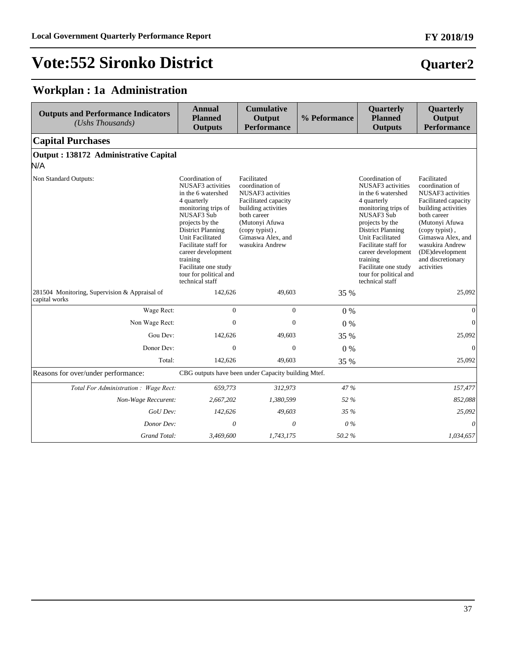### **Quarter2**

### **Workplan : 1a Administration**

| <b>Outputs and Performance Indicators</b><br>(Ushs Thousands)  | <b>Annual</b><br><b>Planned</b><br><b>Outputs</b>                                                                                                                                                                                                                                                                | <b>Cumulative</b><br>Output<br><b>Performance</b>                                                                                                                                             | % Peformance | Quarterly<br><b>Planned</b><br><b>Outputs</b>                                                                                                                                                                                                                                                                    | Quarterly<br>Output<br><b>Performance</b>                                                                                                                                                                                                           |
|----------------------------------------------------------------|------------------------------------------------------------------------------------------------------------------------------------------------------------------------------------------------------------------------------------------------------------------------------------------------------------------|-----------------------------------------------------------------------------------------------------------------------------------------------------------------------------------------------|--------------|------------------------------------------------------------------------------------------------------------------------------------------------------------------------------------------------------------------------------------------------------------------------------------------------------------------|-----------------------------------------------------------------------------------------------------------------------------------------------------------------------------------------------------------------------------------------------------|
| <b>Capital Purchases</b>                                       |                                                                                                                                                                                                                                                                                                                  |                                                                                                                                                                                               |              |                                                                                                                                                                                                                                                                                                                  |                                                                                                                                                                                                                                                     |
| Output: 138172 Administrative Capital<br>N/A                   |                                                                                                                                                                                                                                                                                                                  |                                                                                                                                                                                               |              |                                                                                                                                                                                                                                                                                                                  |                                                                                                                                                                                                                                                     |
| Non Standard Outputs:                                          | Coordination of<br>NUSAF3 activities<br>in the 6 watershed<br>4 quarterly<br>monitoring trips of<br>NUSAF3 Sub<br>projects by the<br><b>District Planning</b><br>Unit Facilitated<br>Facilitate staff for<br>career development<br>training<br>Facilitate one study<br>tour for political and<br>technical staff | Facilitated<br>coordination of<br>NUSAF3 activities<br>Facilitated capacity<br>building activities<br>both career<br>(Mutonyi Afuwa<br>(copy typist),<br>Gimaswa Alex, and<br>wasukira Andrew |              | Coordination of<br>NUSAF3 activities<br>in the 6 watershed<br>4 quarterly<br>monitoring trips of<br>NUSAF3 Sub<br>projects by the<br><b>District Planning</b><br>Unit Facilitated<br>Facilitate staff for<br>career development<br>training<br>Facilitate one study<br>tour for political and<br>technical staff | Facilitated<br>coordination of<br>NUSAF3 activities<br>Facilitated capacity<br>building activities<br>both career<br>(Mutonyi Afuwa<br>(copy typist),<br>Gimaswa Alex, and<br>wasukira Andrew<br>(DE)development<br>and discretionary<br>activities |
| 281504 Monitoring, Supervision & Appraisal of<br>capital works | 142,626                                                                                                                                                                                                                                                                                                          | 49,603                                                                                                                                                                                        | 35 %         |                                                                                                                                                                                                                                                                                                                  | 25.092                                                                                                                                                                                                                                              |
| Wage Rect:                                                     | $\overline{0}$                                                                                                                                                                                                                                                                                                   | $\overline{0}$                                                                                                                                                                                | $0\%$        |                                                                                                                                                                                                                                                                                                                  | $\mathbf{0}$                                                                                                                                                                                                                                        |
| Non Wage Rect:                                                 | $\mathbf{0}$                                                                                                                                                                                                                                                                                                     | $\mathbf{0}$                                                                                                                                                                                  | 0%           |                                                                                                                                                                                                                                                                                                                  | $\mathbf{0}$                                                                                                                                                                                                                                        |
| Gou Dev:                                                       | 142,626                                                                                                                                                                                                                                                                                                          | 49,603                                                                                                                                                                                        | 35 %         |                                                                                                                                                                                                                                                                                                                  | 25,092                                                                                                                                                                                                                                              |
| Donor Dev:                                                     | $\overline{0}$                                                                                                                                                                                                                                                                                                   | $\overline{0}$                                                                                                                                                                                | 0%           |                                                                                                                                                                                                                                                                                                                  | $\mathbf{0}$                                                                                                                                                                                                                                        |
| Total:                                                         | 142,626                                                                                                                                                                                                                                                                                                          | 49,603                                                                                                                                                                                        | 35 %         |                                                                                                                                                                                                                                                                                                                  | 25,092                                                                                                                                                                                                                                              |
| Reasons for over/under performance:                            |                                                                                                                                                                                                                                                                                                                  | CBG outputs have been under Capacity building Mtef.                                                                                                                                           |              |                                                                                                                                                                                                                                                                                                                  |                                                                                                                                                                                                                                                     |
| Total For Administration: Wage Rect:                           | 659,773                                                                                                                                                                                                                                                                                                          | 312,973                                                                                                                                                                                       | 47%          |                                                                                                                                                                                                                                                                                                                  | 157,477                                                                                                                                                                                                                                             |
| Non-Wage Reccurent:                                            | 2,667,202                                                                                                                                                                                                                                                                                                        | 1,380,599                                                                                                                                                                                     | 52 %         |                                                                                                                                                                                                                                                                                                                  | 852,088                                                                                                                                                                                                                                             |
| GoU Dev:                                                       | 142,626                                                                                                                                                                                                                                                                                                          | 49,603                                                                                                                                                                                        | 35 %         |                                                                                                                                                                                                                                                                                                                  | 25,092                                                                                                                                                                                                                                              |
| Donor Dev:                                                     | $\theta$                                                                                                                                                                                                                                                                                                         | $\theta$                                                                                                                                                                                      | $0\%$        |                                                                                                                                                                                                                                                                                                                  | 0                                                                                                                                                                                                                                                   |
| Grand Total:                                                   | 3,469,600                                                                                                                                                                                                                                                                                                        | 1,743,175                                                                                                                                                                                     | 50.2%        |                                                                                                                                                                                                                                                                                                                  | 1,034,657                                                                                                                                                                                                                                           |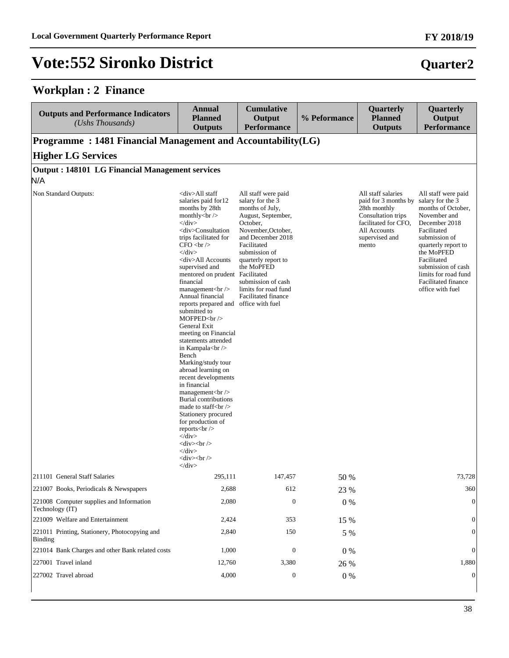### **Workplan : 2 Finance**

| <b>Outputs and Performance Indicators</b><br>(Ushs Thousands)   | <b>Annual</b><br><b>Planned</b><br><b>Outputs</b>                                                                                                                                                                                                                                                                                                                                                                                                                                                                                                                                                                                                                                                                                                                                                                                                                                                                                                                                                                                                                                                                       | <b>Cumulative</b><br>Output<br><b>Performance</b>                                                                                                                                                                                                                                        | % Peformance | Quarterly<br><b>Planned</b><br><b>Outputs</b>                                                                                                                        | Quarterly<br>Output<br><b>Performance</b>                                                                                                                                                                                                                      |
|-----------------------------------------------------------------|-------------------------------------------------------------------------------------------------------------------------------------------------------------------------------------------------------------------------------------------------------------------------------------------------------------------------------------------------------------------------------------------------------------------------------------------------------------------------------------------------------------------------------------------------------------------------------------------------------------------------------------------------------------------------------------------------------------------------------------------------------------------------------------------------------------------------------------------------------------------------------------------------------------------------------------------------------------------------------------------------------------------------------------------------------------------------------------------------------------------------|------------------------------------------------------------------------------------------------------------------------------------------------------------------------------------------------------------------------------------------------------------------------------------------|--------------|----------------------------------------------------------------------------------------------------------------------------------------------------------------------|----------------------------------------------------------------------------------------------------------------------------------------------------------------------------------------------------------------------------------------------------------------|
| Programme: 1481 Financial Management and Accountability(LG)     |                                                                                                                                                                                                                                                                                                                                                                                                                                                                                                                                                                                                                                                                                                                                                                                                                                                                                                                                                                                                                                                                                                                         |                                                                                                                                                                                                                                                                                          |              |                                                                                                                                                                      |                                                                                                                                                                                                                                                                |
| <b>Higher LG Services</b>                                       |                                                                                                                                                                                                                                                                                                                                                                                                                                                                                                                                                                                                                                                                                                                                                                                                                                                                                                                                                                                                                                                                                                                         |                                                                                                                                                                                                                                                                                          |              |                                                                                                                                                                      |                                                                                                                                                                                                                                                                |
| <b>Output: 148101 LG Financial Management services</b><br>N/A   |                                                                                                                                                                                                                                                                                                                                                                                                                                                                                                                                                                                                                                                                                                                                                                                                                                                                                                                                                                                                                                                                                                                         |                                                                                                                                                                                                                                                                                          |              |                                                                                                                                                                      |                                                                                                                                                                                                                                                                |
| Non Standard Outputs:                                           | <div>All staff<br/>salaries paid for 12<br/>months by 28th<br/>monthly<math>br&gt;</math><br/><math>\langle</math>div<math>\rangle</math><br/><div>Consultation<br/>trips facilitated for<br/>CFO <sub>br</sub><br/><math>\langle</math>div<math>&gt;</math><br/><div>All Accounts<br/>supervised and<br/>mentored on prudent Facilitated<br/>financial<br/>management<br/>br /&gt;<br/>Annual financial<br/>reports prepared and office with fuel<br>submitted to<br/>MOFPED<br/>&gt;br/&gt;<br/>General Exit<br/>meeting on Financial<br>statements attended<br/>in Kampala<br/><br/>Bench<br/>Marking/study tour<br>abroad learning on<br/>recent developments<br/>in financial<br/><math>managementfor <math>\geq</math></math><br/><b>Burial contributions</b><br/>made to staff<math>&lt;</math>br<math>&gt;</math><br/>Stationery procured<br/>for production of<br/>reports<br/><br/><math>\langle</math>div&gt;<br/><div><br><br/><math>\langle</math>div<math>&gt;</math><br/><math>\langle</math>div<math>&gt;</math>br/&gt;<br><math>\langle</math>div&gt;</br></br></div></br></br></br></div></div></div> | All staff were paid<br>salary for the 3<br>months of July,<br>August, September,<br>October,<br>November, October,<br>and December 2018<br>Facilitated<br>submission of<br>quarterly report to<br>the MoPFED<br>submission of cash<br>limits for road fund<br><b>Facilitated finance</b> |              | All staff salaries<br>paid for 3 months by salary for the 3<br>28th monthly<br>Consultation trips<br>facilitated for CFO,<br>All Accounts<br>supervised and<br>mento | All staff were paid<br>months of October,<br>November and<br>December 2018<br>Facilitated<br>submission of<br>quarterly report to<br>the MoPFED<br>Facilitated<br>submission of cash<br>limits for road fund<br><b>Facilitated finance</b><br>office with fuel |
| 211101 General Staff Salaries                                   | 295,111                                                                                                                                                                                                                                                                                                                                                                                                                                                                                                                                                                                                                                                                                                                                                                                                                                                                                                                                                                                                                                                                                                                 | 147,457                                                                                                                                                                                                                                                                                  | 50 %         |                                                                                                                                                                      | 73,728                                                                                                                                                                                                                                                         |
| 221007 Books, Periodicals & Newspapers                          | 2,688                                                                                                                                                                                                                                                                                                                                                                                                                                                                                                                                                                                                                                                                                                                                                                                                                                                                                                                                                                                                                                                                                                                   | 612                                                                                                                                                                                                                                                                                      | 23 %         |                                                                                                                                                                      | 360                                                                                                                                                                                                                                                            |
| 221008 Computer supplies and Information<br>Technology (IT)     | 2,080                                                                                                                                                                                                                                                                                                                                                                                                                                                                                                                                                                                                                                                                                                                                                                                                                                                                                                                                                                                                                                                                                                                   | $\boldsymbol{0}$                                                                                                                                                                                                                                                                         | $0\%$        |                                                                                                                                                                      | $\boldsymbol{0}$                                                                                                                                                                                                                                               |
| 221009 Welfare and Entertainment                                | 2,424                                                                                                                                                                                                                                                                                                                                                                                                                                                                                                                                                                                                                                                                                                                                                                                                                                                                                                                                                                                                                                                                                                                   | 353                                                                                                                                                                                                                                                                                      | 15 %         |                                                                                                                                                                      | $\theta$                                                                                                                                                                                                                                                       |
| 221011 Printing, Stationery, Photocopying and<br><b>Binding</b> | 2,840                                                                                                                                                                                                                                                                                                                                                                                                                                                                                                                                                                                                                                                                                                                                                                                                                                                                                                                                                                                                                                                                                                                   | 150                                                                                                                                                                                                                                                                                      | 5 %          |                                                                                                                                                                      | $\Omega$                                                                                                                                                                                                                                                       |
| 221014 Bank Charges and other Bank related costs                | 1,000                                                                                                                                                                                                                                                                                                                                                                                                                                                                                                                                                                                                                                                                                                                                                                                                                                                                                                                                                                                                                                                                                                                   | $\boldsymbol{0}$                                                                                                                                                                                                                                                                         | $0\%$        |                                                                                                                                                                      | $\boldsymbol{0}$                                                                                                                                                                                                                                               |
| 227001 Travel inland                                            | 12,760                                                                                                                                                                                                                                                                                                                                                                                                                                                                                                                                                                                                                                                                                                                                                                                                                                                                                                                                                                                                                                                                                                                  | 3,380                                                                                                                                                                                                                                                                                    | 26 %         |                                                                                                                                                                      | 1,880                                                                                                                                                                                                                                                          |
| 227002 Travel abroad                                            | 4,000                                                                                                                                                                                                                                                                                                                                                                                                                                                                                                                                                                                                                                                                                                                                                                                                                                                                                                                                                                                                                                                                                                                   | $\boldsymbol{0}$                                                                                                                                                                                                                                                                         | $0\%$        |                                                                                                                                                                      | $\mathbf{0}$                                                                                                                                                                                                                                                   |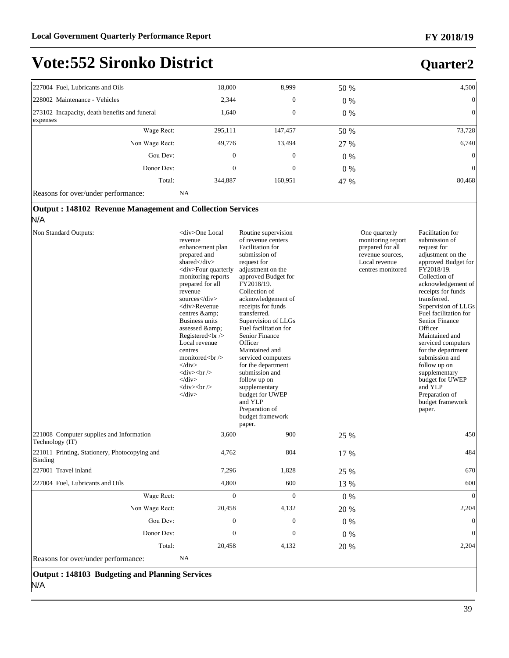**Quarter2**

# **Vote:552 Sironko District**

| 227004 Fuel, Lubricants and Oils                          | 18,000         | 8,999            | 50 %  | 4,500           |
|-----------------------------------------------------------|----------------|------------------|-------|-----------------|
| 228002 Maintenance - Vehicles                             | 2,344          | 0                | $0\%$ | $\vert 0 \vert$ |
| 273102 Incapacity, death benefits and funeral<br>expenses | 1,640          | 0                | $0\%$ | $\vert 0 \vert$ |
| Wage Rect:                                                | 295,111        | 147,457          | 50 %  | 73,728          |
| Non Wage Rect:                                            | 49,776         | 13,494           | 27 %  | 6,740           |
| Gou Dev:                                                  | $\mathbf{0}$   | 0                | $0\%$ | $\vert 0 \vert$ |
| Donor Dev:                                                | $\overline{0}$ | $\boldsymbol{0}$ | $0\%$ | $\vert 0 \vert$ |
| Total:                                                    | 344,887        | 160,951          | 47 %  | 80,468          |
| N <sub>A</sub><br>$D$ assens for everywood performance.   |                |                  |       |                 |

Reasons for over/under performance: NA

#### **Output : 148102 Revenue Management and Collection Services**

#### N/A

| Non Standard Outputs:                                       | <div>One Local<br/>revenue<br/>enhancement plan<br/>prepared and<br/>shared</div><br><div>Four quarterly<br/>monitoring reports<br/>prepared for all<br/>revenue<br/>sources</div><br><div>Revenue<br/>centres &amp; amp;<br/><b>Business units</b><br/>assessed &amp;<br/>Registered<br/><br/>Local revenue<br/>centres<br>monitored<br/>br/&gt;<br/><math>\langle</math>div&gt;<br/><math>\langle</math>div<math>&gt;</math>br/&gt;<br><math>\langle</math>div&gt;<br/><math>\langle</math>div<math>&gt;</math>br/<math>&gt;</math><br/><math>\langle</math>div&gt;</br></br></div> | Routine supervision<br>of revenue centers<br>Facilitation for<br>submission of<br>request for<br>adjustment on the<br>approved Budget for<br>FY2018/19.<br>Collection of<br>acknowledgement of<br>receipts for funds<br>transferred.<br>Supervision of LLGs<br>Fuel facilitation for<br>Senior Finance<br>Officer<br>Maintained and<br>serviced computers<br>for the department<br>submission and<br>follow up on<br>supplementary<br>budget for UWEP<br>and YLP<br>Preparation of |       | One quarterly<br>monitoring report<br>prepared for all<br>revenue sources,<br>Local revenue<br>centres monitored | <b>Facilitation</b> for<br>submission of<br>request for<br>adjustment on the<br>approved Budget for<br>FY2018/19.<br>Collection of<br>acknowledgement of<br>receipts for funds<br>transferred.<br>Supervision of LLGs<br>Fuel facilitation for<br><b>Senior Finance</b><br>Officer<br>Maintained and<br>serviced computers<br>for the department<br>submission and<br>follow up on<br>supplementary<br>budget for UWEP<br>and YLP<br>Preparation of<br>budget framework<br>paper. |
|-------------------------------------------------------------|---------------------------------------------------------------------------------------------------------------------------------------------------------------------------------------------------------------------------------------------------------------------------------------------------------------------------------------------------------------------------------------------------------------------------------------------------------------------------------------------------------------------------------------------------------------------------------------|------------------------------------------------------------------------------------------------------------------------------------------------------------------------------------------------------------------------------------------------------------------------------------------------------------------------------------------------------------------------------------------------------------------------------------------------------------------------------------|-------|------------------------------------------------------------------------------------------------------------------|-----------------------------------------------------------------------------------------------------------------------------------------------------------------------------------------------------------------------------------------------------------------------------------------------------------------------------------------------------------------------------------------------------------------------------------------------------------------------------------|
|                                                             |                                                                                                                                                                                                                                                                                                                                                                                                                                                                                                                                                                                       | budget framework<br>paper.                                                                                                                                                                                                                                                                                                                                                                                                                                                         |       |                                                                                                                  |                                                                                                                                                                                                                                                                                                                                                                                                                                                                                   |
| 221008 Computer supplies and Information<br>Technology (IT) | 3,600                                                                                                                                                                                                                                                                                                                                                                                                                                                                                                                                                                                 | 900                                                                                                                                                                                                                                                                                                                                                                                                                                                                                | 25 %  |                                                                                                                  | 450                                                                                                                                                                                                                                                                                                                                                                                                                                                                               |
| 221011 Printing, Stationery, Photocopying and<br>Binding    | 4,762                                                                                                                                                                                                                                                                                                                                                                                                                                                                                                                                                                                 | 804                                                                                                                                                                                                                                                                                                                                                                                                                                                                                | 17 %  |                                                                                                                  | 484                                                                                                                                                                                                                                                                                                                                                                                                                                                                               |
| 227001 Travel inland                                        | 7,296                                                                                                                                                                                                                                                                                                                                                                                                                                                                                                                                                                                 | 1,828                                                                                                                                                                                                                                                                                                                                                                                                                                                                              | 25 %  |                                                                                                                  | 670                                                                                                                                                                                                                                                                                                                                                                                                                                                                               |
| 227004 Fuel, Lubricants and Oils                            | 4,800                                                                                                                                                                                                                                                                                                                                                                                                                                                                                                                                                                                 | 600                                                                                                                                                                                                                                                                                                                                                                                                                                                                                | 13 %  |                                                                                                                  | 600                                                                                                                                                                                                                                                                                                                                                                                                                                                                               |
| Wage Rect:                                                  | $\Omega$                                                                                                                                                                                                                                                                                                                                                                                                                                                                                                                                                                              | $\overline{0}$                                                                                                                                                                                                                                                                                                                                                                                                                                                                     | $0\%$ |                                                                                                                  | $\Omega$                                                                                                                                                                                                                                                                                                                                                                                                                                                                          |
| Non Wage Rect:                                              | 20,458                                                                                                                                                                                                                                                                                                                                                                                                                                                                                                                                                                                | 4,132                                                                                                                                                                                                                                                                                                                                                                                                                                                                              | 20 %  |                                                                                                                  | 2,204                                                                                                                                                                                                                                                                                                                                                                                                                                                                             |
| Gou Dev:                                                    | $\mathbf{0}$                                                                                                                                                                                                                                                                                                                                                                                                                                                                                                                                                                          | $\theta$                                                                                                                                                                                                                                                                                                                                                                                                                                                                           | $0\%$ |                                                                                                                  | $\Omega$                                                                                                                                                                                                                                                                                                                                                                                                                                                                          |
| Donor Dev:                                                  | $\Omega$                                                                                                                                                                                                                                                                                                                                                                                                                                                                                                                                                                              | $\Omega$                                                                                                                                                                                                                                                                                                                                                                                                                                                                           | 0%    |                                                                                                                  | $\Omega$                                                                                                                                                                                                                                                                                                                                                                                                                                                                          |
| Total:                                                      | 20,458                                                                                                                                                                                                                                                                                                                                                                                                                                                                                                                                                                                | 4,132                                                                                                                                                                                                                                                                                                                                                                                                                                                                              | 20 %  |                                                                                                                  | 2,204                                                                                                                                                                                                                                                                                                                                                                                                                                                                             |
| Reasons for over/under performance:                         | <b>NA</b>                                                                                                                                                                                                                                                                                                                                                                                                                                                                                                                                                                             |                                                                                                                                                                                                                                                                                                                                                                                                                                                                                    |       |                                                                                                                  |                                                                                                                                                                                                                                                                                                                                                                                                                                                                                   |

### **Output : 148103 Budgeting and Planning Services**

N/A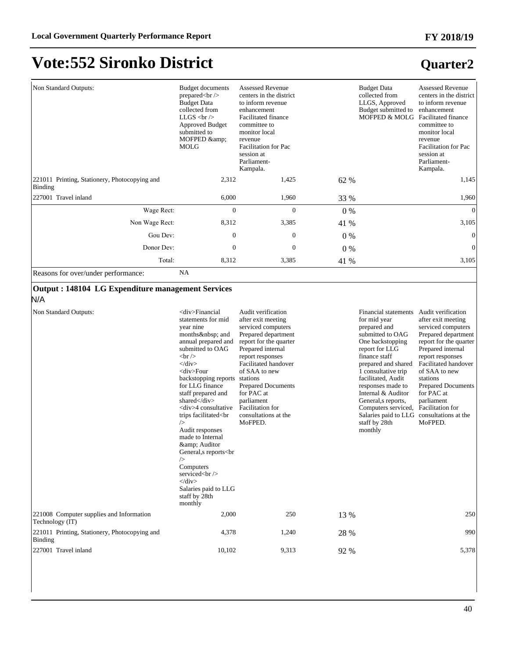### **Quarter2**

| Non Standard Outputs:                                    | <b>Budget documents</b><br>prepared $>$<br><b>Budget Data</b><br>collected from<br>LLGS $br$<br><b>Approved Budget</b><br>submitted to<br>MOFPED &<br><b>MOLG</b> | <b>Assessed Revenue</b><br>centers in the district<br>to inform revenue<br>enhancement<br><b>Facilitated finance</b><br>committee to<br>monitor local<br>revenue<br><b>Facilitation for Pac</b><br>session at<br>Parliament-<br>Kampala. |       | <b>Budget Data</b><br>collected from<br>LLGS, Approved<br>Budget submitted to<br><b>MOFPED &amp; MOLG</b> | <b>Assessed Revenue</b><br>centers in the district<br>to inform revenue<br>enhancement<br><b>Facilitated finance</b><br>committee to<br>monitor local<br>revenue<br><b>Facilitation for Pac</b><br>session at<br>Parliament-<br>Kampala. |
|----------------------------------------------------------|-------------------------------------------------------------------------------------------------------------------------------------------------------------------|------------------------------------------------------------------------------------------------------------------------------------------------------------------------------------------------------------------------------------------|-------|-----------------------------------------------------------------------------------------------------------|------------------------------------------------------------------------------------------------------------------------------------------------------------------------------------------------------------------------------------------|
| 221011 Printing, Stationery, Photocopying and<br>Binding | 2,312                                                                                                                                                             | 1,425                                                                                                                                                                                                                                    | 62 %  |                                                                                                           | 1,145                                                                                                                                                                                                                                    |
| 227001 Travel inland                                     | 6,000                                                                                                                                                             | 1,960                                                                                                                                                                                                                                    | 33 %  |                                                                                                           | 1,960                                                                                                                                                                                                                                    |
| Wage Rect:                                               | $\mathbf{0}$                                                                                                                                                      | $\mathbf{0}$                                                                                                                                                                                                                             | $0\%$ |                                                                                                           | $\theta$                                                                                                                                                                                                                                 |
| Non Wage Rect:                                           | 8,312                                                                                                                                                             | 3,385                                                                                                                                                                                                                                    | 41 %  |                                                                                                           | 3,105                                                                                                                                                                                                                                    |
| Gou Dev:                                                 | 0                                                                                                                                                                 | $\mathbf{0}$                                                                                                                                                                                                                             | $0\%$ |                                                                                                           | $\theta$                                                                                                                                                                                                                                 |
| Donor Dev:                                               | $\boldsymbol{0}$                                                                                                                                                  | $\mathbf{0}$                                                                                                                                                                                                                             | $0\%$ |                                                                                                           | $\mathbf{0}$                                                                                                                                                                                                                             |
| Total:                                                   | 8,312                                                                                                                                                             | 3,385                                                                                                                                                                                                                                    | 41 %  |                                                                                                           | 3,105                                                                                                                                                                                                                                    |
| Reasons for over/under performance:                      | NA                                                                                                                                                                |                                                                                                                                                                                                                                          |       |                                                                                                           |                                                                                                                                                                                                                                          |

#### **Output : 148104 LG Expenditure management Services** N/A

| Non Standard Outputs:                                       | <div>Financial<br/>statements for mid<br/>vear nine<br/>months  and<br/>annual prepared and<br/>submitted to OAG<br/><math>br</math> /&gt;<br/><math>\langle</math>div&gt;<br/><math>\langle</math>div<math>&gt;</math>Four<br/>backstopping reports<br/>for LLG finance<br/>staff prepared and<br/>shared</div><br><div>4 consultative<br/>trips facilitated<br<br><math>\rightarrow</math><br/>Audit responses<br/>made to Internal<br/>&amp; Auditor<br/>General, s reports<br<br><math>\rightarrow</math><br/>Computers<br/>serviced<br/><br/><math>\langle</math>div<math>\rangle</math></br<br></br<br></div> | Audit verification<br>after exit meeting<br>serviced computers<br>Prepared department<br>report for the quarter<br>Prepared internal<br>report responses<br><b>Facilitated handover</b><br>of SAA to new<br>stations<br><b>Prepared Documents</b><br>for PAC at<br>parliament<br><b>Facilitation</b> for<br>consultations at the<br>MoFPED. |      | <b>Financial statements</b><br>for mid year<br>prepared and<br>submitted to OAG<br>One backstopping<br>report for LLG<br>finance staff<br>prepared and shared<br>1 consultative trip<br>facilitated, Audit<br>responses made to<br>Internal & Auditor<br>General, s reports,<br>Computers serviced,<br>Salaries paid to LLG consultations at the<br>staff by 28th<br>monthly | Audit verification<br>after exit meeting<br>serviced computers<br>Prepared department<br>report for the quarter<br>Prepared internal<br>report responses<br><b>Facilitated handover</b><br>of SAA to new<br>stations<br><b>Prepared Documents</b><br>for PAC at<br>parliament<br><b>Facilitation</b> for<br>MoFPED. |
|-------------------------------------------------------------|---------------------------------------------------------------------------------------------------------------------------------------------------------------------------------------------------------------------------------------------------------------------------------------------------------------------------------------------------------------------------------------------------------------------------------------------------------------------------------------------------------------------------------------------------------------------------------------------------------------------|---------------------------------------------------------------------------------------------------------------------------------------------------------------------------------------------------------------------------------------------------------------------------------------------------------------------------------------------|------|------------------------------------------------------------------------------------------------------------------------------------------------------------------------------------------------------------------------------------------------------------------------------------------------------------------------------------------------------------------------------|---------------------------------------------------------------------------------------------------------------------------------------------------------------------------------------------------------------------------------------------------------------------------------------------------------------------|
|                                                             | Salaries paid to LLG<br>staff by 28th<br>monthly                                                                                                                                                                                                                                                                                                                                                                                                                                                                                                                                                                    |                                                                                                                                                                                                                                                                                                                                             |      |                                                                                                                                                                                                                                                                                                                                                                              |                                                                                                                                                                                                                                                                                                                     |
| 221008 Computer supplies and Information<br>Technology (IT) | 2,000                                                                                                                                                                                                                                                                                                                                                                                                                                                                                                                                                                                                               | 250                                                                                                                                                                                                                                                                                                                                         | 13 % |                                                                                                                                                                                                                                                                                                                                                                              | 250                                                                                                                                                                                                                                                                                                                 |
| 221011 Printing, Stationery, Photocopying and<br>Binding    | 4,378                                                                                                                                                                                                                                                                                                                                                                                                                                                                                                                                                                                                               | 1,240                                                                                                                                                                                                                                                                                                                                       | 28 % |                                                                                                                                                                                                                                                                                                                                                                              | 990                                                                                                                                                                                                                                                                                                                 |
| 227001 Travel inland                                        | 10,102                                                                                                                                                                                                                                                                                                                                                                                                                                                                                                                                                                                                              | 9,313                                                                                                                                                                                                                                                                                                                                       | 92 % |                                                                                                                                                                                                                                                                                                                                                                              | 5,378                                                                                                                                                                                                                                                                                                               |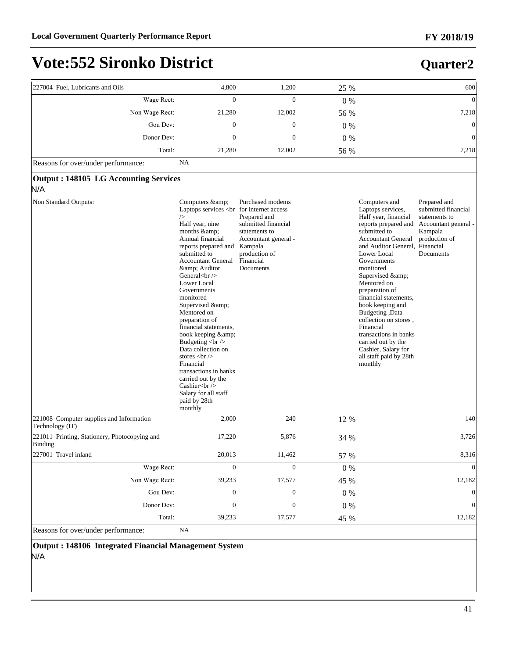**Quarter2**

# **Vote:552 Sironko District**

| 227004 Fuel, Lubricants and Oils                                | 4,800                                                                                                                                                                                                                                                  | 1,200                                                                                                                                                  | 25 %    |                                                                                                                                                                                                                                                                                                                                                                                                                                                                                | 600                                                                                                                   |
|-----------------------------------------------------------------|--------------------------------------------------------------------------------------------------------------------------------------------------------------------------------------------------------------------------------------------------------|--------------------------------------------------------------------------------------------------------------------------------------------------------|---------|--------------------------------------------------------------------------------------------------------------------------------------------------------------------------------------------------------------------------------------------------------------------------------------------------------------------------------------------------------------------------------------------------------------------------------------------------------------------------------|-----------------------------------------------------------------------------------------------------------------------|
| Wage Rect:                                                      | $\overline{0}$                                                                                                                                                                                                                                         | $\overline{0}$                                                                                                                                         | 0%      |                                                                                                                                                                                                                                                                                                                                                                                                                                                                                | $\boldsymbol{0}$                                                                                                      |
| Non Wage Rect:                                                  | 21,280                                                                                                                                                                                                                                                 | 12,002                                                                                                                                                 | 56 %    |                                                                                                                                                                                                                                                                                                                                                                                                                                                                                | 7,218                                                                                                                 |
| Gou Dev:                                                        | $\boldsymbol{0}$                                                                                                                                                                                                                                       | $\boldsymbol{0}$                                                                                                                                       | $0\%$   |                                                                                                                                                                                                                                                                                                                                                                                                                                                                                | $\boldsymbol{0}$                                                                                                      |
| Donor Dev:                                                      | $\mathbf{0}$                                                                                                                                                                                                                                           | $\mathbf{0}$                                                                                                                                           | $0\%$   |                                                                                                                                                                                                                                                                                                                                                                                                                                                                                | $\boldsymbol{0}$                                                                                                      |
| Total:                                                          | 21,280                                                                                                                                                                                                                                                 | 12,002                                                                                                                                                 | 56 %    |                                                                                                                                                                                                                                                                                                                                                                                                                                                                                | 7,218                                                                                                                 |
| Reasons for over/under performance:                             | NA                                                                                                                                                                                                                                                     |                                                                                                                                                        |         |                                                                                                                                                                                                                                                                                                                                                                                                                                                                                |                                                                                                                       |
| <b>Output: 148105 LG Accounting Services</b><br>N/A             |                                                                                                                                                                                                                                                        |                                                                                                                                                        |         |                                                                                                                                                                                                                                                                                                                                                                                                                                                                                |                                                                                                                       |
| Non Standard Outputs:                                           | Computers & amp;<br>Laptops services<br>$\rightarrow$<br>Half year, nine<br>months & amp;<br>Annual financial<br>reports prepared and<br>submitted to<br><b>Accountant General</b><br>& Auditor<br>General<br>>br /><br>Lower Local<br>Governments<br> | Purchased modems<br>Prepared and<br>submitted financial<br>statements to<br>Accountant general -<br>Kampala<br>production of<br>Financial<br>Documents |         | Computers and<br>Laptops services,<br>Half year, financial<br>reports prepared and<br>submitted to<br><b>Accountant General</b><br>and Auditor General, Financial<br>Lower Local<br>Governments<br>monitored<br>Supervised &<br>Mentored on<br>preparation of<br>financial statements,<br>book keeping and<br>Budgeting, Data<br>collection on stores,<br>Financial<br>transactions in banks<br>carried out by the<br>Cashier, Salary for<br>all staff paid by 28th<br>monthly | Prepared and<br>submitted financial<br>statements to<br>Accountant general -<br>Kampala<br>production of<br>Documents |
| 221008 Computer supplies and Information<br>Technology (IT)     | 2,000                                                                                                                                                                                                                                                  | 240                                                                                                                                                    | 12 %    |                                                                                                                                                                                                                                                                                                                                                                                                                                                                                | 140                                                                                                                   |
| 221011 Printing, Stationery, Photocopying and<br><b>Binding</b> | 17,220                                                                                                                                                                                                                                                 | 5,876                                                                                                                                                  | 34 %    |                                                                                                                                                                                                                                                                                                                                                                                                                                                                                | 3,726                                                                                                                 |
| 227001 Travel inland                                            | 20,013                                                                                                                                                                                                                                                 | 11,462                                                                                                                                                 | 57 %    |                                                                                                                                                                                                                                                                                                                                                                                                                                                                                | 8,316                                                                                                                 |
| Wage Rect:                                                      | $\boldsymbol{0}$                                                                                                                                                                                                                                       | $\boldsymbol{0}$                                                                                                                                       | $0\ \%$ |                                                                                                                                                                                                                                                                                                                                                                                                                                                                                | $\boldsymbol{0}$                                                                                                      |
| Non Wage Rect:                                                  | 39,233                                                                                                                                                                                                                                                 | 17,577                                                                                                                                                 | 45 %    |                                                                                                                                                                                                                                                                                                                                                                                                                                                                                | 12,182                                                                                                                |
| Gou Dev:                                                        | $\boldsymbol{0}$                                                                                                                                                                                                                                       | $\boldsymbol{0}$                                                                                                                                       | $0\ \%$ |                                                                                                                                                                                                                                                                                                                                                                                                                                                                                | $\boldsymbol{0}$                                                                                                      |
| Donor Dev:                                                      | $\boldsymbol{0}$                                                                                                                                                                                                                                       | $\boldsymbol{0}$                                                                                                                                       | $0\ \%$ |                                                                                                                                                                                                                                                                                                                                                                                                                                                                                | $\boldsymbol{0}$                                                                                                      |
| Total:                                                          | 39,233                                                                                                                                                                                                                                                 | 17,577                                                                                                                                                 | 45 %    |                                                                                                                                                                                                                                                                                                                                                                                                                                                                                | 12,182                                                                                                                |

Reasons for over/under performance: NA

**Output : 148106 Integrated Financial Management System** N/A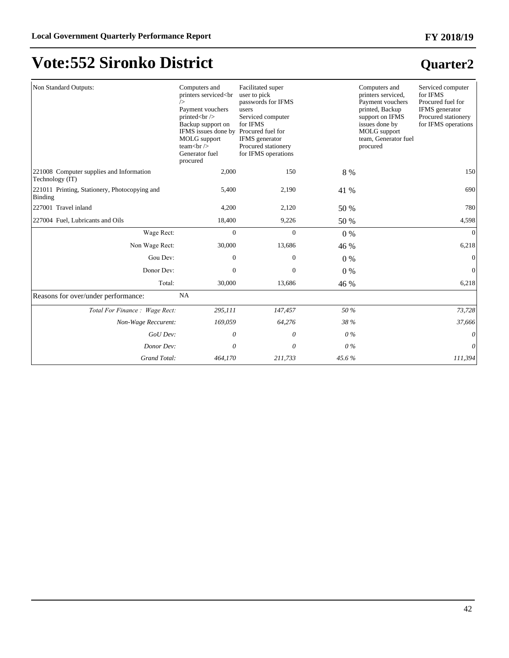# **Vote:552 Sironko District**

| Non Standard Outputs:                                       | Computers and<br>printers serviced <br<br>Payment vouchers<br/>printed<br/>ln /&gt;<br/>Backup support on<br/>IFMS issues done by Procured fuel for<br><b>MOLG</b> support<br/>team<br/> /&gt;<br/>Generator fuel<br/>procured</br></br<br> | Facilitated super<br>user to pick<br>passwords for IFMS<br>users<br>Serviced computer<br>for IFMS<br>IFMS generator<br>Procured stationery<br>for IFMS operations |       | Computers and<br>printers serviced,<br>Payment vouchers<br>printed, Backup<br>support on IFMS<br>issues done by<br><b>MOLG</b> support<br>team, Generator fuel<br>procured | Serviced computer<br>for IFMS<br>Procured fuel for<br>IFMS generator<br>Procured stationery<br>for IFMS operations |
|-------------------------------------------------------------|---------------------------------------------------------------------------------------------------------------------------------------------------------------------------------------------------------------------------------------------|-------------------------------------------------------------------------------------------------------------------------------------------------------------------|-------|----------------------------------------------------------------------------------------------------------------------------------------------------------------------------|--------------------------------------------------------------------------------------------------------------------|
| 221008 Computer supplies and Information<br>Technology (IT) | 2,000                                                                                                                                                                                                                                       | 150                                                                                                                                                               | 8 %   |                                                                                                                                                                            | 150                                                                                                                |
| 221011 Printing, Stationery, Photocopying and<br>Binding    | 5,400                                                                                                                                                                                                                                       | 2,190                                                                                                                                                             | 41 %  |                                                                                                                                                                            | 690                                                                                                                |
| 227001 Travel inland                                        | 4,200                                                                                                                                                                                                                                       | 2,120                                                                                                                                                             | 50 %  |                                                                                                                                                                            | 780                                                                                                                |
| 227004 Fuel, Lubricants and Oils                            | 18,400                                                                                                                                                                                                                                      | 9,226                                                                                                                                                             | 50 %  |                                                                                                                                                                            | 4.598                                                                                                              |
| Wage Rect:                                                  | $\mathbf{0}$                                                                                                                                                                                                                                | $\mathbf{0}$                                                                                                                                                      | $0\%$ |                                                                                                                                                                            | 0                                                                                                                  |
| Non Wage Rect:                                              | 30,000                                                                                                                                                                                                                                      | 13,686                                                                                                                                                            | 46 %  |                                                                                                                                                                            | 6,218                                                                                                              |
| Gou Dev:                                                    | $\overline{0}$                                                                                                                                                                                                                              | $\overline{0}$                                                                                                                                                    | $0\%$ |                                                                                                                                                                            | 0                                                                                                                  |
| Donor Dev:                                                  | $\overline{0}$                                                                                                                                                                                                                              | $\overline{0}$                                                                                                                                                    | $0\%$ |                                                                                                                                                                            | $\vert 0 \vert$                                                                                                    |
| Total:                                                      | 30,000                                                                                                                                                                                                                                      | 13,686                                                                                                                                                            | 46 %  |                                                                                                                                                                            | 6,218                                                                                                              |
| Reasons for over/under performance:                         | NA                                                                                                                                                                                                                                          |                                                                                                                                                                   |       |                                                                                                                                                                            |                                                                                                                    |
| Total For Finance: Wage Rect:                               | 295,111                                                                                                                                                                                                                                     | 147,457                                                                                                                                                           | 50 %  |                                                                                                                                                                            | 73,728                                                                                                             |
| Non-Wage Reccurent:                                         | 169,059                                                                                                                                                                                                                                     | 64,276                                                                                                                                                            | 38 %  |                                                                                                                                                                            | 37,666                                                                                                             |
| GoU Dev:                                                    | 0                                                                                                                                                                                                                                           | 0                                                                                                                                                                 | $0\%$ |                                                                                                                                                                            | $\boldsymbol{\theta}$                                                                                              |
| Donor Dev:                                                  | 0                                                                                                                                                                                                                                           | 0                                                                                                                                                                 | $0\%$ |                                                                                                                                                                            | $\theta$                                                                                                           |
| Grand Total:                                                | 464,170                                                                                                                                                                                                                                     | 211,733                                                                                                                                                           | 45.6% |                                                                                                                                                                            | 111,394                                                                                                            |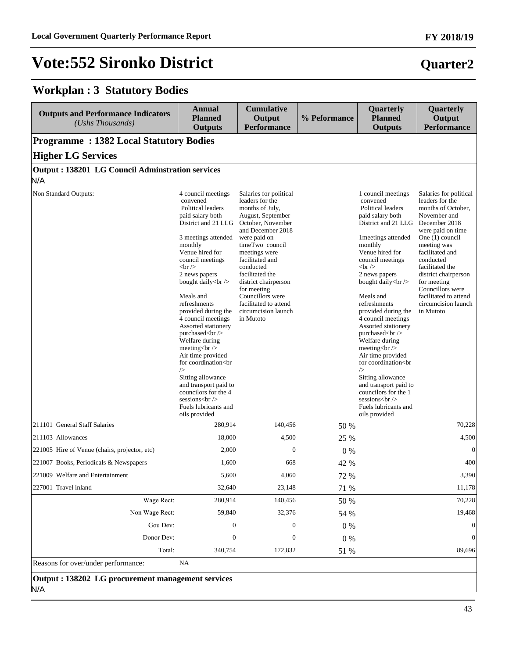#### **FY 2018/19**

### **Quarter2**

#### **Workplan : 3 Statutory Bodies**

| <b>Outputs and Performance Indicators</b><br>(Ushs Thousands) | Annual<br><b>Planned</b><br><b>Outputs</b>                                                                                                                                                                                                                | <b>Cumulative</b><br>Output<br><b>Performance</b>                                                                                                                                                                                                                                                                                                          | % Peformance | Quarterly<br><b>Planned</b><br><b>Outputs</b>                                                                                                                                                                                                                           | Quarterly<br>Output<br><b>Performance</b>                                                                                                                                                                                                                                                                           |
|---------------------------------------------------------------|-----------------------------------------------------------------------------------------------------------------------------------------------------------------------------------------------------------------------------------------------------------|------------------------------------------------------------------------------------------------------------------------------------------------------------------------------------------------------------------------------------------------------------------------------------------------------------------------------------------------------------|--------------|-------------------------------------------------------------------------------------------------------------------------------------------------------------------------------------------------------------------------------------------------------------------------|---------------------------------------------------------------------------------------------------------------------------------------------------------------------------------------------------------------------------------------------------------------------------------------------------------------------|
| <b>Programme: 1382 Local Statutory Bodies</b>                 |                                                                                                                                                                                                                                                           |                                                                                                                                                                                                                                                                                                                                                            |              |                                                                                                                                                                                                                                                                         |                                                                                                                                                                                                                                                                                                                     |
| <b>Higher LG Services</b>                                     |                                                                                                                                                                                                                                                           |                                                                                                                                                                                                                                                                                                                                                            |              |                                                                                                                                                                                                                                                                         |                                                                                                                                                                                                                                                                                                                     |
| Output: 138201 LG Council Adminstration services              |                                                                                                                                                                                                                                                           |                                                                                                                                                                                                                                                                                                                                                            |              |                                                                                                                                                                                                                                                                         |                                                                                                                                                                                                                                                                                                                     |
| N/A                                                           |                                                                                                                                                                                                                                                           |                                                                                                                                                                                                                                                                                                                                                            |              |                                                                                                                                                                                                                                                                         |                                                                                                                                                                                                                                                                                                                     |
| Non Standard Outputs:                                         | 4 council meetings<br>convened<br>Political leaders<br>paid salary both<br>District and 21 LLG<br>3 meetings attended<br>monthly<br>Venue hired for<br>council meetings<br>br<br>2 news papers<br>bought daily<br>>br /><br>Meals and<br>refreshments<br> | Salaries for political<br>leaders for the<br>months of July,<br>August, September<br>October, November<br>and December 2018<br>were paid on<br>timeTwo council<br>meetings were<br>facilitated and<br>conducted<br>facilitated the<br>district chairperson<br>for meeting<br>Councillors were<br>facilitated to attend<br>circumcision launch<br>in Mutoto |              | 1 council meetings<br>convened<br>Political leaders<br>paid salary both<br>District and 21 LLG December 2018<br>1 meetings attended<br>monthly<br>Venue hired for<br>council meetings<br>br<br>2 news papers<br>bought daily<br>>br /><br>Meals and<br>refreshments<br> | Salaries for political<br>leaders for the<br>months of October,<br>November and<br>were paid on time<br>One $(1)$ council<br>meeting was<br>facilitated and<br>conducted<br>facilitated the<br>district chairperson<br>for meeting<br>Councillors were<br>facilitated to attend<br>circumcision launch<br>in Mutoto |
| 211101 General Staff Salaries                                 | 280,914                                                                                                                                                                                                                                                   | 140,456                                                                                                                                                                                                                                                                                                                                                    | 50 %         |                                                                                                                                                                                                                                                                         | 70,228                                                                                                                                                                                                                                                                                                              |
| 211103 Allowances                                             | 18,000                                                                                                                                                                                                                                                    | 4,500                                                                                                                                                                                                                                                                                                                                                      | 25 %         |                                                                                                                                                                                                                                                                         | 4,500                                                                                                                                                                                                                                                                                                               |
| 221005 Hire of Venue (chairs, projector, etc)                 | 2,000                                                                                                                                                                                                                                                     | $\boldsymbol{0}$                                                                                                                                                                                                                                                                                                                                           | $0\%$        |                                                                                                                                                                                                                                                                         | $\Omega$                                                                                                                                                                                                                                                                                                            |
| 221007 Books, Periodicals & Newspapers                        | 1,600                                                                                                                                                                                                                                                     | 668                                                                                                                                                                                                                                                                                                                                                        | 42 %         |                                                                                                                                                                                                                                                                         | 400                                                                                                                                                                                                                                                                                                                 |
| 221009 Welfare and Entertainment                              | 5,600                                                                                                                                                                                                                                                     | 4,060                                                                                                                                                                                                                                                                                                                                                      | 72 %         |                                                                                                                                                                                                                                                                         | 3,390                                                                                                                                                                                                                                                                                                               |
| 227001 Travel inland<br>Wage Rect:                            | 32,640                                                                                                                                                                                                                                                    | 23,148                                                                                                                                                                                                                                                                                                                                                     | 71 %         |                                                                                                                                                                                                                                                                         | 11,178                                                                                                                                                                                                                                                                                                              |
| Non Wage Rect:                                                | 280,914<br>59,840                                                                                                                                                                                                                                         | 140,456<br>32,376                                                                                                                                                                                                                                                                                                                                          | 50 %<br>54 % |                                                                                                                                                                                                                                                                         | 70,228<br>19,468                                                                                                                                                                                                                                                                                                    |
| Gou Dev:                                                      | $\boldsymbol{0}$                                                                                                                                                                                                                                          | $\boldsymbol{0}$                                                                                                                                                                                                                                                                                                                                           | $0\%$        |                                                                                                                                                                                                                                                                         | $\boldsymbol{0}$                                                                                                                                                                                                                                                                                                    |
| Donor Dev:                                                    | $\boldsymbol{0}$                                                                                                                                                                                                                                          | $\boldsymbol{0}$                                                                                                                                                                                                                                                                                                                                           | $0\%$        |                                                                                                                                                                                                                                                                         | 0                                                                                                                                                                                                                                                                                                                   |
| Total:                                                        | 340,754                                                                                                                                                                                                                                                   | 172,832                                                                                                                                                                                                                                                                                                                                                    | 51 %         |                                                                                                                                                                                                                                                                         | 89,696                                                                                                                                                                                                                                                                                                              |

**Output : 138202 LG procurement management services** N/A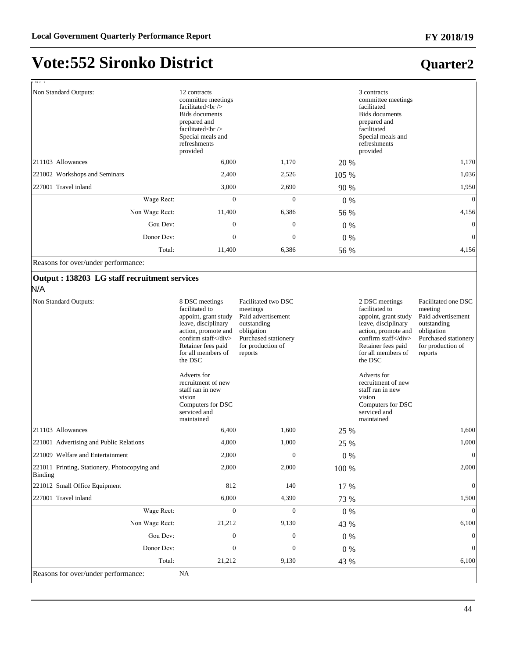# **Vote:552 Sironko District**

### **Quarter2**

| $\sim$ $\sim$ $\sim$<br>Non Standard Outputs:            | 12 contracts<br>committee meetings<br>facilitated<br>br/><br><b>Bids</b> documents<br>prepared and<br>                                                                                                                                                                                 |                                                                                                                                            |         | 3 contracts<br>committee meetings<br>facilitated<br><b>Bids</b> documents<br>prepared and<br>facilitated<br>Special meals and<br>refreshments<br>provided                                                                                                                              |                                                                                                                                           |
|----------------------------------------------------------|----------------------------------------------------------------------------------------------------------------------------------------------------------------------------------------------------------------------------------------------------------------------------------------|--------------------------------------------------------------------------------------------------------------------------------------------|---------|----------------------------------------------------------------------------------------------------------------------------------------------------------------------------------------------------------------------------------------------------------------------------------------|-------------------------------------------------------------------------------------------------------------------------------------------|
| 211103 Allowances                                        | 6,000                                                                                                                                                                                                                                                                                  | 1,170                                                                                                                                      | 20 %    |                                                                                                                                                                                                                                                                                        | 1,170                                                                                                                                     |
| 221002 Workshops and Seminars                            | 2,400                                                                                                                                                                                                                                                                                  | 2,526                                                                                                                                      | 105 %   |                                                                                                                                                                                                                                                                                        | 1,036                                                                                                                                     |
| 227001 Travel inland                                     | 3,000                                                                                                                                                                                                                                                                                  | 2,690                                                                                                                                      | 90 %    |                                                                                                                                                                                                                                                                                        | 1,950                                                                                                                                     |
| Wage Rect:                                               | $\boldsymbol{0}$                                                                                                                                                                                                                                                                       | $\overline{0}$                                                                                                                             | $0\%$   |                                                                                                                                                                                                                                                                                        | $\overline{0}$                                                                                                                            |
| Non Wage Rect:                                           | 11,400                                                                                                                                                                                                                                                                                 | 6,386                                                                                                                                      | 56 %    |                                                                                                                                                                                                                                                                                        | 4,156                                                                                                                                     |
| Gou Dev:                                                 | $\overline{0}$                                                                                                                                                                                                                                                                         | $\boldsymbol{0}$                                                                                                                           | $0\%$   |                                                                                                                                                                                                                                                                                        | $\boldsymbol{0}$                                                                                                                          |
| Donor Dev:                                               | $\boldsymbol{0}$                                                                                                                                                                                                                                                                       | $\boldsymbol{0}$                                                                                                                           | $0\%$   |                                                                                                                                                                                                                                                                                        | $\mathbf{0}$                                                                                                                              |
| Total:                                                   | 11,400                                                                                                                                                                                                                                                                                 | 6,386                                                                                                                                      | 56 %    |                                                                                                                                                                                                                                                                                        | 4,156                                                                                                                                     |
| Reasons for over/under performance:                      |                                                                                                                                                                                                                                                                                        |                                                                                                                                            |         |                                                                                                                                                                                                                                                                                        |                                                                                                                                           |
| Output: 138203 LG staff recruitment services<br>N/A      |                                                                                                                                                                                                                                                                                        |                                                                                                                                            |         |                                                                                                                                                                                                                                                                                        |                                                                                                                                           |
| Non Standard Outputs:                                    | 8 DSC meetings<br>facilitated to<br>appoint, grant study<br>leave, disciplinary<br>action, promote and<br>confirm staff<br>Retainer fees paid<br>for all members of<br>the DSC<br>Adverts for<br>recruitment of new<br>staff ran in new<br>vision<br>Computers for DSC<br>serviced and | Facilitated two DSC<br>meetings<br>Paid advertisement<br>outstanding<br>obligation<br>Purchased stationery<br>for production of<br>reports |         | 2 DSC meetings<br>facilitated to<br>appoint, grant study<br>leave, disciplinary<br>action, promote and<br>confirm staff<br>Retainer fees paid<br>for all members of<br>the DSC<br>Adverts for<br>recruitment of new<br>staff ran in new<br>vision<br>Computers for DSC<br>serviced and | Facilitated one DSC<br>meeting<br>Paid advertisement<br>outstanding<br>obligation<br>Purchased stationery<br>for production of<br>reports |
|                                                          | maintained                                                                                                                                                                                                                                                                             |                                                                                                                                            |         | maintained                                                                                                                                                                                                                                                                             |                                                                                                                                           |
| 211103 Allowances                                        | 6,400                                                                                                                                                                                                                                                                                  | 1,600                                                                                                                                      | 25 %    |                                                                                                                                                                                                                                                                                        | 1,600                                                                                                                                     |
| 221001 Advertising and Public Relations                  | 4,000                                                                                                                                                                                                                                                                                  | 1,000                                                                                                                                      | 25 %    |                                                                                                                                                                                                                                                                                        | 1,000                                                                                                                                     |
| 221009 Welfare and Entertainment                         | 2,000                                                                                                                                                                                                                                                                                  | $\boldsymbol{0}$                                                                                                                           | $0\ \%$ |                                                                                                                                                                                                                                                                                        | $\boldsymbol{0}$                                                                                                                          |
| 221011 Printing, Stationery, Photocopying and<br>Binding | 2,000                                                                                                                                                                                                                                                                                  | 2,000                                                                                                                                      | 100 %   |                                                                                                                                                                                                                                                                                        | 2,000                                                                                                                                     |
| 221012 Small Office Equipment                            | 812                                                                                                                                                                                                                                                                                    | 140                                                                                                                                        | 17 %    |                                                                                                                                                                                                                                                                                        | $\mathbf{0}$                                                                                                                              |
| 227001 Travel inland                                     | 6,000                                                                                                                                                                                                                                                                                  | 4,390                                                                                                                                      | 73 %    |                                                                                                                                                                                                                                                                                        | 1,500                                                                                                                                     |
| Wage Rect:                                               | $\boldsymbol{0}$                                                                                                                                                                                                                                                                       | $\boldsymbol{0}$                                                                                                                           | $0\ \%$ |                                                                                                                                                                                                                                                                                        | $\theta$                                                                                                                                  |
| Non Wage Rect:                                           | 21,212                                                                                                                                                                                                                                                                                 | 9,130                                                                                                                                      | 43 %    |                                                                                                                                                                                                                                                                                        | 6,100                                                                                                                                     |
| Gou Dev:                                                 | 0                                                                                                                                                                                                                                                                                      | $\boldsymbol{0}$                                                                                                                           | $0\%$   |                                                                                                                                                                                                                                                                                        | $\mathbf{0}$                                                                                                                              |
| Donor Dev:                                               | 0                                                                                                                                                                                                                                                                                      | $\boldsymbol{0}$                                                                                                                           | $0\%$   |                                                                                                                                                                                                                                                                                        | 0                                                                                                                                         |
| Total:                                                   | 21,212                                                                                                                                                                                                                                                                                 | 9,130                                                                                                                                      | 43 %    |                                                                                                                                                                                                                                                                                        | 6,100                                                                                                                                     |
| Reasons for over/under performance:                      | NA                                                                                                                                                                                                                                                                                     |                                                                                                                                            |         |                                                                                                                                                                                                                                                                                        |                                                                                                                                           |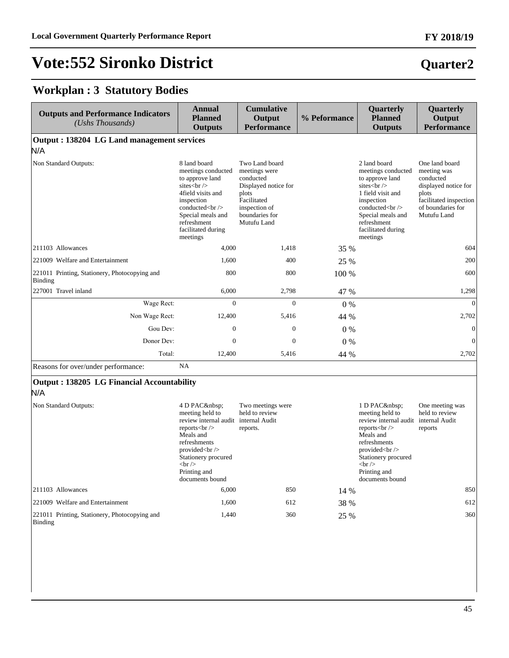### **Quarter2**

#### **Workplan : 3 Statutory Bodies**

| <b>Outputs and Performance Indicators</b><br>(Ushs Thousands)   | Annual<br><b>Planned</b><br><b>Outputs</b>                                                                             | <b>Cumulative</b><br>Output<br><b>Performance</b>                                                                                              | % Peformance | Quarterly<br><b>Planned</b><br><b>Outputs</b>                                                                          | Quarterly<br>Output<br><b>Performance</b>                                                                                                 |
|-----------------------------------------------------------------|------------------------------------------------------------------------------------------------------------------------|------------------------------------------------------------------------------------------------------------------------------------------------|--------------|------------------------------------------------------------------------------------------------------------------------|-------------------------------------------------------------------------------------------------------------------------------------------|
| Output: 138204 LG Land management services                      |                                                                                                                        |                                                                                                                                                |              |                                                                                                                        |                                                                                                                                           |
| N/A                                                             |                                                                                                                        |                                                                                                                                                |              |                                                                                                                        |                                                                                                                                           |
| Non Standard Outputs:                                           | 8 land board<br>meetings conducted<br>to approve land<br>sites<br><br>4field visits and<br>inspection<br>              | Two Land board<br>meetings were<br>conducted<br>Displayed notice for<br>plots<br>Facilitated<br>inspection of<br>boundaries for<br>Mutufu Land |              | 2 land board<br>meetings conducted<br>to approve land<br>sites<br><br>1 field visit and<br>inspection<br>              | One land board<br>meeting was<br>conducted<br>displayed notice for<br>plots<br>facilitated inspection<br>of boundaries for<br>Mutufu Land |
| 211103 Allowances                                               | 4,000                                                                                                                  | 1,418                                                                                                                                          | 35 %         |                                                                                                                        | 604                                                                                                                                       |
| 221009 Welfare and Entertainment                                | 1.600                                                                                                                  | 400                                                                                                                                            | 25 %         |                                                                                                                        | 200                                                                                                                                       |
| 221011 Printing, Stationery, Photocopying and<br><b>Binding</b> | 800                                                                                                                    | 800                                                                                                                                            | 100 %        |                                                                                                                        | 600                                                                                                                                       |
| 227001 Travel inland                                            | 6.000                                                                                                                  | 2.798                                                                                                                                          | 47 %         |                                                                                                                        | 1,298                                                                                                                                     |
| Wage Rect:                                                      | $\Omega$                                                                                                               | $\overline{0}$                                                                                                                                 | $0\%$        |                                                                                                                        | $\Omega$                                                                                                                                  |
| Non Wage Rect:                                                  | 12,400                                                                                                                 | 5,416                                                                                                                                          | 44 %         |                                                                                                                        | 2,702                                                                                                                                     |
| Gou Dev:                                                        | $\overline{0}$                                                                                                         | $\overline{0}$                                                                                                                                 | $0\%$        |                                                                                                                        | $\boldsymbol{0}$                                                                                                                          |
| Donor Dev:                                                      | $\mathbf{0}$                                                                                                           | $\mathbf{0}$                                                                                                                                   | $0\%$        |                                                                                                                        | $\boldsymbol{0}$                                                                                                                          |
| Total:                                                          | 12,400                                                                                                                 | 5,416                                                                                                                                          | 44 %         |                                                                                                                        | 2,702                                                                                                                                     |
| Reasons for over/under performance:                             | NA                                                                                                                     |                                                                                                                                                |              |                                                                                                                        |                                                                                                                                           |
| Output: 138205 LG Financial Accountability<br>N/A               |                                                                                                                        |                                                                                                                                                |              |                                                                                                                        |                                                                                                                                           |
| Non Standard Outputs:                                           | 4 D PAC<br>meeting held to<br>review internal audit internal Audit<br>reports<br>br/><br>Meals and<br>refreshments<br> | Two meetings were<br>held to review<br>reports.                                                                                                |              | 1 D PAC<br>meeting held to<br>review internal audit internal Audit<br>reports<br>br/><br>Meals and<br>refreshments<br> | One meeting was<br>held to review<br>reports                                                                                              |
| 211103 Allowances                                               | 6,000                                                                                                                  | 850                                                                                                                                            | 14 %         |                                                                                                                        | 850                                                                                                                                       |
| 221009 Welfare and Entertainment                                | 1,600                                                                                                                  | 612                                                                                                                                            | 38 %         |                                                                                                                        | 612                                                                                                                                       |
| 221011 Printing, Stationery, Photocopying and<br><b>Binding</b> | 1,440                                                                                                                  | 360                                                                                                                                            | 25 %         |                                                                                                                        | 360                                                                                                                                       |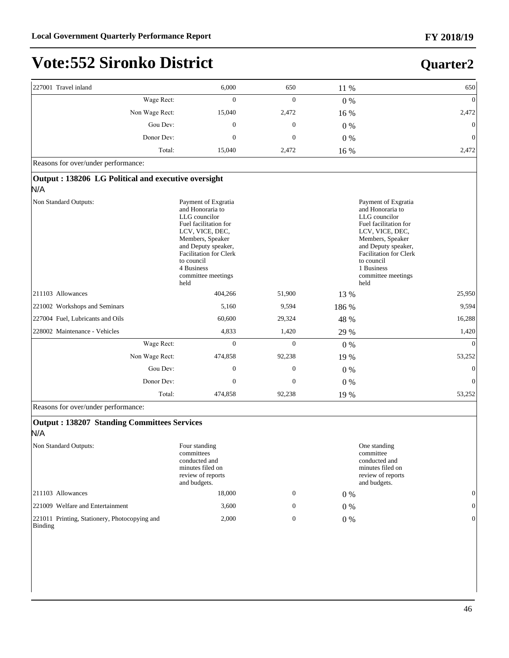**Quarter2**

# **Vote:552 Sironko District**

| 227001 Travel inland                                | 6,000                                                                                                                                                                                                                                      | 650              | 11 %  | 650                                                                                                                                                                                                                                        |
|-----------------------------------------------------|--------------------------------------------------------------------------------------------------------------------------------------------------------------------------------------------------------------------------------------------|------------------|-------|--------------------------------------------------------------------------------------------------------------------------------------------------------------------------------------------------------------------------------------------|
| Wage Rect:                                          | $\mathbf{0}$                                                                                                                                                                                                                               | $\overline{0}$   | 0%    | $\overline{0}$                                                                                                                                                                                                                             |
| Non Wage Rect:                                      | 15,040                                                                                                                                                                                                                                     | 2,472            | 16 %  | 2,472                                                                                                                                                                                                                                      |
| Gou Dev:                                            | $\mathbf{0}$                                                                                                                                                                                                                               | $\theta$         | $0\%$ | $\theta$                                                                                                                                                                                                                                   |
| Donor Dev:                                          | $\mathbf{0}$                                                                                                                                                                                                                               | $\boldsymbol{0}$ | $0\%$ | $\theta$                                                                                                                                                                                                                                   |
| Total:                                              | 15,040                                                                                                                                                                                                                                     | 2,472            | 16 %  | 2,472                                                                                                                                                                                                                                      |
| Reasons for over/under performance:                 |                                                                                                                                                                                                                                            |                  |       |                                                                                                                                                                                                                                            |
| Output: 138206 LG Political and executive oversight |                                                                                                                                                                                                                                            |                  |       |                                                                                                                                                                                                                                            |
| N/A                                                 |                                                                                                                                                                                                                                            |                  |       |                                                                                                                                                                                                                                            |
| Non Standard Outputs:                               | Payment of Exgratia<br>and Honoraria to<br>LLG councilor<br>Fuel facilitation for<br>LCV, VICE, DEC,<br>Members, Speaker<br>and Deputy speaker,<br><b>Facilitation for Clerk</b><br>to council<br>4 Business<br>committee meetings<br>held |                  |       | Payment of Exgratia<br>and Honoraria to<br>LLG councilor<br>Fuel facilitation for<br>LCV, VICE, DEC,<br>Members, Speaker<br>and Deputy speaker,<br><b>Facilitation for Clerk</b><br>to council<br>1 Business<br>committee meetings<br>held |
| 211103 Allowances                                   | 404,266                                                                                                                                                                                                                                    | 51,900           | 13 %  | 25,950                                                                                                                                                                                                                                     |
| 221002 Workshops and Seminars                       | 5,160                                                                                                                                                                                                                                      | 9,594            | 186 % | 9,594                                                                                                                                                                                                                                      |
| 227004 Fuel, Lubricants and Oils                    | 60,600                                                                                                                                                                                                                                     | 29,324           | 48 %  | 16,288                                                                                                                                                                                                                                     |
| 228002 Maintenance - Vehicles                       | 4,833                                                                                                                                                                                                                                      | 1,420            | 29 %  | 1,420                                                                                                                                                                                                                                      |
| Wage Rect:                                          | $\Omega$                                                                                                                                                                                                                                   | $\overline{0}$   | $0\%$ | $\Omega$                                                                                                                                                                                                                                   |
| Non Wage Rect:                                      | 474,858                                                                                                                                                                                                                                    | 92,238           | 19 %  | 53,252                                                                                                                                                                                                                                     |
| Gou Dev:                                            | $\boldsymbol{0}$                                                                                                                                                                                                                           | $\boldsymbol{0}$ | $0\%$ | $\theta$                                                                                                                                                                                                                                   |
| Donor Dev:                                          | $\boldsymbol{0}$                                                                                                                                                                                                                           | $\boldsymbol{0}$ | 0%    | $\theta$                                                                                                                                                                                                                                   |
| Total:                                              | 474,858                                                                                                                                                                                                                                    | 92,238           | 19 %  | 53,252                                                                                                                                                                                                                                     |
|                                                     |                                                                                                                                                                                                                                            |                  |       |                                                                                                                                                                                                                                            |

Reasons for over/under performance:

| Output: 138207 Standing Committees Services<br>N/A       |                                                                                                       |              |                                                                                                     |          |
|----------------------------------------------------------|-------------------------------------------------------------------------------------------------------|--------------|-----------------------------------------------------------------------------------------------------|----------|
| Non Standard Outputs:                                    | Four standing<br>committees<br>conducted and<br>minutes filed on<br>review of reports<br>and budgets. |              | One standing<br>committee<br>conducted and<br>minutes filed on<br>review of reports<br>and budgets. |          |
| 211103 Allowances                                        | 18,000                                                                                                | $\mathbf{0}$ | $0\%$                                                                                               | $\theta$ |
| 221009 Welfare and Entertainment                         | 3,600                                                                                                 | $\mathbf{0}$ | $0\%$                                                                                               | $\theta$ |
| 221011 Printing, Stationery, Photocopying and<br>Binding | 2,000                                                                                                 | $\mathbf{0}$ | $0\%$                                                                                               | $\theta$ |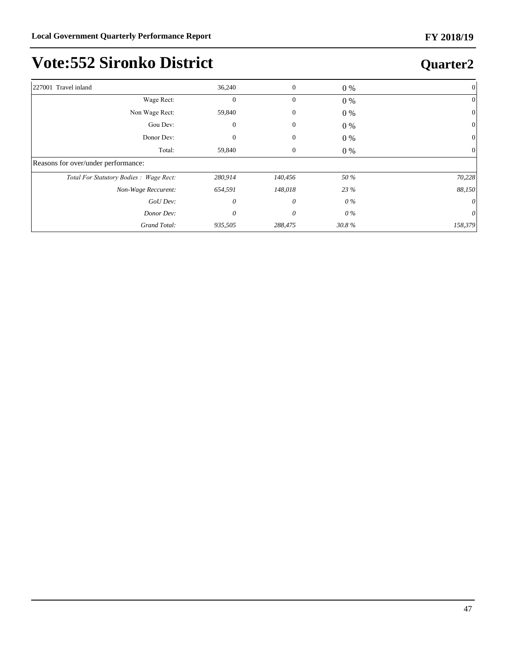| 227001 Travel inland                    | 36,240       | $\boldsymbol{0}$ | 0 %   | 0            |
|-----------------------------------------|--------------|------------------|-------|--------------|
| Wage Rect:                              | $\mathbf{0}$ | $\mathbf{0}$     | 0 %   | $\mathbf{0}$ |
| Non Wage Rect:                          | 59,840       | 0                | $0\%$ | 0            |
| Gou Dev:                                | 0            | $\mathbf{0}$     | 0 %   | 0            |
| Donor Dev:                              |              | $\mathbf{0}$     | 0 %   | 0            |
| Total:                                  | 59,840       | 0                | 0 %   | 0            |
| Reasons for over/under performance:     |              |                  |       |              |
| Total For Statutory Bodies : Wage Rect: | 280,914      | 140,456          | 50 %  | 70,228       |
| Non-Wage Reccurent:                     | 654,591      | 148,018          | 23 %  | 88,150       |
| GoU Dev:                                | 0            | 0                | 0%    |              |
| Donor Dev:                              | 0            | 0                | 0%    | 0            |
| Grand Total:                            | 935,505      | 288,475          | 30.8% | 158,379      |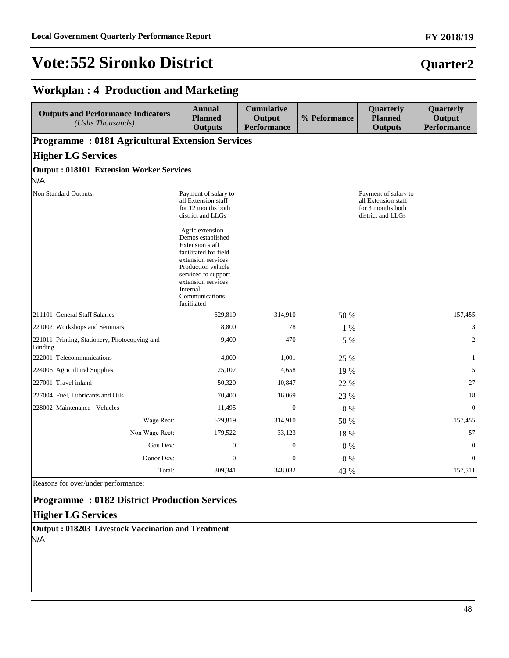#### **FY 2018/19**

### **Quarter2**

#### **Workplan : 4 Production and Marketing**

| <b>Outputs and Performance Indicators</b><br>(Ushs Thousands) | <b>Annual</b><br><b>Planned</b><br><b>Outputs</b>                                                                                                                                                                                                                                                                       | <b>Cumulative</b><br>Output<br><b>Performance</b> | % Peformance | Quarterly<br><b>Planned</b><br><b>Outputs</b>                                         | Quarterly<br>Output<br><b>Performance</b> |
|---------------------------------------------------------------|-------------------------------------------------------------------------------------------------------------------------------------------------------------------------------------------------------------------------------------------------------------------------------------------------------------------------|---------------------------------------------------|--------------|---------------------------------------------------------------------------------------|-------------------------------------------|
| <b>Programme: 0181 Agricultural Extension Services</b>        |                                                                                                                                                                                                                                                                                                                         |                                                   |              |                                                                                       |                                           |
| <b>Higher LG Services</b>                                     |                                                                                                                                                                                                                                                                                                                         |                                                   |              |                                                                                       |                                           |
| <b>Output: 018101 Extension Worker Services</b><br>N/A        |                                                                                                                                                                                                                                                                                                                         |                                                   |              |                                                                                       |                                           |
| Non Standard Outputs:                                         | Payment of salary to<br>all Extension staff<br>for 12 months both<br>district and LLGs<br>Agric extension<br>Demos established<br><b>Extension staff</b><br>facilitated for field<br>extension services<br>Production vehicle<br>serviced to support<br>extension services<br>Internal<br>Communications<br>facilitated |                                                   |              | Payment of salary to<br>all Extension staff<br>for 3 months both<br>district and LLGs |                                           |
| 211101 General Staff Salaries                                 | 629,819                                                                                                                                                                                                                                                                                                                 | 314,910                                           | 50 %         |                                                                                       | 157,455                                   |
| 221002 Workshops and Seminars                                 | 8,800                                                                                                                                                                                                                                                                                                                   | 78                                                | $1\%$        |                                                                                       | 3                                         |
| 221011 Printing, Stationery, Photocopying and<br>Binding      | 9,400                                                                                                                                                                                                                                                                                                                   | 470                                               | 5 %          |                                                                                       | $\mathfrak{2}$                            |
| 222001 Telecommunications                                     | 4,000                                                                                                                                                                                                                                                                                                                   | 1,001                                             | 25 %         |                                                                                       | 1                                         |
| 224006 Agricultural Supplies                                  | 25,107                                                                                                                                                                                                                                                                                                                  | 4,658                                             | 19 %         |                                                                                       | 5                                         |
| 227001 Travel inland                                          | 50,320                                                                                                                                                                                                                                                                                                                  | 10,847                                            | 22 %         |                                                                                       | 27                                        |
| 227004 Fuel, Lubricants and Oils                              | 70,400                                                                                                                                                                                                                                                                                                                  | 16,069                                            | 23 %         |                                                                                       | 18                                        |
| 228002 Maintenance - Vehicles                                 | 11,495                                                                                                                                                                                                                                                                                                                  | $\boldsymbol{0}$                                  | $0\%$        |                                                                                       | $\mathbf{0}$                              |
| Wage Rect:                                                    | 629,819                                                                                                                                                                                                                                                                                                                 | 314,910                                           | 50 %         |                                                                                       | 157,455                                   |
| Non Wage Rect:                                                | 179,522                                                                                                                                                                                                                                                                                                                 | 33,123                                            | 18 %         |                                                                                       | 57                                        |
| Gou Dev:                                                      | $\boldsymbol{0}$                                                                                                                                                                                                                                                                                                        | $\boldsymbol{0}$                                  | $0\%$        |                                                                                       | $\boldsymbol{0}$                          |
| Donor Dev:                                                    | $\mathbf{0}$                                                                                                                                                                                                                                                                                                            | $\mathbf{0}$                                      | 0%           |                                                                                       | $\theta$                                  |
| Total:                                                        | 809,341                                                                                                                                                                                                                                                                                                                 | 348,032                                           | 43 %         |                                                                                       | 157,511                                   |

Reasons for over/under performance:

#### **Programme : 0182 District Production Services**

#### **Higher LG Services**

**Output : 018203 Livestock Vaccination and Treatment** N/A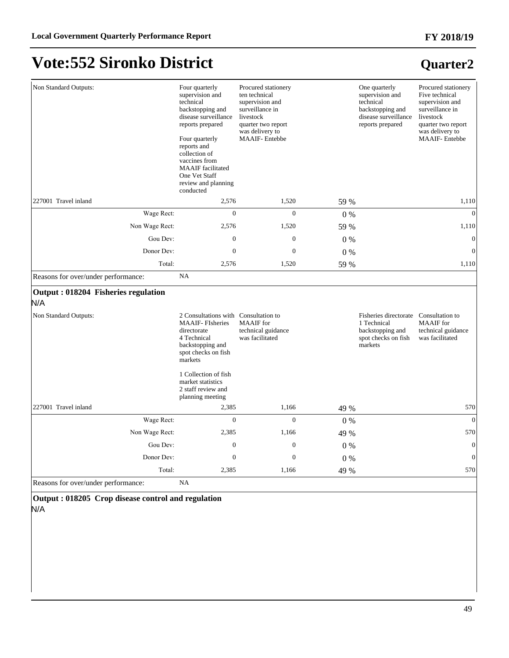### **Quarter2**

| Non Standard Outputs:                      | Four quarterly<br>supervision and<br>technical<br>backstopping and<br>disease surveillance<br>reports prepared<br>Four quarterly<br>reports and<br>collection of<br>vaccines from<br><b>MAAIF</b> facilitated<br>One Vet Staff<br>review and planning<br>conducted | Procured stationery<br>ten technical<br>supervision and<br>surveillance in<br>livestock<br>quarter two report<br>was delivery to<br><b>MAAIF-Entebbe</b> |       | One quarterly<br>supervision and<br>technical<br>backstopping and<br>disease surveillance<br>reports prepared | Procured stationery<br>Five technical<br>supervision and<br>surveillance in<br>livestock<br>quarter two report<br>was delivery to<br><b>MAAIF-Entebbe</b> |
|--------------------------------------------|--------------------------------------------------------------------------------------------------------------------------------------------------------------------------------------------------------------------------------------------------------------------|----------------------------------------------------------------------------------------------------------------------------------------------------------|-------|---------------------------------------------------------------------------------------------------------------|-----------------------------------------------------------------------------------------------------------------------------------------------------------|
| 227001 Travel inland                       | 2,576                                                                                                                                                                                                                                                              | 1,520                                                                                                                                                    | 59 %  |                                                                                                               | 1,110                                                                                                                                                     |
| Wage Rect:                                 | $\overline{0}$                                                                                                                                                                                                                                                     | $\overline{0}$                                                                                                                                           | $0\%$ |                                                                                                               | $\vert 0 \vert$                                                                                                                                           |
| Non Wage Rect:                             | 2,576                                                                                                                                                                                                                                                              | 1.520                                                                                                                                                    | 59 %  |                                                                                                               | 1,110                                                                                                                                                     |
| Gou Dev:                                   | $\overline{0}$                                                                                                                                                                                                                                                     | $\overline{0}$                                                                                                                                           | $0\%$ |                                                                                                               | $\vert 0 \vert$                                                                                                                                           |
| Donor Dev:                                 | $\mathbf{0}$                                                                                                                                                                                                                                                       | $\mathbf{0}$                                                                                                                                             | $0\%$ |                                                                                                               | $\vert 0 \vert$                                                                                                                                           |
| Total:                                     | 2,576                                                                                                                                                                                                                                                              | 1,520                                                                                                                                                    | 59 %  |                                                                                                               | 1,110                                                                                                                                                     |
| Reasons for over/under performance:        | NA                                                                                                                                                                                                                                                                 |                                                                                                                                                          |       |                                                                                                               |                                                                                                                                                           |
| Output: 018204 Fisheries regulation<br>N/A |                                                                                                                                                                                                                                                                    |                                                                                                                                                          |       |                                                                                                               |                                                                                                                                                           |
| Non Standard Outputs:                      | 2 Consultations with Consultation to<br><b>MAAIF-FIsheries</b><br>directorate<br>4 Technical<br>backstopping and<br>spot checks on fish<br>markets                                                                                                                 | <b>MAAIF</b> for<br>technical guidance<br>was facilitated                                                                                                |       | Fisheries directorate<br>1 Technical<br>backstopping and<br>spot checks on fish<br>markets                    | Consultation to<br><b>MAAIF</b> for<br>technical guidance<br>was facilitated                                                                              |
|                                            | 1 Collection of fish<br>market statistics<br>2 staff review and<br>planning meeting                                                                                                                                                                                |                                                                                                                                                          |       |                                                                                                               |                                                                                                                                                           |
| 227001 Travel inland                       | 2,385                                                                                                                                                                                                                                                              | 1,166                                                                                                                                                    | 49 %  |                                                                                                               | 570                                                                                                                                                       |
| Wage Rect:                                 | $\overline{0}$                                                                                                                                                                                                                                                     | $\overline{0}$                                                                                                                                           | $0\%$ |                                                                                                               | $\vert 0 \vert$                                                                                                                                           |
| Non Wage Rect:                             | 2,385                                                                                                                                                                                                                                                              | 1,166                                                                                                                                                    | 49 %  |                                                                                                               | 570                                                                                                                                                       |
| Gou Dev:                                   | $\overline{0}$                                                                                                                                                                                                                                                     | $\overline{0}$                                                                                                                                           | $0\%$ |                                                                                                               | $\vert 0 \vert$                                                                                                                                           |
| Donor Dev:                                 | $\overline{0}$                                                                                                                                                                                                                                                     | $\overline{0}$                                                                                                                                           | $0\%$ |                                                                                                               | $\vert 0 \vert$                                                                                                                                           |
| Total:                                     | 2,385                                                                                                                                                                                                                                                              | 1,166                                                                                                                                                    | 49 %  |                                                                                                               | 570                                                                                                                                                       |
| Reasons for over/under performance:        | NA                                                                                                                                                                                                                                                                 |                                                                                                                                                          |       |                                                                                                               |                                                                                                                                                           |

**Output : 018205 Crop disease control and regulation** N/A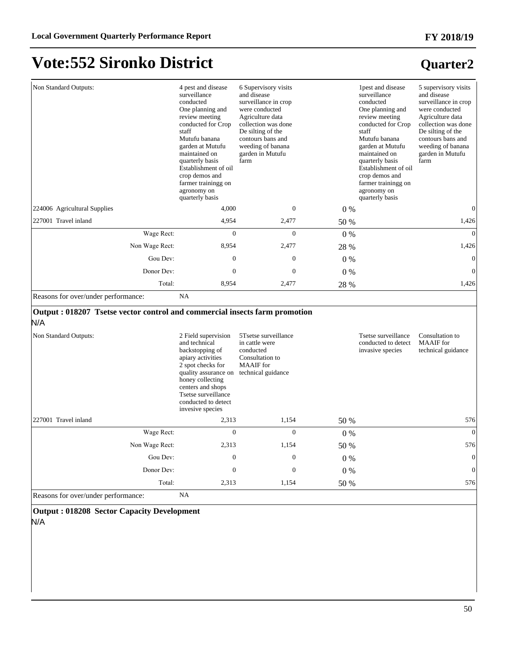### **Quarter2**

| Non Standard Outputs:                                                       | 4 pest and disease<br>surveillance<br>conducted<br>One planning and<br>review meeting<br>conducted for Crop<br>staff<br>Mutufu banana<br>garden at Mutufu<br>maintained on<br>quarterly basis<br>Establishment of oil<br>crop demos and<br>farmer trainingg on<br>agronomy on<br>quarterly basis | 6 Supervisory visits<br>and disease<br>surveillance in crop<br>were conducted<br>Agriculture data<br>collection was done<br>De silting of the<br>contours bans and<br>weeding of banana<br>garden in Mutufu<br>farm |         | 1 pest and disease<br>surveillance<br>conducted<br>One planning and<br>review meeting<br>conducted for Crop<br>staff<br>Mutufu banana<br>garden at Mutufu<br>maintained on<br>quarterly basis<br>Establishment of oil<br>crop demos and<br>farmer trainingg on<br>agronomy on<br>quarterly basis | 5 supervisory visits<br>and disease<br>surveillance in crop<br>were conducted<br>Agriculture data<br>collection was done<br>De silting of the<br>contours bans and<br>weeding of banana<br>garden in Mutufu<br>farm |
|-----------------------------------------------------------------------------|--------------------------------------------------------------------------------------------------------------------------------------------------------------------------------------------------------------------------------------------------------------------------------------------------|---------------------------------------------------------------------------------------------------------------------------------------------------------------------------------------------------------------------|---------|--------------------------------------------------------------------------------------------------------------------------------------------------------------------------------------------------------------------------------------------------------------------------------------------------|---------------------------------------------------------------------------------------------------------------------------------------------------------------------------------------------------------------------|
| 224006 Agricultural Supplies                                                | 4,000                                                                                                                                                                                                                                                                                            | $\boldsymbol{0}$                                                                                                                                                                                                    | 0%      |                                                                                                                                                                                                                                                                                                  | $\boldsymbol{0}$                                                                                                                                                                                                    |
| 227001 Travel inland                                                        | 4,954                                                                                                                                                                                                                                                                                            | 2,477                                                                                                                                                                                                               | 50 %    |                                                                                                                                                                                                                                                                                                  | 1,426                                                                                                                                                                                                               |
| Wage Rect:                                                                  | $\theta$                                                                                                                                                                                                                                                                                         | $\Omega$                                                                                                                                                                                                            | $0\ \%$ |                                                                                                                                                                                                                                                                                                  | $\Omega$                                                                                                                                                                                                            |
| Non Wage Rect:                                                              | 8.954                                                                                                                                                                                                                                                                                            | 2,477                                                                                                                                                                                                               | 28 %    |                                                                                                                                                                                                                                                                                                  | 1,426                                                                                                                                                                                                               |
| Gou Dev:                                                                    | $\mathbf{0}$                                                                                                                                                                                                                                                                                     | $\overline{0}$                                                                                                                                                                                                      | 0%      |                                                                                                                                                                                                                                                                                                  | $\boldsymbol{0}$                                                                                                                                                                                                    |
| Donor Dev:                                                                  | $\overline{0}$                                                                                                                                                                                                                                                                                   | $\overline{0}$                                                                                                                                                                                                      | $0\%$   |                                                                                                                                                                                                                                                                                                  | $\boldsymbol{0}$                                                                                                                                                                                                    |
| Total:                                                                      | 8,954                                                                                                                                                                                                                                                                                            | 2,477                                                                                                                                                                                                               | 28 %    |                                                                                                                                                                                                                                                                                                  | 1,426                                                                                                                                                                                                               |
| Reasons for over/under performance:                                         | NA                                                                                                                                                                                                                                                                                               |                                                                                                                                                                                                                     |         |                                                                                                                                                                                                                                                                                                  |                                                                                                                                                                                                                     |
| Output : 018207 Tsetse vector control and commercial insects farm promotion |                                                                                                                                                                                                                                                                                                  |                                                                                                                                                                                                                     |         |                                                                                                                                                                                                                                                                                                  |                                                                                                                                                                                                                     |
| N/A                                                                         |                                                                                                                                                                                                                                                                                                  |                                                                                                                                                                                                                     |         |                                                                                                                                                                                                                                                                                                  |                                                                                                                                                                                                                     |
| Non Standard Outputs:                                                       | 2 Field supervision<br>and technical<br>backstopping of<br>apiary activities<br>2 spot checks for<br>quality assurance on<br>honey collecting<br>centers and shops<br>Tsetse surveillance<br>conducted to detect<br>invesive species                                                             | 5Tsetse surveillance<br>in cattle were<br>conducted<br>Consultation to<br>MAAIF for<br>technical guidance                                                                                                           |         | Tsetse surveillance<br>conducted to detect<br>invasive species                                                                                                                                                                                                                                   | Consultation to<br><b>MAAIF</b> for<br>technical guidance                                                                                                                                                           |
| 227001 Travel inland                                                        | 2,313                                                                                                                                                                                                                                                                                            | 1,154                                                                                                                                                                                                               | 50 %    |                                                                                                                                                                                                                                                                                                  | 576                                                                                                                                                                                                                 |
| Wage Rect:                                                                  | $\Omega$                                                                                                                                                                                                                                                                                         | $\Omega$                                                                                                                                                                                                            | $0\%$   |                                                                                                                                                                                                                                                                                                  | $\Omega$                                                                                                                                                                                                            |
| Non Wage Rect:                                                              | 2,313                                                                                                                                                                                                                                                                                            | 1,154                                                                                                                                                                                                               | 50 %    |                                                                                                                                                                                                                                                                                                  | 576                                                                                                                                                                                                                 |
| Gou Dev:                                                                    | $\overline{0}$                                                                                                                                                                                                                                                                                   | $\mathbf{0}$                                                                                                                                                                                                        | $0\ \%$ |                                                                                                                                                                                                                                                                                                  | $\overline{0}$                                                                                                                                                                                                      |
| Donor Dev:                                                                  | $\boldsymbol{0}$                                                                                                                                                                                                                                                                                 | $\mathbf{0}$                                                                                                                                                                                                        | $0\%$   |                                                                                                                                                                                                                                                                                                  | $\boldsymbol{0}$                                                                                                                                                                                                    |
| Total:                                                                      | 2,313                                                                                                                                                                                                                                                                                            | 1,154                                                                                                                                                                                                               | 50 %    |                                                                                                                                                                                                                                                                                                  | 576                                                                                                                                                                                                                 |
| Reasons for over/under performance:                                         | NA                                                                                                                                                                                                                                                                                               |                                                                                                                                                                                                                     |         |                                                                                                                                                                                                                                                                                                  |                                                                                                                                                                                                                     |

**Output : 018208 Sector Capacity Development** N/A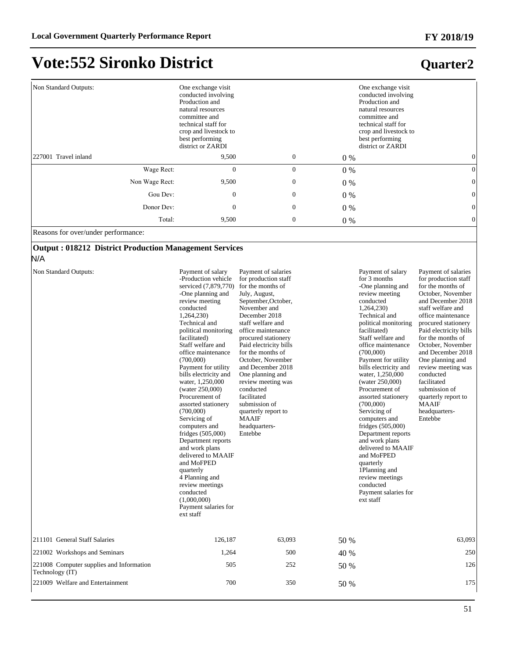# **Vote:552 Sironko District**

| <b>Non Standard Outputs:</b><br>One exchange visit<br>conducted involving<br>Production and<br>natural resources<br>committee and<br>technical staff for<br>crop and livestock to<br>best performing<br>district or ZARDI |                | One exchange visit<br>conducted involving<br>Production and<br>natural resources<br>committee and<br>technical staff for<br>crop and livestock to<br>best performing<br>district or ZARDI |              |       |                  |  |
|---------------------------------------------------------------------------------------------------------------------------------------------------------------------------------------------------------------------------|----------------|-------------------------------------------------------------------------------------------------------------------------------------------------------------------------------------------|--------------|-------|------------------|--|
| 227001 Travel inland                                                                                                                                                                                                      |                | 9,500                                                                                                                                                                                     | $\mathbf{0}$ | 0 %   | $\theta$         |  |
|                                                                                                                                                                                                                           | Wage Rect:     | $\mathbf{0}$                                                                                                                                                                              | $\mathbf{0}$ | $0\%$ | $\boldsymbol{0}$ |  |
|                                                                                                                                                                                                                           | Non Wage Rect: | 9,500                                                                                                                                                                                     | $\mathbf{0}$ | $0\%$ | $\mathbf{0}$     |  |
|                                                                                                                                                                                                                           | Gou Dev:       | $\mathbf{0}$                                                                                                                                                                              | $\mathbf{0}$ | $0\%$ | $\boldsymbol{0}$ |  |
|                                                                                                                                                                                                                           | Donor Dev:     | $\Omega$                                                                                                                                                                                  | $\mathbf{0}$ | 0 %   | $\overline{0}$   |  |
|                                                                                                                                                                                                                           | Total:         | 9,500                                                                                                                                                                                     | $\mathbf{0}$ | $0\%$ | $\theta$         |  |
|                                                                                                                                                                                                                           |                |                                                                                                                                                                                           |              |       |                  |  |

Reasons for over/under performance:

#### **Output : 018212 District Production Management Services**

N/A

| Non Standard Outputs:                                       | Payment of salary<br>-Production vehicle<br>serviced (7,879,770)<br>-One planning and<br>review meeting<br>conducted<br>1,264,230)<br>Technical and<br>political monitoring<br>facilitated)<br>Staff welfare and<br>office maintenance<br>(700,000)<br>Payment for utility<br>bills electricity and<br>water, 1,250,000<br>(water $250,000$ )<br>Procurement of<br>assorted stationery<br>(700,000)<br>Servicing of<br>computers and<br>fridges $(505,000)$<br>Department reports<br>and work plans<br>delivered to MAAIF<br>and MoFPED<br>quarterly<br>4 Planning and<br>review meetings<br>conducted<br>(1,000,000)<br>Payment salaries for<br>ext staff | Payment of salaries<br>for production staff<br>for the months of<br>July, August,<br>September, October,<br>November and<br>December 2018<br>staff welfare and<br>office maintenance<br>procured stationery<br>Paid electricity bills<br>for the months of<br>October, November<br>and December 2018<br>One planning and<br>review meeting was<br>conducted<br>facilitated<br>submission of<br>quarterly report to<br><b>MAAIF</b><br>headquarters-<br>Entebbe |      | Payment of salary<br>for 3 months<br>-One planning and<br>review meeting<br>conducted<br>1,264,230)<br>Technical and<br>political monitoring<br>facilitated)<br>Staff welfare and<br>office maintenance<br>(700,000)<br>Payment for utility<br>bills electricity and<br>water, 1,250,000<br>(water 250,000)<br>Procurement of<br>assorted stationery<br>(700,000)<br>Servicing of<br>computers and<br>fridges $(505,000)$<br>Department reports<br>and work plans<br>delivered to MAAIF<br>and MoFPED<br>quarterly<br>1Planning and<br>review meetings<br>conducted<br>Payment salaries for<br>ext staff | Payment of salaries<br>for production staff<br>for the months of<br>October, November<br>and December 2018<br>staff welfare and<br>office maintenance<br>procured stationery<br>Paid electricity bills<br>for the months of<br>October, November<br>and December 2018<br>One planning and<br>review meeting was<br>conducted<br>facilitated<br>submission of<br>quarterly report to<br><b>MAAIF</b><br>headquarters-<br>Entebbe |
|-------------------------------------------------------------|------------------------------------------------------------------------------------------------------------------------------------------------------------------------------------------------------------------------------------------------------------------------------------------------------------------------------------------------------------------------------------------------------------------------------------------------------------------------------------------------------------------------------------------------------------------------------------------------------------------------------------------------------------|----------------------------------------------------------------------------------------------------------------------------------------------------------------------------------------------------------------------------------------------------------------------------------------------------------------------------------------------------------------------------------------------------------------------------------------------------------------|------|----------------------------------------------------------------------------------------------------------------------------------------------------------------------------------------------------------------------------------------------------------------------------------------------------------------------------------------------------------------------------------------------------------------------------------------------------------------------------------------------------------------------------------------------------------------------------------------------------------|---------------------------------------------------------------------------------------------------------------------------------------------------------------------------------------------------------------------------------------------------------------------------------------------------------------------------------------------------------------------------------------------------------------------------------|
| 211101 General Staff Salaries                               | 126,187                                                                                                                                                                                                                                                                                                                                                                                                                                                                                                                                                                                                                                                    | 63,093                                                                                                                                                                                                                                                                                                                                                                                                                                                         | 50 % |                                                                                                                                                                                                                                                                                                                                                                                                                                                                                                                                                                                                          | 63,093                                                                                                                                                                                                                                                                                                                                                                                                                          |
| 221002 Workshops and Seminars                               | 1,264                                                                                                                                                                                                                                                                                                                                                                                                                                                                                                                                                                                                                                                      | 500                                                                                                                                                                                                                                                                                                                                                                                                                                                            | 40 % |                                                                                                                                                                                                                                                                                                                                                                                                                                                                                                                                                                                                          | 250                                                                                                                                                                                                                                                                                                                                                                                                                             |
| 221008 Computer supplies and Information<br>Technology (IT) | 505                                                                                                                                                                                                                                                                                                                                                                                                                                                                                                                                                                                                                                                        | 252                                                                                                                                                                                                                                                                                                                                                                                                                                                            | 50 % |                                                                                                                                                                                                                                                                                                                                                                                                                                                                                                                                                                                                          | 126                                                                                                                                                                                                                                                                                                                                                                                                                             |
| 221009 Welfare and Entertainment                            | 700                                                                                                                                                                                                                                                                                                                                                                                                                                                                                                                                                                                                                                                        | 350                                                                                                                                                                                                                                                                                                                                                                                                                                                            | 50 % |                                                                                                                                                                                                                                                                                                                                                                                                                                                                                                                                                                                                          | 175                                                                                                                                                                                                                                                                                                                                                                                                                             |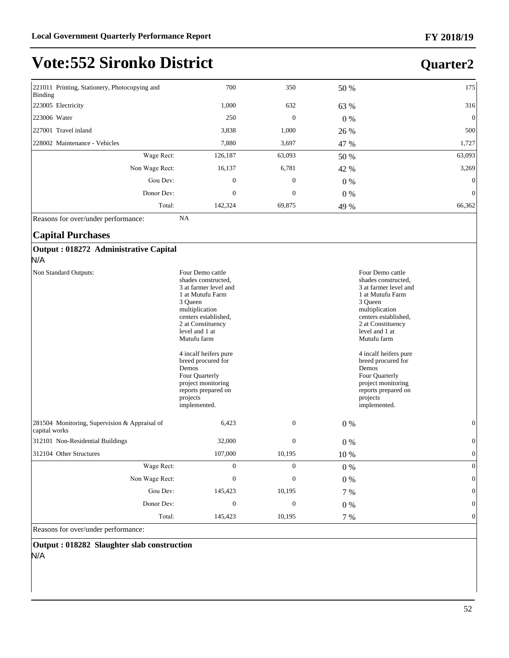**Quarter2**

# **Vote:552 Sironko District**

| 221011 Printing, Stationery, Photocopying and<br>Binding       | 700                                                                                                                                                                                                                                                                                                                                                | 350              | 50 %  | 175                                                                                                                                                                                                                                                                                                                                                |
|----------------------------------------------------------------|----------------------------------------------------------------------------------------------------------------------------------------------------------------------------------------------------------------------------------------------------------------------------------------------------------------------------------------------------|------------------|-------|----------------------------------------------------------------------------------------------------------------------------------------------------------------------------------------------------------------------------------------------------------------------------------------------------------------------------------------------------|
| 223005 Electricity                                             | 1,000                                                                                                                                                                                                                                                                                                                                              | 632              | 63 %  | 316                                                                                                                                                                                                                                                                                                                                                |
| 223006 Water                                                   | 250                                                                                                                                                                                                                                                                                                                                                | $\mathbf{0}$     | $0\%$ | $\mathbf{0}$                                                                                                                                                                                                                                                                                                                                       |
| 227001 Travel inland                                           | 3,838                                                                                                                                                                                                                                                                                                                                              | 1,000            | 26 %  | 500                                                                                                                                                                                                                                                                                                                                                |
| 228002 Maintenance - Vehicles                                  | 7,880                                                                                                                                                                                                                                                                                                                                              | 3,697            | 47 %  | 1,727                                                                                                                                                                                                                                                                                                                                              |
| Wage Rect:                                                     | 126,187                                                                                                                                                                                                                                                                                                                                            | 63,093           | 50 %  | 63,093                                                                                                                                                                                                                                                                                                                                             |
| Non Wage Rect:                                                 | 16,137                                                                                                                                                                                                                                                                                                                                             | 6,781            | 42 %  | 3,269                                                                                                                                                                                                                                                                                                                                              |
| Gou Dev:                                                       | $\boldsymbol{0}$                                                                                                                                                                                                                                                                                                                                   | $\boldsymbol{0}$ | $0\%$ | $\overline{0}$                                                                                                                                                                                                                                                                                                                                     |
| Donor Dev:                                                     | $\boldsymbol{0}$                                                                                                                                                                                                                                                                                                                                   | $\boldsymbol{0}$ | $0\%$ | $\overline{0}$                                                                                                                                                                                                                                                                                                                                     |
| Total:                                                         | 142,324                                                                                                                                                                                                                                                                                                                                            | 69,875           | 49 %  | 66,362                                                                                                                                                                                                                                                                                                                                             |
| Reasons for over/under performance:                            | NA                                                                                                                                                                                                                                                                                                                                                 |                  |       |                                                                                                                                                                                                                                                                                                                                                    |
| <b>Capital Purchases</b>                                       |                                                                                                                                                                                                                                                                                                                                                    |                  |       |                                                                                                                                                                                                                                                                                                                                                    |
| Output: 018272 Administrative Capital<br>N/A                   |                                                                                                                                                                                                                                                                                                                                                    |                  |       |                                                                                                                                                                                                                                                                                                                                                    |
| Non Standard Outputs:                                          | Four Demo cattle<br>shades constructed,<br>3 at farmer level and<br>1 at Mutufu Farm<br>3 Oueen<br>multiplication<br>centers established,<br>2 at Constituency<br>level and 1 at<br>Mutufu farm<br>4 incalf heifers pure<br>breed procured for<br>Demos<br>Four Quarterly<br>project monitoring<br>reports prepared on<br>projects<br>implemented. |                  |       | Four Demo cattle<br>shades constructed,<br>3 at farmer level and<br>1 at Mutufu Farm<br>3 Oueen<br>multiplication<br>centers established,<br>2 at Constituency<br>level and 1 at<br>Mutufu farm<br>4 incalf heifers pure<br>breed procured for<br>Demos<br>Four Quarterly<br>project monitoring<br>reports prepared on<br>projects<br>implemented. |
| 281504 Monitoring, Supervision & Appraisal of<br>capital works | 6,423                                                                                                                                                                                                                                                                                                                                              | $\boldsymbol{0}$ | $0\%$ | $\theta$                                                                                                                                                                                                                                                                                                                                           |
| 312101 Non-Residential Buildings                               | 32,000                                                                                                                                                                                                                                                                                                                                             | $\mathbf{0}$     | $0\%$ | 0                                                                                                                                                                                                                                                                                                                                                  |
| 312104 Other Structures                                        | 107,000                                                                                                                                                                                                                                                                                                                                            | 10,195           | 10 %  | $\boldsymbol{0}$                                                                                                                                                                                                                                                                                                                                   |
| Wage Rect:                                                     | $\overline{0}$                                                                                                                                                                                                                                                                                                                                     | $\overline{0}$   | $0\%$ | $\theta$                                                                                                                                                                                                                                                                                                                                           |
| Non Wage Rect:                                                 | $\boldsymbol{0}$                                                                                                                                                                                                                                                                                                                                   | $\boldsymbol{0}$ | $0\%$ | $\theta$                                                                                                                                                                                                                                                                                                                                           |
| Gou Dev:                                                       | 145,423                                                                                                                                                                                                                                                                                                                                            | 10,195           | 7 %   | $\Omega$                                                                                                                                                                                                                                                                                                                                           |
| Donor Dev:                                                     | $\overline{0}$                                                                                                                                                                                                                                                                                                                                     | $\boldsymbol{0}$ | $0\%$ | $\overline{0}$                                                                                                                                                                                                                                                                                                                                     |

Total: 145,423 10,195 7 % 0

Reasons for over/under performance:

**Output : 018282 Slaughter slab construction** N/A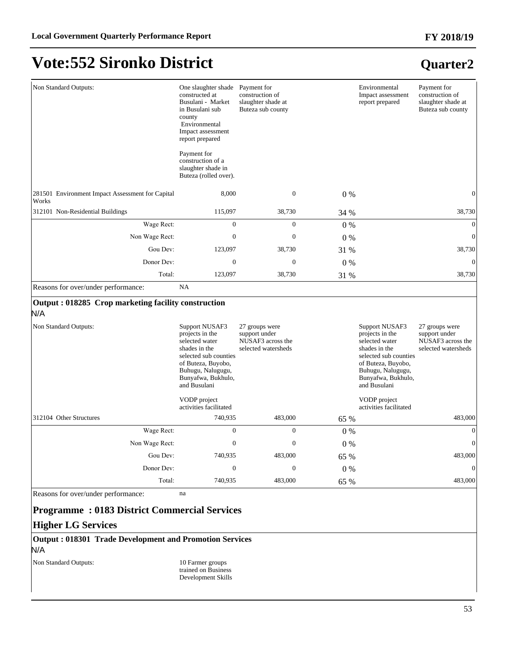# **Vote:552 Sironko District**

### **Quarter2**

| Non Standard Outputs:                                      | One slaughter shade<br>constructed at<br>Busulani - Market<br>in Busulani sub<br>county<br>Environmental<br>Impact assessment<br>report prepared<br>Payment for<br>construction of a<br>slaughter shade in<br>Buteza (rolled over). | Payment for<br>construction of<br>slaughter shade at<br>Buteza sub county   |       | Environmental<br>Impact assessment<br>report prepared                                                                                                                          | Payment for<br>construction of<br>slaughter shade at<br>Buteza sub county   |
|------------------------------------------------------------|-------------------------------------------------------------------------------------------------------------------------------------------------------------------------------------------------------------------------------------|-----------------------------------------------------------------------------|-------|--------------------------------------------------------------------------------------------------------------------------------------------------------------------------------|-----------------------------------------------------------------------------|
| 281501 Environment Impact Assessment for Capital<br>Works  | 8,000                                                                                                                                                                                                                               | $\boldsymbol{0}$                                                            | 0%    |                                                                                                                                                                                | $\boldsymbol{0}$                                                            |
| 312101 Non-Residential Buildings                           | 115,097                                                                                                                                                                                                                             | 38,730                                                                      | 34 %  |                                                                                                                                                                                | 38,730                                                                      |
| Wage Rect:                                                 | $\boldsymbol{0}$                                                                                                                                                                                                                    | $\boldsymbol{0}$                                                            | 0 %   |                                                                                                                                                                                | $\vert 0 \vert$                                                             |
| Non Wage Rect:                                             | $\boldsymbol{0}$                                                                                                                                                                                                                    | $\boldsymbol{0}$                                                            | $0\%$ |                                                                                                                                                                                | $\vert 0 \vert$                                                             |
| Gou Dev:                                                   | 123,097                                                                                                                                                                                                                             | 38,730                                                                      | 31 %  |                                                                                                                                                                                | 38,730                                                                      |
| Donor Dev:                                                 | $\overline{0}$                                                                                                                                                                                                                      | $\overline{0}$                                                              | $0\%$ |                                                                                                                                                                                | $\vert 0 \vert$                                                             |
| Total:                                                     | 123,097                                                                                                                                                                                                                             | 38,730                                                                      | 31 %  |                                                                                                                                                                                | 38,730                                                                      |
| Reasons for over/under performance:                        | NA                                                                                                                                                                                                                                  |                                                                             |       |                                                                                                                                                                                |                                                                             |
| Output: 018285 Crop marketing facility construction<br>N/A |                                                                                                                                                                                                                                     |                                                                             |       |                                                                                                                                                                                |                                                                             |
| Non Standard Outputs:                                      | Support NUSAF3<br>projects in the<br>selected water<br>shades in the<br>selected sub counties<br>of Buteza, Buyobo,<br>Buhugu, Nalugugu,<br>Bunyafwa, Bukhulo,<br>and Busulani                                                      | 27 groups were<br>support under<br>NUSAF3 across the<br>selected watersheds |       | Support NUSAF3<br>projects in the<br>selected water<br>shades in the<br>selected sub counties<br>of Buteza, Buyobo,<br>Buhugu, Nalugugu,<br>Bunyafwa, Bukhulo,<br>and Busulani | 27 groups were<br>support under<br>NUSAF3 across the<br>selected watersheds |
|                                                            | VODP project<br>activities facilitated                                                                                                                                                                                              |                                                                             |       | VODP project<br>activities facilitated                                                                                                                                         |                                                                             |
| 312104 Other Structures                                    | 740,935                                                                                                                                                                                                                             | 483,000                                                                     | 65 %  |                                                                                                                                                                                | 483,000                                                                     |
| Wage Rect:                                                 | $\boldsymbol{0}$                                                                                                                                                                                                                    | $\boldsymbol{0}$                                                            | 0%    |                                                                                                                                                                                | $\vert 0 \vert$                                                             |
| Non Wage Rect:                                             | $\boldsymbol{0}$                                                                                                                                                                                                                    | $\boldsymbol{0}$                                                            | $0\%$ |                                                                                                                                                                                | $\vert 0 \vert$                                                             |
| Gou Dev:                                                   | 740,935                                                                                                                                                                                                                             | 483,000                                                                     | 65 %  |                                                                                                                                                                                | 483,000                                                                     |
| Donor Dev:                                                 | $\mathbf{0}$                                                                                                                                                                                                                        | $\mathbf{0}$                                                                | $0\%$ |                                                                                                                                                                                | $\vert 0 \vert$                                                             |
| Total:                                                     | 740,935                                                                                                                                                                                                                             | 483,000                                                                     | 65 %  |                                                                                                                                                                                | 483,000                                                                     |

Reasons for over/under performance: na

#### **Programme : 0183 District Commercial Services**

#### **Higher LG Services**

**Output : 018301 Trade Development and Promotion Services** N/A

Non Standard Outputs: 10 Farmer groups

trained on Business Development Skills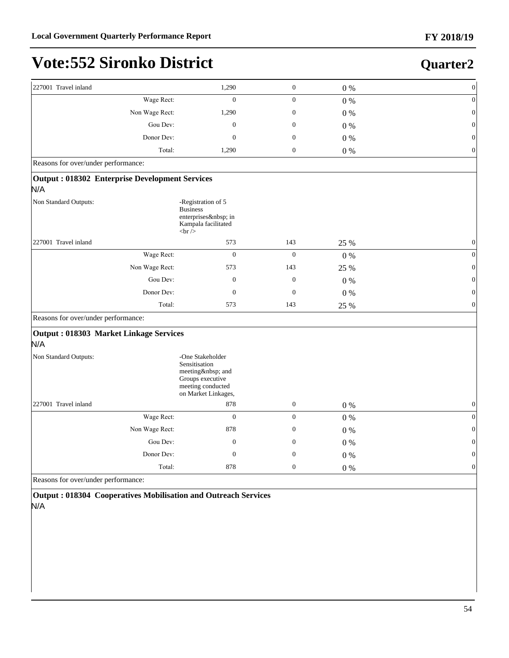### **Quarter2**

| 227001 Travel inland                                         | 1,290                                                                                                             | $\boldsymbol{0}$ | $0\ \%$ | 0                |
|--------------------------------------------------------------|-------------------------------------------------------------------------------------------------------------------|------------------|---------|------------------|
| Wage Rect:                                                   | $\overline{0}$                                                                                                    | $\overline{0}$   | $0\ \%$ | $\overline{0}$   |
| Non Wage Rect:                                               | 1,290                                                                                                             | $\overline{0}$   | $0\ \%$ | 0                |
| Gou Dev:                                                     | $\boldsymbol{0}$                                                                                                  | $\boldsymbol{0}$ | $0\ \%$ | 0                |
| Donor Dev:                                                   | $\boldsymbol{0}$                                                                                                  | $\boldsymbol{0}$ | $0\ \%$ | $\boldsymbol{0}$ |
| Total:                                                       | 1,290                                                                                                             | $\boldsymbol{0}$ | $0\%$   | $\boldsymbol{0}$ |
| Reasons for over/under performance:                          |                                                                                                                   |                  |         |                  |
| <b>Output: 018302 Enterprise Development Services</b><br>N/A |                                                                                                                   |                  |         |                  |
| Non Standard Outputs:                                        | -Registration of 5<br><b>Business</b><br>enterprises  in<br>Kampala facilitated<br><br>2 <sub>r</sub>             |                  |         |                  |
| 227001 Travel inland                                         | 573                                                                                                               | 143              | 25 %    | $\boldsymbol{0}$ |
| Wage Rect:                                                   | $\boldsymbol{0}$                                                                                                  | $\mathbf{0}$     | $0\%$   | 0                |
| Non Wage Rect:                                               | 573                                                                                                               | 143              | 25 %    | $\boldsymbol{0}$ |
| Gou Dev:                                                     | $\boldsymbol{0}$                                                                                                  | $\boldsymbol{0}$ | $0\ \%$ | 0                |
| Donor Dev:                                                   | $\mathbf{0}$                                                                                                      | $\mathbf{0}$     | $0\%$   | 0                |
| Total:                                                       | 573                                                                                                               | 143              | 25 %    | $\vert 0 \vert$  |
| Reasons for over/under performance:                          |                                                                                                                   |                  |         |                  |
| <b>Output: 018303 Market Linkage Services</b><br>N/A         |                                                                                                                   |                  |         |                  |
| Non Standard Outputs:                                        | -One Stakeholder<br>Sensitisation<br>meeting  and<br>Groups executive<br>meeting conducted<br>on Market Linkages, |                  |         |                  |
| 227001 Travel inland                                         | 878                                                                                                               | $\boldsymbol{0}$ | $0\ \%$ | $\mathbf{0}$     |
| Wage Rect:                                                   | $\overline{0}$                                                                                                    | $\overline{0}$   | $0\ \%$ | $\vert 0 \vert$  |
| Non Wage Rect:                                               | 878                                                                                                               | $\boldsymbol{0}$ | $0\ \%$ | $\boldsymbol{0}$ |
| Gou Dev:                                                     | $\boldsymbol{0}$                                                                                                  | $\boldsymbol{0}$ | $0\ \%$ | $\vert 0 \vert$  |
| Donor Dev:                                                   | $\boldsymbol{0}$                                                                                                  | $\boldsymbol{0}$ | $0\ \%$ | 0                |
|                                                              |                                                                                                                   |                  |         |                  |

**Output : 018304 Cooperatives Mobilisation and Outreach Services** N/A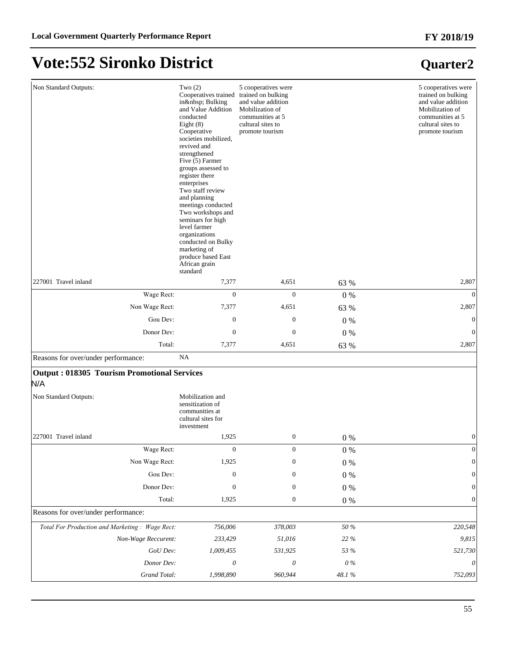# **Vote:552 Sironko District**

| Non Standard Outputs:                                     | Two $(2)$<br>Cooperatives trained<br>in  Bulking<br>and Value Addition<br>conducted<br>Eight $(8)$<br>Cooperative<br>societies mobilized,<br>revived and<br>strengthened<br>Five (5) Farmer<br>groups assessed to<br>register there<br>enterprises<br>Two staff review<br>and planning<br>meetings conducted<br>Two workshops and<br>seminars for high<br>level farmer<br>organizations<br>conducted on Bulky<br>marketing of<br>produce based East<br>African grain<br>standard | 5 cooperatives were<br>trained on bulking<br>and value addition<br>Mobilization of<br>communities at 5<br>cultural sites to<br>promote tourism |            | 5 cooperatives were<br>trained on bulking<br>and value addition<br>Mobilization of<br>communities at 5<br>cultural sites to<br>promote tourism |
|-----------------------------------------------------------|----------------------------------------------------------------------------------------------------------------------------------------------------------------------------------------------------------------------------------------------------------------------------------------------------------------------------------------------------------------------------------------------------------------------------------------------------------------------------------|------------------------------------------------------------------------------------------------------------------------------------------------|------------|------------------------------------------------------------------------------------------------------------------------------------------------|
| 227001 Travel inland                                      | 7,377                                                                                                                                                                                                                                                                                                                                                                                                                                                                            | 4,651                                                                                                                                          | 63 %       | 2,807                                                                                                                                          |
| Wage Rect:                                                | $\mathbf{0}$                                                                                                                                                                                                                                                                                                                                                                                                                                                                     | $\overline{0}$                                                                                                                                 | $0\%$      | $\vert 0 \vert$                                                                                                                                |
| Non Wage Rect:                                            | 7,377                                                                                                                                                                                                                                                                                                                                                                                                                                                                            | 4,651                                                                                                                                          | 63 %       | 2,807                                                                                                                                          |
| Gou Dev:                                                  | $\boldsymbol{0}$                                                                                                                                                                                                                                                                                                                                                                                                                                                                 | $\boldsymbol{0}$                                                                                                                               | $0\%$      | $\vert 0 \vert$                                                                                                                                |
| Donor Dev:                                                | $\boldsymbol{0}$                                                                                                                                                                                                                                                                                                                                                                                                                                                                 | $\boldsymbol{0}$                                                                                                                               | $0\%$      | $\vert 0 \vert$                                                                                                                                |
| Total:                                                    | 7,377                                                                                                                                                                                                                                                                                                                                                                                                                                                                            | 4,651                                                                                                                                          | 63 %       | 2,807                                                                                                                                          |
| Reasons for over/under performance:                       | NA                                                                                                                                                                                                                                                                                                                                                                                                                                                                               |                                                                                                                                                |            |                                                                                                                                                |
| <b>Output: 018305 Tourism Promotional Services</b><br>N/A |                                                                                                                                                                                                                                                                                                                                                                                                                                                                                  |                                                                                                                                                |            |                                                                                                                                                |
| Non Standard Outputs:                                     | Mobilization and<br>sensitization of<br>communities at<br>cultural sites for<br>investment                                                                                                                                                                                                                                                                                                                                                                                       |                                                                                                                                                |            |                                                                                                                                                |
| 227001 Travel inland                                      | 1,925                                                                                                                                                                                                                                                                                                                                                                                                                                                                            | $\boldsymbol{0}$                                                                                                                               | $0\%$      | $\vert 0 \vert$                                                                                                                                |
| Wage Rect:                                                | $\boldsymbol{0}$                                                                                                                                                                                                                                                                                                                                                                                                                                                                 | $\boldsymbol{0}$                                                                                                                               | $0\ \%$    | $\Omega$                                                                                                                                       |
| Non Wage Rect:                                            | 1,925                                                                                                                                                                                                                                                                                                                                                                                                                                                                            | $\boldsymbol{0}$                                                                                                                               | $0\ \%$    | $\vert 0 \vert$                                                                                                                                |
| Gou Dev:                                                  | $\mathbf{0}$                                                                                                                                                                                                                                                                                                                                                                                                                                                                     | 0                                                                                                                                              | $0\%$      | $\vert 0 \vert$                                                                                                                                |
| Donor Dev:                                                | $\boldsymbol{0}$                                                                                                                                                                                                                                                                                                                                                                                                                                                                 | 0                                                                                                                                              | $0\ \%$    | $\Omega$                                                                                                                                       |
| Total:                                                    | 1,925                                                                                                                                                                                                                                                                                                                                                                                                                                                                            | $\boldsymbol{0}$                                                                                                                               | $0\%$      | 0                                                                                                                                              |
| Reasons for over/under performance:                       |                                                                                                                                                                                                                                                                                                                                                                                                                                                                                  |                                                                                                                                                |            |                                                                                                                                                |
| Total For Production and Marketing: Wage Rect:            | 756,006                                                                                                                                                                                                                                                                                                                                                                                                                                                                          | 378,003                                                                                                                                        | $50\,\%$   | 220,548                                                                                                                                        |
| Non-Wage Reccurent:                                       | 233,429                                                                                                                                                                                                                                                                                                                                                                                                                                                                          | 51,016                                                                                                                                         | $22~\%$    | 9,815                                                                                                                                          |
| GoU Dev:                                                  | 1,009,455                                                                                                                                                                                                                                                                                                                                                                                                                                                                        | 531,925                                                                                                                                        | 53 %       | 521,730                                                                                                                                        |
| Donor Dev:                                                | $\boldsymbol{\mathit{0}}$                                                                                                                                                                                                                                                                                                                                                                                                                                                        | 0                                                                                                                                              | $0\,\%$    | $\boldsymbol{\theta}$                                                                                                                          |
| Grand Total:                                              | 1,998,890                                                                                                                                                                                                                                                                                                                                                                                                                                                                        | 960,944                                                                                                                                        | $48.1\,\%$ | 752,093                                                                                                                                        |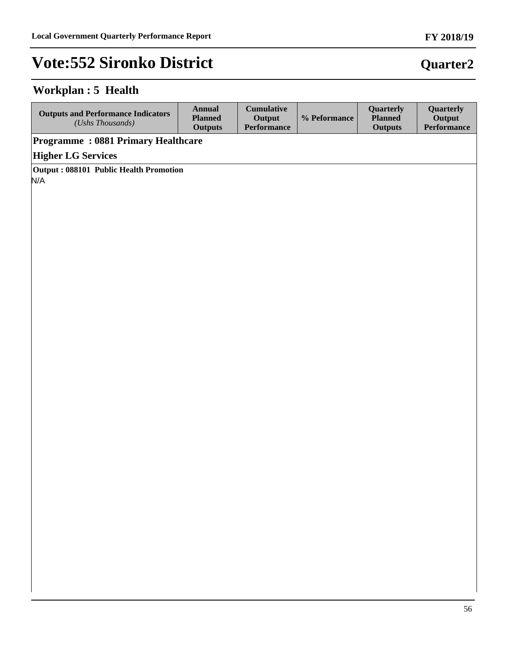### **Workplan : 5 Health**

| <b>Outputs and Performance Indicators</b><br>$(Ushs$ Thousands) | Annual<br><b>Planned</b><br><b>Outputs</b> | <b>Cumulative</b><br>Output<br><b>Performance</b> | % Peformance | <b>Ouarterly</b><br><b>Planned</b><br><b>Outputs</b> | Quarterly<br>Output<br><b>Performance</b> |  |  |
|-----------------------------------------------------------------|--------------------------------------------|---------------------------------------------------|--------------|------------------------------------------------------|-------------------------------------------|--|--|
| <b>Programme: 0881 Primary Healthcare</b>                       |                                            |                                                   |              |                                                      |                                           |  |  |
| <b>Higher LG Services</b>                                       |                                            |                                                   |              |                                                      |                                           |  |  |
| Output: 088101 Public Health Promotion                          |                                            |                                                   |              |                                                      |                                           |  |  |
| N/A                                                             |                                            |                                                   |              |                                                      |                                           |  |  |
|                                                                 |                                            |                                                   |              |                                                      |                                           |  |  |
|                                                                 |                                            |                                                   |              |                                                      |                                           |  |  |

**FY 2018/19**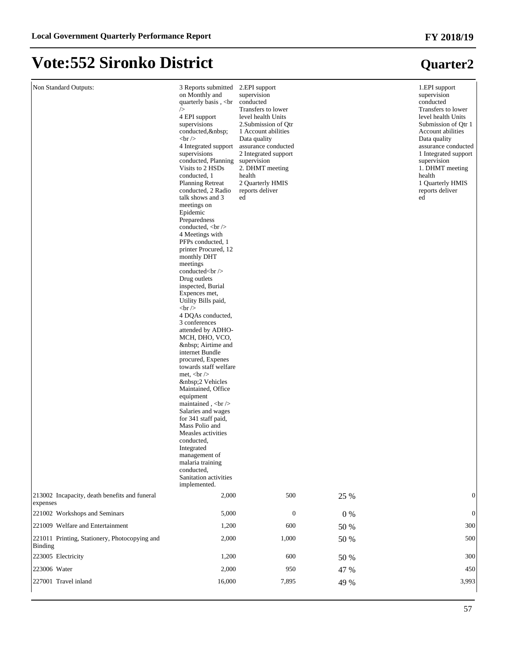| Non Standard Outputs:<br>213002 Incapacity, death benefits and funeral | 3 Reports submitted<br>on Monthly and<br>quarterly basis, <br<br>/&gt;<br/>4 EPI support<br/>supervisions<br/>conducted,  <br/><math>\braket{\text{br}}</math><br/>4 Integrated support<br/>supervisions<br/>conducted, Planning<br/>Visits to 2 HSDs<br/>conducted, 1<br/><b>Planning Retreat</b><br/>conducted, 2 Radio<br/>talk shows and 3<br/>meetings on<br/>Epidemic<br/>Preparedness<br/>conducted, <math>kr</math> <math>&gt;</math><br/>4 Meetings with<br/>PFPs conducted, 1<br/>printer Procured, 12<br/>monthly DHT<br/>meetings<br/>conducted<br/><br/>Drug outlets<br/>inspected, Burial<br>Expences met,<br/>Utility Bills paid,<br/><math>br</math> /&gt;<br/>4 DQAs conducted,<br/>3 conferences<br/>attended by ADHO-<br/>MCH, DHO, VCO,<br/>  Airtime and<br/>internet Bundle<br/>procured, Expenes<br/>towards staff welfare<br/>met, <math>or <math display="inline">/&gt;</math></math><br/> 2 Vehicles<br/>Maintained, Office<br/>equipment<br/>maintained, <math>kr <math>&gt;</math></math><br/>Salaries and wages<br/>for 341 staff paid,<br/>Mass Polio and<br/>Measles activities<br/>conducted,<br/>Integrated<br/>management of<br/>malaria training<br/>conducted,<br/>Sanitation activities<br/>implemented.<br/>2,000</br></br<br> | 2.EPI support<br>supervision<br>conducted<br>Transfers to lower<br>level health Units<br>2. Submission of Qtr<br>1 Account abilities<br>Data quality<br>assurance conducted<br>2 Integrated support<br>supervision<br>2. DHMT meeting<br>health<br>2 Quarterly HMIS<br>reports deliver<br>ed<br>500 | 25 %          | 1.EPI support<br>supervision<br>conducted<br>Transfers to lower<br>level health Units<br>Submission of Otr 1<br>Account abilities<br>Data quality<br>assurance conducted<br>1 Integrated support<br>supervision<br>1. DHMT meeting<br>health<br>1 Quarterly HMIS<br>reports deliver<br>ed<br>$\theta$ |
|------------------------------------------------------------------------|----------------------------------------------------------------------------------------------------------------------------------------------------------------------------------------------------------------------------------------------------------------------------------------------------------------------------------------------------------------------------------------------------------------------------------------------------------------------------------------------------------------------------------------------------------------------------------------------------------------------------------------------------------------------------------------------------------------------------------------------------------------------------------------------------------------------------------------------------------------------------------------------------------------------------------------------------------------------------------------------------------------------------------------------------------------------------------------------------------------------------------------------------------------------------------------------------------------------------------------------------------------------|-----------------------------------------------------------------------------------------------------------------------------------------------------------------------------------------------------------------------------------------------------------------------------------------------------|---------------|-------------------------------------------------------------------------------------------------------------------------------------------------------------------------------------------------------------------------------------------------------------------------------------------------------|
| expenses                                                               |                                                                                                                                                                                                                                                                                                                                                                                                                                                                                                                                                                                                                                                                                                                                                                                                                                                                                                                                                                                                                                                                                                                                                                                                                                                                      |                                                                                                                                                                                                                                                                                                     |               |                                                                                                                                                                                                                                                                                                       |
| 221002 Workshops and Seminars<br>221009 Welfare and Entertainment      | 5,000<br>1,200                                                                                                                                                                                                                                                                                                                                                                                                                                                                                                                                                                                                                                                                                                                                                                                                                                                                                                                                                                                                                                                                                                                                                                                                                                                       | $\boldsymbol{0}$<br>600                                                                                                                                                                                                                                                                             | $0\%$<br>50 % | $\mathbf{0}$<br>300                                                                                                                                                                                                                                                                                   |
| 221011 Printing, Stationery, Photocopying and                          | 2,000                                                                                                                                                                                                                                                                                                                                                                                                                                                                                                                                                                                                                                                                                                                                                                                                                                                                                                                                                                                                                                                                                                                                                                                                                                                                | 1,000                                                                                                                                                                                                                                                                                               | 50 %          | 500                                                                                                                                                                                                                                                                                                   |
| Binding<br>223005 Electricity                                          | 1,200                                                                                                                                                                                                                                                                                                                                                                                                                                                                                                                                                                                                                                                                                                                                                                                                                                                                                                                                                                                                                                                                                                                                                                                                                                                                | 600                                                                                                                                                                                                                                                                                                 | 50 %          | 300                                                                                                                                                                                                                                                                                                   |
| 223006 Water                                                           | 2,000                                                                                                                                                                                                                                                                                                                                                                                                                                                                                                                                                                                                                                                                                                                                                                                                                                                                                                                                                                                                                                                                                                                                                                                                                                                                | 950                                                                                                                                                                                                                                                                                                 | 47 %          | 450                                                                                                                                                                                                                                                                                                   |
| 227001 Travel inland                                                   | 16,000                                                                                                                                                                                                                                                                                                                                                                                                                                                                                                                                                                                                                                                                                                                                                                                                                                                                                                                                                                                                                                                                                                                                                                                                                                                               | 7,895                                                                                                                                                                                                                                                                                               | 49 %          | 3,993                                                                                                                                                                                                                                                                                                 |
|                                                                        |                                                                                                                                                                                                                                                                                                                                                                                                                                                                                                                                                                                                                                                                                                                                                                                                                                                                                                                                                                                                                                                                                                                                                                                                                                                                      |                                                                                                                                                                                                                                                                                                     |               |                                                                                                                                                                                                                                                                                                       |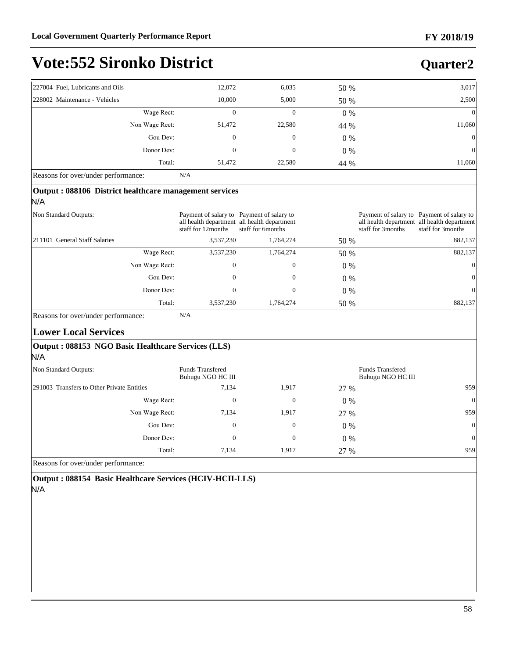| <b>Vote:552 Sironko District</b>           |          |                |       | Quarter2        |  |
|--------------------------------------------|----------|----------------|-------|-----------------|--|
| 227004 Fuel, Lubricants and Oils           | 12,072   | 6,035          | 50 %  | 3,017           |  |
| 228002 Maintenance - Vehicles              | 10.000   | 5,000          | 50 %  | 2,500           |  |
| Wage Rect:                                 | $\Omega$ | $\mathbf{0}$   | $0\%$ | 0               |  |
| Non Wage Rect:                             | 51,472   | 22,580         | 44 %  | 11,060          |  |
| Gou Dev:                                   | $\theta$ | $\overline{0}$ | $0\%$ | $\vert 0 \vert$ |  |
| Donor Dev:                                 | $\Omega$ | $\mathbf{0}$   | $0\%$ | $\vert 0 \vert$ |  |
| Total:                                     | 51,472   | 22.580         | 44 %  | 11,060          |  |
| N/A<br>Reasons for over/under performance: |          |                |       |                 |  |

Reasons for over/under performance:

| Output: 088106 District healthcare management services<br>N/A |                                              |                                                                                                               |       |                                                                |                                                                  |
|---------------------------------------------------------------|----------------------------------------------|---------------------------------------------------------------------------------------------------------------|-------|----------------------------------------------------------------|------------------------------------------------------------------|
| Non Standard Outputs:                                         | staff for 12months                           | Payment of salary to Payment of salary to<br>all health department all health department<br>staff for 6months |       | Payment of salary to Payment of salary to<br>staff for 3months | all health department all health department<br>staff for 3months |
| 211101 General Staff Salaries                                 | 3,537,230                                    | 1,764,274                                                                                                     | 50 %  |                                                                | 882,137                                                          |
| Wage Rect:                                                    | 3,537,230                                    | 1,764,274                                                                                                     | 50 %  |                                                                | 882,137                                                          |
| Non Wage Rect:                                                | $\mathbf{0}$                                 | $\mathbf{0}$                                                                                                  | 0%    |                                                                | $\vert 0 \vert$                                                  |
| Gou Dev:                                                      | $\overline{0}$                               | $\overline{0}$                                                                                                | $0\%$ |                                                                | $\vert 0 \vert$                                                  |
| Donor Dev:                                                    | $\mathbf{0}$                                 | $\theta$                                                                                                      | $0\%$ |                                                                | $\vert 0 \vert$                                                  |
| Total:                                                        | 3,537,230                                    | 1,764,274                                                                                                     | 50 %  |                                                                | 882,137                                                          |
| Reasons for over/under performance:                           | N/A                                          |                                                                                                               |       |                                                                |                                                                  |
| <b>Lower Local Services</b>                                   |                                              |                                                                                                               |       |                                                                |                                                                  |
| Output: 088153 NGO Basic Healthcare Services (LLS)<br>N/A     |                                              |                                                                                                               |       |                                                                |                                                                  |
| Non Standard Outputs:                                         | <b>Funds Transfered</b><br>Buhugu NGO HC III |                                                                                                               |       | <b>Funds Transfered</b><br>Buhugu NGO HC III                   |                                                                  |
| 291003 Transfers to Other Private Entities                    | 7,134                                        | 1,917                                                                                                         | 27 %  |                                                                | 959                                                              |
| Wage Rect:                                                    | $\theta$                                     | $\mathbf{0}$                                                                                                  | $0\%$ |                                                                | $\vert 0 \vert$                                                  |
| Non Wage Rect:                                                | 7,134                                        | 1,917                                                                                                         | 27 %  |                                                                | 959                                                              |
| Gou Dev:                                                      | $\overline{0}$                               | $\overline{0}$                                                                                                | $0\%$ |                                                                | $\vert 0 \vert$                                                  |
| Donor Dev:                                                    | $\mathbf{0}$                                 | $\theta$                                                                                                      | $0\%$ |                                                                | 0                                                                |
| Total:                                                        | 7,134                                        | 1,917                                                                                                         | 27 %  |                                                                | 959                                                              |

Reasons for over/under performance:

**Output : 088154 Basic Healthcare Services (HCIV-HCII-LLS)** N/A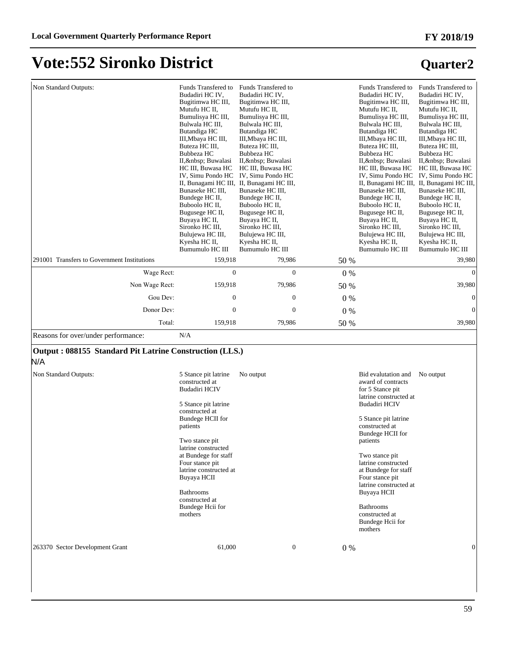# **Vote:552 Sironko District**

| Non Standard Outputs:                                          | Funds Transfered to<br>Budadiri HC IV,<br>Bugitimwa HC III,<br>Mutufu HC II,<br>Bumulisya HC III,<br>Bulwala HC III,<br>Butandiga HC<br>III, Mbaya HC III,<br>Buteza HC III.<br>Bubbeza HC<br>II,   Buwalasi<br>HC III, Buwasa HC<br>IV, Simu Pondo HC<br>Bunaseke HC III,<br>Bundege HC II,<br>Buboolo HC II,<br>Bugusege HC II,<br>Buyaya HC II,<br>Sironko HC III,<br>Bulujewa HC III,<br>Kyesha HC II,<br>Bumumulo HC III | Funds Transfered to<br>Budadiri HC IV,<br>Bugitimwa HC III,<br>Mutufu HC II,<br>Bumulisya HC III,<br>Bulwala HC III,<br>Butandiga HC<br>III, Mbaya HC III,<br>Buteza HC III,<br>Bubbeza HC<br>II,   Buwalasi<br>HC III, Buwasa HC<br>IV, Simu Pondo HC<br>II, Bunagami HC III, II, Bunagami HC III,<br>Bunaseke HC III,<br>Bundege HC II,<br>Buboolo HC II,<br>Bugusege HC II,<br>Buyaya HC II,<br>Sironko HC III,<br>Bulujewa HC III,<br>Kyesha HC II,<br>Bumumulo HC III |       | Funds Transfered to<br>Budadiri HC IV,<br>Bugitimwa HC III,<br>Mutufu HC II,<br>Bumulisya HC III,<br>Bulwala HC III,<br>Butandiga HC<br>III, Mbaya HC III,<br>Buteza HC III.<br>Bubbeza HC<br>II,   Buwalasi<br>HC III, Buwasa HC<br>IV, Simu Pondo HC<br>Bunaseke HC III,<br>Bundege HC II,<br>Buboolo HC II,<br>Bugusege HC II,<br>Buyaya HC II,<br>Sironko HC III,<br>Bulujewa HC III,<br>Kyesha HC II,<br>Bumumulo HC III | Funds Transfered to<br>Budadiri HC IV,<br>Bugitimwa HC III,<br>Mutufu HC II,<br>Bumulisya HC III,<br>Bulwala HC III,<br>Butandiga HC<br>III, Mbaya HC III,<br>Buteza HC III,<br>Bubbeza HC<br>II,   Buwalasi<br>HC III, Buwasa HC<br>IV, Simu Pondo HC<br>II, Bunagami HC III, II, Bunagami HC III,<br>Bunaseke HC III,<br>Bundege HC II,<br>Buboolo HC II,<br>Bugusege HC II,<br>Buyaya HC II,<br>Sironko HC III,<br>Bulujewa HC III,<br>Kyesha HC II,<br>Bumumulo HC III |
|----------------------------------------------------------------|-------------------------------------------------------------------------------------------------------------------------------------------------------------------------------------------------------------------------------------------------------------------------------------------------------------------------------------------------------------------------------------------------------------------------------|----------------------------------------------------------------------------------------------------------------------------------------------------------------------------------------------------------------------------------------------------------------------------------------------------------------------------------------------------------------------------------------------------------------------------------------------------------------------------|-------|-------------------------------------------------------------------------------------------------------------------------------------------------------------------------------------------------------------------------------------------------------------------------------------------------------------------------------------------------------------------------------------------------------------------------------|----------------------------------------------------------------------------------------------------------------------------------------------------------------------------------------------------------------------------------------------------------------------------------------------------------------------------------------------------------------------------------------------------------------------------------------------------------------------------|
| 291001 Transfers to Government Institutions                    | 159,918                                                                                                                                                                                                                                                                                                                                                                                                                       | 79,986                                                                                                                                                                                                                                                                                                                                                                                                                                                                     | 50 %  |                                                                                                                                                                                                                                                                                                                                                                                                                               | 39,980                                                                                                                                                                                                                                                                                                                                                                                                                                                                     |
| Wage Rect:                                                     | $\overline{0}$                                                                                                                                                                                                                                                                                                                                                                                                                | $\boldsymbol{0}$                                                                                                                                                                                                                                                                                                                                                                                                                                                           | 0%    |                                                                                                                                                                                                                                                                                                                                                                                                                               | $\mathbf{0}$                                                                                                                                                                                                                                                                                                                                                                                                                                                               |
| Non Wage Rect:                                                 | 159,918                                                                                                                                                                                                                                                                                                                                                                                                                       | 79,986                                                                                                                                                                                                                                                                                                                                                                                                                                                                     | 50 %  |                                                                                                                                                                                                                                                                                                                                                                                                                               | 39,980                                                                                                                                                                                                                                                                                                                                                                                                                                                                     |
| Gou Dev:                                                       | $\boldsymbol{0}$                                                                                                                                                                                                                                                                                                                                                                                                              | $\boldsymbol{0}$                                                                                                                                                                                                                                                                                                                                                                                                                                                           | $0\%$ |                                                                                                                                                                                                                                                                                                                                                                                                                               | $\boldsymbol{0}$                                                                                                                                                                                                                                                                                                                                                                                                                                                           |
| Donor Dev:                                                     | $\boldsymbol{0}$                                                                                                                                                                                                                                                                                                                                                                                                              | $\boldsymbol{0}$                                                                                                                                                                                                                                                                                                                                                                                                                                                           | $0\%$ |                                                                                                                                                                                                                                                                                                                                                                                                                               | $\boldsymbol{0}$                                                                                                                                                                                                                                                                                                                                                                                                                                                           |
| Total:                                                         | 159,918                                                                                                                                                                                                                                                                                                                                                                                                                       | 79,986                                                                                                                                                                                                                                                                                                                                                                                                                                                                     | 50 %  |                                                                                                                                                                                                                                                                                                                                                                                                                               | 39,980                                                                                                                                                                                                                                                                                                                                                                                                                                                                     |
| Reasons for over/under performance:                            | N/A                                                                                                                                                                                                                                                                                                                                                                                                                           |                                                                                                                                                                                                                                                                                                                                                                                                                                                                            |       |                                                                                                                                                                                                                                                                                                                                                                                                                               |                                                                                                                                                                                                                                                                                                                                                                                                                                                                            |
| Output: 088155 Standard Pit Latrine Construction (LLS.)<br>N/A |                                                                                                                                                                                                                                                                                                                                                                                                                               |                                                                                                                                                                                                                                                                                                                                                                                                                                                                            |       |                                                                                                                                                                                                                                                                                                                                                                                                                               |                                                                                                                                                                                                                                                                                                                                                                                                                                                                            |
| Non Standard Outputs:                                          | 5 Stance pit latrine<br>constructed at<br>Budadiri HCIV<br>5 Stance pit latrine<br>constructed at<br>Bundege HCII for<br>patients<br>Two stance pit<br>latrine constructed<br>at Bundege for staff<br>Four stance pit<br>latrine constructed at<br>Buyaya HCII<br><b>Bathrooms</b><br>constructed at<br>Bundege Heii for<br>mothers                                                                                           | No output                                                                                                                                                                                                                                                                                                                                                                                                                                                                  |       | Bid evalutation and<br>award of contracts<br>for 5 Stance pit<br>latrine constructed at<br>Budadiri HCIV<br>5 Stance pit latrine<br>constructed at<br>Bundege HCII for<br>patients<br>Two stance pit<br>latrine constructed<br>at Bundege for staff<br>Four stance pit<br>latrine constructed at<br>Buyaya HCII<br><b>Bathrooms</b><br>constructed at<br>Bundege Heii for<br>mothers                                          | No output                                                                                                                                                                                                                                                                                                                                                                                                                                                                  |
| 263370 Sector Development Grant                                | 61,000                                                                                                                                                                                                                                                                                                                                                                                                                        | $\mathbf{0}$                                                                                                                                                                                                                                                                                                                                                                                                                                                               | $0\%$ |                                                                                                                                                                                                                                                                                                                                                                                                                               | $\overline{0}$                                                                                                                                                                                                                                                                                                                                                                                                                                                             |
|                                                                |                                                                                                                                                                                                                                                                                                                                                                                                                               |                                                                                                                                                                                                                                                                                                                                                                                                                                                                            |       |                                                                                                                                                                                                                                                                                                                                                                                                                               |                                                                                                                                                                                                                                                                                                                                                                                                                                                                            |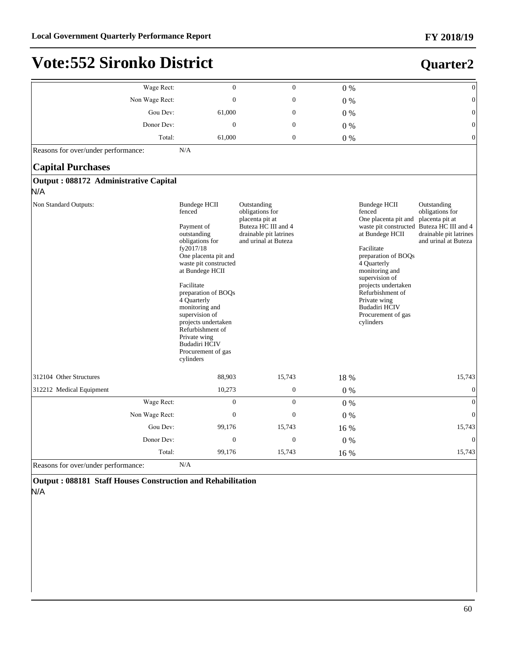### **Quarter2**

| Wage Rect:                                   | $\mathbf{0}$                                                                                                                                                                                                                                                                                                                                                                 | $\mathbf{0}$                                                                                                               | $0\%$ |                                                                                                                                                                                                                                                                                        | $\boldsymbol{0}$                                                                                                                                 |
|----------------------------------------------|------------------------------------------------------------------------------------------------------------------------------------------------------------------------------------------------------------------------------------------------------------------------------------------------------------------------------------------------------------------------------|----------------------------------------------------------------------------------------------------------------------------|-------|----------------------------------------------------------------------------------------------------------------------------------------------------------------------------------------------------------------------------------------------------------------------------------------|--------------------------------------------------------------------------------------------------------------------------------------------------|
| Non Wage Rect:                               | $\boldsymbol{0}$                                                                                                                                                                                                                                                                                                                                                             | $\boldsymbol{0}$                                                                                                           | 0%    |                                                                                                                                                                                                                                                                                        | $\boldsymbol{0}$                                                                                                                                 |
| Gou Dev:                                     | 61,000                                                                                                                                                                                                                                                                                                                                                                       | $\mathbf{0}$                                                                                                               | 0%    |                                                                                                                                                                                                                                                                                        | $\mathbf{0}$                                                                                                                                     |
| Donor Dev:                                   | $\mathbf{0}$                                                                                                                                                                                                                                                                                                                                                                 | $\boldsymbol{0}$                                                                                                           | 0%    |                                                                                                                                                                                                                                                                                        | $\overline{0}$                                                                                                                                   |
| Total:                                       | 61,000                                                                                                                                                                                                                                                                                                                                                                       | $\boldsymbol{0}$                                                                                                           | 0%    |                                                                                                                                                                                                                                                                                        | $\boldsymbol{0}$                                                                                                                                 |
| Reasons for over/under performance:          | N/A                                                                                                                                                                                                                                                                                                                                                                          |                                                                                                                            |       |                                                                                                                                                                                                                                                                                        |                                                                                                                                                  |
| <b>Capital Purchases</b>                     |                                                                                                                                                                                                                                                                                                                                                                              |                                                                                                                            |       |                                                                                                                                                                                                                                                                                        |                                                                                                                                                  |
| Output: 088172 Administrative Capital<br>N/A |                                                                                                                                                                                                                                                                                                                                                                              |                                                                                                                            |       |                                                                                                                                                                                                                                                                                        |                                                                                                                                                  |
| Non Standard Outputs:                        | <b>Bundege HCII</b><br>fenced<br>Payment of<br>outstanding<br>obligations for<br>fy2017/18<br>One placenta pit and<br>waste pit constructed<br>at Bundege HCII<br>Facilitate<br>preparation of BOQs<br>4 Quarterly<br>monitoring and<br>supervision of<br>projects undertaken<br>Refurbishment of<br>Private wing<br><b>Budadiri HCIV</b><br>Procurement of gas<br>cylinders | Outstanding<br>obligations for<br>placenta pit at<br>Buteza HC III and 4<br>drainable pit latrines<br>and urinal at Buteza |       | <b>Bundege HCII</b><br>fenced<br>One placenta pit and<br>at Bundege HCII<br>Facilitate<br>preparation of BOQs<br>4 Quarterly<br>monitoring and<br>supervision of<br>projects undertaken<br>Refurbishment of<br>Private wing<br><b>Budadiri HCIV</b><br>Procurement of gas<br>cylinders | Outstanding<br>obligations for<br>placenta pit at<br>waste pit constructed Buteza HC III and 4<br>drainable pit latrines<br>and urinal at Buteza |
| 312104 Other Structures                      | 88,903                                                                                                                                                                                                                                                                                                                                                                       | 15,743                                                                                                                     | 18 %  |                                                                                                                                                                                                                                                                                        | 15,743                                                                                                                                           |
| 312212 Medical Equipment                     | 10,273                                                                                                                                                                                                                                                                                                                                                                       | $\boldsymbol{0}$                                                                                                           | $0\%$ |                                                                                                                                                                                                                                                                                        | $\boldsymbol{0}$                                                                                                                                 |
| Wage Rect:                                   | $\boldsymbol{0}$                                                                                                                                                                                                                                                                                                                                                             | $\boldsymbol{0}$                                                                                                           | 0%    |                                                                                                                                                                                                                                                                                        | $\boldsymbol{0}$                                                                                                                                 |
| Non Wage Rect:                               | $\mathbf{0}$                                                                                                                                                                                                                                                                                                                                                                 | $\boldsymbol{0}$                                                                                                           | 0%    |                                                                                                                                                                                                                                                                                        | $\boldsymbol{0}$                                                                                                                                 |
| Gou Dev:                                     | 99,176                                                                                                                                                                                                                                                                                                                                                                       | 15,743                                                                                                                     | 16 %  |                                                                                                                                                                                                                                                                                        | 15,743                                                                                                                                           |
| Donor Dev:                                   | $\boldsymbol{0}$                                                                                                                                                                                                                                                                                                                                                             | $\mathbf{0}$                                                                                                               | $0\%$ |                                                                                                                                                                                                                                                                                        | $\boldsymbol{0}$                                                                                                                                 |
| Total:                                       | 99,176                                                                                                                                                                                                                                                                                                                                                                       | 15,743                                                                                                                     | 16 %  |                                                                                                                                                                                                                                                                                        | 15,743                                                                                                                                           |
| Reasons for over/under performance:          | N/A                                                                                                                                                                                                                                                                                                                                                                          |                                                                                                                            |       |                                                                                                                                                                                                                                                                                        |                                                                                                                                                  |

**Output : 088181 Staff Houses Construction and Rehabilitation** N/A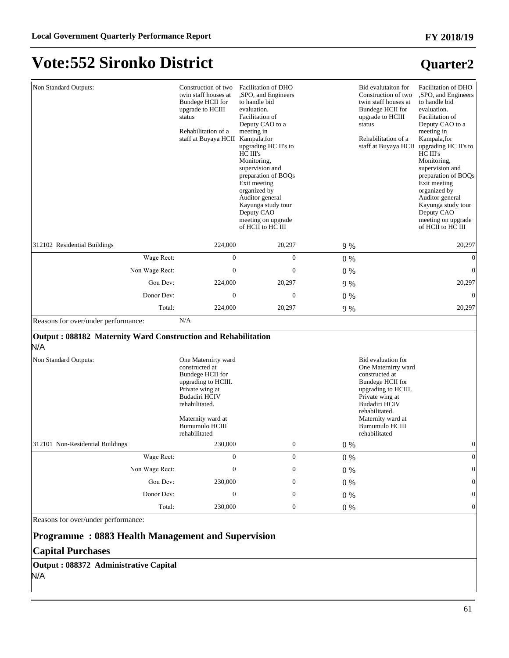### **Quarter2**

| Non Standard Outputs:                                                | Construction of two<br>twin staff houses at<br>Bundege HCII for<br>upgrade to HCIII<br>status<br>Rehabilitation of a<br>staff at Buyaya HCII                                                                 | Facilitation of DHO<br>, SPO, and Engineers<br>to handle bid<br>evaluation.<br>Facilitation of<br>Deputy CAO to a<br>meeting in<br>Kampala, for<br>upgrading HC II's to<br>HC III's<br>Monitoring,<br>supervision and<br>preparation of BOQs<br>Exit meeting<br>organized by<br>Auditor general<br>Kayunga study tour<br>Deputy CAO<br>meeting on upgrade<br>of HCII to HC III |       | Bid evalutaiton for<br>Construction of two<br>twin staff houses at<br>Bundege HCII for<br>upgrade to HCIII<br>status<br>Rehabilitation of a<br>staff at Buyaya HCII                                                                | Facilitation of DHO<br>, SPO, and Engineers<br>to handle bid<br>evaluation.<br>Facilitation of<br>Deputy CAO to a<br>meeting in<br>Kampala, for<br>upgrading HC II's to<br>HC III's<br>Monitoring,<br>supervision and<br>preparation of BOQs<br>Exit meeting<br>organized by<br>Auditor general<br>Kayunga study tour<br>Deputy CAO<br>meeting on upgrade<br>of HCII to HC III |
|----------------------------------------------------------------------|--------------------------------------------------------------------------------------------------------------------------------------------------------------------------------------------------------------|--------------------------------------------------------------------------------------------------------------------------------------------------------------------------------------------------------------------------------------------------------------------------------------------------------------------------------------------------------------------------------|-------|------------------------------------------------------------------------------------------------------------------------------------------------------------------------------------------------------------------------------------|--------------------------------------------------------------------------------------------------------------------------------------------------------------------------------------------------------------------------------------------------------------------------------------------------------------------------------------------------------------------------------|
| 312102 Residential Buildings                                         | 224,000                                                                                                                                                                                                      | 20,297                                                                                                                                                                                                                                                                                                                                                                         | 9 %   |                                                                                                                                                                                                                                    | 20,297                                                                                                                                                                                                                                                                                                                                                                         |
| Wage Rect:                                                           | $\boldsymbol{0}$                                                                                                                                                                                             | $\boldsymbol{0}$                                                                                                                                                                                                                                                                                                                                                               | $0\%$ |                                                                                                                                                                                                                                    | $\boldsymbol{0}$                                                                                                                                                                                                                                                                                                                                                               |
| Non Wage Rect:                                                       | $\overline{0}$                                                                                                                                                                                               | $\mathbf{0}$                                                                                                                                                                                                                                                                                                                                                                   | $0\%$ |                                                                                                                                                                                                                                    | $\overline{0}$                                                                                                                                                                                                                                                                                                                                                                 |
| Gou Dev:                                                             | 224,000                                                                                                                                                                                                      | 20,297                                                                                                                                                                                                                                                                                                                                                                         | 9 %   |                                                                                                                                                                                                                                    | 20,297                                                                                                                                                                                                                                                                                                                                                                         |
| Donor Dev:                                                           | $\boldsymbol{0}$                                                                                                                                                                                             | $\boldsymbol{0}$                                                                                                                                                                                                                                                                                                                                                               | $0\%$ |                                                                                                                                                                                                                                    | $\mathbf{0}$                                                                                                                                                                                                                                                                                                                                                                   |
| Total:                                                               | 224,000                                                                                                                                                                                                      | 20,297                                                                                                                                                                                                                                                                                                                                                                         | 9 %   |                                                                                                                                                                                                                                    | 20,297                                                                                                                                                                                                                                                                                                                                                                         |
| Reasons for over/under performance:                                  | N/A                                                                                                                                                                                                          |                                                                                                                                                                                                                                                                                                                                                                                |       |                                                                                                                                                                                                                                    |                                                                                                                                                                                                                                                                                                                                                                                |
| Output: 088182 Maternity Ward Construction and Rehabilitation<br>N/A |                                                                                                                                                                                                              |                                                                                                                                                                                                                                                                                                                                                                                |       |                                                                                                                                                                                                                                    |                                                                                                                                                                                                                                                                                                                                                                                |
| Non Standard Outputs:                                                | One Maternirty ward<br>constructed at<br>Bundege HCII for<br>upgrading to HCIII.<br>Private wing at<br><b>Budadiri HCIV</b><br>rehabilitated.<br>Maternity ward at<br><b>Bumumulo HCIII</b><br>rehabilitated |                                                                                                                                                                                                                                                                                                                                                                                |       | Bid evaluation for<br>One Maternirty ward<br>constructed at<br>Bundege HCII for<br>upgrading to HCIII.<br>Private wing at<br><b>Budadiri HCIV</b><br>rehabilitated.<br>Maternity ward at<br><b>Bumumulo HCIII</b><br>rehabilitated |                                                                                                                                                                                                                                                                                                                                                                                |
| 312101 Non-Residential Buildings                                     | 230,000                                                                                                                                                                                                      | $\boldsymbol{0}$                                                                                                                                                                                                                                                                                                                                                               | $0\%$ |                                                                                                                                                                                                                                    | $\boldsymbol{0}$                                                                                                                                                                                                                                                                                                                                                               |
| Wage Rect:                                                           | $\mathbf{0}$                                                                                                                                                                                                 | $\mathbf{0}$                                                                                                                                                                                                                                                                                                                                                                   | $0\%$ |                                                                                                                                                                                                                                    | $\boldsymbol{0}$                                                                                                                                                                                                                                                                                                                                                               |
| Non Wage Rect:                                                       | $\boldsymbol{0}$                                                                                                                                                                                             | $\boldsymbol{0}$                                                                                                                                                                                                                                                                                                                                                               | $0\%$ |                                                                                                                                                                                                                                    | $\boldsymbol{0}$                                                                                                                                                                                                                                                                                                                                                               |
| Gou Dev:                                                             | 230,000                                                                                                                                                                                                      | $\boldsymbol{0}$                                                                                                                                                                                                                                                                                                                                                               | $0\%$ |                                                                                                                                                                                                                                    | $\boldsymbol{0}$                                                                                                                                                                                                                                                                                                                                                               |
| Donor Dev:                                                           | $\boldsymbol{0}$                                                                                                                                                                                             | $\boldsymbol{0}$                                                                                                                                                                                                                                                                                                                                                               | $0\%$ |                                                                                                                                                                                                                                    | $\boldsymbol{0}$                                                                                                                                                                                                                                                                                                                                                               |
| Total:                                                               | 230,000                                                                                                                                                                                                      | $\mathbf{0}$                                                                                                                                                                                                                                                                                                                                                                   | $0\%$ |                                                                                                                                                                                                                                    | $\boldsymbol{0}$                                                                                                                                                                                                                                                                                                                                                               |

Reasons for over/under performance:

#### **Programme : 0883 Health Management and Supervision**

#### **Capital Purchases**

**Output : 088372 Administrative Capital** N/A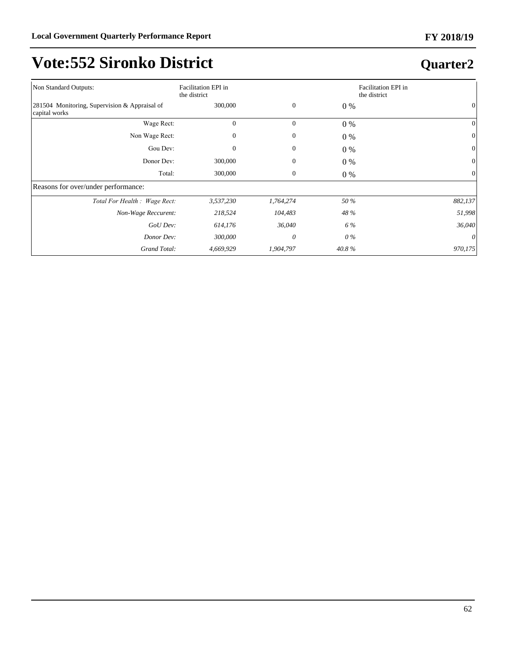| Non Standard Outputs:                                          | Facilitation EPI in<br>the district |                  |       | Facilitation EPI in<br>the district |
|----------------------------------------------------------------|-------------------------------------|------------------|-------|-------------------------------------|
| 281504 Monitoring, Supervision & Appraisal of<br>capital works | 300,000                             | $\boldsymbol{0}$ | $0\%$ | 0                                   |
| Wage Rect:                                                     | $\mathbf{0}$                        | $\mathbf{0}$     | $0\%$ | 0                                   |
| Non Wage Rect:                                                 | $\mathbf{0}$                        | $\boldsymbol{0}$ | $0\%$ | $\vert 0 \vert$                     |
| Gou Dev:                                                       | $\mathbf{0}$                        | $\boldsymbol{0}$ | 0 %   | $\vert 0 \vert$                     |
| Donor Dev:                                                     | 300,000                             | $\mathbf{0}$     | 0 %   | $\vert 0 \vert$                     |
| Total:                                                         | 300,000                             | $\boldsymbol{0}$ | 0 %   | $\vert 0 \vert$                     |
| Reasons for over/under performance:                            |                                     |                  |       |                                     |
| Total For Health : Wage Rect:                                  | 3,537,230                           | 1,764,274        | 50 %  | 882,137                             |
| Non-Wage Reccurent:                                            | 218,524                             | 104,483          | 48 %  | 51,998                              |
| GoU Dev:                                                       | 614,176                             | 36,040           | 6 %   | 36,040                              |
| Donor Dev:                                                     | 300,000                             | 0                | $0\%$ | $\Omega$                            |
| Grand Total:                                                   | 4,669,929                           | 1,904,797        | 40.8% | 970,175                             |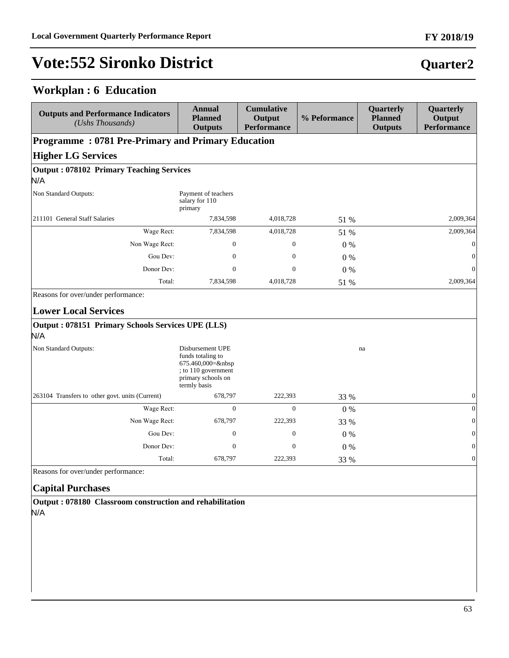#### **Workplan : 6 Education**

| Annual<br><b>Planned</b><br><b>Outputs</b>                                                                         | <b>Cumulative</b><br>Output<br><b>Performance</b> | % Peformance                                             | Quarterly<br><b>Planned</b><br><b>Outputs</b> | Quarterly<br>Output<br><b>Performance</b> |
|--------------------------------------------------------------------------------------------------------------------|---------------------------------------------------|----------------------------------------------------------|-----------------------------------------------|-------------------------------------------|
|                                                                                                                    |                                                   |                                                          |                                               |                                           |
|                                                                                                                    |                                                   |                                                          |                                               |                                           |
| <b>Output: 078102 Primary Teaching Services</b>                                                                    |                                                   |                                                          |                                               |                                           |
| Payment of teachers<br>salary for 110<br>primary                                                                   |                                                   |                                                          |                                               |                                           |
| 7,834,598                                                                                                          | 4,018,728                                         | 51 %                                                     |                                               | 2,009,364                                 |
| 7,834,598                                                                                                          | 4,018,728                                         | 51 %                                                     |                                               | 2,009,364                                 |
| $\Omega$                                                                                                           | $\Omega$                                          | $0\%$                                                    |                                               | $\mathbf{0}$                              |
| $\mathbf{0}$                                                                                                       | $\boldsymbol{0}$                                  | $0\%$                                                    |                                               | $\mathbf{0}$                              |
| $\Omega$                                                                                                           | $\Omega$                                          | 0%                                                       |                                               | $\overline{0}$                            |
| 7,834,598                                                                                                          | 4,018,728                                         | 51 %                                                     |                                               | 2,009,364                                 |
|                                                                                                                    |                                                   |                                                          |                                               |                                           |
|                                                                                                                    |                                                   |                                                          |                                               |                                           |
| Output: 078151 Primary Schools Services UPE (LLS)                                                                  |                                                   |                                                          |                                               |                                           |
| Disbursement UPE<br>funds totaling to<br>675.460,000=<br>; to 110 government<br>primary schools on<br>termly basis |                                                   |                                                          | na                                            |                                           |
| 678,797                                                                                                            | 222,393                                           | 33 %                                                     |                                               | $\mathbf{0}$                              |
| $\mathbf{0}$                                                                                                       | $\mathbf{0}$                                      | 0%                                                       |                                               | 0                                         |
| 678,797                                                                                                            | 222,393                                           | 33 %                                                     |                                               | 0                                         |
| $\mathbf{0}$                                                                                                       | $\mathbf{0}$                                      | $0\%$                                                    |                                               | $\overline{0}$                            |
| $\mathbf{0}$                                                                                                       | $\mathbf{0}$                                      | $0\%$                                                    |                                               | $\vert 0 \vert$                           |
| 678,797                                                                                                            | 222,393                                           | 33 %                                                     |                                               | $\overline{0}$                            |
|                                                                                                                    |                                                   | <b>Programme: 0781 Pre-Primary and Primary Education</b> |                                               |                                           |

#### **Capital Purchases**

**Output : 078180 Classroom construction and rehabilitation** N/A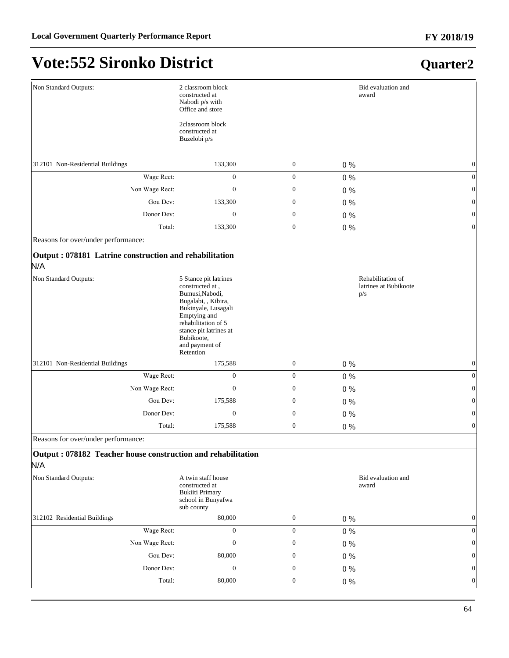| Non Standard Outputs:                                               | 2 classroom block<br>constructed at<br>Nabodi p/s with<br>Office and store                                                                                                                                               |                  | Bid evaluation and<br>award                       |                  |
|---------------------------------------------------------------------|--------------------------------------------------------------------------------------------------------------------------------------------------------------------------------------------------------------------------|------------------|---------------------------------------------------|------------------|
|                                                                     | 2classroom block<br>constructed at<br>Buzelobi p/s                                                                                                                                                                       |                  |                                                   |                  |
| 312101 Non-Residential Buildings                                    | 133,300                                                                                                                                                                                                                  | $\boldsymbol{0}$ | 0%                                                | 0                |
| Wage Rect:                                                          | $\boldsymbol{0}$                                                                                                                                                                                                         | $\boldsymbol{0}$ | $0\ \%$                                           | $\overline{0}$   |
| Non Wage Rect:                                                      | $\boldsymbol{0}$                                                                                                                                                                                                         | $\boldsymbol{0}$ | 0%                                                | $\theta$         |
| Gou Dev:                                                            | 133,300                                                                                                                                                                                                                  | $\boldsymbol{0}$ | 0%                                                | $\overline{0}$   |
| Donor Dev:                                                          | $\boldsymbol{0}$                                                                                                                                                                                                         | $\boldsymbol{0}$ | 0%                                                | $\theta$         |
| Total:                                                              | 133,300                                                                                                                                                                                                                  | $\boldsymbol{0}$ | $0\%$                                             | $\mathbf{0}$     |
| Reasons for over/under performance:                                 |                                                                                                                                                                                                                          |                  |                                                   |                  |
| Output: 078181 Latrine construction and rehabilitation<br>N/A       |                                                                                                                                                                                                                          |                  |                                                   |                  |
| Non Standard Outputs:                                               | 5 Stance pit latrines<br>constructed at ,<br>Bumusi, Nabodi,<br>Bugalabi, , Kibira,<br>Bukinyale, Lusagali<br>Emptying and<br>rehabilitation of 5<br>stance pit latrines at<br>Bubikoote,<br>and payment of<br>Retention |                  | Rehabilitation of<br>latrines at Bubikoote<br>p/s |                  |
| 312101 Non-Residential Buildings                                    | 175,588                                                                                                                                                                                                                  | $\boldsymbol{0}$ | $0\ \%$                                           | 0                |
| Wage Rect:                                                          | $\boldsymbol{0}$                                                                                                                                                                                                         | $\boldsymbol{0}$ | $0\%$                                             | $\overline{0}$   |
| Non Wage Rect:                                                      | $\boldsymbol{0}$                                                                                                                                                                                                         | $\boldsymbol{0}$ | 0%                                                | $\mathbf{0}$     |
| Gou Dev:                                                            | 175,588                                                                                                                                                                                                                  | $\boldsymbol{0}$ | $0\%$                                             | $\overline{0}$   |
| Donor Dev:                                                          | $\boldsymbol{0}$                                                                                                                                                                                                         | $\boldsymbol{0}$ | $0\%$                                             | $\mathbf{0}$     |
| Total:                                                              | 175,588                                                                                                                                                                                                                  | $\boldsymbol{0}$ | $0\%$                                             | $\overline{0}$   |
| Reasons for over/under performance:                                 |                                                                                                                                                                                                                          |                  |                                                   |                  |
| Output: 078182 Teacher house construction and rehabilitation<br>N/A |                                                                                                                                                                                                                          |                  |                                                   |                  |
| Non Standard Outputs:                                               | A twin staff house<br>constructed at<br><b>Bukiiti Primary</b><br>school in Bunyafwa<br>sub county                                                                                                                       |                  | Bid evaluation and<br>award                       |                  |
| 312102 Residential Buildings                                        | 80,000                                                                                                                                                                                                                   | $\boldsymbol{0}$ | $0\ \%$                                           | $\mathbf{0}$     |
| Wage Rect:                                                          | $\boldsymbol{0}$                                                                                                                                                                                                         | $\boldsymbol{0}$ | $0\ \%$                                           | $\theta$         |
| Non Wage Rect:                                                      | $\boldsymbol{0}$                                                                                                                                                                                                         | $\boldsymbol{0}$ | $0\ \%$                                           | $\mathbf{0}$     |
| Gou Dev:                                                            | 80,000                                                                                                                                                                                                                   | $\boldsymbol{0}$ | $0\ \%$                                           | $\mathbf{0}$     |
| Donor Dev:                                                          | $\boldsymbol{0}$                                                                                                                                                                                                         | $\boldsymbol{0}$ | $0\ \%$                                           | $\mathbf{0}$     |
| Total:                                                              | 80,000                                                                                                                                                                                                                   | $\boldsymbol{0}$ | $0\ \%$                                           | $\boldsymbol{0}$ |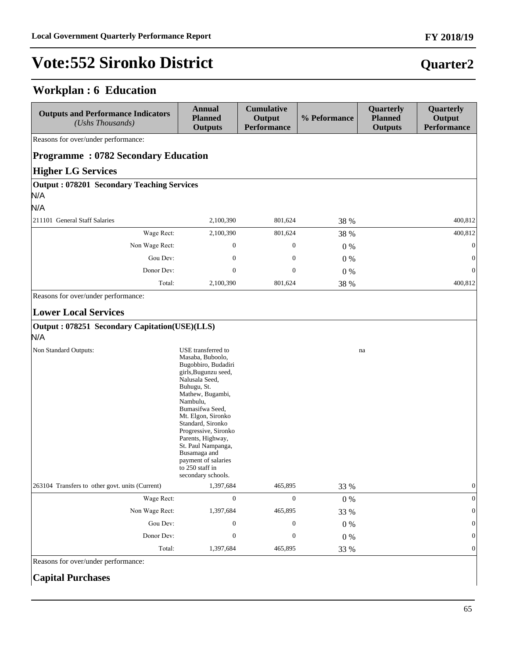### **Workplan : 6 Education**

| <b>Outputs and Performance Indicators</b><br>(Ushs Thousands)                       | <b>Annual</b><br><b>Planned</b><br><b>Outputs</b>                                                                                                                                                                                                                                                                                                                       | <b>Cumulative</b><br>Output<br><b>Performance</b> | % Peformance | Quarterly<br><b>Planned</b><br><b>Outputs</b> | Quarterly<br>Output<br>Performance |
|-------------------------------------------------------------------------------------|-------------------------------------------------------------------------------------------------------------------------------------------------------------------------------------------------------------------------------------------------------------------------------------------------------------------------------------------------------------------------|---------------------------------------------------|--------------|-----------------------------------------------|------------------------------------|
| Reasons for over/under performance:                                                 |                                                                                                                                                                                                                                                                                                                                                                         |                                                   |              |                                               |                                    |
| <b>Programme: 0782 Secondary Education</b>                                          |                                                                                                                                                                                                                                                                                                                                                                         |                                                   |              |                                               |                                    |
| <b>Higher LG Services</b>                                                           |                                                                                                                                                                                                                                                                                                                                                                         |                                                   |              |                                               |                                    |
| Output: 078201 Secondary Teaching Services<br>N/A<br>N/A                            |                                                                                                                                                                                                                                                                                                                                                                         |                                                   |              |                                               |                                    |
| 211101 General Staff Salaries                                                       | 2,100,390                                                                                                                                                                                                                                                                                                                                                               | 801,624                                           | 38 %         |                                               | 400,812                            |
| Wage Rect:                                                                          | 2,100,390                                                                                                                                                                                                                                                                                                                                                               | 801,624                                           | 38 %         |                                               | 400,812                            |
| Non Wage Rect:                                                                      | $\boldsymbol{0}$                                                                                                                                                                                                                                                                                                                                                        | 0                                                 | $0\%$        |                                               | $\boldsymbol{0}$                   |
| Gou Dev:                                                                            | $\mathbf{0}$                                                                                                                                                                                                                                                                                                                                                            | $\mathbf{0}$                                      | $0\ \%$      |                                               | $\boldsymbol{0}$                   |
| Donor Dev:                                                                          | $\boldsymbol{0}$                                                                                                                                                                                                                                                                                                                                                        | $\boldsymbol{0}$                                  | 0%           |                                               | $\boldsymbol{0}$                   |
| Total:<br>Reasons for over/under performance:                                       | 2,100,390                                                                                                                                                                                                                                                                                                                                                               | 801,624                                           | 38 %         |                                               | 400,812                            |
| <b>Lower Local Services</b><br>Output: 078251 Secondary Capitation(USE)(LLS)<br>N/A |                                                                                                                                                                                                                                                                                                                                                                         |                                                   |              |                                               |                                    |
| Non Standard Outputs:                                                               | USE transferred to<br>Masaba, Buboolo,<br>Bugobbiro, Budadiri<br>girls, Bugunzu seed,<br>Nalusala Seed,<br>Buhugu, St.<br>Mathew, Bugambi,<br>Nambulu,<br>Bumasifwa Seed,<br>Mt. Elgon, Sironko<br>Standard, Sironko<br>Progressive, Sironko<br>Parents, Highway,<br>St. Paul Nampanga,<br>Busamaga and<br>payment of salaries<br>to 250 staff in<br>secondary schools. |                                                   |              | na                                            |                                    |
| 263104 Transfers to other govt. units (Current)                                     | 1,397,684                                                                                                                                                                                                                                                                                                                                                               | 465,895                                           | 33 %         |                                               | $\boldsymbol{0}$                   |
| Wage Rect:                                                                          | $\boldsymbol{0}$                                                                                                                                                                                                                                                                                                                                                        | $\boldsymbol{0}$                                  | $0\ \%$      |                                               | $\boldsymbol{0}$                   |
| Non Wage Rect:                                                                      | 1,397,684                                                                                                                                                                                                                                                                                                                                                               | 465,895                                           | 33 %         |                                               | $\boldsymbol{0}$                   |
| Gou Dev:                                                                            | $\boldsymbol{0}$                                                                                                                                                                                                                                                                                                                                                        | $\boldsymbol{0}$                                  | $0\ \%$      |                                               | $\boldsymbol{0}$                   |
| Donor Dev:                                                                          | $\boldsymbol{0}$                                                                                                                                                                                                                                                                                                                                                        | $\boldsymbol{0}$                                  | $0\ \%$      |                                               | $\boldsymbol{0}$                   |
| Total:                                                                              | 1,397,684                                                                                                                                                                                                                                                                                                                                                               | 465,895                                           | 33 %         |                                               | $\boldsymbol{0}$                   |

Reasons for over/under performance:

#### **Capital Purchases**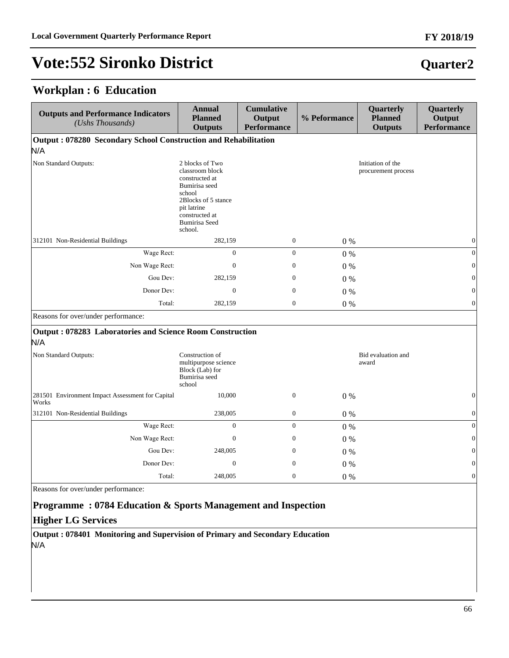#### **Workplan : 6 Education**

| <b>Outputs and Performance Indicators</b><br>(Ushs Thousands)    | <b>Annual</b><br><b>Planned</b><br><b>Outputs</b>                                                                                                                   | <b>Cumulative</b><br>Output<br><b>Performance</b> | % Peformance | Quarterly<br><b>Planned</b><br><b>Outputs</b> | Quarterly<br>Output<br><b>Performance</b> |
|------------------------------------------------------------------|---------------------------------------------------------------------------------------------------------------------------------------------------------------------|---------------------------------------------------|--------------|-----------------------------------------------|-------------------------------------------|
| Output: 078280 Secondary School Construction and Rehabilitation  |                                                                                                                                                                     |                                                   |              |                                               |                                           |
| N/A                                                              |                                                                                                                                                                     |                                                   |              |                                               |                                           |
| Non Standard Outputs:                                            | 2 blocks of Two<br>classroom block<br>constructed at<br>Bumirisa seed<br>school<br>2Blocks of 5 stance<br>pit latrine<br>constructed at<br>Bumirisa Seed<br>school. |                                                   |              | Initiation of the<br>procurement process      |                                           |
| 312101 Non-Residential Buildings                                 | 282,159                                                                                                                                                             | $\mathbf{0}$                                      | $0\%$        |                                               | $\mathbf{0}$                              |
| Wage Rect:                                                       | $\Omega$                                                                                                                                                            | $\Omega$                                          | $0\%$        |                                               | $\vert 0 \vert$                           |
| Non Wage Rect:                                                   | $\mathbf{0}$                                                                                                                                                        | $\overline{0}$                                    | $0\%$        |                                               | 0                                         |
| Gou Dev:                                                         | 282,159                                                                                                                                                             | $\mathbf{0}$                                      | $0\%$        |                                               | 0                                         |
| Donor Dev:                                                       | $\mathbf{0}$                                                                                                                                                        | $\mathbf{0}$                                      | $0\%$        |                                               | $\vert 0 \vert$                           |
| Total:                                                           | 282,159                                                                                                                                                             | $\boldsymbol{0}$                                  | $0\%$        |                                               | $\vert 0 \vert$                           |
| Reasons for over/under performance:                              |                                                                                                                                                                     |                                                   |              |                                               |                                           |
| Output: 078283 Laboratories and Science Room Construction<br>N/A |                                                                                                                                                                     |                                                   |              |                                               |                                           |
| Non Standard Outputs:                                            | Construction of<br>multipurpose science<br>Block (Lab) for<br>Bumirisa seed<br>school                                                                               |                                                   |              | Bid evaluation and<br>award                   |                                           |
| 281501 Environment Impact Assessment for Capital<br>Works        | 10.000                                                                                                                                                              | $\mathbf{0}$                                      | 0%           |                                               | 0                                         |
| 312101 Non-Residential Buildings                                 | 238,005                                                                                                                                                             | $\boldsymbol{0}$                                  | $0\%$        |                                               | 0                                         |
| Wage Rect:                                                       | $\mathbf{0}$                                                                                                                                                        | $\mathbf{0}$                                      | $0\%$        |                                               | $\overline{0}$                            |
| Non Wage Rect:                                                   | $\mathbf{0}$                                                                                                                                                        | $\mathbf{0}$                                      | $0\%$        |                                               | $\vert 0 \vert$                           |
| Gou Dev:                                                         | 248,005                                                                                                                                                             | $\mathbf{0}$                                      | $0\%$        |                                               | $\boldsymbol{0}$                          |
| Donor Dev:                                                       | $\mathbf{0}$                                                                                                                                                        | $\mathbf{0}$                                      | $0\%$        |                                               | $\overline{0}$                            |
| Total:                                                           | 248,005                                                                                                                                                             | $\mathbf{0}$                                      | 0%           |                                               | $\overline{0}$                            |
| Decease for overlunder nextermonser                              |                                                                                                                                                                     |                                                   |              |                                               |                                           |

Reasons for over/under performance:

#### **Programme : 0784 Education & Sports Management and Inspection**

#### **Higher LG Services**

**Output : 078401 Monitoring and Supervision of Primary and Secondary Education** N/A

#### 66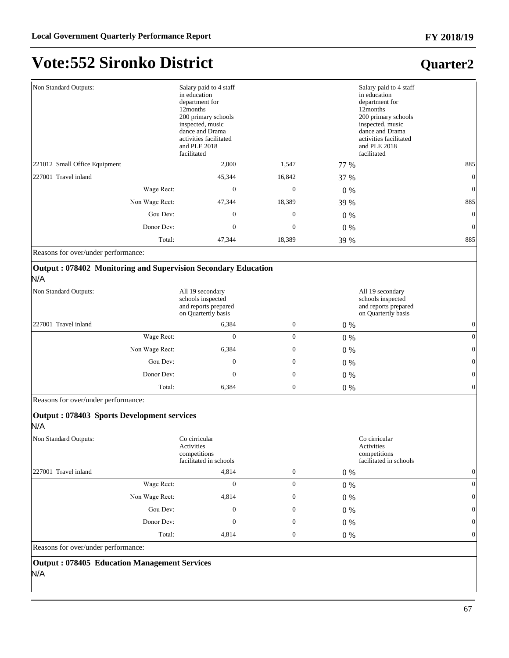**Quarter2**

# **Vote:552 Sironko District**

| Non Standard Outputs:         |                | Salary paid to 4 staff<br>in education<br>department for<br>12 months<br>200 primary schools<br>inspected, music<br>dance and Drama<br>activities facilitated<br>and PLE 2018<br>facilitated |                | Salary paid to 4 staff<br>in education<br>department for<br>12months<br>200 primary schools<br>inspected, music<br>dance and Drama<br>activities facilitated<br>and PLE 2018<br>facilitated |  |              |
|-------------------------------|----------------|----------------------------------------------------------------------------------------------------------------------------------------------------------------------------------------------|----------------|---------------------------------------------------------------------------------------------------------------------------------------------------------------------------------------------|--|--------------|
| 221012 Small Office Equipment |                | 2,000                                                                                                                                                                                        | 1,547          | 77 %                                                                                                                                                                                        |  | 885          |
| 227001 Travel inland          |                | 45,344                                                                                                                                                                                       | 16,842         | 37 %                                                                                                                                                                                        |  | $\theta$     |
|                               | Wage Rect:     | $\Omega$                                                                                                                                                                                     | $\overline{0}$ | 0 %                                                                                                                                                                                         |  | $\theta$     |
|                               | Non Wage Rect: | 47,344                                                                                                                                                                                       | 18,389         | 39 %                                                                                                                                                                                        |  | 885          |
|                               | Gou Dev:       | $\mathbf{0}$                                                                                                                                                                                 | $\mathbf{0}$   | $0\%$                                                                                                                                                                                       |  | $\mathbf{0}$ |
|                               | Donor Dev:     | $\theta$                                                                                                                                                                                     | $\overline{0}$ | 0 %                                                                                                                                                                                         |  | $\mathbf{0}$ |
|                               | Total:         | 47,344                                                                                                                                                                                       | 18,389         | 39 %                                                                                                                                                                                        |  | 885          |

Reasons for over/under performance:

#### **Output : 078402 Monitoring and Supervision Secondary Education**

#### N/A

| Non Standard Outputs: |                | All 19 secondary<br>schools inspected<br>and reports prepared<br>on Quartertly basis | All 19 secondary<br>schools inspected<br>and reports prepared<br>on Quartertly basis |       |                 |  |
|-----------------------|----------------|--------------------------------------------------------------------------------------|--------------------------------------------------------------------------------------|-------|-----------------|--|
| 227001 Travel inland  |                | 6,384                                                                                | $\overline{0}$                                                                       | $0\%$ | $\Omega$        |  |
|                       | Wage Rect:     | $\overline{0}$                                                                       | $\boldsymbol{0}$                                                                     | 0 %   | 0               |  |
|                       | Non Wage Rect: | 6,384                                                                                | $\overline{0}$                                                                       | 0 %   | $\vert 0 \vert$ |  |
|                       | Gou Dev:       | 0                                                                                    | $\overline{0}$                                                                       | 0 %   | $\vert 0 \vert$ |  |
|                       | Donor Dev:     | 0                                                                                    | $\boldsymbol{0}$                                                                     | 0 %   | 0               |  |
|                       | Total:         | 6,384                                                                                | $\overline{0}$                                                                       | $0\%$ | $\vert 0 \vert$ |  |

Reasons for over/under performance:

| Output: 078403 Sports Development services<br>N/A   |                                                                       |              |       |                                                                       |                 |
|-----------------------------------------------------|-----------------------------------------------------------------------|--------------|-------|-----------------------------------------------------------------------|-----------------|
| Non Standard Outputs:                               | Co cirricular<br>Activities<br>competitions<br>facilitated in schools |              |       | Co cirricular<br>Activities<br>competitions<br>facilitated in schools |                 |
| 227001 Travel inland                                | 4,814                                                                 | $\mathbf{0}$ | $0\%$ |                                                                       | $\vert 0 \vert$ |
| Wage Rect:                                          | $\mathbf{0}$                                                          | $\mathbf{0}$ | $0\%$ |                                                                       | $\vert 0 \vert$ |
| Non Wage Rect:                                      | 4,814                                                                 | $\mathbf{0}$ | $0\%$ |                                                                       | $\vert 0 \vert$ |
| Gou Dev:                                            | $\mathbf{0}$                                                          | $\mathbf{0}$ | $0\%$ |                                                                       | $\vert 0 \vert$ |
| Donor Dev:                                          | $\mathbf{0}$                                                          | $\mathbf{0}$ | $0\%$ |                                                                       | $\vert 0 \vert$ |
| Total:                                              | 4,814                                                                 | $\mathbf{0}$ | $0\%$ |                                                                       | $\vert 0 \vert$ |
| $\mathbf{D}$ $\mathbf{C}$ $\mathbf{I}$ $\mathbf{C}$ |                                                                       |              |       |                                                                       |                 |

Reasons for over/under performance:

**Output : 078405 Education Management Services** N/A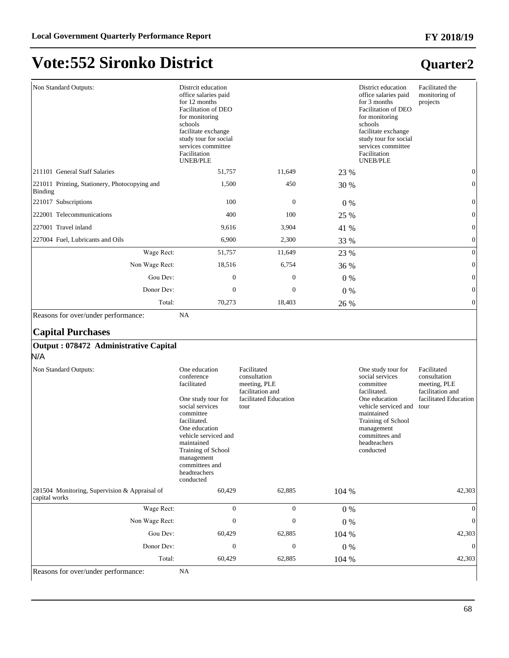# **Vote:552 Sironko District**

#### Non Standard Outputs: Distrcit education office salaries paid for 12 months Facilitation of DEO for monitoring schools facilitate exchange study tour for social services committee Facilitation UNEB/PLE District education office salaries paid for 3 months Facilitation of DEO for monitoring schools facilitate exchange study tour for social services committee Facilitation UNEB/PLE Facilitated the monitoring of projects 211101 General Staff Salaries 51,757 11,649 23 % 0 221011 Printing, Stationery, Photocopying and Binding  $1,500$   $450$   $30\%$  0 221017 Subscriptions 100 0 0 % 0 222001 Telecommunications 400 100 25 % 0 227001 Travel inland 9,616 3,904 41 % 0 227004 Fuel, Lubricants and Oils 6,900 2,300 33 % 0 Wage Rect: 51,757 11,649 23 % 0 Non Wage Rect: 18,516 6,754 36 % 0 \*RX'HY 0 0 0 % 0 Donor Dev:  $0 \t 0 \t 0 \t 0 \t 0$ Total: 70,273 18,403 26 % 0

Reasons for over/under performance: NA

#### **Capital Purchases**

#### **Output : 078472 Administrative Capital** N/A

| Non Standard Outputs:                                          | One education<br>conference<br>facilitated<br>One study tour for<br>social services<br>committee<br>facilitated.<br>One education<br>vehicle serviced and<br>maintained<br>Training of School<br>management<br>committees and<br>headteachers<br>conducted | Facilitated<br>consultation<br>meeting, PLE<br>facilitation and<br>facilitated Education<br>tour |       | One study tour for<br>social services<br>committee<br>facilitated.<br>One education<br>vehicle serviced and<br>maintained<br>Training of School<br>management<br>committees and<br>headteachers<br>conducted | Facilitated<br>consultation<br>meeting, PLE<br>facilitation and<br>facilitated Education<br>tour |
|----------------------------------------------------------------|------------------------------------------------------------------------------------------------------------------------------------------------------------------------------------------------------------------------------------------------------------|--------------------------------------------------------------------------------------------------|-------|--------------------------------------------------------------------------------------------------------------------------------------------------------------------------------------------------------------|--------------------------------------------------------------------------------------------------|
| 281504 Monitoring, Supervision & Appraisal of<br>capital works | 60,429                                                                                                                                                                                                                                                     | 62,885                                                                                           | 104 % |                                                                                                                                                                                                              | 42,303                                                                                           |
| Wage Rect:                                                     | $\mathbf{0}$                                                                                                                                                                                                                                               | $\mathbf{0}$                                                                                     | $0\%$ |                                                                                                                                                                                                              | $\Omega$                                                                                         |
| Non Wage Rect:                                                 | $\boldsymbol{0}$                                                                                                                                                                                                                                           | $\mathbf{0}$                                                                                     | $0\%$ |                                                                                                                                                                                                              | $\mathbf{0}$                                                                                     |
| Gou Dev:                                                       | 60,429                                                                                                                                                                                                                                                     | 62,885                                                                                           | 104 % |                                                                                                                                                                                                              | 42,303                                                                                           |
| Donor Dev:                                                     | $\boldsymbol{0}$                                                                                                                                                                                                                                           | $\mathbf{0}$                                                                                     | $0\%$ |                                                                                                                                                                                                              | $\Omega$                                                                                         |
| Total:                                                         | 60,429                                                                                                                                                                                                                                                     | 62,885                                                                                           | 104 % |                                                                                                                                                                                                              | 42,303                                                                                           |
| Reasons for over/under performance:                            | NA                                                                                                                                                                                                                                                         |                                                                                                  |       |                                                                                                                                                                                                              |                                                                                                  |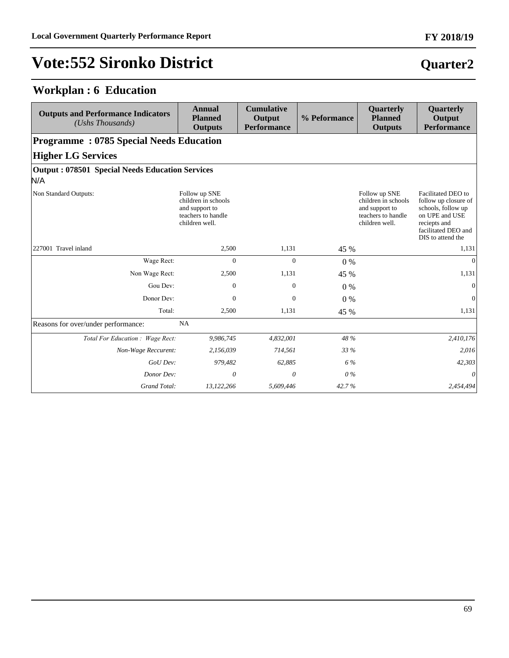### **Workplan : 6 Education**

| <b>Outputs and Performance Indicators</b><br>(Ushs Thousands) | <b>Annual</b><br><b>Planned</b><br><b>Outputs</b>                                              | <b>Cumulative</b><br>Output<br><b>Performance</b> | % Peformance | Quarterly<br><b>Planned</b><br><b>Outputs</b>                                                  | Quarterly<br>Output<br><b>Performance</b>                                                                                                      |
|---------------------------------------------------------------|------------------------------------------------------------------------------------------------|---------------------------------------------------|--------------|------------------------------------------------------------------------------------------------|------------------------------------------------------------------------------------------------------------------------------------------------|
| <b>Programme: 0785 Special Needs Education</b>                |                                                                                                |                                                   |              |                                                                                                |                                                                                                                                                |
| <b>Higher LG Services</b>                                     |                                                                                                |                                                   |              |                                                                                                |                                                                                                                                                |
| <b>Output: 078501 Special Needs Education Services</b><br>N/A |                                                                                                |                                                   |              |                                                                                                |                                                                                                                                                |
| Non Standard Outputs:                                         | Follow up SNE<br>children in schools<br>and support to<br>teachers to handle<br>children well. |                                                   |              | Follow up SNE<br>children in schools<br>and support to<br>teachers to handle<br>children well. | Facilitated DEO to<br>follow up closure of<br>schools, follow up<br>on UPE and USE<br>reciepts and<br>facilitated DEO and<br>DIS to attend the |
| 227001 Travel inland                                          | 2,500                                                                                          | 1,131                                             | 45 %         |                                                                                                | 1,131                                                                                                                                          |
| Wage Rect:                                                    | $\Omega$                                                                                       | $\Omega$                                          | $0\%$        |                                                                                                | $\vert$ 0                                                                                                                                      |
| Non Wage Rect:                                                | 2,500                                                                                          | 1,131                                             | 45 %         |                                                                                                | 1,131                                                                                                                                          |
| Gou Dev:                                                      | $\overline{0}$                                                                                 | $\overline{0}$                                    | $0\%$        |                                                                                                | $\vert 0 \vert$                                                                                                                                |
| Donor Dev:                                                    | $\Omega$                                                                                       | $\Omega$                                          | $0\%$        |                                                                                                | $\vert 0 \vert$                                                                                                                                |
| Total:                                                        | 2,500                                                                                          | 1,131                                             | 45 %         |                                                                                                | 1,131                                                                                                                                          |
| Reasons for over/under performance:                           | <b>NA</b>                                                                                      |                                                   |              |                                                                                                |                                                                                                                                                |
| Total For Education : Wage Rect:                              | 9,986,745                                                                                      | 4,832,001                                         | 48 %         |                                                                                                | 2,410,176                                                                                                                                      |
| Non-Wage Reccurent:                                           | 2,156,039                                                                                      | 714,561                                           | 33 %         |                                                                                                | 2,016                                                                                                                                          |
| GoU Dev:                                                      | 979,482                                                                                        | 62,885                                            | 6 %          |                                                                                                | 42,303                                                                                                                                         |
| Donor Dev:                                                    | 0                                                                                              | 0                                                 | $0\%$        |                                                                                                | $\theta$                                                                                                                                       |
| Grand Total:                                                  | 13,122,266                                                                                     | 5,609,446                                         | 42.7%        |                                                                                                | 2,454,494                                                                                                                                      |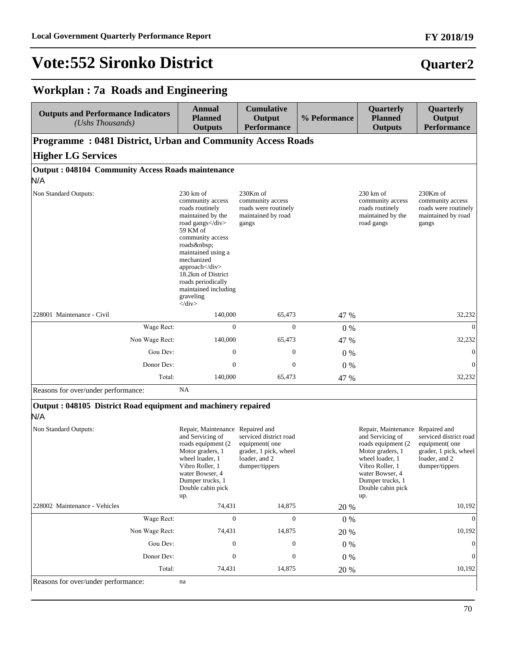#### **FY 2018/19**

### **Quarter2**

### **Workplan : 7a Roads and Engineering**

| <b>Outputs and Performance Indicators</b><br>(Ushs Thousands)     | <b>Annual</b><br><b>Planned</b><br><b>Outputs</b>                                                                                                                                                                                                                                         | <b>Cumulative</b><br>Output<br><b>Performance</b>                                                   | % Peformance | Quarterly<br><b>Planned</b><br><b>Outputs</b>                                                                                                                                                            | Quarterly<br>Output<br><b>Performance</b>                                                           |
|-------------------------------------------------------------------|-------------------------------------------------------------------------------------------------------------------------------------------------------------------------------------------------------------------------------------------------------------------------------------------|-----------------------------------------------------------------------------------------------------|--------------|----------------------------------------------------------------------------------------------------------------------------------------------------------------------------------------------------------|-----------------------------------------------------------------------------------------------------|
| <b>Programme: 0481 District, Urban and Community Access Roads</b> |                                                                                                                                                                                                                                                                                           |                                                                                                     |              |                                                                                                                                                                                                          |                                                                                                     |
| <b>Higher LG Services</b>                                         |                                                                                                                                                                                                                                                                                           |                                                                                                     |              |                                                                                                                                                                                                          |                                                                                                     |
| <b>Output: 048104 Community Access Roads maintenance</b><br>N/A   |                                                                                                                                                                                                                                                                                           |                                                                                                     |              |                                                                                                                                                                                                          |                                                                                                     |
| Non Standard Outputs:                                             | $230 \text{ km of}$<br>community access<br>roads routinely<br>maintained by the<br>road gangs<br>59 KM of<br>community access<br>roads<br>maintained using a<br>mechanized<br>approach<br>18.2km of District<br>roads periodically<br>maintained including<br>graveling<br>$\langle$ div> | 230Km of<br>community access<br>roads were routinely<br>maintained by road<br>gangs                 |              | $230 \text{ km of}$<br>community access<br>roads routinely<br>maintained by the<br>road gangs                                                                                                            | 230Km of<br>community access<br>roads were routinely<br>maintained by road<br>gangs                 |
| 228001 Maintenance - Civil                                        | 140,000                                                                                                                                                                                                                                                                                   | 65,473                                                                                              | 47 %         |                                                                                                                                                                                                          | 32,232                                                                                              |
| Wage Rect:                                                        | $\Omega$                                                                                                                                                                                                                                                                                  | $\Omega$                                                                                            | $0\%$        |                                                                                                                                                                                                          | $\Omega$                                                                                            |
| Non Wage Rect:                                                    | 140,000                                                                                                                                                                                                                                                                                   | 65,473                                                                                              | 47 %         |                                                                                                                                                                                                          | 32,232                                                                                              |
| Gou Dev:                                                          | $\mathbf{0}$                                                                                                                                                                                                                                                                              | $\boldsymbol{0}$                                                                                    | $0\%$        |                                                                                                                                                                                                          | $\mathbf{0}$                                                                                        |
| Donor Dev:                                                        | $\mathbf{0}$                                                                                                                                                                                                                                                                              | $\theta$                                                                                            | 0%           |                                                                                                                                                                                                          | $\boldsymbol{0}$                                                                                    |
| Total:                                                            | 140,000                                                                                                                                                                                                                                                                                   | 65,473                                                                                              | 47 %         |                                                                                                                                                                                                          | 32,232                                                                                              |
| Reasons for over/under performance:                               | NA                                                                                                                                                                                                                                                                                        |                                                                                                     |              |                                                                                                                                                                                                          |                                                                                                     |
| Output: 048105 District Road equipment and machinery repaired     |                                                                                                                                                                                                                                                                                           |                                                                                                     |              |                                                                                                                                                                                                          |                                                                                                     |
| N/A<br>Non Standard Outputs:                                      | Repair, Maintenance Repaired and<br>and Servicing of<br>roads equipment (2)<br>Motor graders, 1<br>wheel loader, 1<br>Vibro Roller, 1<br>water Bowser, 4<br>Dumper trucks, 1<br>Double cabin pick<br>up.                                                                                  | serviced district road<br>equipment(one<br>grader, 1 pick, wheel<br>loader, and 2<br>dumper/tippers |              | Repair, Maintenance Repaired and<br>and Servicing of<br>roads equipment (2)<br>Motor graders, 1<br>wheel loader, 1<br>Vibro Roller, 1<br>water Bowser, 4<br>Dumper trucks, 1<br>Double cabin pick<br>up. | serviced district road<br>equipment(one<br>grader, 1 pick, wheel<br>loader, and 2<br>dumper/tippers |
| 228002 Maintenance - Vehicles                                     | 74,431                                                                                                                                                                                                                                                                                    | 14,875                                                                                              | 20 %         |                                                                                                                                                                                                          | 10,192                                                                                              |
| Wage Rect:                                                        | $\boldsymbol{0}$                                                                                                                                                                                                                                                                          | $\mathbf{0}$                                                                                        | $0\%$        |                                                                                                                                                                                                          | $\overline{0}$                                                                                      |
| Non Wage Rect:                                                    | 74,431                                                                                                                                                                                                                                                                                    | 14,875                                                                                              | 20 %         |                                                                                                                                                                                                          | 10,192                                                                                              |
| Gou Dev:                                                          | $\boldsymbol{0}$                                                                                                                                                                                                                                                                          | $\boldsymbol{0}$                                                                                    | $0\ \%$      |                                                                                                                                                                                                          | $\boldsymbol{0}$                                                                                    |
| Donor Dev:                                                        | $\boldsymbol{0}$                                                                                                                                                                                                                                                                          | $\boldsymbol{0}$                                                                                    | $0\ \%$      |                                                                                                                                                                                                          | $\mathbf{0}$                                                                                        |
| Total:                                                            | 74,431                                                                                                                                                                                                                                                                                    | 14,875                                                                                              | 20 %         |                                                                                                                                                                                                          | 10,192                                                                                              |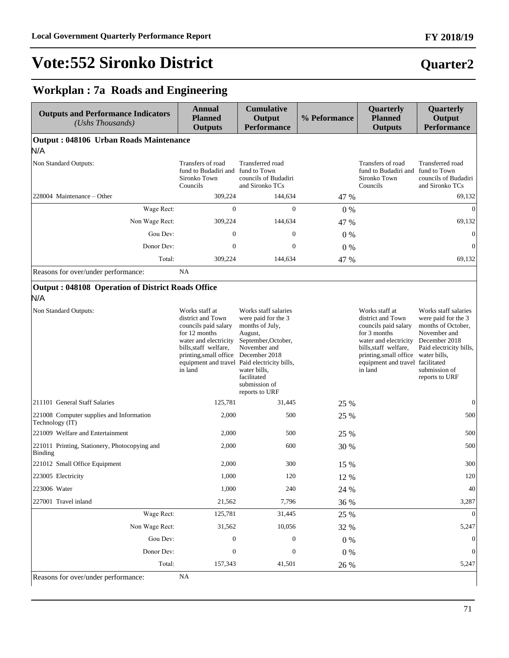### **Quarter2**

### **Workplan : 7a Roads and Engineering**

|                                                                 | <b>Outputs</b>                                                                                                                                                                                                      | Output<br><b>Performance</b>                                                                                                                                                                        | % Peformance | <b>Planned</b><br><b>Outputs</b>                                                                                                                                                                                    | Output<br><b>Performance</b>                                                                                                                                     |  |  |  |
|-----------------------------------------------------------------|---------------------------------------------------------------------------------------------------------------------------------------------------------------------------------------------------------------------|-----------------------------------------------------------------------------------------------------------------------------------------------------------------------------------------------------|--------------|---------------------------------------------------------------------------------------------------------------------------------------------------------------------------------------------------------------------|------------------------------------------------------------------------------------------------------------------------------------------------------------------|--|--|--|
| <b>Output: 048106 Urban Roads Maintenance</b>                   |                                                                                                                                                                                                                     |                                                                                                                                                                                                     |              |                                                                                                                                                                                                                     |                                                                                                                                                                  |  |  |  |
| N/A                                                             |                                                                                                                                                                                                                     |                                                                                                                                                                                                     |              |                                                                                                                                                                                                                     |                                                                                                                                                                  |  |  |  |
| Non Standard Outputs:                                           | Transfers of road<br>fund to Budadiri and<br>Sironko Town<br>Councils                                                                                                                                               | Transferred road<br>fund to Town<br>councils of Budadiri<br>and Sironko TCs                                                                                                                         |              | Transfers of road<br>fund to Budadiri and<br>Sironko Town<br>Councils                                                                                                                                               | Transferred road<br>fund to Town<br>councils of Budadiri<br>and Sironko TCs                                                                                      |  |  |  |
| 228004 Maintenance – Other                                      | 309,224                                                                                                                                                                                                             | 144,634                                                                                                                                                                                             | 47 %         |                                                                                                                                                                                                                     | 69,132                                                                                                                                                           |  |  |  |
| Wage Rect:                                                      | $\overline{0}$                                                                                                                                                                                                      | $\mathbf{0}$                                                                                                                                                                                        | 0 %          |                                                                                                                                                                                                                     | $\Omega$                                                                                                                                                         |  |  |  |
| Non Wage Rect:                                                  | 309,224                                                                                                                                                                                                             | 144,634                                                                                                                                                                                             | 47 %         |                                                                                                                                                                                                                     | 69,132                                                                                                                                                           |  |  |  |
| Gou Dev:                                                        | $\overline{0}$                                                                                                                                                                                                      | $\mathbf{0}$                                                                                                                                                                                        | $0\%$        |                                                                                                                                                                                                                     | $\overline{0}$                                                                                                                                                   |  |  |  |
| Donor Dev:                                                      | $\overline{0}$                                                                                                                                                                                                      | $\mathbf{0}$                                                                                                                                                                                        | $0\%$        |                                                                                                                                                                                                                     | $\mathbf{0}$                                                                                                                                                     |  |  |  |
| Total:                                                          | 309,224                                                                                                                                                                                                             | 144,634                                                                                                                                                                                             | 47 %         |                                                                                                                                                                                                                     | 69,132                                                                                                                                                           |  |  |  |
| Reasons for over/under performance:                             | NA                                                                                                                                                                                                                  |                                                                                                                                                                                                     |              |                                                                                                                                                                                                                     |                                                                                                                                                                  |  |  |  |
| <b>Output: 048108 Operation of District Roads Office</b><br>N/A |                                                                                                                                                                                                                     |                                                                                                                                                                                                     |              |                                                                                                                                                                                                                     |                                                                                                                                                                  |  |  |  |
| Non Standard Outputs:                                           | Works staff at<br>district and Town<br>councils paid salary<br>for 12 months<br>water and electricity<br>bills, staff welfare,<br>printing, small office<br>equipment and travel Paid electricity bills,<br>in land | Works staff salaries<br>were paid for the 3<br>months of July,<br>August,<br>September, October,<br>November and<br>December 2018<br>water bills,<br>facilitated<br>submission of<br>reports to URF |              | Works staff at<br>district and Town<br>councils paid salary<br>for 3 months<br>water and electricity<br>bills, staff welfare,<br>printing, small office water bills,<br>equipment and travel facilitated<br>in land | Works staff salaries<br>were paid for the 3<br>months of October,<br>November and<br>December 2018<br>Paid electricity bills,<br>submission of<br>reports to URF |  |  |  |
| 211101 General Staff Salaries                                   | 125,781                                                                                                                                                                                                             | 31,445                                                                                                                                                                                              | 25 %         |                                                                                                                                                                                                                     | $\theta$                                                                                                                                                         |  |  |  |
| 221008 Computer supplies and Information<br>Technology (IT)     | 2,000                                                                                                                                                                                                               | 500                                                                                                                                                                                                 | 25 %         |                                                                                                                                                                                                                     | 500                                                                                                                                                              |  |  |  |
| 221009 Welfare and Entertainment                                | 2,000                                                                                                                                                                                                               | 500                                                                                                                                                                                                 | 25 %         |                                                                                                                                                                                                                     | 500                                                                                                                                                              |  |  |  |
| 221011 Printing, Stationery, Photocopying and<br>Binding        | 2,000                                                                                                                                                                                                               | 600                                                                                                                                                                                                 | 30 %         |                                                                                                                                                                                                                     | 500                                                                                                                                                              |  |  |  |
| 221012 Small Office Equipment                                   | 2,000                                                                                                                                                                                                               | 300                                                                                                                                                                                                 | 15 %         |                                                                                                                                                                                                                     | 300                                                                                                                                                              |  |  |  |
| 223005 Electricity                                              | 1,000                                                                                                                                                                                                               | $120\,$                                                                                                                                                                                             | 12 %         |                                                                                                                                                                                                                     | 120                                                                                                                                                              |  |  |  |
| 223006 Water                                                    | 1,000                                                                                                                                                                                                               | 240                                                                                                                                                                                                 | 24 %         |                                                                                                                                                                                                                     | 40                                                                                                                                                               |  |  |  |
| 227001 Travel inland                                            | 21,562                                                                                                                                                                                                              | 7,796                                                                                                                                                                                               | 36 %         |                                                                                                                                                                                                                     | 3,287                                                                                                                                                            |  |  |  |
| Wage Rect:                                                      | 125,781                                                                                                                                                                                                             | 31,445                                                                                                                                                                                              | 25 %         |                                                                                                                                                                                                                     | $\overline{0}$                                                                                                                                                   |  |  |  |
| Non Wage Rect:                                                  | 31,562                                                                                                                                                                                                              | 10,056                                                                                                                                                                                              | 32 %         |                                                                                                                                                                                                                     | 5,247                                                                                                                                                            |  |  |  |
| Gou Dev:                                                        | $\boldsymbol{0}$                                                                                                                                                                                                    | $\boldsymbol{0}$                                                                                                                                                                                    | $0\ \%$      |                                                                                                                                                                                                                     | $\boldsymbol{0}$                                                                                                                                                 |  |  |  |
| Donor Dev:                                                      | $\boldsymbol{0}$                                                                                                                                                                                                    | $\boldsymbol{0}$                                                                                                                                                                                    | $0\ \%$      |                                                                                                                                                                                                                     | $\overline{0}$                                                                                                                                                   |  |  |  |
| Total:                                                          | 157,343                                                                                                                                                                                                             | 41,501                                                                                                                                                                                              | 26 %         |                                                                                                                                                                                                                     | 5,247                                                                                                                                                            |  |  |  |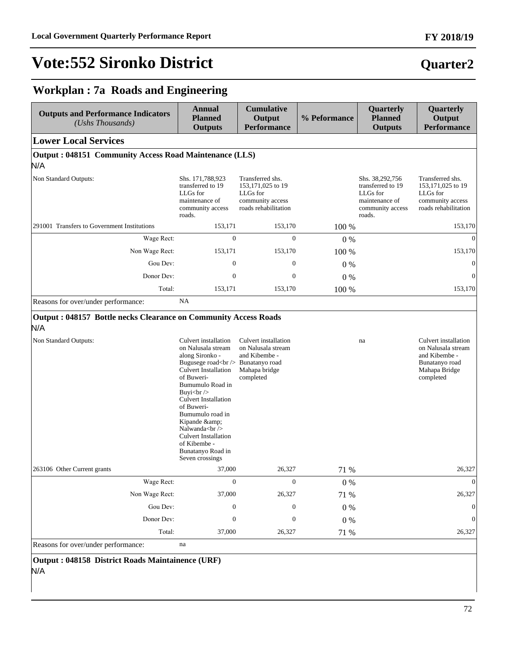### **Quarter2**

#### **Workplan : 7a Roads and Engineering**

| <b>Outputs and Performance Indicators</b><br>(Ushs Thousands)                 | <b>Annual</b><br><b>Planned</b><br><b>Outputs</b>                                                                                                 | <b>Cumulative</b><br>Output<br><b>Performance</b>                                             | % Peformance | Quarterly<br><b>Planned</b><br><b>Outputs</b>                                                    | Quarterly<br>Output<br>Performance                                                                          |
|-------------------------------------------------------------------------------|---------------------------------------------------------------------------------------------------------------------------------------------------|-----------------------------------------------------------------------------------------------|--------------|--------------------------------------------------------------------------------------------------|-------------------------------------------------------------------------------------------------------------|
| <b>Lower Local Services</b>                                                   |                                                                                                                                                   |                                                                                               |              |                                                                                                  |                                                                                                             |
| <b>Output: 048151 Community Access Road Maintenance (LLS)</b><br>N/A          |                                                                                                                                                   |                                                                                               |              |                                                                                                  |                                                                                                             |
| Non Standard Outputs:                                                         | Shs. 171,788,923<br>transferred to 19<br>LLGs for<br>maintenance of<br>community access<br>roads.                                                 | Transferred shs.<br>153,171,025 to 19<br>LLGs for<br>community access<br>roads rehabilitation |              | Shs. 38,292,756<br>transferred to 19<br>LLGs for<br>maintenance of<br>community access<br>roads. | Transferred shs.<br>153,171,025 to 19<br>LLGs for<br>community access<br>roads rehabilitation               |
| 291001 Transfers to Government Institutions                                   | 153,171                                                                                                                                           | 153,170                                                                                       | 100 %        |                                                                                                  | 153,170                                                                                                     |
| Wage Rect:                                                                    | $\mathbf{0}$                                                                                                                                      | $\mathbf{0}$                                                                                  | $0\%$        |                                                                                                  | $\Omega$                                                                                                    |
| Non Wage Rect:                                                                | 153,171                                                                                                                                           | 153,170                                                                                       | 100 %        |                                                                                                  | 153,170                                                                                                     |
| Gou Dev:                                                                      | $\boldsymbol{0}$                                                                                                                                  | $\boldsymbol{0}$                                                                              | $0\%$        |                                                                                                  | $\boldsymbol{0}$                                                                                            |
| Donor Dev:                                                                    | $\mathbf{0}$                                                                                                                                      | $\mathbf{0}$                                                                                  | $0\%$        |                                                                                                  | $\boldsymbol{0}$                                                                                            |
| Total:                                                                        | 153,171                                                                                                                                           | 153,170                                                                                       | 100 %        |                                                                                                  | 153,170                                                                                                     |
| Reasons for over/under performance:                                           | NA                                                                                                                                                |                                                                                               |              |                                                                                                  |                                                                                                             |
| <b>Output: 048157 Bottle necks Clearance on Community Access Roads</b><br>N/A |                                                                                                                                                   |                                                                                               |              |                                                                                                  |                                                                                                             |
| Non Standard Outputs:                                                         | Culvert installation<br>on Nalusala stream<br>along Sironko -<br>Bugusege road<br>Bunatanyo road<br><b>Culvert Installation</b><br>of Buweri-<br> | Culvert installation<br>on Nalusala stream<br>and Kibembe -<br>Mahapa bridge<br>completed     |              | na                                                                                               | Culvert installation<br>on Nalusala stream<br>and Kibembe -<br>Bunatanyo road<br>Mahapa Bridge<br>completed |
| 263106 Other Current grants                                                   | 37,000                                                                                                                                            | 26,327                                                                                        | 71 %         |                                                                                                  | 26,327                                                                                                      |
| Wage Rect:                                                                    | $\boldsymbol{0}$                                                                                                                                  | $\boldsymbol{0}$                                                                              | $0\%$        |                                                                                                  | $\boldsymbol{0}$                                                                                            |
| Non Wage Rect:                                                                | 37,000                                                                                                                                            | 26,327                                                                                        | 71 %         |                                                                                                  | 26,327                                                                                                      |
| Gou Dev:                                                                      | $\boldsymbol{0}$                                                                                                                                  | $\boldsymbol{0}$                                                                              | $0\ \%$      |                                                                                                  | $\boldsymbol{0}$                                                                                            |
| Donor Dev:                                                                    | $\boldsymbol{0}$                                                                                                                                  | $\boldsymbol{0}$                                                                              | $0\ \%$      |                                                                                                  | $\boldsymbol{0}$                                                                                            |
| Total:                                                                        | 37,000                                                                                                                                            | 26,327                                                                                        | 71 %         |                                                                                                  | 26,327                                                                                                      |
| Reasons for over/under performance:                                           | na                                                                                                                                                |                                                                                               |              |                                                                                                  |                                                                                                             |

**Output : 048158 District Roads Maintainence (URF)**

N/A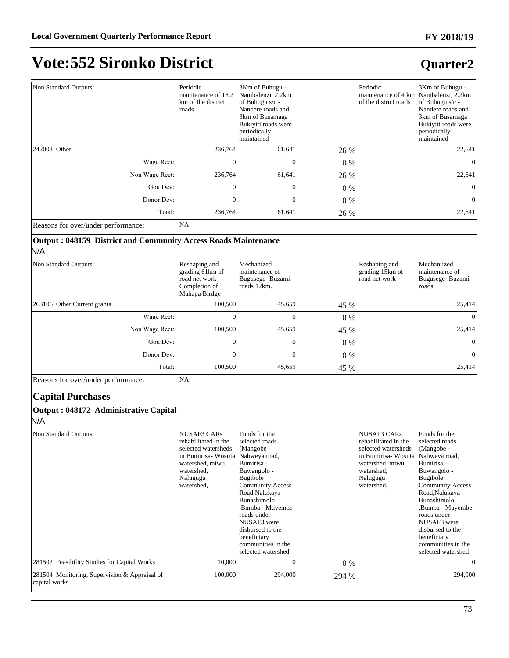### **Quarter2**

**FY 2018/19**

| Non Standard Outputs: | Periodic<br>maintenance of 18.2<br>km of the district<br>roads | 3Km of Buhugu -<br>Nambalenzi, 2.2km<br>of Buhugu s/c -<br>Nandere roads and<br>3km of Busamaga<br>Bukiyiti roads were<br>periodically<br>maintained |       | Periodic<br>maintenance of 4 km Nambalenzi, 2.2km<br>of the district roads | 3Km of Buhugu -<br>of Buhugu s/c -<br>Nandere roads and<br>3km of Busamaga<br>Bukiyiti roads were<br>periodically<br>maintained |
|-----------------------|----------------------------------------------------------------|------------------------------------------------------------------------------------------------------------------------------------------------------|-------|----------------------------------------------------------------------------|---------------------------------------------------------------------------------------------------------------------------------|
| 242003 Other          | 236,764                                                        | 61,641                                                                                                                                               | 26 %  |                                                                            | 22,641                                                                                                                          |
| Wage Rect:            | $\mathbf{0}$                                                   | $\overline{0}$                                                                                                                                       | $0\%$ |                                                                            | $\mathbf{0}$                                                                                                                    |
| Non Wage Rect:        | 236,764                                                        | 61,641                                                                                                                                               | 26 %  |                                                                            | 22,641                                                                                                                          |
| Gou Dev:              | $\mathbf{0}$                                                   | $\mathbf{0}$                                                                                                                                         | $0\%$ |                                                                            | $\theta$                                                                                                                        |
| Donor Dev:            | 0                                                              | $\boldsymbol{0}$                                                                                                                                     | $0\%$ |                                                                            | $\mathbf{0}$                                                                                                                    |
| Total:                | 236,764                                                        | 61,641                                                                                                                                               | 26 %  |                                                                            | 22,641                                                                                                                          |

Reasons for over/under performance: NA

#### **Output : 048159 District and Community Access Roads Maintenance** N/A

| Non Standard Outputs:       | Reshaping and<br>grading 61km of<br>road net work<br>Completion of<br>Mahapa Birdge | Mechanized<br>maintenance of<br>Bugusege-Buzami<br>roads 12km. |       | Reshaping and<br>grading 15km of<br>road net work | Mechaniized<br>maintenance of<br>Bugusege-Buzami<br>roads |
|-----------------------------|-------------------------------------------------------------------------------------|----------------------------------------------------------------|-------|---------------------------------------------------|-----------------------------------------------------------|
| 263106 Other Current grants | 100,500                                                                             | 45,659                                                         | 45 %  |                                                   | 25,414                                                    |
| Wage Rect:                  | 0                                                                                   | $\overline{0}$                                                 | $0\%$ |                                                   | $\overline{0}$                                            |
| Non Wage Rect:              | 100,500                                                                             | 45,659                                                         | 45 %  |                                                   | 25,414                                                    |
| Gou Dev:                    | $\theta$                                                                            | $\mathbf{0}$                                                   | $0\%$ |                                                   | $\mathbf{0}$                                              |
| Donor Dev:                  | 0                                                                                   | $\mathbf{0}$                                                   | $0\%$ |                                                   | $\overline{0}$                                            |
| Total:                      | 100,500                                                                             | 45,659                                                         | 45 %  |                                                   | 25,414                                                    |

Reasons for over/under performance: NA

#### **Capital Purchases**

#### **Output : 048172 Administrative Capital**

N/A

| Non Standard Outputs:                                          | <b>NUSAF3 CARs</b><br>rehabilitated in the<br>selected watersheds<br>in Bumirisa-Wosiita<br>watershed, miwu<br>watershed,<br>Nalugugu<br>watershed, | Funds for the<br>selected roads<br>(Mangobe -<br>Nabweya road,<br>Bumirisa -<br>Buwangolo -<br><b>Bugibole</b><br><b>Community Access</b><br>Road, Nalukaya -<br>Bunashimolo<br>Bumba - Muyembe<br>roads under<br>NUSAF3 were<br>disbursed to the<br>beneficiary<br>communities in the |       | NUSAF3 CARs<br>rehabilitated in the<br>selected watersheds<br>in Bumirisa- Wosiita Nabweya road,<br>watershed, miwu<br>watershed,<br>Nalugugu<br>watershed, | Funds for the<br>selected roads<br>(Mangobe -<br>Bumirisa -<br>Buwangolo -<br><b>Bugibole</b><br><b>Community Access</b><br>Road, Nalukaya -<br>Bunashimolo<br>,Bumba - Muyembe<br>roads under<br>NUSAF3 were<br>disbursed to the<br>beneficiary<br>communities in the |
|----------------------------------------------------------------|-----------------------------------------------------------------------------------------------------------------------------------------------------|----------------------------------------------------------------------------------------------------------------------------------------------------------------------------------------------------------------------------------------------------------------------------------------|-------|-------------------------------------------------------------------------------------------------------------------------------------------------------------|------------------------------------------------------------------------------------------------------------------------------------------------------------------------------------------------------------------------------------------------------------------------|
|                                                                |                                                                                                                                                     | selected watershed                                                                                                                                                                                                                                                                     |       |                                                                                                                                                             | selected watershed                                                                                                                                                                                                                                                     |
| 281502 Feasibility Studies for Capital Works                   | 10,000                                                                                                                                              | $\boldsymbol{0}$                                                                                                                                                                                                                                                                       | $0\%$ |                                                                                                                                                             | 0                                                                                                                                                                                                                                                                      |
| 281504 Monitoring, Supervision & Appraisal of<br>capital works | 100,000                                                                                                                                             | 294,000                                                                                                                                                                                                                                                                                | 294 % |                                                                                                                                                             | 294,000                                                                                                                                                                                                                                                                |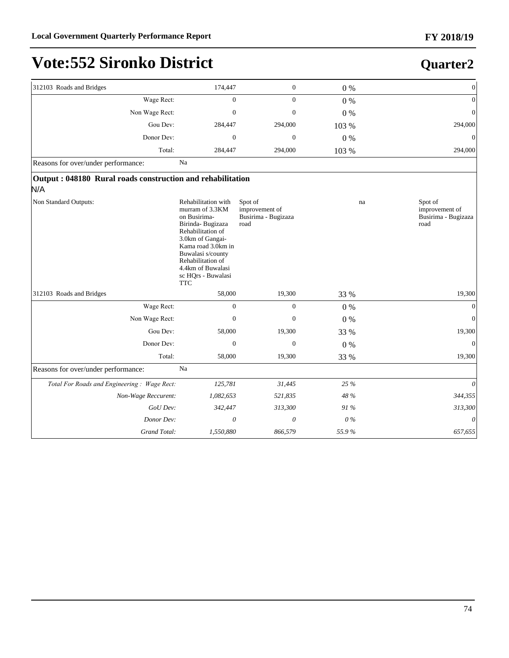**Quarter2**

## **Vote:552 Sironko District**

| 312103 Roads and Bridges                                          | 174,447                                                                                                                                                                                                                                      | $\boldsymbol{0}$                                         | 0%    | $\mathbf{0}$                                                   |
|-------------------------------------------------------------------|----------------------------------------------------------------------------------------------------------------------------------------------------------------------------------------------------------------------------------------------|----------------------------------------------------------|-------|----------------------------------------------------------------|
| Wage Rect:                                                        | $\overline{0}$                                                                                                                                                                                                                               | $\Omega$                                                 | $0\%$ | $\mathbf{0}$                                                   |
| Non Wage Rect:                                                    | $\boldsymbol{0}$                                                                                                                                                                                                                             | $\boldsymbol{0}$                                         | $0\%$ | $\boldsymbol{0}$                                               |
| Gou Dev:                                                          | 284,447                                                                                                                                                                                                                                      | 294,000                                                  | 103 % | 294,000                                                        |
| Donor Dev:                                                        | $\boldsymbol{0}$                                                                                                                                                                                                                             | $\boldsymbol{0}$                                         | 0%    | $\boldsymbol{0}$                                               |
| Total:                                                            | 284,447                                                                                                                                                                                                                                      | 294,000                                                  | 103 % | 294,000                                                        |
| Reasons for over/under performance:                               | Na                                                                                                                                                                                                                                           |                                                          |       |                                                                |
| Output: 048180 Rural roads construction and rehabilitation<br>N/A |                                                                                                                                                                                                                                              |                                                          |       |                                                                |
| Non Standard Outputs:                                             | Rehabilitation with<br>murram of 3.3KM<br>on Busirima-<br>Birinda-Bugizaza<br>Rehabilitation of<br>3.0km of Gangai-<br>Kama road 3.0km in<br>Buwalasi s/county<br>Rehabilitation of<br>4.4km of Buwalasi<br>sc HQrs - Buwalasi<br><b>TTC</b> | Spot of<br>improvement of<br>Busirima - Bugizaza<br>road |       | Spot of<br>na<br>improvement of<br>Busirima - Bugizaza<br>road |
| 312103 Roads and Bridges                                          | 58,000                                                                                                                                                                                                                                       | 19,300                                                   | 33 %  | 19,300                                                         |
| Wage Rect:                                                        | $\overline{0}$                                                                                                                                                                                                                               | $\overline{0}$                                           | $0\%$ | $\mathbf{0}$                                                   |
| Non Wage Rect:                                                    | $\boldsymbol{0}$                                                                                                                                                                                                                             | $\mathbf{0}$                                             | $0\%$ | $\mathbf{0}$                                                   |
| Gou Dev:                                                          | 58,000                                                                                                                                                                                                                                       | 19,300                                                   | 33 %  | 19,300                                                         |
| Donor Dev:                                                        | $\overline{0}$                                                                                                                                                                                                                               | $\boldsymbol{0}$                                         | $0\%$ | $\mathbf{0}$                                                   |
| Total:                                                            | 58,000                                                                                                                                                                                                                                       | 19,300                                                   | 33 %  | 19,300                                                         |
| Reasons for over/under performance:                               | $\rm Na$                                                                                                                                                                                                                                     |                                                          |       |                                                                |
| Total For Roads and Engineering: Wage Rect:                       | 125,781                                                                                                                                                                                                                                      | 31,445                                                   | 25 %  | $\theta$                                                       |
| Non-Wage Reccurent:                                               | 1,082,653                                                                                                                                                                                                                                    | 521,835                                                  | 48 %  | 344,355                                                        |
| GoU Dev:                                                          | 342,447                                                                                                                                                                                                                                      | 313,300                                                  | 91 %  | 313,300                                                        |
| Donor Dev:                                                        | 0                                                                                                                                                                                                                                            | 0                                                        | $0\%$ | $\theta$                                                       |
| Grand Total:                                                      | 1,550,880                                                                                                                                                                                                                                    | 866,579                                                  | 55.9% | 657,655                                                        |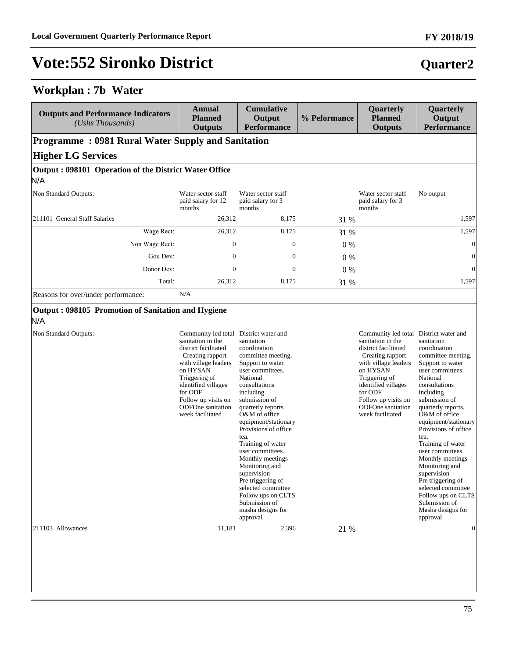#### **Workplan : 7b Water**

| <b>Outputs and Performance Indicators</b><br>(Ushs Thousands) | <b>Annual</b><br><b>Planned</b><br><b>Outputs</b>                                                                                                                                                                                                                     | <b>Cumulative</b><br>Output<br><b>Performance</b>                                                                                                                                                                                                                     | % Peformance | Quarterly<br><b>Planned</b><br><b>Outputs</b>                                                                                                                                                                                                                         | Quarterly<br>Output<br><b>Performance</b>                                                                                                                                                                                                                             |
|---------------------------------------------------------------|-----------------------------------------------------------------------------------------------------------------------------------------------------------------------------------------------------------------------------------------------------------------------|-----------------------------------------------------------------------------------------------------------------------------------------------------------------------------------------------------------------------------------------------------------------------|--------------|-----------------------------------------------------------------------------------------------------------------------------------------------------------------------------------------------------------------------------------------------------------------------|-----------------------------------------------------------------------------------------------------------------------------------------------------------------------------------------------------------------------------------------------------------------------|
| <b>Programme: 0981 Rural Water Supply and Sanitation</b>      |                                                                                                                                                                                                                                                                       |                                                                                                                                                                                                                                                                       |              |                                                                                                                                                                                                                                                                       |                                                                                                                                                                                                                                                                       |
| <b>Higher LG Services</b>                                     |                                                                                                                                                                                                                                                                       |                                                                                                                                                                                                                                                                       |              |                                                                                                                                                                                                                                                                       |                                                                                                                                                                                                                                                                       |
| Output: 098101 Operation of the District Water Office<br>N/A  |                                                                                                                                                                                                                                                                       |                                                                                                                                                                                                                                                                       |              |                                                                                                                                                                                                                                                                       |                                                                                                                                                                                                                                                                       |
| Non Standard Outputs:                                         | Water sector staff<br>paid salary for 12<br>months                                                                                                                                                                                                                    | Water sector staff<br>paid salary for 3<br>months                                                                                                                                                                                                                     |              | Water sector staff<br>paid salary for 3<br>months                                                                                                                                                                                                                     | No output                                                                                                                                                                                                                                                             |
| 211101 General Staff Salaries                                 | 26,312                                                                                                                                                                                                                                                                | 8,175                                                                                                                                                                                                                                                                 | 31 %         |                                                                                                                                                                                                                                                                       | 1,597                                                                                                                                                                                                                                                                 |
| Wage Rect:                                                    | 26,312                                                                                                                                                                                                                                                                | 8,175                                                                                                                                                                                                                                                                 | 31 %         |                                                                                                                                                                                                                                                                       | 1,597                                                                                                                                                                                                                                                                 |
| Non Wage Rect:                                                | $\theta$                                                                                                                                                                                                                                                              | $\theta$                                                                                                                                                                                                                                                              | $0\%$        |                                                                                                                                                                                                                                                                       | $\boldsymbol{0}$                                                                                                                                                                                                                                                      |
| Gou Dev:                                                      | $\theta$                                                                                                                                                                                                                                                              | $\theta$                                                                                                                                                                                                                                                              | $0\%$        |                                                                                                                                                                                                                                                                       | 0                                                                                                                                                                                                                                                                     |
| Donor Dev:                                                    | $\theta$                                                                                                                                                                                                                                                              | $\mathbf{0}$                                                                                                                                                                                                                                                          | $0\%$        |                                                                                                                                                                                                                                                                       | $\vert 0 \vert$                                                                                                                                                                                                                                                       |
| Total:<br>Reasons for over/under performance:                 | 26,312                                                                                                                                                                                                                                                                | 8,175                                                                                                                                                                                                                                                                 | 31 %         |                                                                                                                                                                                                                                                                       | 1,597                                                                                                                                                                                                                                                                 |
| N/A<br>Non Standard Outputs:                                  | Community led total District water and<br>sanitation in the<br>district facilitated<br>Creating rapport<br>with village leaders<br>on HYSAN<br>Triggering of<br>identified villages<br>for ODF<br>Follow up visits on<br><b>ODFOne</b> sanitation<br>week facilitated | sanitation<br>coordination<br>committee meeting.<br>Support to water<br>user committees.<br>National<br>consultations<br>including<br>submission of<br>quarterly reports.<br>O&M of office                                                                            |              | Community led total District water and<br>sanitation in the<br>district facilitated<br>Creating rapport<br>with village leaders<br>on HYSAN<br>Triggering of<br>identified villages<br>for ODF<br>Follow up visits on<br><b>ODFOne</b> sanitation<br>week facilitated | sanitation<br>coordination<br>committee meeting.<br>Support to water<br>user committees.<br>National<br>consultations<br>including<br>submission of<br>quarterly reports.<br>O&M of office                                                                            |
|                                                               |                                                                                                                                                                                                                                                                       | equipment/stationary<br>Provisions of office<br>tea.<br>Training of water<br>user committees.<br>Monthly meetings<br>Monitoring and<br>supervision<br>Pre triggering of<br>selected committee<br>Follow ups on CLTS<br>Submission of<br>masha designs for<br>approval |              |                                                                                                                                                                                                                                                                       | equipment/stationary<br>Provisions of office<br>tea.<br>Training of water<br>user committees.<br>Monthly meetings<br>Monitoring and<br>supervision<br>Pre triggering of<br>selected committee<br>Follow ups on CLTS<br>Submission of<br>Masha designs for<br>approval |
| 211103 Allowances                                             | 11,181                                                                                                                                                                                                                                                                | 2,396                                                                                                                                                                                                                                                                 | 21 %         |                                                                                                                                                                                                                                                                       | $\overline{0}$                                                                                                                                                                                                                                                        |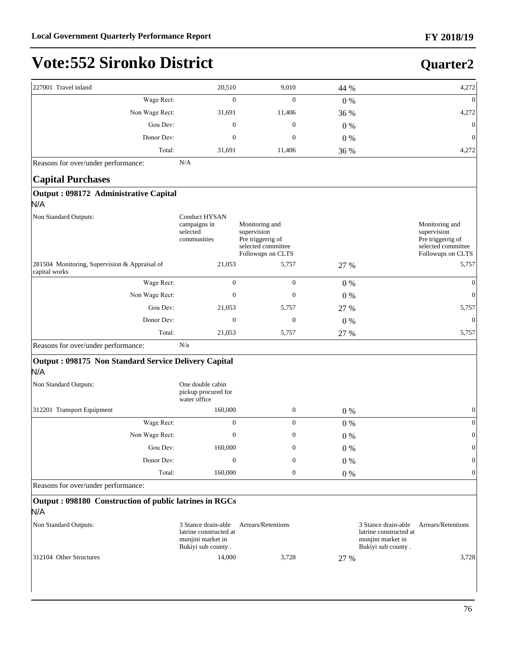N/A

N/A

| <b>Vote:552 Sironko District</b>                                   |                                                                 |                                                                                               |         | Quarter2                                                                                      |
|--------------------------------------------------------------------|-----------------------------------------------------------------|-----------------------------------------------------------------------------------------------|---------|-----------------------------------------------------------------------------------------------|
| 227001 Travel inland                                               | 20,510                                                          | 9,010                                                                                         | 44 %    | 4,272                                                                                         |
| Wage Rect:                                                         | $\boldsymbol{0}$                                                | $\overline{0}$                                                                                | $0\%$   | $\boldsymbol{0}$                                                                              |
| Non Wage Rect:                                                     | 31,691                                                          | 11,406                                                                                        | 36 %    | 4,272                                                                                         |
| Gou Dev:                                                           | $\Omega$                                                        | 0                                                                                             | $0\%$   | $\boldsymbol{0}$                                                                              |
| Donor Dev:                                                         | $\mathbf{0}$                                                    | $\mathbf{0}$                                                                                  | $0\%$   | $\mathbf{0}$                                                                                  |
| Total:                                                             | 31,691                                                          | 11,406                                                                                        | 36 %    | 4,272                                                                                         |
| Reasons for over/under performance:                                | N/A                                                             |                                                                                               |         |                                                                                               |
| <b>Capital Purchases</b>                                           |                                                                 |                                                                                               |         |                                                                                               |
| Output: 098172 Administrative Capital<br>N/A                       |                                                                 |                                                                                               |         |                                                                                               |
| Non Standard Outputs:                                              | <b>Conduct HYSAN</b><br>campaigns in<br>selected<br>communities | Monitoring and<br>supervision<br>Pre triggerrig of<br>selected committee<br>Followups on CLTS |         | Monitoring and<br>supervision<br>Pre triggerrig of<br>selected committee<br>Followups on CLTS |
| 281504 Monitoring, Supervision & Appraisal of<br>capital works     | 21,053                                                          | 5,757                                                                                         | 27 %    | 5,757                                                                                         |
| Wage Rect:                                                         | $\overline{0}$                                                  | $\overline{0}$                                                                                | $0\%$   | $\theta$                                                                                      |
| Non Wage Rect:                                                     | $\mathbf{0}$                                                    | $\mathbf{0}$                                                                                  | 0%      | $\mathbf{0}$                                                                                  |
| Gou Dev:                                                           | 21,053                                                          | 5,757                                                                                         | 27 %    | 5,757                                                                                         |
| Donor Dev:                                                         | $\mathbf{0}$                                                    | $\mathbf{0}$                                                                                  | 0%      | $\mathbf{0}$                                                                                  |
| Total:                                                             | 21,053                                                          | 5,757                                                                                         | 27 %    | 5,757                                                                                         |
| Reasons for over/under performance:                                | N/a                                                             |                                                                                               |         |                                                                                               |
| <b>Output: 098175 Non Standard Service Delivery Capital</b><br>N/A |                                                                 |                                                                                               |         |                                                                                               |
| Non Standard Outputs:                                              | One double cabin<br>pickup procured for<br>water office         |                                                                                               |         |                                                                                               |
| 312201 Transport Equipment                                         | 160,000                                                         | $\boldsymbol{0}$                                                                              | $0\%$   | $\boldsymbol{0}$                                                                              |
| Wage Rect:                                                         | $\mathbf{0}$                                                    | $\boldsymbol{0}$                                                                              | $0\%$   | $\overline{0}$                                                                                |
| Non Wage Rect:                                                     | $\boldsymbol{0}$                                                | $\boldsymbol{0}$                                                                              | $0\ \%$ | 0                                                                                             |
| Gou Dev:                                                           | 160,000                                                         | 0                                                                                             | $0\%$   | $\mathbf{0}$                                                                                  |
| Donor Dev:                                                         | $\boldsymbol{0}$                                                | 0                                                                                             | $0\ \%$ | $\mathbf{0}$                                                                                  |
| Total:                                                             | 160,000                                                         | $\boldsymbol{0}$                                                                              | $0\%$   | $\mathbf{0}$                                                                                  |
| Reasons for over/under performance:                                |                                                                 |                                                                                               |         |                                                                                               |

| Non Standard Outputs:   | 3 Stance drain-able    | Arrears/Retentions | 3 Stance drain-able    | Arrears/Retentions |
|-------------------------|------------------------|--------------------|------------------------|--------------------|
|                         | latrine constructed at |                    | latrine constructed at |                    |
|                         | munjini market in      |                    | munjini market in      |                    |
|                         | Bukiyi sub county.     |                    | Bukiyi sub county.     |                    |
| 312104 Other Structures | 14.000                 | 3.728              | 27 %                   | 3.728              |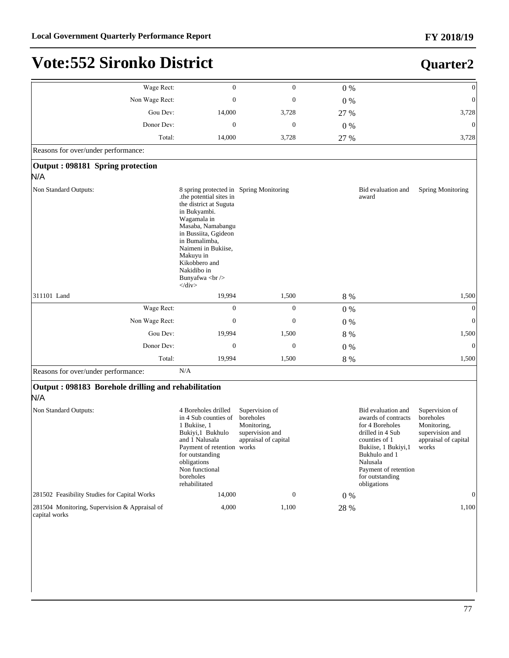| Wage Rect:                                                     | $\boldsymbol{0}$                                                                                                                                                                                                                                                                                                   | $\boldsymbol{0}$                                                                      | $0\%$ |                                                                                                                                                                                                                  | $\boldsymbol{0}$                                                                               |
|----------------------------------------------------------------|--------------------------------------------------------------------------------------------------------------------------------------------------------------------------------------------------------------------------------------------------------------------------------------------------------------------|---------------------------------------------------------------------------------------|-------|------------------------------------------------------------------------------------------------------------------------------------------------------------------------------------------------------------------|------------------------------------------------------------------------------------------------|
| Non Wage Rect:                                                 | $\mathbf{0}$                                                                                                                                                                                                                                                                                                       | $\mathbf{0}$                                                                          | $0\%$ |                                                                                                                                                                                                                  | $\vert 0 \vert$                                                                                |
| Gou Dev:                                                       | 14,000                                                                                                                                                                                                                                                                                                             | 3,728                                                                                 | 27 %  |                                                                                                                                                                                                                  | 3,728                                                                                          |
| Donor Dev:                                                     | $\boldsymbol{0}$                                                                                                                                                                                                                                                                                                   | $\boldsymbol{0}$                                                                      | $0\%$ |                                                                                                                                                                                                                  | $\vert 0 \vert$                                                                                |
| Total:                                                         | 14,000                                                                                                                                                                                                                                                                                                             | 3,728                                                                                 | 27 %  |                                                                                                                                                                                                                  | 3,728                                                                                          |
| Reasons for over/under performance:                            |                                                                                                                                                                                                                                                                                                                    |                                                                                       |       |                                                                                                                                                                                                                  |                                                                                                |
| Output: 098181 Spring protection<br>N/A                        |                                                                                                                                                                                                                                                                                                                    |                                                                                       |       |                                                                                                                                                                                                                  |                                                                                                |
| Non Standard Outputs:                                          | 8 spring protected in Spring Monitoring<br>.the potential sites in<br>the district at Suguta<br>in Bukyambi.<br>Wagamala in<br>Masaba, Namabangu<br>in Bussiita, Ggideon<br>in Bumalimba,<br>Naimeni in Bukiise,<br>Makuyu in<br>Kikobbero and<br>Nakidibo in<br>Bunyafwa $\langle$ br $\rangle$<br>$\langle$ div> |                                                                                       |       | Bid evaluation and<br>award                                                                                                                                                                                      | <b>Spring Monitoring</b>                                                                       |
| 311101 Land                                                    | 19,994                                                                                                                                                                                                                                                                                                             | 1,500                                                                                 | 8 %   |                                                                                                                                                                                                                  | 1,500                                                                                          |
| Wage Rect:                                                     | $\overline{0}$                                                                                                                                                                                                                                                                                                     | $\overline{0}$                                                                        | $0\%$ |                                                                                                                                                                                                                  | $\vert 0 \vert$                                                                                |
| Non Wage Rect:                                                 | $\boldsymbol{0}$                                                                                                                                                                                                                                                                                                   | 0                                                                                     | $0\%$ |                                                                                                                                                                                                                  | $\vert 0 \vert$                                                                                |
| Gou Dev:                                                       | 19,994                                                                                                                                                                                                                                                                                                             | 1,500                                                                                 | 8 %   |                                                                                                                                                                                                                  | 1,500                                                                                          |
| Donor Dev:                                                     | $\boldsymbol{0}$                                                                                                                                                                                                                                                                                                   | $\boldsymbol{0}$                                                                      | $0\%$ |                                                                                                                                                                                                                  | $\vert 0 \vert$                                                                                |
| Total:                                                         | 19,994                                                                                                                                                                                                                                                                                                             | 1,500                                                                                 | 8 %   |                                                                                                                                                                                                                  | 1,500                                                                                          |
| Reasons for over/under performance:                            | $\rm N/A$                                                                                                                                                                                                                                                                                                          |                                                                                       |       |                                                                                                                                                                                                                  |                                                                                                |
| Output: 098183 Borehole drilling and rehabilitation<br>N/A     |                                                                                                                                                                                                                                                                                                                    |                                                                                       |       |                                                                                                                                                                                                                  |                                                                                                |
| Non Standard Outputs:                                          | 4 Boreholes drilled<br>in 4 Sub counties of<br>1 Bukiise, 1<br>Bukiyi,1 Bukhulo<br>and 1 Nalusala<br>Payment of retention works<br>for outstanding<br>obligations<br>Non functional<br>boreholes<br>rehabilitated                                                                                                  | Supervision of<br>boreholes<br>Monitoring,<br>supervision and<br>appraisal of capital |       | Bid evaluation and<br>awards of contracts<br>for 4 Boreholes<br>drilled in 4 Sub<br>counties of 1<br>Bukiise, 1 Bukiyi, 1<br>Bukhulo and 1<br>Nalusala<br>Payment of retention<br>for outstanding<br>obligations | Supervision of<br>boreholes<br>Monitoring,<br>supervision and<br>appraisal of capital<br>works |
| 281502 Feasibility Studies for Capital Works                   | 14,000                                                                                                                                                                                                                                                                                                             | $\boldsymbol{0}$                                                                      | $0\%$ |                                                                                                                                                                                                                  | $\vert 0 \vert$                                                                                |
| 281504 Monitoring, Supervision & Appraisal of<br>capital works | 4,000                                                                                                                                                                                                                                                                                                              | 1,100                                                                                 | 28 %  |                                                                                                                                                                                                                  | 1,100                                                                                          |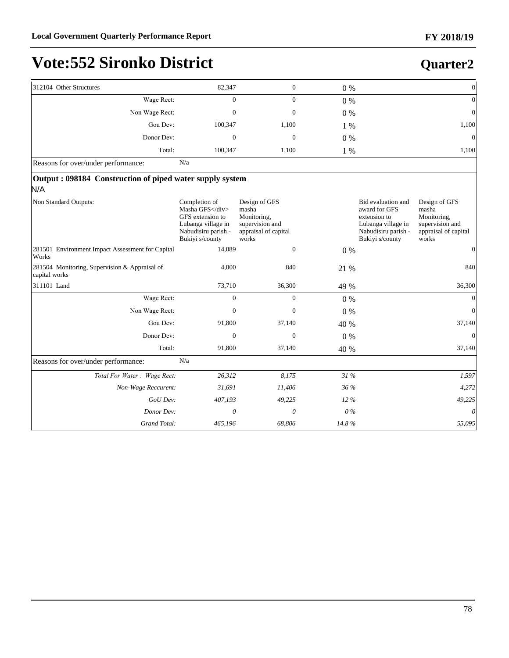**Quarter2**

## **Vote:552 Sironko District**

| 312104 Other Structures                                         | 82,347                                                                                                         | $\boldsymbol{0}$                                                                          | $0\%$    |                                                                                                                     | $\mathbf{0}$                                                                              |
|-----------------------------------------------------------------|----------------------------------------------------------------------------------------------------------------|-------------------------------------------------------------------------------------------|----------|---------------------------------------------------------------------------------------------------------------------|-------------------------------------------------------------------------------------------|
| Wage Rect:                                                      | $\overline{0}$                                                                                                 | $\overline{0}$                                                                            | 0%       |                                                                                                                     | $\overline{0}$                                                                            |
| Non Wage Rect:                                                  | 0                                                                                                              | $\boldsymbol{0}$                                                                          | $0\%$    |                                                                                                                     | $\mathbf{0}$                                                                              |
| Gou Dev:                                                        | 100,347                                                                                                        | 1,100                                                                                     | 1 %      |                                                                                                                     | 1,100                                                                                     |
| Donor Dev:                                                      | $\overline{0}$                                                                                                 | $\mathbf{0}$                                                                              | $0\%$    |                                                                                                                     | $\mathbf{0}$                                                                              |
| Total:                                                          | 100,347                                                                                                        | 1,100                                                                                     | 1 %      |                                                                                                                     | 1,100                                                                                     |
| Reasons for over/under performance:                             | N/a                                                                                                            |                                                                                           |          |                                                                                                                     |                                                                                           |
| Output: 098184 Construction of piped water supply system<br>N/A |                                                                                                                |                                                                                           |          |                                                                                                                     |                                                                                           |
| Non Standard Outputs:                                           | Completion of<br>Masha GFS<br>GFS extension to<br>Lubanga village in<br>Nabudisiru parish -<br>Bukiyi s/county | Design of GFS<br>masha<br>Monitoring,<br>supervision and<br>appraisal of capital<br>works |          | Bid evaluation and<br>award for GFS<br>extension to<br>Lubanga village in<br>Nabudisiru parish -<br>Bukiyi s/county | Design of GFS<br>masha<br>Monitoring,<br>supervision and<br>appraisal of capital<br>works |
| 281501 Environment Impact Assessment for Capital<br>Works       | 14,089                                                                                                         | $\boldsymbol{0}$                                                                          | $0\%$    |                                                                                                                     | $\theta$                                                                                  |
| 281504 Monitoring, Supervision & Appraisal of<br>capital works  | 4,000                                                                                                          | 840                                                                                       | 21 %     |                                                                                                                     | 840                                                                                       |
| 311101 Land                                                     | 73,710                                                                                                         | 36,300                                                                                    | 49 %     |                                                                                                                     | 36,300                                                                                    |
| Wage Rect:                                                      | $\overline{0}$                                                                                                 | $\mathbf{0}$                                                                              | $0\%$    |                                                                                                                     | $\overline{0}$                                                                            |
| Non Wage Rect:                                                  | $\boldsymbol{0}$                                                                                               | $\boldsymbol{0}$                                                                          | $0\%$    |                                                                                                                     | $\mathbf{0}$                                                                              |
| Gou Dev:                                                        | 91,800                                                                                                         | 37,140                                                                                    | 40 %     |                                                                                                                     | 37,140                                                                                    |
| Donor Dev:                                                      | $\theta$                                                                                                       | $\mathbf{0}$                                                                              | $0\%$    |                                                                                                                     | $\Omega$                                                                                  |
| Total:                                                          | 91,800                                                                                                         | 37,140                                                                                    | 40 %     |                                                                                                                     | 37,140                                                                                    |
| Reasons for over/under performance:                             | N/a                                                                                                            |                                                                                           |          |                                                                                                                     |                                                                                           |
| Total For Water: Wage Rect:                                     | 26,312                                                                                                         | 8,175                                                                                     | $31\,\%$ |                                                                                                                     | 1,597                                                                                     |
| Non-Wage Reccurent:                                             | 31,691                                                                                                         | 11,406                                                                                    | 36 %     |                                                                                                                     | 4,272                                                                                     |
| GoU Dev:                                                        | 407,193                                                                                                        | 49,225                                                                                    | 12 %     |                                                                                                                     | 49,225                                                                                    |
| Donor Dev:                                                      | $\theta$                                                                                                       | $\theta$                                                                                  | 0%       |                                                                                                                     | $\theta$                                                                                  |
| Grand Total:                                                    | 465,196                                                                                                        | 68,806                                                                                    | 14.8%    |                                                                                                                     | 55,095                                                                                    |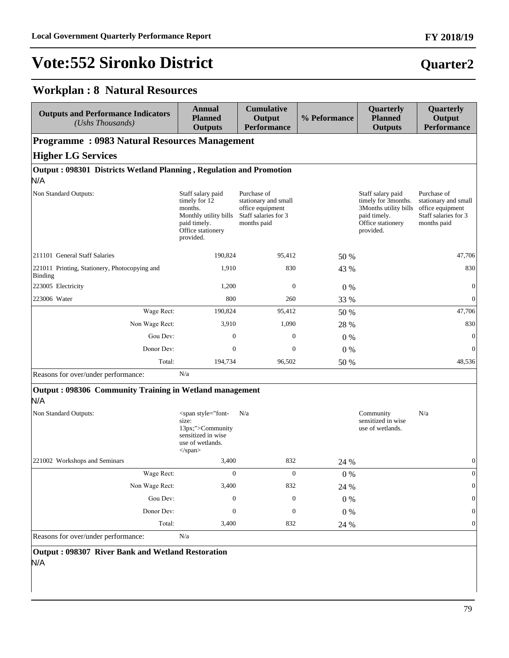#### **FY 2018/19**

#### **Quarter2**

#### **Workplan : 8 Natural Resources**

| <b>Outputs and Performance Indicators</b><br>(Ushs Thousands)              | <b>Annual</b><br><b>Planned</b><br><b>Outputs</b>                                                                                                               | <b>Cumulative</b><br>Output<br><b>Performance</b>                                              | % Peformance | Quarterly<br><b>Planned</b><br><b>Outputs</b>                                                                       | Quarterly<br>Output<br><b>Performance</b>                                                      |  |  |  |
|----------------------------------------------------------------------------|-----------------------------------------------------------------------------------------------------------------------------------------------------------------|------------------------------------------------------------------------------------------------|--------------|---------------------------------------------------------------------------------------------------------------------|------------------------------------------------------------------------------------------------|--|--|--|
| <b>Programme: 0983 Natural Resources Management</b>                        |                                                                                                                                                                 |                                                                                                |              |                                                                                                                     |                                                                                                |  |  |  |
| <b>Higher LG Services</b>                                                  |                                                                                                                                                                 |                                                                                                |              |                                                                                                                     |                                                                                                |  |  |  |
| Output: 098301 Districts Wetland Planning, Regulation and Promotion<br>N/A |                                                                                                                                                                 |                                                                                                |              |                                                                                                                     |                                                                                                |  |  |  |
| Non Standard Outputs:                                                      | Staff salary paid<br>timely for 12<br>months.<br>Monthly utility bills<br>paid timely.<br>Office stationery<br>provided.                                        | Purchase of<br>stationary and small<br>office equipment<br>Staff salaries for 3<br>months paid |              | Staff salary paid<br>timely for 3months.<br>3Months utility bills<br>paid timely.<br>Office stationery<br>provided. | Purchase of<br>stationary and small<br>office equipment<br>Staff salaries for 3<br>months paid |  |  |  |
| 211101 General Staff Salaries                                              | 190,824                                                                                                                                                         | 95,412                                                                                         | 50 %         |                                                                                                                     | 47,706                                                                                         |  |  |  |
| 221011 Printing, Stationery, Photocopying and<br><b>Binding</b>            | 1,910                                                                                                                                                           | 830                                                                                            | 43 %         |                                                                                                                     | 830                                                                                            |  |  |  |
| 223005 Electricity                                                         | 1,200                                                                                                                                                           | $\mathbf{0}$                                                                                   | $0\%$        |                                                                                                                     | $\mathbf{0}$                                                                                   |  |  |  |
| 223006 Water                                                               | 800                                                                                                                                                             | 260                                                                                            | 33 %         |                                                                                                                     | $\boldsymbol{0}$                                                                               |  |  |  |
| Wage Rect:                                                                 | 190,824                                                                                                                                                         | 95,412                                                                                         | 50 %         |                                                                                                                     | 47,706                                                                                         |  |  |  |
| Non Wage Rect:                                                             | 3,910                                                                                                                                                           | 1,090                                                                                          | 28 %         |                                                                                                                     | 830                                                                                            |  |  |  |
| Gou Dev:                                                                   | $\Omega$                                                                                                                                                        | 0                                                                                              | $0\%$        |                                                                                                                     | $\boldsymbol{0}$                                                                               |  |  |  |
| Donor Dev:                                                                 | $\boldsymbol{0}$                                                                                                                                                | $\boldsymbol{0}$                                                                               | $0\%$        |                                                                                                                     | $\boldsymbol{0}$                                                                               |  |  |  |
| Total:                                                                     | 194,734                                                                                                                                                         | 96,502                                                                                         | 50 %         |                                                                                                                     | 48,536                                                                                         |  |  |  |
| Reasons for over/under performance:                                        | N/a                                                                                                                                                             |                                                                                                |              |                                                                                                                     |                                                                                                |  |  |  |
| Output: 098306 Community Training in Wetland management<br>N/A             |                                                                                                                                                                 |                                                                                                |              |                                                                                                                     |                                                                                                |  |  |  |
| Non Standard Outputs:                                                      | <span style="font-&lt;br&gt;size:&lt;br&gt;13px;">Community<br/>sensitized in wise<br/>use of wetlands.<br/><math>\langle</math>span<math>\rangle</math></span> | N/a                                                                                            |              | Community<br>sensitized in wise<br>use of wetlands.                                                                 | N/a                                                                                            |  |  |  |
| 221002 Workshops and Seminars                                              | 3,400                                                                                                                                                           | 832                                                                                            | 24 %         |                                                                                                                     | $\boldsymbol{0}$                                                                               |  |  |  |
| Wage Rect:                                                                 | $\boldsymbol{0}$                                                                                                                                                | $\boldsymbol{0}$                                                                               | $0\ \%$      |                                                                                                                     |                                                                                                |  |  |  |
| Non Wage Rect:                                                             | 3,400                                                                                                                                                           | 832                                                                                            | 24 %         |                                                                                                                     | $\boldsymbol{0}$                                                                               |  |  |  |
| Gou Dev:                                                                   | 0                                                                                                                                                               | $\boldsymbol{0}$                                                                               | $0\ \%$      |                                                                                                                     | $\overline{0}$                                                                                 |  |  |  |
| Donor Dev:                                                                 | 0                                                                                                                                                               | $\boldsymbol{0}$                                                                               | $0\%$        |                                                                                                                     | 0                                                                                              |  |  |  |
| Total:                                                                     | 3,400                                                                                                                                                           | 832                                                                                            | 24 %         |                                                                                                                     | $\boldsymbol{0}$                                                                               |  |  |  |
| Reasons for over/under performance:                                        | N/a                                                                                                                                                             |                                                                                                |              |                                                                                                                     |                                                                                                |  |  |  |

**Output : 098307 River Bank and Wetland Restoration**  N/A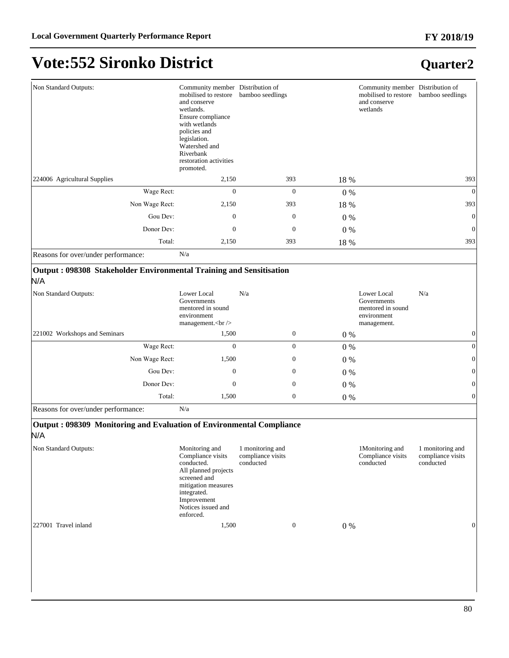#### **Quarter2**

| Non Standard Outputs:                                                       | Community member Distribution of<br>mobilised to restore bamboo seedlings<br>and conserve<br>wetlands.<br>Ensure compliance<br>with wetlands<br>policies and<br>legislation.<br>Watershed and<br>Riverbank<br>restoration activities<br>promoted. |                                                    |       | Community member Distribution of<br>mobilised to restore bamboo seedlings<br>and conserve<br>wetlands |                                                    |
|-----------------------------------------------------------------------------|---------------------------------------------------------------------------------------------------------------------------------------------------------------------------------------------------------------------------------------------------|----------------------------------------------------|-------|-------------------------------------------------------------------------------------------------------|----------------------------------------------------|
| 224006 Agricultural Supplies                                                | 2,150                                                                                                                                                                                                                                             | 393                                                | 18 %  |                                                                                                       | 393                                                |
| Wage Rect:                                                                  | $\mathbf{0}$                                                                                                                                                                                                                                      | $\mathbf{0}$                                       | $0\%$ |                                                                                                       | $\overline{0}$                                     |
| Non Wage Rect:                                                              | 2,150                                                                                                                                                                                                                                             | 393                                                | 18 %  |                                                                                                       | 393                                                |
| Gou Dev:                                                                    | $\mathbf{0}$                                                                                                                                                                                                                                      | $\mathbf{0}$                                       | $0\%$ |                                                                                                       | $\overline{0}$                                     |
| Donor Dev:                                                                  | $\Omega$                                                                                                                                                                                                                                          | $\Omega$                                           | $0\%$ |                                                                                                       | $\overline{0}$                                     |
| Total:                                                                      | 2,150                                                                                                                                                                                                                                             | 393                                                | 18 %  |                                                                                                       | 393                                                |
| N/A<br>Non Standard Outputs:                                                | Lower Local<br>Governments<br>mentored in sound                                                                                                                                                                                                   | N/a                                                |       | <b>Lower Local</b><br>Governments<br>mentored in sound                                                | N/a                                                |
|                                                                             | environment<br>management.<br>hr/>                                                                                                                                                                                                                |                                                    |       | environment<br>management.                                                                            |                                                    |
| 221002 Workshops and Seminars                                               | 1,500                                                                                                                                                                                                                                             | $\boldsymbol{0}$                                   | 0%    |                                                                                                       | $\boldsymbol{0}$                                   |
| Wage Rect:                                                                  | $\boldsymbol{0}$                                                                                                                                                                                                                                  | $\overline{0}$                                     | $0\%$ |                                                                                                       | $\overline{0}$                                     |
| Non Wage Rect:                                                              | 1,500                                                                                                                                                                                                                                             | $\overline{0}$                                     | $0\%$ |                                                                                                       | $\overline{0}$                                     |
| Gou Dev:                                                                    | $\mathbf{0}$                                                                                                                                                                                                                                      | $\mathbf{0}$                                       | $0\%$ |                                                                                                       | $\boldsymbol{0}$                                   |
| Donor Dev:                                                                  | $\theta$                                                                                                                                                                                                                                          | $\Omega$                                           | $0\%$ |                                                                                                       | $\overline{0}$                                     |
| Total:                                                                      | 1,500                                                                                                                                                                                                                                             | $\overline{0}$                                     | $0\%$ |                                                                                                       | $\overline{0}$                                     |
| Reasons for over/under performance:                                         | N/a                                                                                                                                                                                                                                               |                                                    |       |                                                                                                       |                                                    |
| Output: 098309 Monitoring and Evaluation of Environmental Compliance<br>N/A |                                                                                                                                                                                                                                                   |                                                    |       |                                                                                                       |                                                    |
| Non Standard Outputs:                                                       | Monitoring and<br>Compliance visits<br>oondusted                                                                                                                                                                                                  | 1 monitoring and<br>compliance visits<br>oonducted |       | 1Monitoring and<br>Compliance visits<br>oonducted                                                     | 1 monitoring and<br>compliance visits<br>conducted |

conducted. All planned projects screened and mitigation measures integrated. Improvement Notices issued and enforced. conducted conducted conducted 227001 Travel inland  $1,500$  0 0 0  $0\%$  0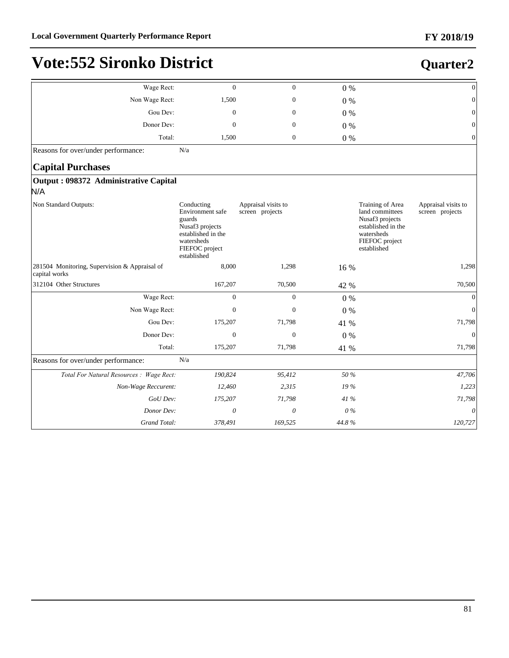| Wage Rect:                                                     | $\overline{0}$                                                                                                                   | $\boldsymbol{0}$                       | $0\%$ | $\vert 0 \vert$                                                                                                                                                       |
|----------------------------------------------------------------|----------------------------------------------------------------------------------------------------------------------------------|----------------------------------------|-------|-----------------------------------------------------------------------------------------------------------------------------------------------------------------------|
| Non Wage Rect:                                                 | 1,500                                                                                                                            | $\mathbf{0}$                           | $0\%$ | $\boldsymbol{0}$                                                                                                                                                      |
| Gou Dev:                                                       | $\mathbf{0}$                                                                                                                     | $\mathbf{0}$                           | $0\%$ | $\vert 0 \vert$                                                                                                                                                       |
| Donor Dev:                                                     | $\mathbf{0}$                                                                                                                     | $\mathbf{0}$                           | $0\%$ | $\vert 0 \vert$                                                                                                                                                       |
| Total:                                                         | 1,500                                                                                                                            | $\mathbf{0}$                           | $0\%$ | $\vert 0 \vert$                                                                                                                                                       |
| Reasons for over/under performance:                            | N/a                                                                                                                              |                                        |       |                                                                                                                                                                       |
| <b>Capital Purchases</b>                                       |                                                                                                                                  |                                        |       |                                                                                                                                                                       |
| Output: 098372 Administrative Capital                          |                                                                                                                                  |                                        |       |                                                                                                                                                                       |
| N/A                                                            |                                                                                                                                  |                                        |       |                                                                                                                                                                       |
| Non Standard Outputs:                                          | Conducting<br>Environment safe<br>guards<br>Nusaf3 projects<br>established in the<br>watersheds<br>FIEFOC project<br>established | Appraisal visits to<br>screen projects |       | Training of Area<br>Appraisal visits to<br>land committees<br>screen projects<br>Nusaf3 projects<br>established in the<br>watersheds<br>FIEFOC project<br>established |
| 281504 Monitoring, Supervision & Appraisal of<br>capital works | 8,000                                                                                                                            | 1,298                                  | 16 %  | 1,298                                                                                                                                                                 |
| 312104 Other Structures                                        | 167,207                                                                                                                          | 70,500                                 | 42 %  | 70,500                                                                                                                                                                |
| Wage Rect:                                                     | $\mathbf{0}$                                                                                                                     | $\mathbf{0}$                           | $0\%$ | $\vert 0 \vert$                                                                                                                                                       |
| Non Wage Rect:                                                 | $\mathbf{0}$                                                                                                                     | $\mathbf{0}$                           | $0\%$ | $\vert 0 \vert$                                                                                                                                                       |
| Gou Dev:                                                       | 175,207                                                                                                                          | 71,798                                 | 41 %  | 71,798                                                                                                                                                                |
| Donor Dev:                                                     | $\mathbf{0}$                                                                                                                     | $\mathbf{0}$                           | $0\%$ | $\vert 0 \vert$                                                                                                                                                       |
| Total:                                                         | 175,207                                                                                                                          | 71,798                                 | 41 %  | 71,798                                                                                                                                                                |
| Reasons for over/under performance:                            | N/a                                                                                                                              |                                        |       |                                                                                                                                                                       |
| Total For Natural Resources : Wage Rect:                       | 190,824                                                                                                                          | 95,412                                 | 50 %  | 47,706                                                                                                                                                                |
| Non-Wage Reccurent:                                            | 12,460                                                                                                                           | 2,315                                  | 19 %  | 1,223                                                                                                                                                                 |
| GoU Dev:                                                       | 175,207                                                                                                                          | 71,798                                 | 41%   | 71,798                                                                                                                                                                |
| Donor Dev:                                                     | 0                                                                                                                                | 0                                      | $0\%$ | $\theta$                                                                                                                                                              |
| Grand Total:                                                   | 378,491                                                                                                                          | 169,525                                | 44.8% | 120,727                                                                                                                                                               |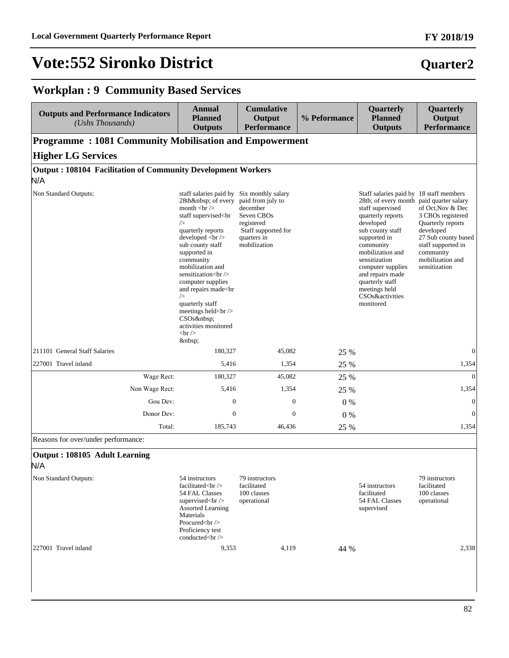#### **FY 2018/19**

### **Quarter2**

#### **Workplan : 9 Community Based Services**

| <b>Outputs and Performance Indicators</b><br>(Ushs Thousands) | <b>Cumulative</b><br><b>Annual</b><br><b>Planned</b><br>Output<br><b>Performance</b><br><b>Outputs</b>                                                                                                                                                                                                                                                                                                                                                                                                                                                          |                                                                                                                 | % Peformance | Quarterly<br><b>Planned</b><br><b>Outputs</b>                                                                                                                                                                                                                                                                                                | Quarterly<br>Output<br><b>Performance</b>                                                                                                                               |
|---------------------------------------------------------------|-----------------------------------------------------------------------------------------------------------------------------------------------------------------------------------------------------------------------------------------------------------------------------------------------------------------------------------------------------------------------------------------------------------------------------------------------------------------------------------------------------------------------------------------------------------------|-----------------------------------------------------------------------------------------------------------------|--------------|----------------------------------------------------------------------------------------------------------------------------------------------------------------------------------------------------------------------------------------------------------------------------------------------------------------------------------------------|-------------------------------------------------------------------------------------------------------------------------------------------------------------------------|
| <b>Programme: 1081 Community Mobilisation and Empowerment</b> |                                                                                                                                                                                                                                                                                                                                                                                                                                                                                                                                                                 |                                                                                                                 |              |                                                                                                                                                                                                                                                                                                                                              |                                                                                                                                                                         |
| <b>Higher LG Services</b>                                     |                                                                                                                                                                                                                                                                                                                                                                                                                                                                                                                                                                 |                                                                                                                 |              |                                                                                                                                                                                                                                                                                                                                              |                                                                                                                                                                         |
| Output: 108104 Facilitation of Community Development Workers  |                                                                                                                                                                                                                                                                                                                                                                                                                                                                                                                                                                 |                                                                                                                 |              |                                                                                                                                                                                                                                                                                                                                              |                                                                                                                                                                         |
| N/A                                                           |                                                                                                                                                                                                                                                                                                                                                                                                                                                                                                                                                                 |                                                                                                                 |              |                                                                                                                                                                                                                                                                                                                                              |                                                                                                                                                                         |
| Non Standard Outputs:                                         | staff salaries paid by Six monthly salary<br>28th  of every<br>month $\langle$ br $\rangle$<br>staff supervised <br<br><math>\rightarrow</math><br/>quarterly reports<br/>developed <math>\langle</math>br<math>\rangle</math><br/>sub county staff<br/>supported in<br/>community<br/>mobilization and<br/>sensitization<br/><br/>computer supplies<br/>and repairs made<br<br><math>\rightarrow</math><br>quarterly staff<br/>meetings held<br/>ld&gt;<br/>CSO<sub>s</sub> <br/>activities monitored<br><math>br</math> /&gt;<br/> </br></br></br<br></br<br> | paid from july to<br>december<br>Seven CBOs<br>registered<br>Staff supported for<br>quarters in<br>mobilization |              | Staff salaries paid by 18 staff members<br>28th; of every month paid quarter salary<br>staff supervised<br>quarterly reports<br>developed<br>sub county staff<br>supported in<br>community<br>mobilization and<br>sensitization<br>computer supplies<br>and repairs made<br>quarterly staff<br>meetings held<br>CSOs&activities<br>monitored | of Oct. Nov & Dec<br>3 CBOs registered<br>Quarterly reports<br>developed<br>27 Sub county based<br>staff supported in<br>community<br>mobilization and<br>sensitization |
| 211101 General Staff Salaries                                 | 180,327                                                                                                                                                                                                                                                                                                                                                                                                                                                                                                                                                         | 45,082                                                                                                          | 25 %         |                                                                                                                                                                                                                                                                                                                                              | 0                                                                                                                                                                       |
| 227001 Travel inland                                          | 5,416                                                                                                                                                                                                                                                                                                                                                                                                                                                                                                                                                           | 1,354                                                                                                           | 25 %         |                                                                                                                                                                                                                                                                                                                                              | 1,354                                                                                                                                                                   |
| Wage Rect:                                                    | 180,327                                                                                                                                                                                                                                                                                                                                                                                                                                                                                                                                                         | 45,082                                                                                                          | 25 %         |                                                                                                                                                                                                                                                                                                                                              | $\vert 0 \vert$                                                                                                                                                         |
| Non Wage Rect:                                                | 5,416                                                                                                                                                                                                                                                                                                                                                                                                                                                                                                                                                           | 1,354                                                                                                           | 25 %         |                                                                                                                                                                                                                                                                                                                                              | 1,354                                                                                                                                                                   |
| Gou Dev:                                                      | $\mathbf{0}$                                                                                                                                                                                                                                                                                                                                                                                                                                                                                                                                                    | $\mathbf{0}$                                                                                                    | $0\%$        |                                                                                                                                                                                                                                                                                                                                              | $\vert 0 \vert$                                                                                                                                                         |
| Donor Dev:                                                    | $\mathbf{0}$                                                                                                                                                                                                                                                                                                                                                                                                                                                                                                                                                    | $\mathbf{0}$                                                                                                    | $0\%$        |                                                                                                                                                                                                                                                                                                                                              | $\vert 0 \vert$                                                                                                                                                         |
| Total:                                                        | 185,743                                                                                                                                                                                                                                                                                                                                                                                                                                                                                                                                                         | 46,436                                                                                                          | 25 %         |                                                                                                                                                                                                                                                                                                                                              | 1,354                                                                                                                                                                   |
| Reasons for over/under performance:                           |                                                                                                                                                                                                                                                                                                                                                                                                                                                                                                                                                                 |                                                                                                                 |              |                                                                                                                                                                                                                                                                                                                                              |                                                                                                                                                                         |
| Output: 108105 Adult Learning<br>N/A                          |                                                                                                                                                                                                                                                                                                                                                                                                                                                                                                                                                                 |                                                                                                                 |              |                                                                                                                                                                                                                                                                                                                                              |                                                                                                                                                                         |
| Non Standard Outputs:                                         | 54 instructors<br>facilitated<br><br>54 FAL Classes<br>supervised $>$<br>                                                                                                                                                                                                                                                                                                                                                                                                                                                                                       | 79 instructors<br>facilitated<br>100 classes<br>operational                                                     |              | 54 instructors<br>facilitated<br>54 FAL Classes<br>supervised                                                                                                                                                                                                                                                                                | 79 instructors<br>facilitated<br>100 classes<br>operational                                                                                                             |
| 227001 Travel inland                                          | 9.353                                                                                                                                                                                                                                                                                                                                                                                                                                                                                                                                                           | 4,119                                                                                                           | 44 %         |                                                                                                                                                                                                                                                                                                                                              | 2,338                                                                                                                                                                   |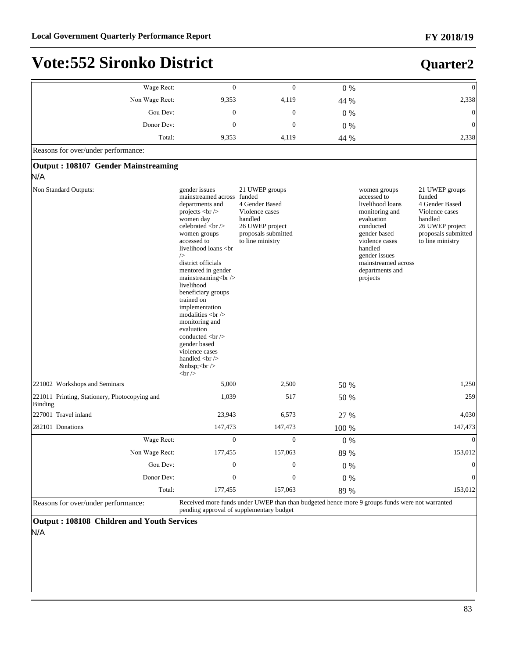**Quarter2**

## **Vote:552 Sironko District**

| Wage Rect:                                               | $\mathbf{0}$                                                                                                                                                               | $\mathbf{0}$                                                                                                                | 0%    | $\boldsymbol{0}$                                                                                                                                                                                                                                                                                                                                          |
|----------------------------------------------------------|----------------------------------------------------------------------------------------------------------------------------------------------------------------------------|-----------------------------------------------------------------------------------------------------------------------------|-------|-----------------------------------------------------------------------------------------------------------------------------------------------------------------------------------------------------------------------------------------------------------------------------------------------------------------------------------------------------------|
| Non Wage Rect:                                           | 9,353                                                                                                                                                                      | 4,119                                                                                                                       | 44 %  | 2,338                                                                                                                                                                                                                                                                                                                                                     |
| Gou Dev:                                                 | $\mathbf{0}$                                                                                                                                                               | $\overline{0}$                                                                                                              | $0\%$ | $\mathbf{0}$                                                                                                                                                                                                                                                                                                                                              |
| Donor Dev:                                               | $\boldsymbol{0}$                                                                                                                                                           | $\mathbf{0}$                                                                                                                | 0%    | $\mathbf{0}$                                                                                                                                                                                                                                                                                                                                              |
| Total:                                                   | 9,353                                                                                                                                                                      | 4,119                                                                                                                       | 44 %  | 2,338                                                                                                                                                                                                                                                                                                                                                     |
| Reasons for over/under performance:                      |                                                                                                                                                                            |                                                                                                                             |       |                                                                                                                                                                                                                                                                                                                                                           |
| Output: 108107 Gender Mainstreaming                      |                                                                                                                                                                            |                                                                                                                             |       |                                                                                                                                                                                                                                                                                                                                                           |
| N/A                                                      |                                                                                                                                                                            |                                                                                                                             |       |                                                                                                                                                                                                                                                                                                                                                           |
| Non Standard Outputs:                                    | gender issues<br>mainstreamed across funded<br>departments and<br>projects $br$<br>women day<br>celebrated<br><br><br><br><br><br><br><br><br><br><br><br><br><br><br><br> | 21 UWEP groups<br>4 Gender Based<br>Violence cases<br>handled<br>26 UWEP project<br>proposals submitted<br>to line ministry |       | 21 UWEP groups<br>women groups<br>accessed to<br>funded<br>4 Gender Based<br>livelihood loans<br>monitoring and<br>Violence cases<br>evaluation<br>handled<br>26 UWEP project<br>conducted<br>proposals submitted<br>gender based<br>to line ministry<br>violence cases<br>handled<br>gender issues<br>mainstreamed across<br>departments and<br>projects |
| 221002 Workshops and Seminars                            | 5,000                                                                                                                                                                      | 2,500                                                                                                                       | 50 %  | 1,250                                                                                                                                                                                                                                                                                                                                                     |
| 221011 Printing, Stationery, Photocopying and<br>Binding | 1,039                                                                                                                                                                      | 517                                                                                                                         | 50 %  | 259                                                                                                                                                                                                                                                                                                                                                       |
| 227001 Travel inland                                     | 23,943                                                                                                                                                                     | 6,573                                                                                                                       | 27 %  | 4,030                                                                                                                                                                                                                                                                                                                                                     |
| 282101 Donations                                         | 147,473                                                                                                                                                                    | 147,473                                                                                                                     | 100 % | 147,473                                                                                                                                                                                                                                                                                                                                                   |
| Wage Rect:                                               | $\boldsymbol{0}$                                                                                                                                                           | $\boldsymbol{0}$                                                                                                            | $0\%$ | $\theta$                                                                                                                                                                                                                                                                                                                                                  |
| Non Wage Rect:                                           | 177,455                                                                                                                                                                    | 157,063                                                                                                                     | 89 %  | 153,012                                                                                                                                                                                                                                                                                                                                                   |
| Gou Dev:                                                 | 0                                                                                                                                                                          | 0                                                                                                                           | $0\%$ | $\Omega$                                                                                                                                                                                                                                                                                                                                                  |
| Donor Dev:                                               | $\boldsymbol{0}$                                                                                                                                                           | $\boldsymbol{0}$                                                                                                            | 0%    | $\boldsymbol{0}$                                                                                                                                                                                                                                                                                                                                          |
| Total:                                                   | 177,455                                                                                                                                                                    | 157,063                                                                                                                     | 89 %  | 153,012                                                                                                                                                                                                                                                                                                                                                   |
| Reasons for over/under performance:                      | pending approval of supplementary budget                                                                                                                                   |                                                                                                                             |       | Received more funds under UWEP than than budgeted hence more 9 groups funds were not warranted                                                                                                                                                                                                                                                            |

**Output : 108108 Children and Youth Services** N/A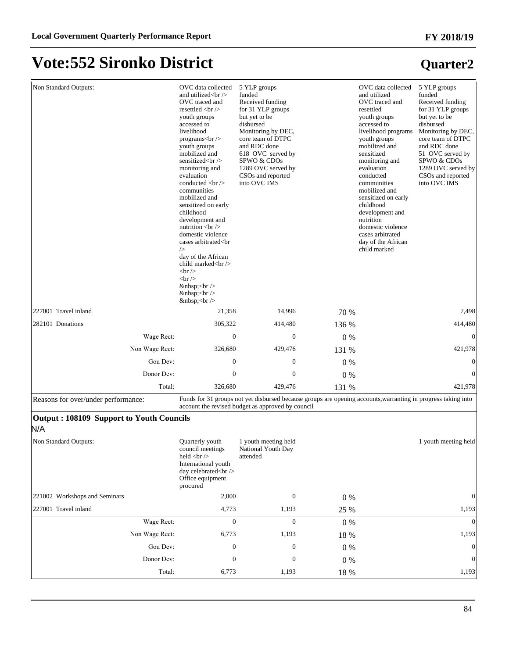#### Non Standard Outputs: OVC data collected and utilized $br>$  /> OVC traced and resettled  $r/$ youth groups accessed to livelihood programs<br/>shet /> youth groups mobilized and sensitized<br/> /> monitoring and evaluation conducted <br/>  $\langle$ communities mobilized and sensitized on early childhood development and nutrition  $\langle$ br $\rangle$ domestic violence cases arbitrated<br/>>br /> day of the African child marked<br/>  $\ell$  $2<sub>tr</sub>  $\sim$$  $2<sub>r</sub> <sub>r</sub> <sub>r</sub> <sub>r</sub> <sub>r</sub> <sub>r</sub> <sub>r</sub> <sub>r</sub> <sub>r</sub> <sub>r</sub> <sub>r</sub> <sub>r</sub> <sub>r</sub> <sub>r</sub> <sub>r</sub> <sub>r</sub> <sub>r</sub> <sub>r</sub> <sub>r</sub> <sub>r</sub> <sub>r</sub> <sub>r</sub> <sub>r</sub> <sub>r</sub> <sub>r</sub> <sub>r</sub> <sub>r</sub> <$  <br /> <br />  $&$ nbsp;<br/>>br  $\geq$ 5 YLP groups funded Received funding for 31 YLP groups but yet to be disbursed Monitoring by DEC, core team of DTPC and RDC done 618 OVC served by SPWO & CDOs 1289 OVC served by CSOs and reported into OVC IMS OVC data collected and utilized OVC traced and resettled youth groups accessed to livelihood programs youth groups mobilized and sensitized monitoring and evaluation conducted communities mobilized and sensitized on early childhood development and nutrition domestic violence cases arbitrated day of the African child marked 5 YLP groups funded Received funding for 31 YLP groups but yet to be disbursed Monitoring by DEC, core team of DTPC and RDC done 51 OVC served by SPWO & CDOs 1289 OVC served by CSOs and reported into OVC IMS 227001 Travel inland 21,358 14,996 7,498 7,498 282101 Donations 305,322 414,480 136 % 414,480 414,480 :DJH5HFW 0 0 0 % 0 Non Wage Rect: 326,680 429,476 131 % 421,978 421,978 Gou Dev:  $0 \t 0 \t 0 \t 0 \t 0$ Donor Dev:  $0 \t 0 \t 0 \t 0 \t 0$ Total: 326,680 429,476 131 % 421,978 Reasons for over/under performance: Funds for 31 groups not yet disbursed because groups are opening accounts,warranting in progress taking into account the revised budget as approved by council **Output : 108109 Support to Youth Councils**  N/A Non Standard Outputs:  $\qquad \qquad$  Quarterly youth council meetings held  $$\left| \right|$$ International youth day celebrated<br/>>br $\mathbin{/}$ Office equipment procured 1 youth meeting held National Youth Day attended 1 youth meeting held  $221002$  Workshops and Seminars  $2,000$  0 0  $0\%$ 227001 Travel inland the contract of the contract of the 4,773 1,193 25 % 1,193 1,193 :DJH5HFW 0 0 0 % 0 Non Wage Rect: 6,773 1,193 18 % 1,193 1,193 Gou Dev:  $0 \t 0 \t 0 \t 0 \t 0$ Donor Dev:  $0 \t 0 \t 0 \t 0 \t 0$ Total: 6,773 1,193 18 % 1,193 1,193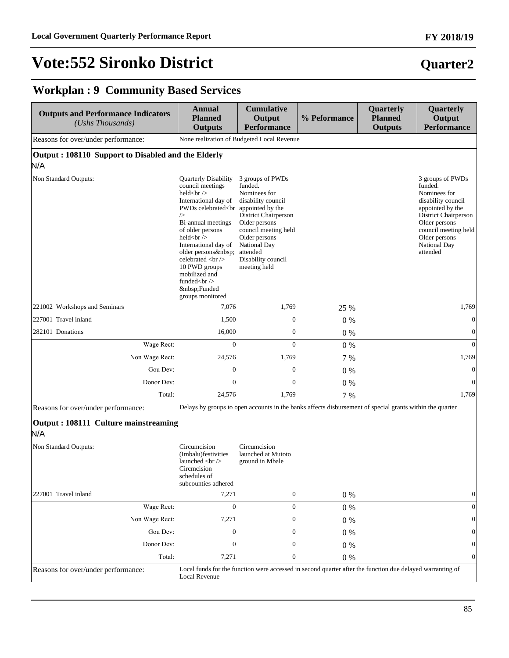# **FY 2018/19**

### **Workplan : 9 Community Based Services**

| <b>Outputs and Performance Indicators</b><br>(Ushs Thousands) | <b>Annual</b><br><b>Planned</b><br><b>Outputs</b>                                                                                               | <b>Cumulative</b><br>Output<br><b>Performance</b>                                                                                                                                                                     | % Peformance | Quarterly<br><b>Planned</b><br><b>Outputs</b> | Quarterly<br>Output<br><b>Performance</b>                                                                                                                                                           |
|---------------------------------------------------------------|-------------------------------------------------------------------------------------------------------------------------------------------------|-----------------------------------------------------------------------------------------------------------------------------------------------------------------------------------------------------------------------|--------------|-----------------------------------------------|-----------------------------------------------------------------------------------------------------------------------------------------------------------------------------------------------------|
| Reasons for over/under performance:                           |                                                                                                                                                 | None realization of Budgeted Local Revenue                                                                                                                                                                            |              |                                               |                                                                                                                                                                                                     |
| Output: 108110 Support to Disabled and the Elderly<br>N/A     |                                                                                                                                                 |                                                                                                                                                                                                                       |              |                                               |                                                                                                                                                                                                     |
| Non Standard Outputs:                                         | Quarterly Disability<br>council meetings<br>held<br>shed<br>> $\sim$<br>International day of<br>PWDs celebrated<br>/><br>Bi-annual meetings<br> | 3 groups of PWDs<br>funded.<br>Nominees for<br>disability council<br>District Chairperson<br>Older persons<br>council meeting held<br>Older persons<br>National Day<br>attended<br>Disability council<br>meeting held |              |                                               | 3 groups of PWDs<br>funded.<br>Nominees for<br>disability council<br>appointed by the<br>District Chairperson<br>Older persons<br>council meeting held<br>Older persons<br>National Day<br>attended |
| 221002 Workshops and Seminars                                 | 7,076                                                                                                                                           | 1,769                                                                                                                                                                                                                 | 25 %         |                                               | 1,769                                                                                                                                                                                               |
| 227001 Travel inland                                          | 1,500                                                                                                                                           | 0                                                                                                                                                                                                                     | $0\%$        |                                               | $\vert 0 \vert$                                                                                                                                                                                     |
| 282101 Donations                                              | 16,000                                                                                                                                          | $\mathbf{0}$                                                                                                                                                                                                          | $0\%$        |                                               | $\vert 0 \vert$                                                                                                                                                                                     |
| Wage Rect:                                                    | $\mathbf{0}$                                                                                                                                    | $\mathbf{0}$                                                                                                                                                                                                          | $0\%$        |                                               | $\vert 0 \vert$                                                                                                                                                                                     |
| Non Wage Rect:                                                | 24,576                                                                                                                                          | 1,769                                                                                                                                                                                                                 | 7 %          |                                               | 1,769                                                                                                                                                                                               |
| Gou Dev:                                                      | $\mathbf{0}$                                                                                                                                    | 0                                                                                                                                                                                                                     | $0\%$        |                                               | $\vert 0 \vert$                                                                                                                                                                                     |
| Donor Dev:                                                    | $\boldsymbol{0}$                                                                                                                                | 0                                                                                                                                                                                                                     | $0\%$        |                                               | 0                                                                                                                                                                                                   |
| Total:                                                        | 24,576                                                                                                                                          | 1,769                                                                                                                                                                                                                 | 7%           |                                               | 1,769                                                                                                                                                                                               |
| Reasons for over/under performance:                           |                                                                                                                                                 | Delays by groups to open accounts in the banks affects disbursement of special grants within the quarter                                                                                                              |              |                                               |                                                                                                                                                                                                     |
| Output: 108111 Culture mainstreaming<br>N/A                   |                                                                                                                                                 |                                                                                                                                                                                                                       |              |                                               |                                                                                                                                                                                                     |
| Non Standard Outputs:                                         | Circumcision<br>(Imbalu) festivities<br>launched $\langle$ br $\rangle$<br>Circmcision<br>schedules of<br>subcounties adhered                   | Circumcision<br>launched at Mutoto<br>ground in Mbale                                                                                                                                                                 |              |                                               |                                                                                                                                                                                                     |
| 227001 Travel inland                                          | 7,271                                                                                                                                           | $\boldsymbol{0}$                                                                                                                                                                                                      | $0\%$        |                                               | 0                                                                                                                                                                                                   |
| Wage Rect:                                                    | $\mathbf{0}$                                                                                                                                    | $\boldsymbol{0}$                                                                                                                                                                                                      | $0\%$        |                                               | 0                                                                                                                                                                                                   |
| Non Wage Rect:                                                | 7,271                                                                                                                                           | 0                                                                                                                                                                                                                     | $0\%$        |                                               | $\vert 0 \vert$                                                                                                                                                                                     |
| Gou Dev:                                                      | $\mathbf{0}$                                                                                                                                    | 0                                                                                                                                                                                                                     | $0\%$        |                                               | 0                                                                                                                                                                                                   |
| Donor Dev:                                                    | $\boldsymbol{0}$                                                                                                                                | 0                                                                                                                                                                                                                     | $0\%$        |                                               | $\vert 0 \vert$                                                                                                                                                                                     |
| Total:                                                        | 7,271                                                                                                                                           | 0                                                                                                                                                                                                                     | $0\%$        |                                               | $\vert 0 \vert$                                                                                                                                                                                     |
| Reasons for over/under performance:                           | <b>Local Revenue</b>                                                                                                                            | Local funds for the function were accessed in second quarter after the function due delayed warranting of                                                                                                             |              |                                               |                                                                                                                                                                                                     |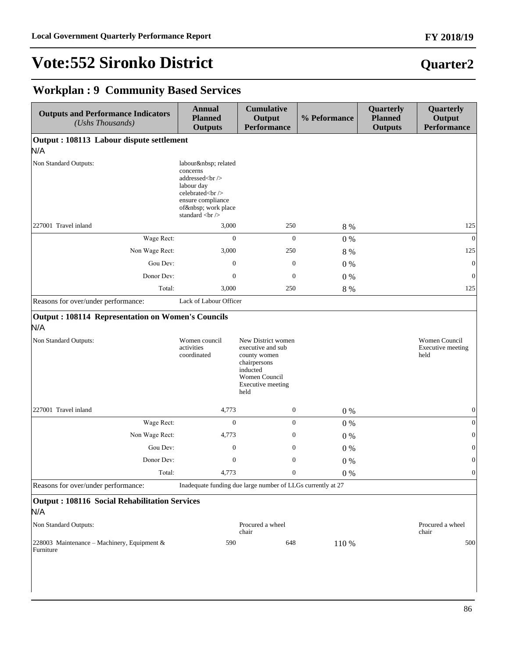### **Quarter2**

#### **Workplan : 9 Community Based Services**

| <b>Outputs and Performance Indicators</b><br>(Ushs Thousands)   | <b>Annual</b><br><b>Planned</b><br><b>Outputs</b>                            | <b>Cumulative</b><br>Output<br><b>Performance</b>                                                                                 | % Peformance | Quarterly<br><b>Planned</b><br><b>Outputs</b> | Quarterly<br>Output<br><b>Performance</b>  |
|-----------------------------------------------------------------|------------------------------------------------------------------------------|-----------------------------------------------------------------------------------------------------------------------------------|--------------|-----------------------------------------------|--------------------------------------------|
| Output: 108113 Labour dispute settlement                        |                                                                              |                                                                                                                                   |              |                                               |                                            |
| N/A                                                             |                                                                              |                                                                                                                                   |              |                                               |                                            |
| Non Standard Outputs:                                           | labour  related<br>concerns<br>addressed<br><br>labour day<br>celebrated<br> |                                                                                                                                   |              |                                               |                                            |
| 227001 Travel inland                                            | 3,000                                                                        | 250                                                                                                                               | 8 %          |                                               | 125                                        |
| Wage Rect:                                                      | $\overline{0}$                                                               | $\overline{0}$                                                                                                                    | $0\%$        |                                               | $\overline{0}$                             |
| Non Wage Rect:                                                  | 3,000                                                                        | 250                                                                                                                               | $8\ \%$      |                                               | 125                                        |
| Gou Dev:                                                        | $\mathbf{0}$                                                                 | $\theta$                                                                                                                          | $0\%$        |                                               | $\mathbf{0}$                               |
| Donor Dev:                                                      | $\mathbf{0}$                                                                 | $\mathbf{0}$                                                                                                                      | $0\%$        |                                               | $\theta$                                   |
| Total:                                                          | 3,000                                                                        | 250                                                                                                                               | 8 %          |                                               | 125                                        |
| Reasons for over/under performance:                             | Lack of Labour Officer                                                       |                                                                                                                                   |              |                                               |                                            |
| <b>Output: 108114 Representation on Women's Councils</b><br>N/A |                                                                              |                                                                                                                                   |              |                                               |                                            |
| Non Standard Outputs:                                           | Women council<br>activities<br>coordinated                                   | New District women<br>executive and sub<br>county women<br>chairpersons<br>inducted<br>Women Council<br>Executive meeting<br>held |              |                                               | Women Council<br>Executive meeting<br>held |
| 227001 Travel inland                                            | 4,773                                                                        | $\boldsymbol{0}$                                                                                                                  | $0\%$        |                                               | $\boldsymbol{0}$                           |
| Wage Rect:                                                      | $\mathbf{0}$                                                                 | $\overline{0}$                                                                                                                    | $0\%$        |                                               | $\boldsymbol{0}$                           |
| Non Wage Rect:                                                  | 4,773                                                                        | $\boldsymbol{0}$                                                                                                                  | $0\%$        |                                               | $\boldsymbol{0}$                           |
| Gou Dev:                                                        | $\mathbf{0}$                                                                 | $\boldsymbol{0}$                                                                                                                  | $0\%$        |                                               | $\boldsymbol{0}$                           |
| Donor Dev:                                                      | $\mathbf{0}$                                                                 | $\mathbf{0}$                                                                                                                      | 0%           |                                               | $\boldsymbol{0}$                           |
| Total:                                                          | 4,773                                                                        | 0                                                                                                                                 | $0\ \%$      |                                               | $\boldsymbol{0}$                           |
| Reasons for over/under performance:                             |                                                                              | Inadequate funding due large number of LLGs currently at 27                                                                       |              |                                               |                                            |
| <b>Output: 108116 Social Rehabilitation Services</b><br>N/A     |                                                                              |                                                                                                                                   |              |                                               |                                            |
| Non Standard Outputs:                                           |                                                                              | Procured a wheel<br>chair                                                                                                         |              |                                               | Procured a wheel<br>chair                  |
| 228003 Maintenance - Machinery, Equipment &<br>Furniture        | 590                                                                          | 648                                                                                                                               | 110 %        |                                               | 500                                        |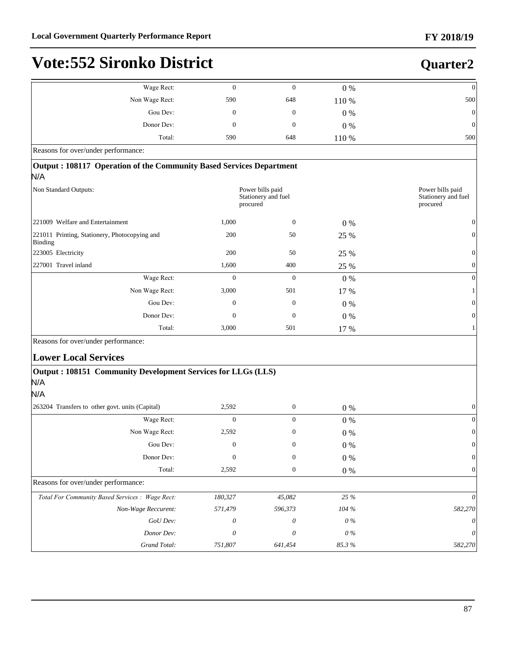| Wage Rect:                                                                 | $\overline{0}$            | $\overline{0}$                          | $0\%$      | $\mathbf{0}$                                        |
|----------------------------------------------------------------------------|---------------------------|-----------------------------------------|------------|-----------------------------------------------------|
| Non Wage Rect:                                                             | 590                       | 648                                     | 110 %      | 500                                                 |
| Gou Dev:                                                                   | $\mathbf{0}$              | $\theta$                                | $0\%$      | $\boldsymbol{0}$                                    |
| Donor Dev:                                                                 | $\mathbf{0}$              | $\theta$                                | 0%         | $\Omega$                                            |
| Total:                                                                     | 590                       | 648                                     | 110 %      | 500                                                 |
| Reasons for over/under performance:                                        |                           |                                         |            |                                                     |
| Output: 108117 Operation of the Community Based Services Department<br>N/A |                           |                                         |            |                                                     |
| Non Standard Outputs:                                                      | procured                  | Power bills paid<br>Stationery and fuel |            | Power bills paid<br>Stationery and fuel<br>procured |
| 221009 Welfare and Entertainment                                           | 1,000                     | $\mathbf{0}$                            | $0\%$      | $\mathbf{0}$                                        |
| 221011 Printing, Stationery, Photocopying and<br>Binding                   | 200                       | 50                                      | 25 %       | $\mathbf{0}$                                        |
| 223005 Electricity                                                         | 200                       | 50                                      | 25 %       | $\mathbf{0}$                                        |
| 227001 Travel inland                                                       | 1,600                     | 400                                     | 25 %       | 0                                                   |
| Wage Rect:                                                                 | $\boldsymbol{0}$          | $\overline{0}$                          | $0\%$      | $\theta$                                            |
| Non Wage Rect:                                                             | 3,000                     | 501                                     | 17 %       | 1                                                   |
| Gou Dev:                                                                   | $\boldsymbol{0}$          | $\mathbf{0}$                            | $0\%$      | $\theta$                                            |
| Donor Dev:                                                                 | $\mathbf{0}$              | $\theta$                                | $0\%$      | $\theta$                                            |
| Total:                                                                     | 3,000                     | 501                                     | 17 %       | 1                                                   |
| Reasons for over/under performance:                                        |                           |                                         |            |                                                     |
| <b>Lower Local Services</b>                                                |                           |                                         |            |                                                     |
| Output: 108151 Community Development Services for LLGs (LLS)               |                           |                                         |            |                                                     |
| N/A                                                                        |                           |                                         |            |                                                     |
| N/A                                                                        |                           |                                         |            |                                                     |
| 263204 Transfers to other govt. units (Capital)                            | 2,592                     | $\mathbf{0}$                            | $0\%$      | $\mathbf{0}$                                        |
| Wage Rect:                                                                 | $\boldsymbol{0}$          | $\mathbf{0}$                            | 0%         | $\overline{0}$                                      |
| Non Wage Rect:                                                             | 2,592                     | $\boldsymbol{0}$                        | 0%         | $\mathbf{0}$                                        |
| Gou Dev:                                                                   | $\boldsymbol{0}$          | $\boldsymbol{0}$                        | $0\%$      | $\boldsymbol{0}$                                    |
| Donor Dev:                                                                 | $\boldsymbol{0}$          | $\boldsymbol{0}$                        | $0\ \%$    | $\boldsymbol{0}$                                    |
| Total:                                                                     | 2,592                     | $\boldsymbol{0}$                        | $0\ \%$    | $\mathbf{0}$                                        |
| Reasons for over/under performance:                                        |                           |                                         |            |                                                     |
| Total For Community Based Services : Wage Rect:                            | 180,327                   | 45,082                                  | 25 %       | 0                                                   |
| Non-Wage Reccurent:                                                        | 571,479                   | 596,373                                 | 104 %      | 582,270                                             |
| GoU Dev:                                                                   | $\boldsymbol{\mathit{0}}$ | $\boldsymbol{\mathit{0}}$               | $0\,\%$    | 0                                                   |
| Donor Dev:                                                                 | 0                         | 0                                       | $0\,\%$    | 0                                                   |
| Grand Total:                                                               | 751,807                   | 641,454                                 | $85.3\ \%$ | 582,270                                             |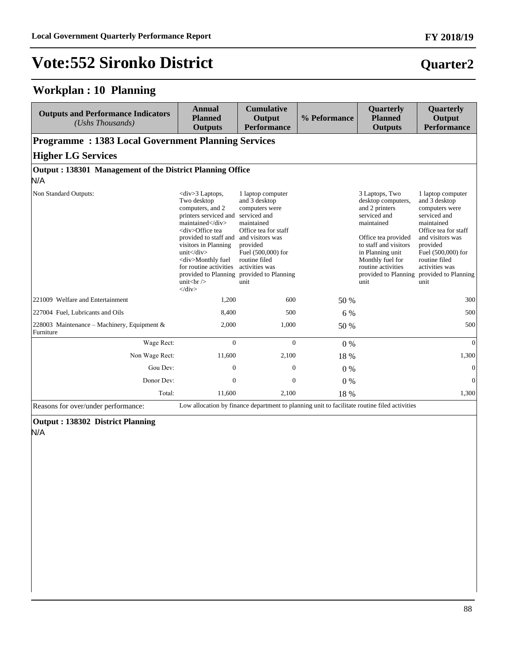#### **Workplan : 10 Planning**

| <b>Outputs and Performance Indicators</b><br>$(Ushs$ Thousands)  | <b>Annual</b><br><b>Planned</b><br><b>Outputs</b>                                                                                                                                                                                                                                                                                                  | <b>Cumulative</b><br>Output<br><b>Performance</b>                                                                                                                                                                                                        | % Peformance | Quarterly<br><b>Planned</b><br><b>Outputs</b>                                                                                                                                                              | Quarterly<br>Output<br><b>Performance</b>                                                                                                                                                                                                                |
|------------------------------------------------------------------|----------------------------------------------------------------------------------------------------------------------------------------------------------------------------------------------------------------------------------------------------------------------------------------------------------------------------------------------------|----------------------------------------------------------------------------------------------------------------------------------------------------------------------------------------------------------------------------------------------------------|--------------|------------------------------------------------------------------------------------------------------------------------------------------------------------------------------------------------------------|----------------------------------------------------------------------------------------------------------------------------------------------------------------------------------------------------------------------------------------------------------|
| <b>Programme: 1383 Local Government Planning Services</b>        |                                                                                                                                                                                                                                                                                                                                                    |                                                                                                                                                                                                                                                          |              |                                                                                                                                                                                                            |                                                                                                                                                                                                                                                          |
| <b>Higher LG Services</b>                                        |                                                                                                                                                                                                                                                                                                                                                    |                                                                                                                                                                                                                                                          |              |                                                                                                                                                                                                            |                                                                                                                                                                                                                                                          |
| Output: 138301 Management of the District Planning Office<br>N/A |                                                                                                                                                                                                                                                                                                                                                    |                                                                                                                                                                                                                                                          |              |                                                                                                                                                                                                            |                                                                                                                                                                                                                                                          |
| Non Standard Outputs:                                            | $\langle \text{div} \rangle$ Laptops,<br>Two desktop<br>computers, and 2<br>printers serviced and<br>maintained<br><div>Office tea<br/>provided to staff and<br/>visitors in Planning<br/><math>unit &lt;</math>/div&gt;<br/><div>Monthly fuel<br/>for routine activities<br/>unit<math>br/&gt;</math><br/><math>\langle</math>div&gt;</div></div> | 1 laptop computer<br>and 3 desktop<br>computers were<br>serviced and<br>maintained<br>Office tea for staff<br>and visitors was<br>provided<br>Fuel (500,000) for<br>routine filed<br>activities was<br>provided to Planning provided to Planning<br>unit |              | 3 Laptops, Two<br>desktop computers,<br>and 2 printers<br>serviced and<br>maintained<br>Office tea provided<br>to staff and visitors<br>in Planning unit<br>Monthly fuel for<br>routine activities<br>unit | 1 laptop computer<br>and 3 desktop<br>computers were<br>serviced and<br>maintained<br>Office tea for staff<br>and visitors was<br>provided<br>Fuel (500,000) for<br>routine filed<br>activities was<br>provided to Planning provided to Planning<br>unit |
| 221009 Welfare and Entertainment                                 | 1,200                                                                                                                                                                                                                                                                                                                                              | 600                                                                                                                                                                                                                                                      | 50 %         |                                                                                                                                                                                                            | 300                                                                                                                                                                                                                                                      |
| 227004 Fuel, Lubricants and Oils                                 | 8,400                                                                                                                                                                                                                                                                                                                                              | 500                                                                                                                                                                                                                                                      | 6 %          |                                                                                                                                                                                                            | 500                                                                                                                                                                                                                                                      |
| 228003 Maintenance – Machinery, Equipment &<br>Furniture         | 2,000                                                                                                                                                                                                                                                                                                                                              | 1,000                                                                                                                                                                                                                                                    | 50 %         |                                                                                                                                                                                                            | 500                                                                                                                                                                                                                                                      |
| Wage Rect:                                                       | $\overline{0}$                                                                                                                                                                                                                                                                                                                                     | $\mathbf{0}$                                                                                                                                                                                                                                             | $0\%$        |                                                                                                                                                                                                            | $\theta$                                                                                                                                                                                                                                                 |
| Non Wage Rect:                                                   | 11,600                                                                                                                                                                                                                                                                                                                                             | 2,100                                                                                                                                                                                                                                                    | 18 %         |                                                                                                                                                                                                            | 1,300                                                                                                                                                                                                                                                    |
| Gou Dev:                                                         | $\overline{0}$                                                                                                                                                                                                                                                                                                                                     | $\mathbf{0}$                                                                                                                                                                                                                                             | $0\%$        |                                                                                                                                                                                                            | $\mathbf{0}$                                                                                                                                                                                                                                             |
| Donor Dev:                                                       | $\Omega$                                                                                                                                                                                                                                                                                                                                           | $\mathbf{0}$                                                                                                                                                                                                                                             | $0\%$        |                                                                                                                                                                                                            | $\mathbf{0}$                                                                                                                                                                                                                                             |
| Total:                                                           | 11,600                                                                                                                                                                                                                                                                                                                                             | 2,100                                                                                                                                                                                                                                                    | 18 %         |                                                                                                                                                                                                            | 1,300                                                                                                                                                                                                                                                    |

Reasons for over/under performance: Low allocation by finance department to planning unit to facilitate routine filed activities

#### **Output : 138302 District Planning**

N/A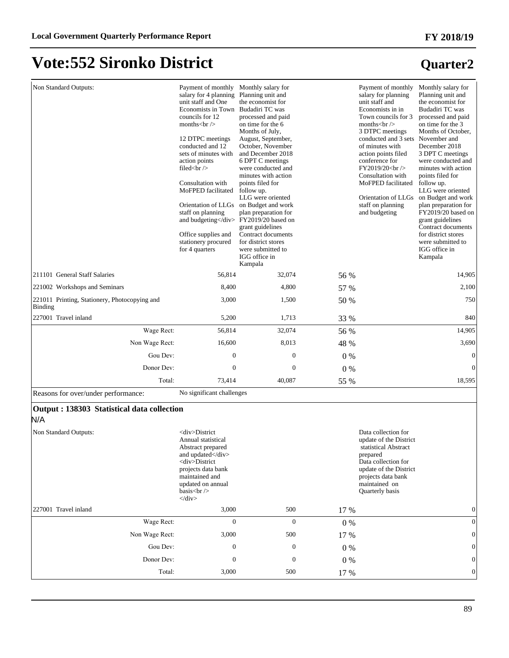#### Non Standard Outputs: Payment of monthly salary for 4 planning Planning unit and unit staff and One Economists in Town Budadiri TC was councils for 12 months<br/>>br</> 12 DTPC meetings conducted and 12 sets of minutes with action points filed $\rm br$  /> Consultation with MoFPED facilitated Orientation of LLGs on Budget and work staff on planning and budgeting</div> FY2019/20 based on Office supplies and stationery procured for 4 quarters Monthly salary for the economist for processed and paid on time for the 6 Months of July, August, September, October, November and December 2018 6 DPT C meetings were conducted and minutes with action points filed for follow up. LLG were oriented plan preparation for grant guidelines Contract documents for district stores were submitted to IGG office in Kampala Payment of monthly salary for planning unit staff and Economists in in Town councils for 3 months<br/>>br $\mathord{/}\!\!>$ 3 DTPC meetings conducted and 3 sets of minutes with action points filed conference for FY2019/20<br/>br /> Consultation with MoFPED facilitated Orientation of LLGs staff on planning and budgeting Monthly salary for Planning unit and the economist for Budadiri TC was processed and paid on time for the 3 Months of October, November and December 2018 3 DPT C meetings were conducted and minutes with action points filed for follow up. LLG were oriented on Budget and work plan preparation for FY2019/20 based on grant guidelines Contract documents for district stores were submitted to IGG office in Kampala 211101 General Staff Salaries 56,814 32,074 56 % 14,905 221002 Workshops and Seminars 8,400 4,800 57 % 2,100 221011 Printing, Stationery, Photocopying and Binding  $3,000$  1,500 50 % 750 227001 Travel inland 5,200 1,713 33 % 840 Wage Rect: 56,814 32,074 56 % 14,905 Non Wage Rect: 16,600 8,013 48 % 3,690 Gou Dev:  $0 \t 0 \t 0 \t 0 \t 0$ Donor Dev:  $0 \t 0 \t 0 \t 0 \t 0$ Total: 73,414 40,087 55 % 18,595

Reasons for over/under performance: No significant challenges

#### **Output : 138303 Statistical data collection**  N/A

| $\mathbf{v}$          |                                                                                                                                                                                                                                        |                |                  |                                                                                                                                                                                              |  |                |
|-----------------------|----------------------------------------------------------------------------------------------------------------------------------------------------------------------------------------------------------------------------------------|----------------|------------------|----------------------------------------------------------------------------------------------------------------------------------------------------------------------------------------------|--|----------------|
| Non Standard Outputs: | <div>District<br/>Annual statistical<br/>Abstract prepared<br/>and updated</div><br><div>District<br/>projects data bank<br/>maintained and<br/>updated on annual<br/>basis<math>cbr/&gt;</math><br/><math>\langle</math>div&gt;</div> |                |                  | Data collection for<br>update of the District<br>statistical Abstract<br>prepared<br>Data collection for<br>update of the District<br>projects data bank<br>maintained on<br>Quarterly basis |  |                |
| 227001 Travel inland  |                                                                                                                                                                                                                                        | 3,000          | 500              | 17 %                                                                                                                                                                                         |  | $\overline{0}$ |
|                       | Wage Rect:                                                                                                                                                                                                                             | $\overline{0}$ | $\mathbf{0}$     | 0 %                                                                                                                                                                                          |  | $\overline{0}$ |
|                       | Non Wage Rect:                                                                                                                                                                                                                         | 3,000          | 500              | 17 %                                                                                                                                                                                         |  | $\mathbf{0}$   |
|                       | Gou Dev:                                                                                                                                                                                                                               | $\mathbf{0}$   | $\boldsymbol{0}$ | 0 %                                                                                                                                                                                          |  | $\overline{0}$ |
|                       | Donor Dev:                                                                                                                                                                                                                             | $\mathbf{0}$   | $\boldsymbol{0}$ | $0\%$                                                                                                                                                                                        |  | $\overline{0}$ |
|                       | Total:                                                                                                                                                                                                                                 | 3,000          | 500              | 17 %                                                                                                                                                                                         |  | $\mathbf{0}$   |
|                       |                                                                                                                                                                                                                                        |                |                  |                                                                                                                                                                                              |  |                |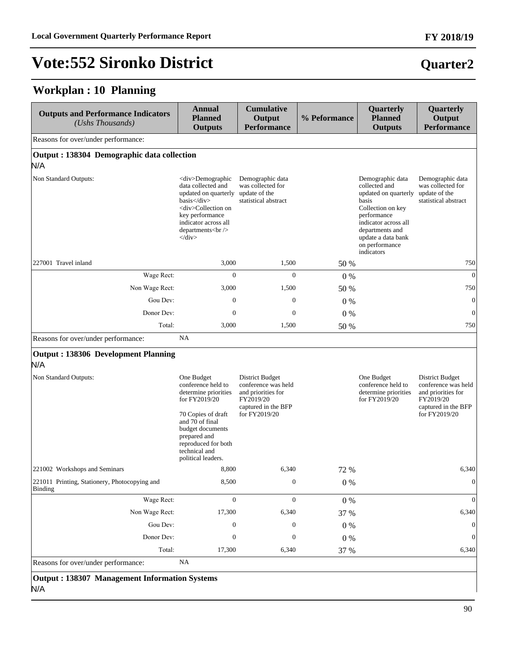**Quarter2**

## **Vote:552 Sironko District**

#### **Workplan : 10 Planning**

| <b>Outputs and Performance Indicators</b><br>(Ushs Thousands)   | <b>Annual</b><br><b>Planned</b><br><b>Outputs</b>                                                                                                                                                                           | <b>Cumulative</b><br>Output<br><b>Performance</b>                                                                 | % Peformance | Quarterly<br><b>Planned</b><br><b>Outputs</b>                                                                                                                                                           | Quarterly<br>Output<br><b>Performance</b>                                                                         |
|-----------------------------------------------------------------|-----------------------------------------------------------------------------------------------------------------------------------------------------------------------------------------------------------------------------|-------------------------------------------------------------------------------------------------------------------|--------------|---------------------------------------------------------------------------------------------------------------------------------------------------------------------------------------------------------|-------------------------------------------------------------------------------------------------------------------|
| Reasons for over/under performance:                             |                                                                                                                                                                                                                             |                                                                                                                   |              |                                                                                                                                                                                                         |                                                                                                                   |
| Output : 138304 Demographic data collection                     |                                                                                                                                                                                                                             |                                                                                                                   |              |                                                                                                                                                                                                         |                                                                                                                   |
| N/A                                                             |                                                                                                                                                                                                                             |                                                                                                                   |              |                                                                                                                                                                                                         |                                                                                                                   |
| Non Standard Outputs:                                           | <div>Demographic<br/>data collected and<br/>updated on quarterly<br/>basis</div><br><div>Collection on<br/>key performance<br/>indicator across all<br/>departments<br/><br/><math>\langle</math>div<math>&gt;</math></div> | Demographic data<br>was collected for<br>update of the<br>statistical abstract                                    |              | Demographic data<br>collected and<br>updated on quarterly<br>basis<br>Collection on key<br>performance<br>indicator across all<br>departments and<br>update a data bank<br>on performance<br>indicators | Demographic data<br>was collected for<br>update of the<br>statistical abstract                                    |
| 227001 Travel inland                                            | 3,000                                                                                                                                                                                                                       | 1,500                                                                                                             | 50 %         |                                                                                                                                                                                                         | 750                                                                                                               |
| Wage Rect:                                                      | $\mathbf{0}$                                                                                                                                                                                                                | $\Omega$                                                                                                          | $0\%$        |                                                                                                                                                                                                         | $\overline{0}$                                                                                                    |
| Non Wage Rect:                                                  | 3,000                                                                                                                                                                                                                       | 1,500                                                                                                             | 50 %         |                                                                                                                                                                                                         | 750                                                                                                               |
| Gou Dev:                                                        | $\boldsymbol{0}$                                                                                                                                                                                                            | $\boldsymbol{0}$                                                                                                  | $0\%$        |                                                                                                                                                                                                         | $\boldsymbol{0}$                                                                                                  |
| Donor Dev:                                                      | $\boldsymbol{0}$                                                                                                                                                                                                            | $\boldsymbol{0}$                                                                                                  | $0\%$        |                                                                                                                                                                                                         | $\boldsymbol{0}$                                                                                                  |
| Total:<br>Reasons for over/under performance:                   | 3,000<br>NA                                                                                                                                                                                                                 | 1,500                                                                                                             | 50 %         |                                                                                                                                                                                                         | 750                                                                                                               |
| <b>Output: 138306 Development Planning</b><br>N/A               |                                                                                                                                                                                                                             |                                                                                                                   |              |                                                                                                                                                                                                         |                                                                                                                   |
| Non Standard Outputs:                                           | One Budget<br>conference held to<br>determine priorities<br>for FY2019/20<br>70 Copies of draft<br>and 70 of final<br>budget documents<br>prepared and<br>reproduced for both<br>technical and<br>political leaders.        | District Budget<br>conference was held<br>and priorities for<br>FY2019/20<br>captured in the BFP<br>for FY2019/20 |              | One Budget<br>conference held to<br>determine priorities<br>for FY2019/20                                                                                                                               | District Budget<br>conference was held<br>and priorities for<br>FY2019/20<br>captured in the BFP<br>for FY2019/20 |
| 221002 Workshops and Seminars                                   | 8,800                                                                                                                                                                                                                       | 6,340                                                                                                             | 72 %         |                                                                                                                                                                                                         | 6,340                                                                                                             |
| 221011 Printing, Stationery, Photocopying and<br><b>Binding</b> | 8,500                                                                                                                                                                                                                       | $\boldsymbol{0}$                                                                                                  | $0\%$        |                                                                                                                                                                                                         | $\boldsymbol{0}$                                                                                                  |
| Wage Rect:                                                      | $\boldsymbol{0}$                                                                                                                                                                                                            | $\boldsymbol{0}$                                                                                                  | $0\%$        |                                                                                                                                                                                                         | $\theta$                                                                                                          |
| Non Wage Rect:                                                  | 17,300                                                                                                                                                                                                                      | 6,340                                                                                                             | 37 %         |                                                                                                                                                                                                         | 6,340                                                                                                             |
| Gou Dev:                                                        | $\boldsymbol{0}$                                                                                                                                                                                                            | $\boldsymbol{0}$                                                                                                  | $0\%$        |                                                                                                                                                                                                         | $\mathbf{0}$                                                                                                      |
| Donor Dev:<br>Total:                                            | $\boldsymbol{0}$<br>17,300                                                                                                                                                                                                  | $\boldsymbol{0}$<br>6,340                                                                                         | $0\%$        |                                                                                                                                                                                                         | $\boldsymbol{0}$<br>6,340                                                                                         |
| Reasons for over/under performance:                             | NA                                                                                                                                                                                                                          |                                                                                                                   | 37 %         |                                                                                                                                                                                                         |                                                                                                                   |
| 120207 Monogament Information System                            |                                                                                                                                                                                                                             |                                                                                                                   |              |                                                                                                                                                                                                         |                                                                                                                   |

#### **Output : 138307 Management Information Systems** N/A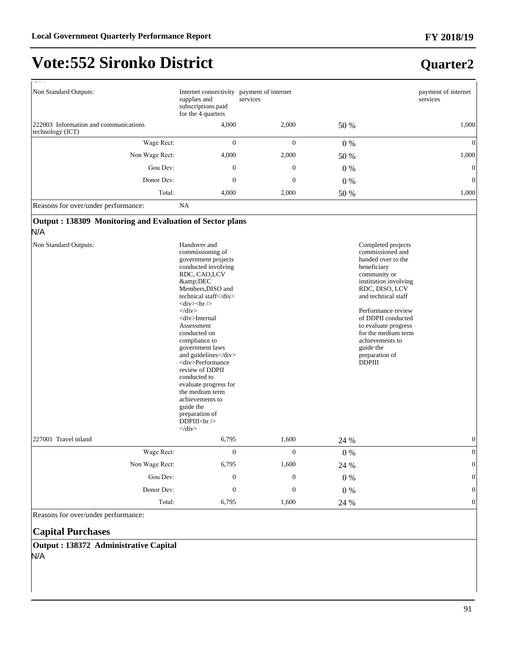**Quarter2**

## **Vote:552 Sironko District**

| Non Standard Outputs:                                     | Internet connectivity payment of internet<br>supplies and<br>subscriptions paid<br>for the 4 quarters | services     |       | payment of internet<br>services |
|-----------------------------------------------------------|-------------------------------------------------------------------------------------------------------|--------------|-------|---------------------------------|
| 222003 Information and communications<br>technology (ICT) | 4,000                                                                                                 | 2,000        | 50 %  | 1,000                           |
| Wage Rect:                                                | $\mathbf{0}$                                                                                          | 0            | $0\%$ | 0                               |
| Non Wage Rect:                                            | 4,000                                                                                                 | 2,000        | 50 %  | 1,000                           |
| Gou Dev:                                                  | $\mathbf{0}$                                                                                          | $\mathbf{0}$ | 0 %   | $\vert 0 \vert$                 |
| Donor Dev:                                                | $\mathbf{0}$                                                                                          | $\mathbf{0}$ | $0\%$ | 0                               |
| Total:                                                    | 4,000                                                                                                 | 2,000        | 50 %  | 1,000                           |

Reasons for over/under performance: NA

#### **Output : 138309 Monitoring and Evaluation of Sector plans** N/A

Non Standard Outputs: Handover and commissioning of government projects conducted involving RDC, CAO,LCV &DEC Members,DISO and technical staff</div>  $\langle$ div $>$ br/ $>$  $\langle$ div $>$ <div>Internal Assessment conducted on compliance to government laws and guidelines</div> <div>Performance review of DDPII conducted to evaluate progress for the medium term achievements to guide the preparation of  $\overline{DDPIII}$   $\lt$ br  $\lt$  $\langle$ div $>$ Completed projects commissioned and handed over to the beneficiary community or institution involving RDC, DISO, LCV and technical staff Performance review of DDPII conducted to evaluate progress for the medium term achievements to guide the preparation of DDPIII 227001 Travel inland 6,795 1,600 24 % 0 Wage Rect:  $0$   $0$   $0$   $0$   $\%$ Non Wage Rect: 6,795 1,600 24 % 0 Gou Dev:  $0 \t 0 \t 0 \t 0 \t 0$ Donor Dev:  $0 \t 0 \t 0 \t 0 \t 0$ Total: 6,795 1,600 24 % 0

Reasons for over/under performance:

#### **Capital Purchases**

**Output : 138372 Administrative Capital** N/A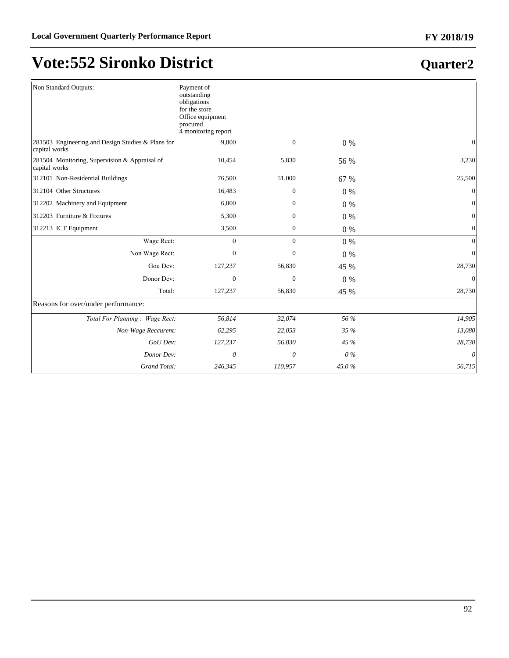#### Non Standard Outputs: Payment of outstanding obligations for the store Office equipment procured 4 monitoring report 281503 Engineering and Design Studies & Plans for capital works 9,000 0 0 % 0 281504 Monitoring, Supervision & Appraisal of capital works 10,454 5,830 56 % 3,230 312101 Non-Residential Buildings 76,500 51,000 67 % 25,500 312104 Other Structures 16,483 0 0 0 % 0 0 0 0 0 % 0 0 0 % 0 0 0 % 0 0 m 312202 Machinery and Equipment 6,000 0 0 % 0  $312203$  Furniture & Fixtures  $312203$  Furniture & Fixtures  $312203$ 312213 ICT Equipment 3,500 0 0 % 0 :DJH5HFW 0 0 0 % 0 Non Wage Rect:  $0$  0 0 0  $0\%$  0 Gou Dev: 127,237 56,830 45 % 28,730 Donor Dev:  $0 \t 0 \t 0 \t 0 \t 0$ 70tal: 127,237 56,830 45 % 28,730 Reasons for over/under performance: *7RWDO)RU3ODQQLQJ:DJH5HFW 56,814 32,074 56 % 14,905 Non-Wage Reccurent: 62,295 22,053 35 % 13,080 GoU Dev: 127,237 56,830 45 % 28,730 Donor Dev: 0 0 0 % 0 Grand Total: 246,345 110,957 45.0 % 56,715*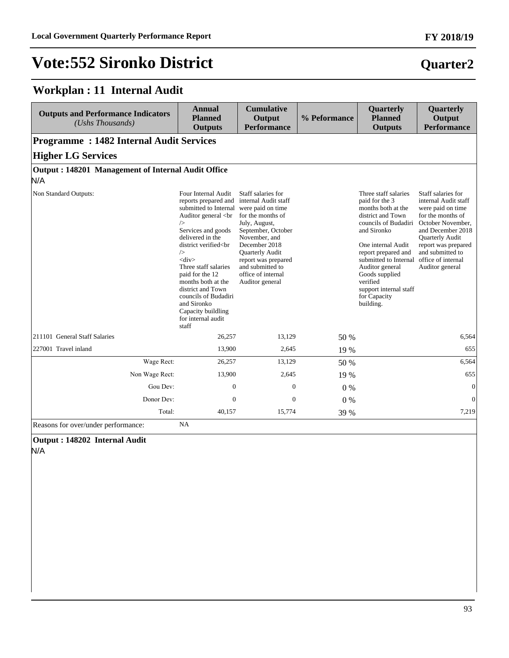#### **Workplan : 11 Internal Audit**

| <b>Outputs and Performance Indicators</b><br>(Ushs Thousands) | Annual<br><b>Planned</b><br><b>Outputs</b>                                                                                                                 | <b>Cumulative</b><br>Output<br><b>Performance</b>                                                                                                                                                                                               | % Peformance | Quarterly<br><b>Planned</b><br><b>Outputs</b>                                                                                                                                                                                                                                                          | Quarterly<br>Output<br><b>Performance</b>                                                                                                                                                                                             |
|---------------------------------------------------------------|------------------------------------------------------------------------------------------------------------------------------------------------------------|-------------------------------------------------------------------------------------------------------------------------------------------------------------------------------------------------------------------------------------------------|--------------|--------------------------------------------------------------------------------------------------------------------------------------------------------------------------------------------------------------------------------------------------------------------------------------------------------|---------------------------------------------------------------------------------------------------------------------------------------------------------------------------------------------------------------------------------------|
| <b>Programme: 1482 Internal Audit Services</b>                |                                                                                                                                                            |                                                                                                                                                                                                                                                 |              |                                                                                                                                                                                                                                                                                                        |                                                                                                                                                                                                                                       |
| <b>Higher LG Services</b>                                     |                                                                                                                                                            |                                                                                                                                                                                                                                                 |              |                                                                                                                                                                                                                                                                                                        |                                                                                                                                                                                                                                       |
| Output: 148201 Management of Internal Audit Office            |                                                                                                                                                            |                                                                                                                                                                                                                                                 |              |                                                                                                                                                                                                                                                                                                        |                                                                                                                                                                                                                                       |
| N/A                                                           |                                                                                                                                                            |                                                                                                                                                                                                                                                 |              |                                                                                                                                                                                                                                                                                                        |                                                                                                                                                                                                                                       |
| Non Standard Outputs:                                         | Four Internal Audit<br>reports prepared and<br>submitted to Internal were paid on time<br>Auditor general<br>br<br>$\rightarrow$<br>Services and goods<br> | Staff salaries for<br>internal Audit staff<br>for the months of<br>July, August,<br>September, October<br>November, and<br>December 2018<br>Quarterly Audit<br>report was prepared<br>and submitted to<br>office of internal<br>Auditor general |              | Three staff salaries<br>paid for the 3<br>months both at the<br>district and Town<br>councils of Budadiri<br>and Sironko<br>One internal Audit<br>report prepared and<br>submitted to Internal<br>Auditor general<br>Goods supplied<br>verified<br>support internal staff<br>for Capacity<br>building. | Staff salaries for<br>internal Audit staff<br>were paid on time<br>for the months of<br>October November.<br>and December 2018<br>Quarterly Audit<br>report was prepared<br>and submitted to<br>office of internal<br>Auditor general |
| 211101 General Staff Salaries                                 | 26,257                                                                                                                                                     | 13,129                                                                                                                                                                                                                                          | 50 %         |                                                                                                                                                                                                                                                                                                        | 6,564                                                                                                                                                                                                                                 |
| 227001 Travel inland                                          | 13,900                                                                                                                                                     | 2,645                                                                                                                                                                                                                                           | 19 %         |                                                                                                                                                                                                                                                                                                        | 655                                                                                                                                                                                                                                   |
| Wage Rect:                                                    | 26,257                                                                                                                                                     | 13,129                                                                                                                                                                                                                                          | 50 %         |                                                                                                                                                                                                                                                                                                        | 6,564                                                                                                                                                                                                                                 |
| Non Wage Rect:                                                | 13,900                                                                                                                                                     | 2,645                                                                                                                                                                                                                                           | 19 %         |                                                                                                                                                                                                                                                                                                        | 655                                                                                                                                                                                                                                   |
| Gou Dev:                                                      | $\mathbf{0}$                                                                                                                                               | $\mathbf{0}$                                                                                                                                                                                                                                    | 0%           |                                                                                                                                                                                                                                                                                                        | $\theta$                                                                                                                                                                                                                              |
| Donor Dev:                                                    | $\Omega$                                                                                                                                                   | $\mathbf{0}$                                                                                                                                                                                                                                    | $0\%$        |                                                                                                                                                                                                                                                                                                        | $\Omega$                                                                                                                                                                                                                              |
| Total:                                                        | 40,157                                                                                                                                                     | 15,774                                                                                                                                                                                                                                          | 39 %         |                                                                                                                                                                                                                                                                                                        | 7,219                                                                                                                                                                                                                                 |

Reasons for over/under performance: NA

**Output : 148202 Internal Audit**

N/A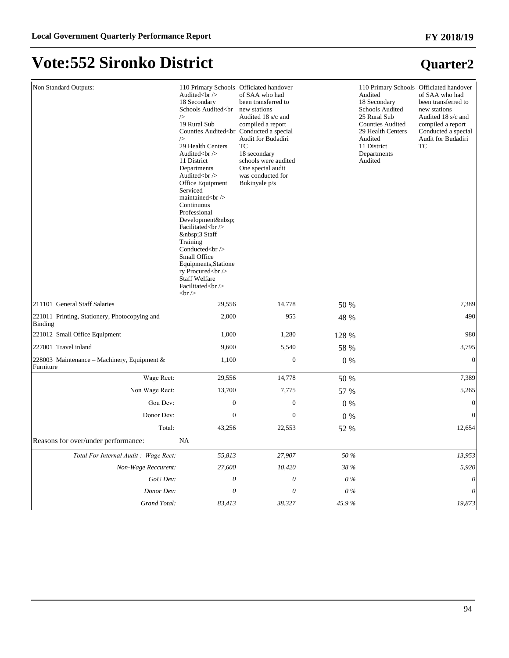| Non Standard Outputs:                                    | 110 Primary Schools Officiated handover<br>Audited<br><br>18 Secondary<br>Schools Audited <br<br><math>\rightarrow</math><br>19 Rural Sub<br/>Counties Audited<br a="" conducted="" special<br=""/><math>\rightarrow</math><br/>29 Health Centers<br/>Audited<br/><br/>11 District<br/>Departments<br>Audited<br/><br/>Office Equipment<br/>Serviced<br>maintained<br/><br/>Continuous<br/>Professional<br>Development <br/>Facilitated<br/><br/> 3 Staff<br/>Training<br>Conducted<br/><br/>Small Office<br/>Equipments, Statione<br>ry Procured<br/><br/><b>Staff Welfare</b><br/>Facilitated<br><br/><br/>tr/</br></br></br></br></br></br></br></br<br> | of SAA who had<br>been transferred to<br>new stations<br>Audited 18 s/c and<br>compiled a report<br>Audit for Budadiri<br>TC<br>18 secondary<br>schools were audited<br>One special audit<br>was conducted for<br>Bukinyale p/s |         | 110 Primary Schools Officiated handover<br>Audited<br>18 Secondary<br>Schools Audited<br>25 Rural Sub<br><b>Counties Audited</b><br>29 Health Centers<br>Audited<br>11 District<br>Departments<br>Audited | of SAA who had<br>been transferred to<br>new stations<br>Audited 18 s/c and<br>compiled a report<br>Conducted a special<br>Audit for Budadiri<br>TC |
|----------------------------------------------------------|-------------------------------------------------------------------------------------------------------------------------------------------------------------------------------------------------------------------------------------------------------------------------------------------------------------------------------------------------------------------------------------------------------------------------------------------------------------------------------------------------------------------------------------------------------------------------------------------------------------------------------------------------------------|---------------------------------------------------------------------------------------------------------------------------------------------------------------------------------------------------------------------------------|---------|-----------------------------------------------------------------------------------------------------------------------------------------------------------------------------------------------------------|-----------------------------------------------------------------------------------------------------------------------------------------------------|
| 211101 General Staff Salaries                            | 29,556                                                                                                                                                                                                                                                                                                                                                                                                                                                                                                                                                                                                                                                      | 14,778                                                                                                                                                                                                                          | 50 %    |                                                                                                                                                                                                           | 7,389                                                                                                                                               |
| 221011 Printing, Stationery, Photocopying and<br>Binding | 2,000                                                                                                                                                                                                                                                                                                                                                                                                                                                                                                                                                                                                                                                       | 955                                                                                                                                                                                                                             | 48 %    |                                                                                                                                                                                                           | 490                                                                                                                                                 |
| 221012 Small Office Equipment                            | 1,000                                                                                                                                                                                                                                                                                                                                                                                                                                                                                                                                                                                                                                                       | 1,280                                                                                                                                                                                                                           | 128 %   |                                                                                                                                                                                                           | 980                                                                                                                                                 |
| 227001 Travel inland                                     | 9,600                                                                                                                                                                                                                                                                                                                                                                                                                                                                                                                                                                                                                                                       | 5,540                                                                                                                                                                                                                           | 58 %    |                                                                                                                                                                                                           | 3,795                                                                                                                                               |
| 228003 Maintenance - Machinery, Equipment &<br>Furniture | 1,100                                                                                                                                                                                                                                                                                                                                                                                                                                                                                                                                                                                                                                                       | $\boldsymbol{0}$                                                                                                                                                                                                                | $0\ \%$ |                                                                                                                                                                                                           | $\overline{0}$                                                                                                                                      |
| Wage Rect:                                               | 29,556                                                                                                                                                                                                                                                                                                                                                                                                                                                                                                                                                                                                                                                      | 14,778                                                                                                                                                                                                                          | 50 %    |                                                                                                                                                                                                           | 7,389                                                                                                                                               |
| Non Wage Rect:                                           | 13,700                                                                                                                                                                                                                                                                                                                                                                                                                                                                                                                                                                                                                                                      | 7,775                                                                                                                                                                                                                           | 57 %    |                                                                                                                                                                                                           | 5,265                                                                                                                                               |
| Gou Dev:                                                 | $\boldsymbol{0}$                                                                                                                                                                                                                                                                                                                                                                                                                                                                                                                                                                                                                                            | $\boldsymbol{0}$                                                                                                                                                                                                                | $0\ \%$ |                                                                                                                                                                                                           | $\boldsymbol{0}$                                                                                                                                    |
| Donor Dev:                                               | $\mathbf{0}$                                                                                                                                                                                                                                                                                                                                                                                                                                                                                                                                                                                                                                                | $\mathbf{0}$                                                                                                                                                                                                                    | $0\%$   |                                                                                                                                                                                                           | $\overline{0}$                                                                                                                                      |
| Total:                                                   | 43,256                                                                                                                                                                                                                                                                                                                                                                                                                                                                                                                                                                                                                                                      | 22,553                                                                                                                                                                                                                          | 52 %    |                                                                                                                                                                                                           | 12,654                                                                                                                                              |
| Reasons for over/under performance:                      | NA                                                                                                                                                                                                                                                                                                                                                                                                                                                                                                                                                                                                                                                          |                                                                                                                                                                                                                                 |         |                                                                                                                                                                                                           |                                                                                                                                                     |
| Total For Internal Audit: Wage Rect:                     | 55,813                                                                                                                                                                                                                                                                                                                                                                                                                                                                                                                                                                                                                                                      | 27,907                                                                                                                                                                                                                          | 50 %    |                                                                                                                                                                                                           | 13,953                                                                                                                                              |
| Non-Wage Reccurent:                                      | 27,600                                                                                                                                                                                                                                                                                                                                                                                                                                                                                                                                                                                                                                                      | 10,420                                                                                                                                                                                                                          | 38 %    |                                                                                                                                                                                                           | 5,920                                                                                                                                               |
| GoU Dev:                                                 | $\boldsymbol{\mathit{0}}$                                                                                                                                                                                                                                                                                                                                                                                                                                                                                                                                                                                                                                   | $\boldsymbol{\mathit{0}}$                                                                                                                                                                                                       | 0%      |                                                                                                                                                                                                           | $\boldsymbol{\mathit{0}}$                                                                                                                           |
| Donor Dev:                                               | $\theta$                                                                                                                                                                                                                                                                                                                                                                                                                                                                                                                                                                                                                                                    | $\theta$                                                                                                                                                                                                                        | $0\%$   |                                                                                                                                                                                                           | $\theta$                                                                                                                                            |
| Grand Total:                                             | 83,413                                                                                                                                                                                                                                                                                                                                                                                                                                                                                                                                                                                                                                                      | 38,327                                                                                                                                                                                                                          | 45.9%   |                                                                                                                                                                                                           | 19,873                                                                                                                                              |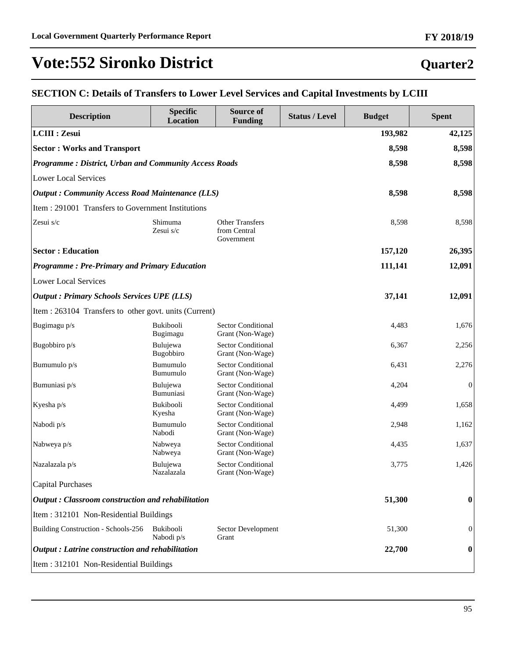#### **Quarter2**

#### **SECTION C: Details of Transfers to Lower Level Services and Capital Investments by LCIII**

| <b>Description</b>                                           | <b>Specific</b><br><b>Location</b> | Source of<br><b>Funding</b>                          | <b>Status / Level</b> | <b>Budget</b> | <b>Spent</b>     |  |  |
|--------------------------------------------------------------|------------------------------------|------------------------------------------------------|-----------------------|---------------|------------------|--|--|
| <b>LCIII : Zesui</b>                                         |                                    |                                                      |                       | 193,982       | 42,125           |  |  |
| <b>Sector: Works and Transport</b>                           |                                    |                                                      |                       |               |                  |  |  |
| <b>Programme: District, Urban and Community Access Roads</b> |                                    |                                                      |                       | 8,598         | 8,598            |  |  |
| <b>Lower Local Services</b>                                  |                                    |                                                      |                       |               |                  |  |  |
| <b>Output: Community Access Road Maintenance (LLS)</b>       |                                    |                                                      |                       | 8,598         | 8,598            |  |  |
| Item: 291001 Transfers to Government Institutions            |                                    |                                                      |                       |               |                  |  |  |
| Zesui s/c                                                    | Shimuma<br>Zesui s/c               | <b>Other Transfers</b><br>from Central<br>Government |                       | 8,598         | 8,598            |  |  |
| <b>Sector: Education</b>                                     |                                    |                                                      |                       | 157,120       | 26,395           |  |  |
| <b>Programme: Pre-Primary and Primary Education</b>          |                                    |                                                      |                       | 111,141       | 12,091           |  |  |
| <b>Lower Local Services</b>                                  |                                    |                                                      |                       |               |                  |  |  |
| <b>Output: Primary Schools Services UPE (LLS)</b>            |                                    |                                                      |                       | 37,141        | 12,091           |  |  |
| Item : 263104 Transfers to other govt. units (Current)       |                                    |                                                      |                       |               |                  |  |  |
| Bugimagu p/s                                                 | Bukibooli<br>Bugimagu              | <b>Sector Conditional</b><br>Grant (Non-Wage)        |                       | 4,483         | 1,676            |  |  |
| Bugobbiro p/s                                                | Bulujewa<br>Bugobbiro              | <b>Sector Conditional</b><br>Grant (Non-Wage)        |                       | 6,367         | 2,256            |  |  |
| Bumumulo p/s                                                 | Bumumulo<br>Bumumulo               | <b>Sector Conditional</b><br>Grant (Non-Wage)        |                       | 6,431         | 2,276            |  |  |
| Bumuniasi p/s                                                | Bulujewa<br>Bumuniasi              | <b>Sector Conditional</b><br>Grant (Non-Wage)        |                       | 4,204         | $\overline{0}$   |  |  |
| Kyesha p/s                                                   | Bukibooli<br>Kyesha                | <b>Sector Conditional</b><br>Grant (Non-Wage)        |                       | 4,499         | 1,658            |  |  |
| Nabodi p/s                                                   | Bumumulo<br>Nabodi                 | <b>Sector Conditional</b><br>Grant (Non-Wage)        |                       | 2,948         | 1,162            |  |  |
| Nabweya p/s                                                  | Nabweya<br>Nabweya                 | <b>Sector Conditional</b><br>Grant (Non-Wage)        |                       | 4,435         | 1,637            |  |  |
| Nazalazala p/s                                               | Bulujewa<br>Nazalazala             | <b>Sector Conditional</b><br>Grant (Non-Wage)        |                       | 3,775         | 1,426            |  |  |
| <b>Capital Purchases</b>                                     |                                    |                                                      |                       |               |                  |  |  |
| <b>Output: Classroom construction and rehabilitation</b>     |                                    |                                                      |                       | 51,300        | $\bf{0}$         |  |  |
| Item: 312101 Non-Residential Buildings                       |                                    |                                                      |                       |               |                  |  |  |
| Building Construction - Schools-256                          | <b>Bukibooli</b><br>Nabodi p/s     | Sector Development<br>Grant                          |                       | 51,300        | 0                |  |  |
| Output: Latrine construction and rehabilitation              |                                    |                                                      |                       | 22,700        | $\boldsymbol{0}$ |  |  |
| Item: 312101 Non-Residential Buildings                       |                                    |                                                      |                       |               |                  |  |  |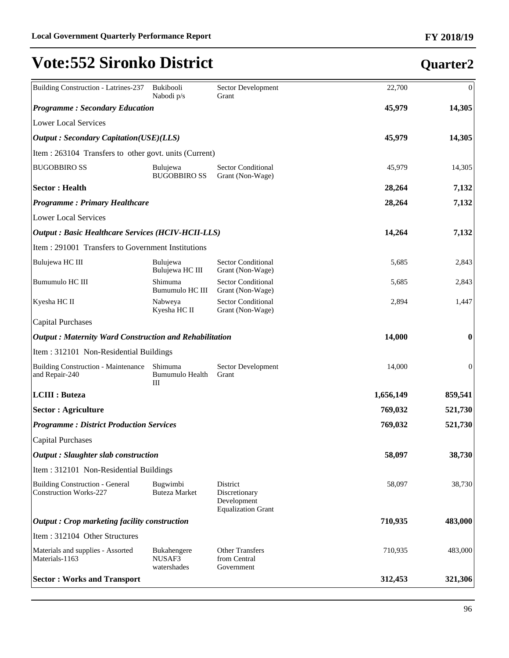| Building Construction - Latrines-237                                    | Bukibooli<br>Nabodi p/s                | Sector Development<br>Grant                                           | 22,700    | $\theta$         |
|-------------------------------------------------------------------------|----------------------------------------|-----------------------------------------------------------------------|-----------|------------------|
| <b>Programme: Secondary Education</b>                                   |                                        |                                                                       | 45,979    | 14,305           |
| <b>Lower Local Services</b>                                             |                                        |                                                                       |           |                  |
| <b>Output : Secondary Capitation(USE)(LLS)</b>                          |                                        |                                                                       | 45,979    | 14,305           |
| Item : 263104 Transfers to other govt. units (Current)                  |                                        |                                                                       |           |                  |
| <b>BUGOBBIRO SS</b>                                                     | Bulujewa<br><b>BUGOBBIRO SS</b>        | <b>Sector Conditional</b><br>Grant (Non-Wage)                         | 45,979    | 14,305           |
| <b>Sector: Health</b>                                                   |                                        |                                                                       | 28,264    | 7,132            |
| <b>Programme: Primary Healthcare</b>                                    |                                        |                                                                       | 28,264    | 7,132            |
| <b>Lower Local Services</b>                                             |                                        |                                                                       |           |                  |
| <b>Output : Basic Healthcare Services (HCIV-HCII-LLS)</b>               |                                        |                                                                       | 14,264    | 7,132            |
| Item: 291001 Transfers to Government Institutions                       |                                        |                                                                       |           |                  |
| Bulujewa HC III                                                         | Bulujewa<br>Bulujewa HC III            | <b>Sector Conditional</b><br>Grant (Non-Wage)                         | 5,685     | 2,843            |
| Bumumulo HC III                                                         | Shimuma<br>Bumumulo HC III             | <b>Sector Conditional</b><br>Grant (Non-Wage)                         | 5,685     | 2,843            |
| Kyesha HC II                                                            | Nabweya<br>Kyesha HC II                | <b>Sector Conditional</b><br>Grant (Non-Wage)                         | 2,894     | 1,447            |
| <b>Capital Purchases</b>                                                |                                        |                                                                       |           |                  |
| <b>Output: Maternity Ward Construction and Rehabilitation</b>           |                                        |                                                                       | 14,000    | $\boldsymbol{0}$ |
| Item: 312101 Non-Residential Buildings                                  |                                        |                                                                       |           |                  |
| <b>Building Construction - Maintenance</b><br>and Repair-240            | Shimuma<br><b>Bumumulo Health</b><br>Ш | Sector Development<br>Grant                                           | 14,000    | $\boldsymbol{0}$ |
| <b>LCIII</b> : Buteza                                                   |                                        |                                                                       | 1,656,149 | 859,541          |
| <b>Sector : Agriculture</b>                                             |                                        |                                                                       | 769,032   | 521,730          |
| <b>Programme: District Production Services</b>                          |                                        |                                                                       | 769,032   | 521,730          |
| <b>Capital Purchases</b>                                                |                                        |                                                                       |           |                  |
| <b>Output</b> : Slaughter slab construction                             |                                        |                                                                       | 58,097    | 38,730           |
| Item: 312101 Non-Residential Buildings                                  |                                        |                                                                       |           |                  |
| <b>Building Construction - General</b><br><b>Construction Works-227</b> | Bugwimbi<br><b>Buteza Market</b>       | District<br>Discretionary<br>Development<br><b>Equalization Grant</b> | 58,097    | 38,730           |
| <b>Output : Crop marketing facility construction</b>                    |                                        |                                                                       | 710,935   | 483,000          |
| Item: 312104 Other Structures                                           |                                        |                                                                       |           |                  |
| Materials and supplies - Assorted<br>Materials-1163                     | Bukahengere<br>NUSAF3<br>watershades   | <b>Other Transfers</b><br>from Central<br>Government                  | 710,935   | 483,000          |
| <b>Sector: Works and Transport</b>                                      |                                        |                                                                       | 312,453   | 321,306          |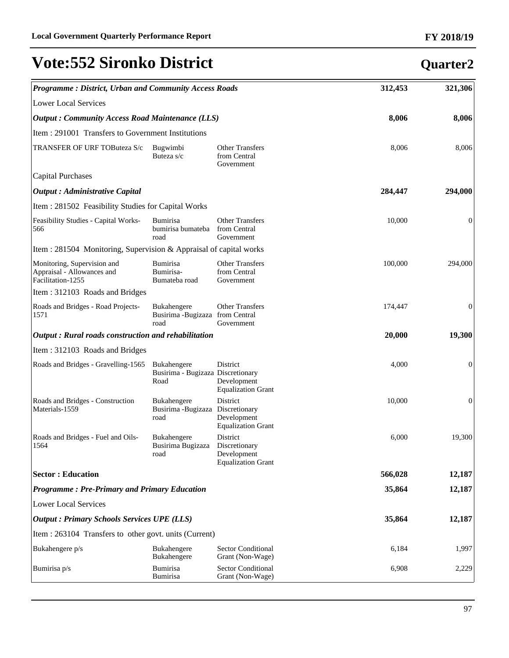| <b>Programme: District, Urban and Community Access Roads</b>                   |                                                          |                                                                       | 312,453 | 321,306          |
|--------------------------------------------------------------------------------|----------------------------------------------------------|-----------------------------------------------------------------------|---------|------------------|
| <b>Lower Local Services</b>                                                    |                                                          |                                                                       |         |                  |
| <b>Output: Community Access Road Maintenance (LLS)</b>                         |                                                          |                                                                       | 8,006   | 8,006            |
| Item : 291001 Transfers to Government Institutions                             |                                                          |                                                                       |         |                  |
| TRANSFER OF URF TOButeza S/c                                                   | Bugwimbi<br>Buteza s/c                                   | <b>Other Transfers</b><br>from Central<br>Government                  | 8,006   | 8,006            |
| <b>Capital Purchases</b>                                                       |                                                          |                                                                       |         |                  |
| <b>Output: Administrative Capital</b>                                          |                                                          |                                                                       | 284,447 | 294,000          |
| Item: 281502 Feasibility Studies for Capital Works                             |                                                          |                                                                       |         |                  |
| Feasibility Studies - Capital Works-<br>566                                    | <b>Bumirisa</b><br>bumirisa bumateba<br>road             | <b>Other Transfers</b><br>from Central<br>Government                  | 10,000  | $\mathbf{0}$     |
| Item : 281504 Monitoring, Supervision & Appraisal of capital works             |                                                          |                                                                       |         |                  |
| Monitoring, Supervision and<br>Appraisal - Allowances and<br>Facilitation-1255 | Bumirisa<br>Bumirisa-<br>Bumateba road                   | <b>Other Transfers</b><br>from Central<br>Government                  | 100,000 | 294,000          |
| Item: 312103 Roads and Bridges                                                 |                                                          |                                                                       |         |                  |
| Roads and Bridges - Road Projects-<br>1571                                     | Bukahengere<br>Busirima -Bugizaza from Central<br>road   | Other Transfers<br>Government                                         | 174,447 | $\mathbf{0}$     |
| Output: Rural roads construction and rehabilitation                            |                                                          |                                                                       | 20,000  | 19,300           |
| Item: 312103 Roads and Bridges                                                 |                                                          |                                                                       |         |                  |
| Roads and Bridges - Gravelling-1565                                            | Bukahengere<br>Busirima - Bugizaza Discretionary<br>Road | District<br>Development<br><b>Equalization Grant</b>                  | 4,000   | $\mathbf{0}$     |
| Roads and Bridges - Construction<br>Materials-1559                             | Bukahengere<br>Busirima-Bugizaza Discretionary<br>road   | District<br>Development<br><b>Equalization Grant</b>                  | 10,000  | $\boldsymbol{0}$ |
| Roads and Bridges - Fuel and Oils-<br>1564                                     | Bukahengere<br>Busirima Bugizaza<br>road                 | District<br>Discretionary<br>Development<br><b>Equalization Grant</b> | 6,000   | 19,300           |
| <b>Sector: Education</b>                                                       |                                                          |                                                                       | 566,028 | 12,187           |
| <b>Programme: Pre-Primary and Primary Education</b>                            |                                                          |                                                                       | 35,864  | 12,187           |
| <b>Lower Local Services</b>                                                    |                                                          |                                                                       |         |                  |
| <b>Output : Primary Schools Services UPE (LLS)</b>                             |                                                          |                                                                       | 35,864  | 12,187           |
| Item : 263104 Transfers to other govt. units (Current)                         |                                                          |                                                                       |         |                  |
| Bukahengere p/s                                                                | Bukahengere<br>Bukahengere                               | <b>Sector Conditional</b><br>Grant (Non-Wage)                         | 6,184   | 1,997            |
| Bumirisa p/s                                                                   | Bumirisa<br><b>Bumirisa</b>                              | <b>Sector Conditional</b><br>Grant (Non-Wage)                         | 6,908   | 2,229            |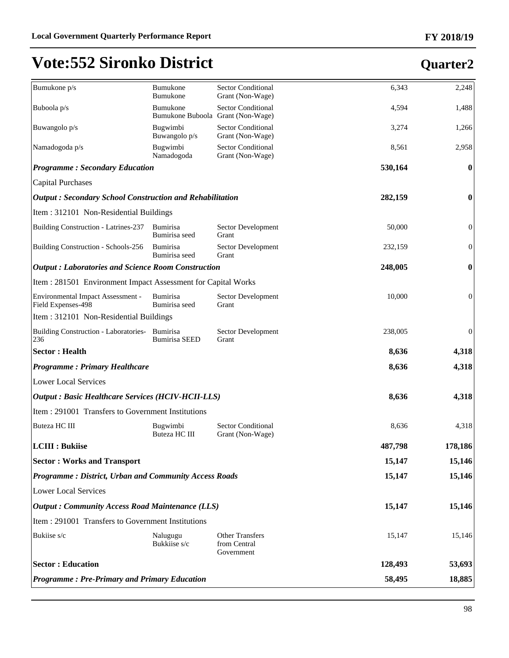# **Quarter2**

**FY 2018/19**

| Bumukone p/s<br>Bumukone<br>6,343<br>2,248<br><b>Sector Conditional</b><br>Bumukone<br>Grant (Non-Wage)<br><b>Bumukone</b><br><b>Sector Conditional</b><br>4,594<br>1,488<br>Buboola p/s<br>Bumukone Buboola Grant (Non-Wage)<br><b>Sector Conditional</b><br>Buwangolo p/s<br>Bugwimbi<br>3,274<br>1,266<br>Buwangolo p/s<br>Grant (Non-Wage)<br>Bugwimbi<br><b>Sector Conditional</b><br>8,561<br>2,958<br>Namadogoda p/s<br>Namadogoda<br>Grant (Non-Wage)<br>530,164<br>$\boldsymbol{0}$<br><b>Programme: Secondary Education</b><br>Capital Purchases<br><b>Output: Secondary School Construction and Rehabilitation</b><br>282,159<br>$\boldsymbol{0}$<br>Item : 312101 Non-Residential Buildings<br>Building Construction - Latrines-237<br>50,000<br>$\boldsymbol{0}$<br><b>Bumirisa</b><br>Sector Development<br>Bumirisa seed<br>Grant<br>Building Construction - Schools-256<br>Bumirisa<br>Sector Development<br>$\boldsymbol{0}$<br>232,159<br>Bumirisa seed<br>Grant<br><b>Output: Laboratories and Science Room Construction</b><br>248,005<br>$\boldsymbol{0}$<br>Item : 281501 Environment Impact Assessment for Capital Works<br>Environmental Impact Assessment -<br>10,000<br>$\boldsymbol{0}$<br><b>Bumirisa</b><br>Sector Development<br>Field Expenses-498<br>Bumirisa seed<br>Grant<br>Item: 312101 Non-Residential Buildings<br>Building Construction - Laboratories-<br>238,005<br>$\boldsymbol{0}$<br>Sector Development<br><b>Bumirisa</b><br><b>Bumirisa SEED</b><br>236<br>Grant<br><b>Sector: Health</b><br>8,636<br>4,318<br>4,318<br><b>Programme: Primary Healthcare</b><br>8,636<br><b>Lower Local Services</b><br>8,636<br><b>Output: Basic Healthcare Services (HCIV-HCII-LLS)</b><br>4,318<br>Item : 291001 Transfers to Government Institutions<br>Buteza HC III<br><b>Sector Conditional</b><br>8,636<br>4,318<br>Bugwimbi<br>Buteza HC III<br>Grant (Non-Wage)<br><b>LCIII : Bukiise</b><br>487,798<br>178,186<br><b>Sector: Works and Transport</b><br>15,147<br>15,147<br><b>Programme: District, Urban and Community Access Roads</b><br>Lower Local Services<br>15,147<br><b>Output: Community Access Road Maintenance (LLS)</b><br>Item : 291001 Transfers to Government Institutions<br>Bukiise s/c<br><b>Other Transfers</b><br>15,147<br>15,146<br>Nalugugu<br>Bukkiise s/c<br>from Central<br>Government<br><b>Sector: Education</b><br>128,493<br>53,693<br>58,495<br>18,885<br><b>Programme: Pre-Primary and Primary Education</b> |  |  |  |
|----------------------------------------------------------------------------------------------------------------------------------------------------------------------------------------------------------------------------------------------------------------------------------------------------------------------------------------------------------------------------------------------------------------------------------------------------------------------------------------------------------------------------------------------------------------------------------------------------------------------------------------------------------------------------------------------------------------------------------------------------------------------------------------------------------------------------------------------------------------------------------------------------------------------------------------------------------------------------------------------------------------------------------------------------------------------------------------------------------------------------------------------------------------------------------------------------------------------------------------------------------------------------------------------------------------------------------------------------------------------------------------------------------------------------------------------------------------------------------------------------------------------------------------------------------------------------------------------------------------------------------------------------------------------------------------------------------------------------------------------------------------------------------------------------------------------------------------------------------------------------------------------------------------------------------------------------------------------------------------------------------------------------------------------------------------------------------------------------------------------------------------------------------------------------------------------------------------------------------------------------------------------------------------------------------------------------------------------------------------------------------------------------------------------------------------------------------------------------------------|--|--|--|
| 15,146<br>15,146<br>15,146                                                                                                                                                                                                                                                                                                                                                                                                                                                                                                                                                                                                                                                                                                                                                                                                                                                                                                                                                                                                                                                                                                                                                                                                                                                                                                                                                                                                                                                                                                                                                                                                                                                                                                                                                                                                                                                                                                                                                                                                                                                                                                                                                                                                                                                                                                                                                                                                                                                             |  |  |  |
|                                                                                                                                                                                                                                                                                                                                                                                                                                                                                                                                                                                                                                                                                                                                                                                                                                                                                                                                                                                                                                                                                                                                                                                                                                                                                                                                                                                                                                                                                                                                                                                                                                                                                                                                                                                                                                                                                                                                                                                                                                                                                                                                                                                                                                                                                                                                                                                                                                                                                        |  |  |  |
|                                                                                                                                                                                                                                                                                                                                                                                                                                                                                                                                                                                                                                                                                                                                                                                                                                                                                                                                                                                                                                                                                                                                                                                                                                                                                                                                                                                                                                                                                                                                                                                                                                                                                                                                                                                                                                                                                                                                                                                                                                                                                                                                                                                                                                                                                                                                                                                                                                                                                        |  |  |  |
|                                                                                                                                                                                                                                                                                                                                                                                                                                                                                                                                                                                                                                                                                                                                                                                                                                                                                                                                                                                                                                                                                                                                                                                                                                                                                                                                                                                                                                                                                                                                                                                                                                                                                                                                                                                                                                                                                                                                                                                                                                                                                                                                                                                                                                                                                                                                                                                                                                                                                        |  |  |  |
|                                                                                                                                                                                                                                                                                                                                                                                                                                                                                                                                                                                                                                                                                                                                                                                                                                                                                                                                                                                                                                                                                                                                                                                                                                                                                                                                                                                                                                                                                                                                                                                                                                                                                                                                                                                                                                                                                                                                                                                                                                                                                                                                                                                                                                                                                                                                                                                                                                                                                        |  |  |  |
|                                                                                                                                                                                                                                                                                                                                                                                                                                                                                                                                                                                                                                                                                                                                                                                                                                                                                                                                                                                                                                                                                                                                                                                                                                                                                                                                                                                                                                                                                                                                                                                                                                                                                                                                                                                                                                                                                                                                                                                                                                                                                                                                                                                                                                                                                                                                                                                                                                                                                        |  |  |  |
|                                                                                                                                                                                                                                                                                                                                                                                                                                                                                                                                                                                                                                                                                                                                                                                                                                                                                                                                                                                                                                                                                                                                                                                                                                                                                                                                                                                                                                                                                                                                                                                                                                                                                                                                                                                                                                                                                                                                                                                                                                                                                                                                                                                                                                                                                                                                                                                                                                                                                        |  |  |  |
|                                                                                                                                                                                                                                                                                                                                                                                                                                                                                                                                                                                                                                                                                                                                                                                                                                                                                                                                                                                                                                                                                                                                                                                                                                                                                                                                                                                                                                                                                                                                                                                                                                                                                                                                                                                                                                                                                                                                                                                                                                                                                                                                                                                                                                                                                                                                                                                                                                                                                        |  |  |  |
|                                                                                                                                                                                                                                                                                                                                                                                                                                                                                                                                                                                                                                                                                                                                                                                                                                                                                                                                                                                                                                                                                                                                                                                                                                                                                                                                                                                                                                                                                                                                                                                                                                                                                                                                                                                                                                                                                                                                                                                                                                                                                                                                                                                                                                                                                                                                                                                                                                                                                        |  |  |  |
|                                                                                                                                                                                                                                                                                                                                                                                                                                                                                                                                                                                                                                                                                                                                                                                                                                                                                                                                                                                                                                                                                                                                                                                                                                                                                                                                                                                                                                                                                                                                                                                                                                                                                                                                                                                                                                                                                                                                                                                                                                                                                                                                                                                                                                                                                                                                                                                                                                                                                        |  |  |  |
|                                                                                                                                                                                                                                                                                                                                                                                                                                                                                                                                                                                                                                                                                                                                                                                                                                                                                                                                                                                                                                                                                                                                                                                                                                                                                                                                                                                                                                                                                                                                                                                                                                                                                                                                                                                                                                                                                                                                                                                                                                                                                                                                                                                                                                                                                                                                                                                                                                                                                        |  |  |  |
|                                                                                                                                                                                                                                                                                                                                                                                                                                                                                                                                                                                                                                                                                                                                                                                                                                                                                                                                                                                                                                                                                                                                                                                                                                                                                                                                                                                                                                                                                                                                                                                                                                                                                                                                                                                                                                                                                                                                                                                                                                                                                                                                                                                                                                                                                                                                                                                                                                                                                        |  |  |  |
|                                                                                                                                                                                                                                                                                                                                                                                                                                                                                                                                                                                                                                                                                                                                                                                                                                                                                                                                                                                                                                                                                                                                                                                                                                                                                                                                                                                                                                                                                                                                                                                                                                                                                                                                                                                                                                                                                                                                                                                                                                                                                                                                                                                                                                                                                                                                                                                                                                                                                        |  |  |  |
|                                                                                                                                                                                                                                                                                                                                                                                                                                                                                                                                                                                                                                                                                                                                                                                                                                                                                                                                                                                                                                                                                                                                                                                                                                                                                                                                                                                                                                                                                                                                                                                                                                                                                                                                                                                                                                                                                                                                                                                                                                                                                                                                                                                                                                                                                                                                                                                                                                                                                        |  |  |  |
|                                                                                                                                                                                                                                                                                                                                                                                                                                                                                                                                                                                                                                                                                                                                                                                                                                                                                                                                                                                                                                                                                                                                                                                                                                                                                                                                                                                                                                                                                                                                                                                                                                                                                                                                                                                                                                                                                                                                                                                                                                                                                                                                                                                                                                                                                                                                                                                                                                                                                        |  |  |  |
|                                                                                                                                                                                                                                                                                                                                                                                                                                                                                                                                                                                                                                                                                                                                                                                                                                                                                                                                                                                                                                                                                                                                                                                                                                                                                                                                                                                                                                                                                                                                                                                                                                                                                                                                                                                                                                                                                                                                                                                                                                                                                                                                                                                                                                                                                                                                                                                                                                                                                        |  |  |  |
|                                                                                                                                                                                                                                                                                                                                                                                                                                                                                                                                                                                                                                                                                                                                                                                                                                                                                                                                                                                                                                                                                                                                                                                                                                                                                                                                                                                                                                                                                                                                                                                                                                                                                                                                                                                                                                                                                                                                                                                                                                                                                                                                                                                                                                                                                                                                                                                                                                                                                        |  |  |  |
|                                                                                                                                                                                                                                                                                                                                                                                                                                                                                                                                                                                                                                                                                                                                                                                                                                                                                                                                                                                                                                                                                                                                                                                                                                                                                                                                                                                                                                                                                                                                                                                                                                                                                                                                                                                                                                                                                                                                                                                                                                                                                                                                                                                                                                                                                                                                                                                                                                                                                        |  |  |  |
|                                                                                                                                                                                                                                                                                                                                                                                                                                                                                                                                                                                                                                                                                                                                                                                                                                                                                                                                                                                                                                                                                                                                                                                                                                                                                                                                                                                                                                                                                                                                                                                                                                                                                                                                                                                                                                                                                                                                                                                                                                                                                                                                                                                                                                                                                                                                                                                                                                                                                        |  |  |  |
|                                                                                                                                                                                                                                                                                                                                                                                                                                                                                                                                                                                                                                                                                                                                                                                                                                                                                                                                                                                                                                                                                                                                                                                                                                                                                                                                                                                                                                                                                                                                                                                                                                                                                                                                                                                                                                                                                                                                                                                                                                                                                                                                                                                                                                                                                                                                                                                                                                                                                        |  |  |  |
|                                                                                                                                                                                                                                                                                                                                                                                                                                                                                                                                                                                                                                                                                                                                                                                                                                                                                                                                                                                                                                                                                                                                                                                                                                                                                                                                                                                                                                                                                                                                                                                                                                                                                                                                                                                                                                                                                                                                                                                                                                                                                                                                                                                                                                                                                                                                                                                                                                                                                        |  |  |  |
|                                                                                                                                                                                                                                                                                                                                                                                                                                                                                                                                                                                                                                                                                                                                                                                                                                                                                                                                                                                                                                                                                                                                                                                                                                                                                                                                                                                                                                                                                                                                                                                                                                                                                                                                                                                                                                                                                                                                                                                                                                                                                                                                                                                                                                                                                                                                                                                                                                                                                        |  |  |  |
|                                                                                                                                                                                                                                                                                                                                                                                                                                                                                                                                                                                                                                                                                                                                                                                                                                                                                                                                                                                                                                                                                                                                                                                                                                                                                                                                                                                                                                                                                                                                                                                                                                                                                                                                                                                                                                                                                                                                                                                                                                                                                                                                                                                                                                                                                                                                                                                                                                                                                        |  |  |  |
|                                                                                                                                                                                                                                                                                                                                                                                                                                                                                                                                                                                                                                                                                                                                                                                                                                                                                                                                                                                                                                                                                                                                                                                                                                                                                                                                                                                                                                                                                                                                                                                                                                                                                                                                                                                                                                                                                                                                                                                                                                                                                                                                                                                                                                                                                                                                                                                                                                                                                        |  |  |  |
|                                                                                                                                                                                                                                                                                                                                                                                                                                                                                                                                                                                                                                                                                                                                                                                                                                                                                                                                                                                                                                                                                                                                                                                                                                                                                                                                                                                                                                                                                                                                                                                                                                                                                                                                                                                                                                                                                                                                                                                                                                                                                                                                                                                                                                                                                                                                                                                                                                                                                        |  |  |  |
|                                                                                                                                                                                                                                                                                                                                                                                                                                                                                                                                                                                                                                                                                                                                                                                                                                                                                                                                                                                                                                                                                                                                                                                                                                                                                                                                                                                                                                                                                                                                                                                                                                                                                                                                                                                                                                                                                                                                                                                                                                                                                                                                                                                                                                                                                                                                                                                                                                                                                        |  |  |  |
|                                                                                                                                                                                                                                                                                                                                                                                                                                                                                                                                                                                                                                                                                                                                                                                                                                                                                                                                                                                                                                                                                                                                                                                                                                                                                                                                                                                                                                                                                                                                                                                                                                                                                                                                                                                                                                                                                                                                                                                                                                                                                                                                                                                                                                                                                                                                                                                                                                                                                        |  |  |  |
|                                                                                                                                                                                                                                                                                                                                                                                                                                                                                                                                                                                                                                                                                                                                                                                                                                                                                                                                                                                                                                                                                                                                                                                                                                                                                                                                                                                                                                                                                                                                                                                                                                                                                                                                                                                                                                                                                                                                                                                                                                                                                                                                                                                                                                                                                                                                                                                                                                                                                        |  |  |  |
|                                                                                                                                                                                                                                                                                                                                                                                                                                                                                                                                                                                                                                                                                                                                                                                                                                                                                                                                                                                                                                                                                                                                                                                                                                                                                                                                                                                                                                                                                                                                                                                                                                                                                                                                                                                                                                                                                                                                                                                                                                                                                                                                                                                                                                                                                                                                                                                                                                                                                        |  |  |  |
|                                                                                                                                                                                                                                                                                                                                                                                                                                                                                                                                                                                                                                                                                                                                                                                                                                                                                                                                                                                                                                                                                                                                                                                                                                                                                                                                                                                                                                                                                                                                                                                                                                                                                                                                                                                                                                                                                                                                                                                                                                                                                                                                                                                                                                                                                                                                                                                                                                                                                        |  |  |  |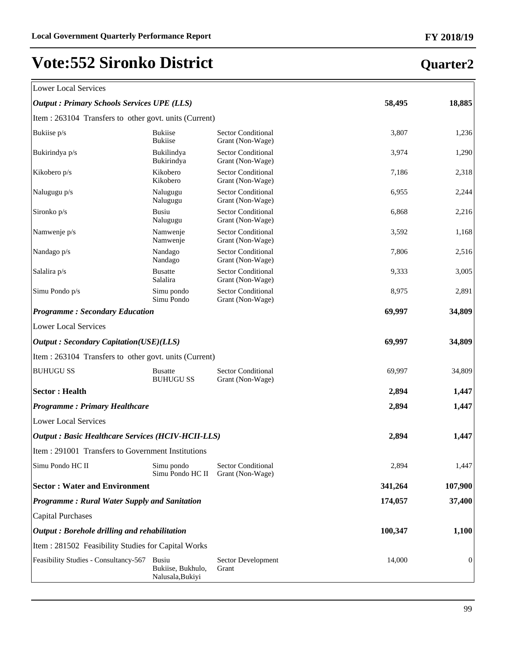**Quarter2**

## **Vote:552 Sironko District**

#### Lower Local Services

| <b>Output: Primary Schools Services UPE (LLS)</b> | 58,495 | 18,885 |
|---------------------------------------------------|--------|--------|
|---------------------------------------------------|--------|--------|

| Item : 263104 Transfers to other govt. units (Current)    |                                                       |                                               |         |                  |
|-----------------------------------------------------------|-------------------------------------------------------|-----------------------------------------------|---------|------------------|
| Bukiise p/s                                               | <b>Bukiise</b><br><b>Bukiise</b>                      | <b>Sector Conditional</b><br>Grant (Non-Wage) | 3,807   | 1,236            |
| Bukirindya p/s                                            | Bukilindya<br>Bukirindya                              | <b>Sector Conditional</b><br>Grant (Non-Wage) | 3,974   | 1,290            |
| Kikobero p/s                                              | Kikobero<br>Kikobero                                  | <b>Sector Conditional</b><br>Grant (Non-Wage) | 7,186   | 2,318            |
| Nalugugu p/s                                              | Nalugugu<br>Nalugugu                                  | <b>Sector Conditional</b><br>Grant (Non-Wage) | 6,955   | 2,244            |
| Sironko p/s                                               | Busiu<br>Nalugugu                                     | <b>Sector Conditional</b><br>Grant (Non-Wage) | 6,868   | 2,216            |
| Namwenje p/s                                              | Namwenje<br>Namwenje                                  | Sector Conditional<br>Grant (Non-Wage)        | 3,592   | 1,168            |
| Nandago p/s                                               | Nandago<br>Nandago                                    | Sector Conditional<br>Grant (Non-Wage)        | 7,806   | 2,516            |
| Salalira p/s                                              | <b>Busatte</b><br>Salalira                            | Sector Conditional<br>Grant (Non-Wage)        | 9,333   | 3,005            |
| Simu Pondo p/s                                            | Simu pondo<br>Simu Pondo                              | <b>Sector Conditional</b><br>Grant (Non-Wage) | 8,975   | 2,891            |
| <b>Programme: Secondary Education</b>                     |                                                       |                                               | 69,997  | 34,809           |
| <b>Lower Local Services</b>                               |                                                       |                                               |         |                  |
| <b>Output: Secondary Capitation(USE)(LLS)</b>             |                                                       |                                               | 69,997  | 34,809           |
| Item : 263104 Transfers to other govt. units (Current)    |                                                       |                                               |         |                  |
| <b>BUHUGU SS</b>                                          | <b>Busatte</b><br><b>BUHUGU SS</b>                    | <b>Sector Conditional</b><br>Grant (Non-Wage) | 69,997  | 34,809           |
| <b>Sector: Health</b>                                     |                                                       |                                               | 2,894   | 1,447            |
| <b>Programme: Primary Healthcare</b>                      |                                                       |                                               | 2,894   | 1,447            |
| <b>Lower Local Services</b>                               |                                                       |                                               |         |                  |
| <b>Output : Basic Healthcare Services (HCIV-HCII-LLS)</b> |                                                       |                                               | 2,894   | 1,447            |
| Item: 291001 Transfers to Government Institutions         |                                                       |                                               |         |                  |
| Simu Pondo HC II                                          | Simu pondo<br>Simu Pondo HC II                        | <b>Sector Conditional</b><br>Grant (Non-Wage) | 2,894   | 1,447            |
| <b>Sector: Water and Environment</b>                      |                                                       |                                               | 341,264 | 107,900          |
| Programme: Rural Water Supply and Sanitation              |                                                       |                                               | 174,057 | 37,400           |
| <b>Capital Purchases</b>                                  |                                                       |                                               |         |                  |
| Output: Borehole drilling and rehabilitation              |                                                       |                                               | 100,347 | 1,100            |
| Item: 281502 Feasibility Studies for Capital Works        |                                                       |                                               |         |                  |
| Feasibility Studies - Consultancy-567                     | <b>Busiu</b><br>Bukiise, Bukhulo,<br>Nalusala, Bukiyi | Sector Development<br>Grant                   | 14,000  | $\boldsymbol{0}$ |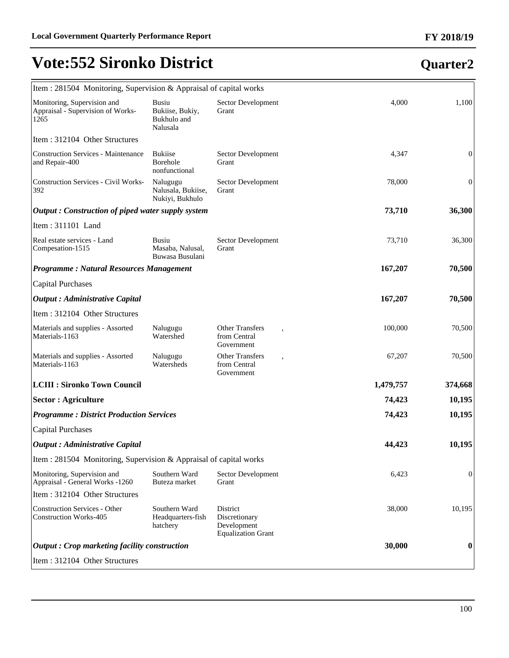## **Quarter2**

**FY 2018/19**

| Item : 281504 Monitoring, Supervision & Appraisal of capital works       |                                                     |                                                                       |           |                  |
|--------------------------------------------------------------------------|-----------------------------------------------------|-----------------------------------------------------------------------|-----------|------------------|
| Monitoring, Supervision and<br>Appraisal - Supervision of Works-<br>1265 | Busiu<br>Bukiise, Bukiy,<br>Bukhulo and<br>Nalusala | Sector Development<br>Grant                                           | 4,000     | 1,100            |
| Item: 312104 Other Structures                                            |                                                     |                                                                       |           |                  |
| <b>Construction Services - Maintenance</b><br>and Repair-400             | <b>Bukiise</b><br><b>Borehole</b><br>nonfunctional  | Sector Development<br>Grant                                           | 4,347     | $\boldsymbol{0}$ |
| <b>Construction Services - Civil Works-</b><br>392                       | Nalugugu<br>Nalusala, Bukiise,<br>Nukiyi, Bukhulo   | Sector Development<br>Grant                                           | 78,000    | $\theta$         |
| Output: Construction of piped water supply system                        |                                                     |                                                                       | 73,710    | 36,300           |
| Item: 311101 Land                                                        |                                                     |                                                                       |           |                  |
| Real estate services - Land<br>Compesation-1515                          | Busiu<br>Masaba, Nalusal,<br>Buwasa Busulani        | Sector Development<br>Grant                                           | 73,710    | 36,300           |
| <b>Programme: Natural Resources Management</b>                           |                                                     |                                                                       | 167,207   | 70,500           |
| <b>Capital Purchases</b>                                                 |                                                     |                                                                       |           |                  |
| <b>Output</b> : Administrative Capital                                   |                                                     |                                                                       | 167,207   | 70,500           |
| Item: 312104 Other Structures                                            |                                                     |                                                                       |           |                  |
| Materials and supplies - Assorted<br>Materials-1163                      | Nalugugu<br>Watershed                               | <b>Other Transfers</b><br>from Central<br>Government                  | 100,000   | 70,500           |
| Materials and supplies - Assorted<br>Materials-1163                      | Nalugugu<br>Watersheds                              | <b>Other Transfers</b><br>,<br>from Central<br>Government             | 67,207    | 70,500           |
| LCIII : Sironko Town Council                                             |                                                     |                                                                       | 1,479,757 | 374,668          |
| <b>Sector : Agriculture</b>                                              |                                                     |                                                                       | 74,423    | 10,195           |
| <b>Programme: District Production Services</b>                           |                                                     |                                                                       | 74,423    | 10,195           |
| <b>Capital Purchases</b>                                                 |                                                     |                                                                       |           |                  |
| <b>Output</b> : Administrative Capital                                   |                                                     |                                                                       | 44,423    | 10,195           |
| Item : 281504 Monitoring, Supervision & Appraisal of capital works       |                                                     |                                                                       |           |                  |
| Monitoring, Supervision and<br>Appraisal - General Works -1260           | Southern Ward<br>Buteza market                      | Sector Development<br>Grant                                           | 6,423     | $\mathbf{0}$     |
| Item: 312104 Other Structures                                            |                                                     |                                                                       |           |                  |
| <b>Construction Services - Other</b><br><b>Construction Works-405</b>    | Southern Ward<br>Headquarters-fish<br>hatchery      | District<br>Discretionary<br>Development<br><b>Equalization Grant</b> | 38,000    | 10,195           |
| Output: Crop marketing facility construction                             |                                                     |                                                                       | 30,000    | $\bf{0}$         |
| Item: 312104 Other Structures                                            |                                                     |                                                                       |           |                  |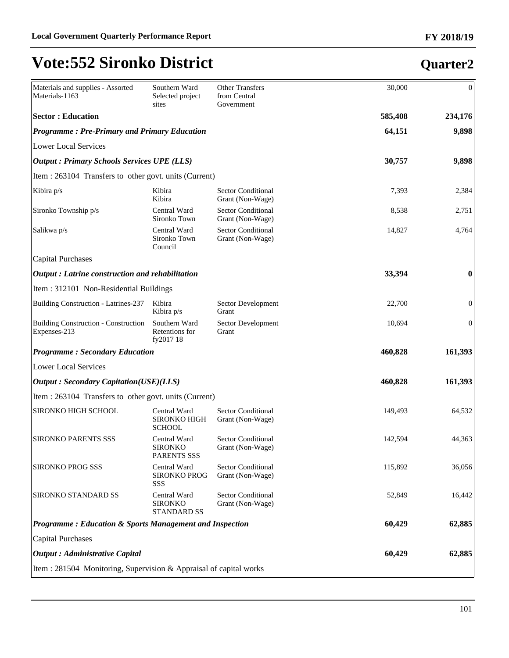| Materials and supplies - Assorted<br>Materials-1163                | Southern Ward<br>Selected project<br>sites           | <b>Other Transfers</b><br>from Central<br>Government | 30,000  | $\boldsymbol{0}$ |
|--------------------------------------------------------------------|------------------------------------------------------|------------------------------------------------------|---------|------------------|
| <b>Sector: Education</b>                                           |                                                      |                                                      | 585,408 | 234,176          |
| <b>Programme: Pre-Primary and Primary Education</b>                |                                                      |                                                      | 64,151  | 9,898            |
| <b>Lower Local Services</b>                                        |                                                      |                                                      |         |                  |
| <b>Output : Primary Schools Services UPE (LLS)</b>                 |                                                      |                                                      | 30,757  | 9,898            |
| Item : 263104 Transfers to other govt. units (Current)             |                                                      |                                                      |         |                  |
| Kibira p/s                                                         | Kibira<br>Kibira                                     | <b>Sector Conditional</b><br>Grant (Non-Wage)        | 7,393   | 2,384            |
| Sironko Township p/s                                               | Central Ward<br>Sironko Town                         | <b>Sector Conditional</b><br>Grant (Non-Wage)        | 8,538   | 2,751            |
| Salikwa p/s                                                        | Central Ward<br>Sironko Town<br>Council              | <b>Sector Conditional</b><br>Grant (Non-Wage)        | 14,827  | 4,764            |
| <b>Capital Purchases</b>                                           |                                                      |                                                      |         |                  |
| Output: Latrine construction and rehabilitation                    |                                                      |                                                      | 33,394  | $\bf{0}$         |
| Item: 312101 Non-Residential Buildings                             |                                                      |                                                      |         |                  |
| Building Construction - Latrines-237                               | Kibira<br>Kibira p/s                                 | Sector Development<br>Grant                          | 22,700  | $\boldsymbol{0}$ |
| <b>Building Construction - Construction</b><br>Expenses-213        | Southern Ward<br>Retentions for<br>fy2017 18         | Sector Development<br>Grant                          | 10,694  | $\boldsymbol{0}$ |
| <b>Programme: Secondary Education</b>                              |                                                      |                                                      | 460,828 | 161,393          |
| <b>Lower Local Services</b>                                        |                                                      |                                                      |         |                  |
| <b>Output : Secondary Capitation(USE)(LLS)</b>                     |                                                      |                                                      | 460,828 | 161,393          |
| Item : 263104 Transfers to other govt. units (Current)             |                                                      |                                                      |         |                  |
| SIRONKO HIGH SCHOOL                                                | Central Ward<br><b>SIRONKO HIGH</b><br><b>SCHOOL</b> | <b>Sector Conditional</b><br>Grant (Non-Wage)        | 149,493 | 64,532           |
| <b>SIRONKO PARENTS SSS</b>                                         | Central Ward<br><b>SIRONKO</b><br><b>PARENTS SSS</b> | <b>Sector Conditional</b><br>Grant (Non-Wage)        | 142,594 | 44,363           |
| <b>SIRONKO PROG SSS</b>                                            | Central Ward<br><b>SIRONKO PROG</b><br>SSS           | <b>Sector Conditional</b><br>Grant (Non-Wage)        | 115,892 | 36,056           |
| SIRONKO STANDARD SS                                                | Central Ward<br><b>SIRONKO</b><br><b>STANDARD SS</b> | Sector Conditional<br>Grant (Non-Wage)               | 52,849  | 16,442           |
| <b>Programme: Education &amp; Sports Management and Inspection</b> |                                                      |                                                      | 60,429  | 62,885           |
| <b>Capital Purchases</b>                                           |                                                      |                                                      |         |                  |
| <b>Output : Administrative Capital</b>                             |                                                      |                                                      | 60,429  | 62,885           |
| Item : 281504 Monitoring, Supervision & Appraisal of capital works |                                                      |                                                      |         |                  |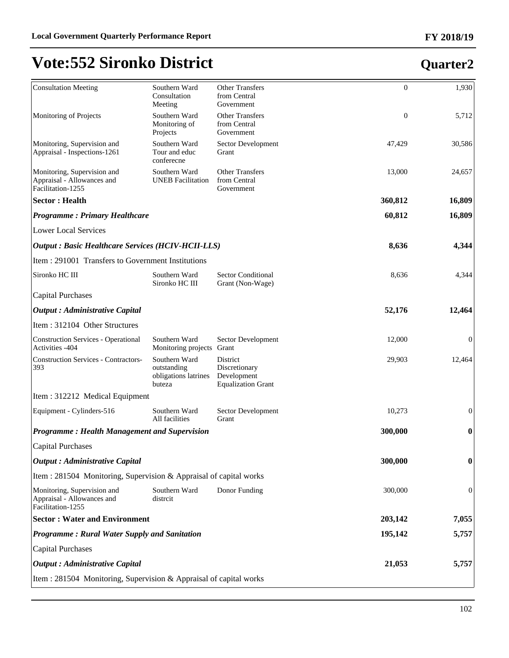| <b>Consultation Meeting</b>                                                    | Southern Ward<br>Consultation<br>Meeting                       | <b>Other Transfers</b><br>from Central<br>Government                  | $\boldsymbol{0}$ | 1,930            |
|--------------------------------------------------------------------------------|----------------------------------------------------------------|-----------------------------------------------------------------------|------------------|------------------|
| Monitoring of Projects                                                         | Southern Ward<br>Monitoring of<br>Projects                     | <b>Other Transfers</b><br>from Central<br>Government                  | $\boldsymbol{0}$ | 5,712            |
| Monitoring, Supervision and<br>Appraisal - Inspections-1261                    | Southern Ward<br>Tour and educ<br>conferecne                   | Sector Development<br>Grant                                           | 47,429           | 30,586           |
| Monitoring, Supervision and<br>Appraisal - Allowances and<br>Facilitation-1255 | Southern Ward<br><b>UNEB</b> Facilitation                      | <b>Other Transfers</b><br>from Central<br>Government                  | 13,000           | 24,657           |
| <b>Sector: Health</b>                                                          |                                                                |                                                                       | 360,812          | 16,809           |
| <b>Programme: Primary Healthcare</b>                                           |                                                                |                                                                       | 60,812           | 16,809           |
| <b>Lower Local Services</b>                                                    |                                                                |                                                                       |                  |                  |
| <b>Output: Basic Healthcare Services (HCIV-HCII-LLS)</b>                       |                                                                |                                                                       | 8,636            | 4,344            |
| Item: 291001 Transfers to Government Institutions                              |                                                                |                                                                       |                  |                  |
| Sironko HC III                                                                 | Southern Ward<br>Sironko HC III                                | <b>Sector Conditional</b><br>Grant (Non-Wage)                         | 8,636            | 4,344            |
| <b>Capital Purchases</b>                                                       |                                                                |                                                                       |                  |                  |
| <b>Output</b> : Administrative Capital                                         |                                                                |                                                                       | 52,176           | 12,464           |
| Item: 312104 Other Structures                                                  |                                                                |                                                                       |                  |                  |
| <b>Construction Services - Operational</b><br>Activities -404                  | Southern Ward<br>Monitoring projects Grant                     | Sector Development                                                    | 12,000           | $\Omega$         |
| <b>Construction Services - Contractors-</b><br>393                             | Southern Ward<br>outstanding<br>obligations latrines<br>buteza | District<br>Discretionary<br>Development<br><b>Equalization Grant</b> | 29,903           | 12,464           |
| Item: 312212 Medical Equipment                                                 |                                                                |                                                                       |                  |                  |
| Equipment - Cylinders-516                                                      | Southern Ward<br>All facilities                                | Sector Development<br>Grant                                           | 10,273           | $\overline{0}$   |
| <b>Programme: Health Management and Supervision</b>                            |                                                                |                                                                       | 300,000          | $\boldsymbol{0}$ |
| Capital Purchases                                                              |                                                                |                                                                       |                  |                  |
| <b>Output: Administrative Capital</b>                                          |                                                                |                                                                       | 300,000          | $\boldsymbol{0}$ |
| Item : 281504 Monitoring, Supervision & Appraisal of capital works             |                                                                |                                                                       |                  |                  |
| Monitoring, Supervision and<br>Appraisal - Allowances and<br>Facilitation-1255 | Southern Ward<br>distrcit                                      | Donor Funding                                                         | 300,000          | 0                |
| <b>Sector: Water and Environment</b>                                           |                                                                |                                                                       | 203,142          | 7,055            |
| <b>Programme: Rural Water Supply and Sanitation</b>                            |                                                                |                                                                       | 195,142          | 5,757            |
| <b>Capital Purchases</b>                                                       |                                                                |                                                                       |                  |                  |
| <b>Output</b> : Administrative Capital                                         |                                                                |                                                                       | 21,053           | 5,757            |
| Item : 281504 Monitoring, Supervision & Appraisal of capital works             |                                                                |                                                                       |                  |                  |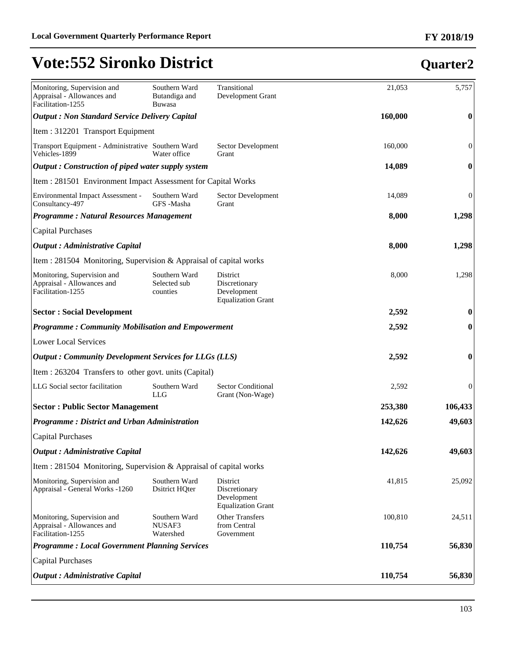| Monitoring, Supervision and<br>Appraisal - Allowances and<br>Facilitation-1255 | Southern Ward<br>Butandiga and<br>Buwasa  | Transitional<br>Development Grant                                     | 21,053  | 5,757            |
|--------------------------------------------------------------------------------|-------------------------------------------|-----------------------------------------------------------------------|---------|------------------|
| <b>Output: Non Standard Service Delivery Capital</b>                           |                                           |                                                                       | 160,000 | 0                |
| Item : 312201 Transport Equipment                                              |                                           |                                                                       |         |                  |
| Transport Equipment - Administrative Southern Ward<br>Vehicles-1899            | Water office                              | Sector Development<br>Grant                                           | 160,000 | 0                |
| <b>Output: Construction of piped water supply system</b>                       |                                           |                                                                       | 14,089  | $\boldsymbol{0}$ |
| Item : 281501 Environment Impact Assessment for Capital Works                  |                                           |                                                                       |         |                  |
| Environmental Impact Assessment -<br>Consultancy-497                           | Southern Ward<br>GFS-Masha                | Sector Development<br>Grant                                           | 14,089  | $\boldsymbol{0}$ |
| <b>Programme: Natural Resources Management</b>                                 |                                           |                                                                       | 8,000   | 1,298            |
| Capital Purchases                                                              |                                           |                                                                       |         |                  |
| Output : Administrative Capital                                                |                                           |                                                                       | 8,000   | 1,298            |
| Item : 281504 Monitoring, Supervision & Appraisal of capital works             |                                           |                                                                       |         |                  |
| Monitoring, Supervision and<br>Appraisal - Allowances and<br>Facilitation-1255 | Southern Ward<br>Selected sub<br>counties | District<br>Discretionary<br>Development<br><b>Equalization Grant</b> | 8,000   | 1,298            |
| <b>Sector : Social Development</b>                                             |                                           |                                                                       | 2,592   | $\boldsymbol{0}$ |
| <b>Programme: Community Mobilisation and Empowerment</b>                       |                                           |                                                                       | 2,592   | $\bf{0}$         |
| <b>Lower Local Services</b>                                                    |                                           |                                                                       |         |                  |
| <b>Output: Community Development Services for LLGs (LLS)</b>                   |                                           |                                                                       | 2,592   | $\boldsymbol{0}$ |
| Item : 263204 Transfers to other govt. units (Capital)                         |                                           |                                                                       |         |                  |
| LLG Social sector facilitation                                                 | Southern Ward<br><b>LLG</b>               | <b>Sector Conditional</b><br>Grant (Non-Wage)                         | 2,592   | $\boldsymbol{0}$ |
| <b>Sector: Public Sector Management</b>                                        |                                           |                                                                       | 253,380 | 106,433          |
| <b>Programme: District and Urban Administration</b>                            |                                           |                                                                       | 142,626 | 49,603           |
| Capital Purchases                                                              |                                           |                                                                       |         |                  |
| Output : Administrative Capital                                                |                                           |                                                                       | 142,626 | 49,603           |
| Item : 281504 Monitoring, Supervision & Appraisal of capital works             |                                           |                                                                       |         |                  |
| Monitoring, Supervision and<br>Appraisal - General Works -1260                 | Southern Ward<br><b>Dsitrict HOter</b>    | District<br>Discretionary<br>Development<br><b>Equalization Grant</b> | 41,815  | 25,092           |
| Monitoring, Supervision and<br>Appraisal - Allowances and<br>Facilitation-1255 | Southern Ward<br>NUSAF3<br>Watershed      | <b>Other Transfers</b><br>from Central<br>Government                  | 100,810 | 24,511           |
| <b>Programme: Local Government Planning Services</b>                           |                                           |                                                                       | 110,754 | 56,830           |
| Capital Purchases                                                              |                                           |                                                                       |         |                  |
| <b>Output</b> : Administrative Capital                                         |                                           |                                                                       | 110,754 | 56,830           |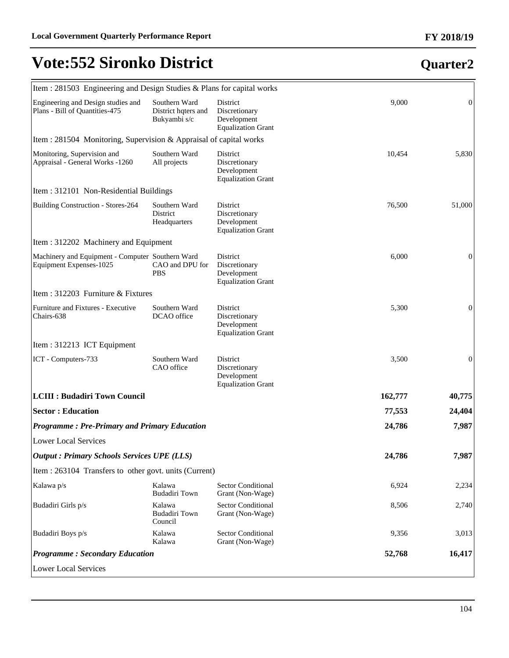## **FY 2018/19**

| Item: 281503 Engineering and Design Studies & Plans for capital works       |                                                      |                                                                       |         |                |
|-----------------------------------------------------------------------------|------------------------------------------------------|-----------------------------------------------------------------------|---------|----------------|
| Engineering and Design studies and<br>Plans - Bill of Quantities-475        | Southern Ward<br>District hqters and<br>Bukyambi s/c | District<br>Discretionary<br>Development<br><b>Equalization Grant</b> | 9,000   | $\overline{0}$ |
| Item : 281504 Monitoring, Supervision & Appraisal of capital works          |                                                      |                                                                       |         |                |
| Monitoring, Supervision and<br>Appraisal - General Works -1260              | Southern Ward<br>All projects                        | District<br>Discretionary<br>Development<br><b>Equalization Grant</b> | 10,454  | 5,830          |
| Item: 312101 Non-Residential Buildings                                      |                                                      |                                                                       |         |                |
| Building Construction - Stores-264                                          | Southern Ward<br>District<br>Headquarters            | District<br>Discretionary<br>Development<br><b>Equalization Grant</b> | 76,500  | 51,000         |
| Item: 312202 Machinery and Equipment                                        |                                                      |                                                                       |         |                |
| Machinery and Equipment - Computer Southern Ward<br>Equipment Expenses-1025 | CAO and DPU for<br><b>PBS</b>                        | District<br>Discretionary<br>Development<br><b>Equalization Grant</b> | 6,000   | $\mathbf{0}$   |
| Item : 312203 Furniture & Fixtures                                          |                                                      |                                                                       |         |                |
| Furniture and Fixtures - Executive<br>Chairs-638                            | Southern Ward<br>DCAO office                         | District<br>Discretionary<br>Development<br><b>Equalization Grant</b> | 5,300   | $\overline{0}$ |
| Item: 312213 ICT Equipment                                                  |                                                      |                                                                       |         |                |
| ICT - Computers-733                                                         | Southern Ward<br>CAO office                          | District<br>Discretionary<br>Development<br><b>Equalization Grant</b> | 3,500   | $\overline{0}$ |
| <b>LCIII : Budadiri Town Council</b>                                        |                                                      |                                                                       | 162,777 | 40,775         |
| <b>Sector: Education</b>                                                    |                                                      |                                                                       | 77,553  | 24,404         |
| <b>Programme: Pre-Primary and Primary Education</b>                         |                                                      |                                                                       | 24,786  | 7,987          |
| <b>Lower Local Services</b>                                                 |                                                      |                                                                       |         |                |
| <b>Output: Primary Schools Services UPE (LLS)</b>                           |                                                      |                                                                       | 24,786  | 7,987          |
| Item : 263104 Transfers to other govt. units (Current)                      |                                                      |                                                                       |         |                |
| Kalawa p/s                                                                  | Kalawa<br><b>Budadiri Town</b>                       | <b>Sector Conditional</b><br>Grant (Non-Wage)                         | 6,924   | 2,234          |
| Budadiri Girls p/s                                                          | Kalawa<br><b>Budadiri Town</b><br>Council            | <b>Sector Conditional</b><br>Grant (Non-Wage)                         | 8,506   | 2,740          |
| Budadiri Boys p/s                                                           | Kalawa<br>Kalawa                                     | <b>Sector Conditional</b><br>Grant (Non-Wage)                         | 9,356   | 3,013          |
| <b>Programme: Secondary Education</b>                                       |                                                      |                                                                       | 52,768  | 16,417         |
| <b>Lower Local Services</b>                                                 |                                                      |                                                                       |         |                |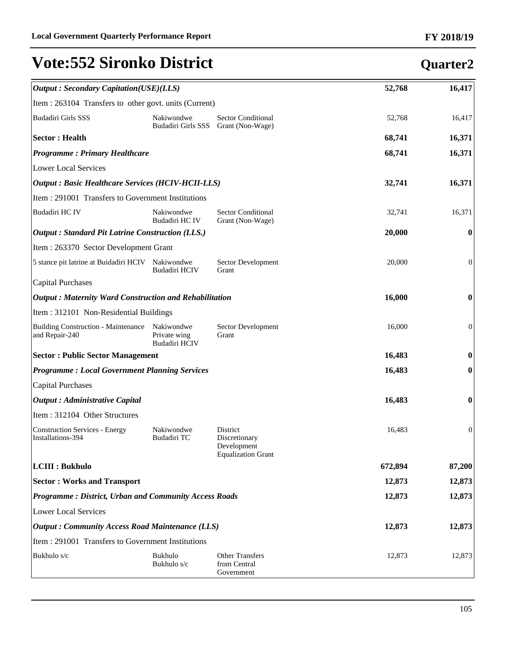| <b>Output: Secondary Capitation(USE)(LLS)</b>                 |                                             |                                                                       | 52,768  | 16,417           |
|---------------------------------------------------------------|---------------------------------------------|-----------------------------------------------------------------------|---------|------------------|
| Item : 263104 Transfers to other govt. units (Current)        |                                             |                                                                       |         |                  |
| <b>Budadiri Girls SSS</b>                                     | Nakiwondwe                                  | <b>Sector Conditional</b><br>Budadiri Girls SSS Grant (Non-Wage)      | 52,768  | 16,417           |
| <b>Sector: Health</b>                                         |                                             |                                                                       | 68,741  | 16,371           |
| <b>Programme: Primary Healthcare</b>                          |                                             |                                                                       | 68,741  | 16,371           |
| <b>Lower Local Services</b>                                   |                                             |                                                                       |         |                  |
| <b>Output : Basic Healthcare Services (HCIV-HCII-LLS)</b>     |                                             |                                                                       | 32,741  | 16,371           |
| Item: 291001 Transfers to Government Institutions             |                                             |                                                                       |         |                  |
| Budadiri HC IV                                                | Nakiwondwe<br>Budadiri HC IV                | <b>Sector Conditional</b><br>Grant (Non-Wage)                         | 32,741  | 16,371           |
| <b>Output: Standard Pit Latrine Construction (LLS.)</b>       |                                             |                                                                       | 20,000  | $\bf{0}$         |
| Item: 263370 Sector Development Grant                         |                                             |                                                                       |         |                  |
| 5 stance pit latrine at Buidadiri HCIV Nakiwondwe             | <b>Budadiri HCIV</b>                        | Sector Development<br>Grant                                           | 20,000  | $\boldsymbol{0}$ |
| <b>Capital Purchases</b>                                      |                                             |                                                                       |         |                  |
| <b>Output: Maternity Ward Construction and Rehabilitation</b> |                                             |                                                                       | 16,000  | $\bf{0}$         |
| Item: 312101 Non-Residential Buildings                        |                                             |                                                                       |         |                  |
| <b>Building Construction - Maintenance</b><br>and Repair-240  | Nakiwondwe<br>Private wing<br>Budadiri HCIV | Sector Development<br>Grant                                           | 16,000  | $\mathbf{0}$     |
| <b>Sector: Public Sector Management</b>                       |                                             |                                                                       | 16,483  | $\bf{0}$         |
| <b>Programme: Local Government Planning Services</b>          |                                             |                                                                       | 16,483  | $\bf{0}$         |
| <b>Capital Purchases</b>                                      |                                             |                                                                       |         |                  |
| <b>Output</b> : Administrative Capital                        |                                             |                                                                       | 16,483  | $\bf{0}$         |
| Item: 312104 Other Structures                                 |                                             |                                                                       |         |                  |
| <b>Construction Services - Energy</b><br>Installations-394    | Nakiwondwe<br><b>Budadiri TC</b>            | District<br>Discretionary<br>Development<br><b>Equalization Grant</b> | 16,483  | $\mathbf{0}$     |
| <b>LCIII : Bukhulo</b>                                        |                                             |                                                                       | 672,894 | 87,200           |
| <b>Sector: Works and Transport</b>                            |                                             |                                                                       | 12,873  | 12,873           |
| <b>Programme: District, Urban and Community Access Roads</b>  |                                             |                                                                       | 12,873  | 12,873           |
| <b>Lower Local Services</b>                                   |                                             |                                                                       |         |                  |
| <b>Output: Community Access Road Maintenance (LLS)</b>        |                                             |                                                                       | 12,873  | 12,873           |
| Item: 291001 Transfers to Government Institutions             |                                             |                                                                       |         |                  |
| Bukhulo s/c                                                   | Bukhulo<br>Bukhulo s/c                      | <b>Other Transfers</b><br>from Central<br>Government                  | 12,873  | 12,873           |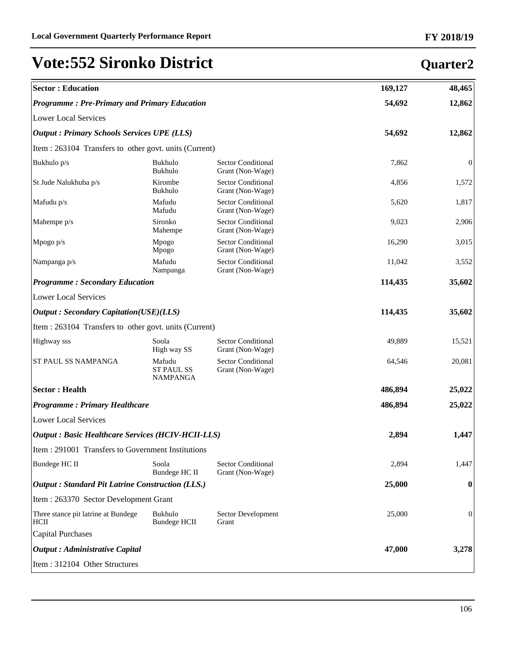| <b>Sector: Education</b>                                  |                                                |                                               | 169,127 | 48,465   |
|-----------------------------------------------------------|------------------------------------------------|-----------------------------------------------|---------|----------|
| <b>Programme: Pre-Primary and Primary Education</b>       |                                                |                                               | 54,692  | 12,862   |
| <b>Lower Local Services</b>                               |                                                |                                               |         |          |
| <b>Output : Primary Schools Services UPE (LLS)</b>        |                                                |                                               | 54,692  | 12,862   |
| Item : 263104 Transfers to other govt. units (Current)    |                                                |                                               |         |          |
| Bukhulo p/s                                               | Bukhulo<br>Bukhulo                             | <b>Sector Conditional</b><br>Grant (Non-Wage) | 7,862   | $\theta$ |
| St Jude Nalukhuba p/s                                     | Kirombe<br>Bukhulo                             | <b>Sector Conditional</b><br>Grant (Non-Wage) | 4,856   | 1,572    |
| Mafudu p/s                                                | Mafudu<br>Mafudu                               | <b>Sector Conditional</b><br>Grant (Non-Wage) | 5,620   | 1,817    |
| Mahempe p/s                                               | Sironko<br>Mahempe                             | <b>Sector Conditional</b><br>Grant (Non-Wage) | 9,023   | 2,906    |
| Mpogo p/s                                                 | Mpogo<br>Mpogo                                 | <b>Sector Conditional</b><br>Grant (Non-Wage) | 16,290  | 3,015    |
| Nampanga p/s                                              | Mafudu<br>Nampanga                             | <b>Sector Conditional</b><br>Grant (Non-Wage) | 11,042  | 3,552    |
| <b>Programme: Secondary Education</b>                     |                                                |                                               | 114,435 | 35,602   |
| <b>Lower Local Services</b>                               |                                                |                                               |         |          |
| <b>Output: Secondary Capitation(USE)(LLS)</b>             |                                                |                                               | 114,435 | 35,602   |
| Item : 263104 Transfers to other govt. units (Current)    |                                                |                                               |         |          |
| Highway sss                                               | Soola<br>High way SS                           | <b>Sector Conditional</b><br>Grant (Non-Wage) | 49,889  | 15,521   |
| ST PAUL SS NAMPANGA                                       | Mafudu<br><b>ST PAUL SS</b><br><b>NAMPANGA</b> | <b>Sector Conditional</b><br>Grant (Non-Wage) | 64,546  | 20,081   |
| <b>Sector: Health</b>                                     |                                                |                                               | 486,894 | 25,022   |
| <b>Programme: Primary Healthcare</b>                      |                                                |                                               | 486,894 | 25,022   |
| <b>Lower Local Services</b>                               |                                                |                                               |         |          |
| <b>Output : Basic Healthcare Services (HCIV-HCII-LLS)</b> |                                                |                                               | 2,894   | 1,447    |
| Item : 291001 Transfers to Government Institutions        |                                                |                                               |         |          |
| Bundege HC II                                             | Soola<br>Bundege HC II                         | Sector Conditional<br>Grant (Non-Wage)        | 2,894   | 1,447    |
| <b>Output: Standard Pit Latrine Construction (LLS.)</b>   |                                                |                                               | 25,000  | $\bf{0}$ |
| Item: 263370 Sector Development Grant                     |                                                |                                               |         |          |
| Three stance pit latrine at Bundege<br>HCII               | Bukhulo<br><b>Bundege HCII</b>                 | Sector Development<br>Grant                   | 25,000  | 0        |
| <b>Capital Purchases</b>                                  |                                                |                                               |         |          |
| <b>Output</b> : Administrative Capital                    |                                                |                                               | 47,000  | 3,278    |
| Item: 312104 Other Structures                             |                                                |                                               |         |          |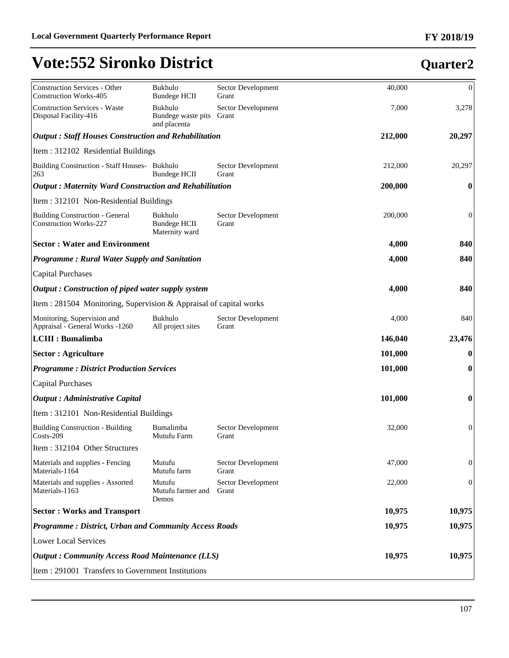| <b>Construction Services - Other</b><br><b>Construction Works-405</b>   | Bukhulo<br><b>Bundege HCII</b>                      | Sector Development<br>Grant | 40,000  | $\boldsymbol{0}$ |
|-------------------------------------------------------------------------|-----------------------------------------------------|-----------------------------|---------|------------------|
| <b>Construction Services - Waste</b><br>Disposal Facility-416           | Bukhulo<br>Bundege waste pits Grant<br>and placenta | Sector Development          | 7,000   | 3,278            |
| <b>Output: Staff Houses Construction and Rehabilitation</b>             | 212,000                                             | 20,297                      |         |                  |
| Item: 312102 Residential Buildings                                      |                                                     |                             |         |                  |
| Building Construction - Staff Houses- Bukhulo<br>263                    | <b>Bundege HCII</b>                                 | Sector Development<br>Grant | 212,000 | 20,297           |
| <b>Output: Maternity Ward Construction and Rehabilitation</b>           | 200,000                                             | $\bf{0}$                    |         |                  |
| Item: 312101 Non-Residential Buildings                                  |                                                     |                             |         |                  |
| <b>Building Construction - General</b><br><b>Construction Works-227</b> | Bukhulo<br><b>Bundege HCII</b><br>Maternity ward    | Sector Development<br>Grant | 200,000 | $\boldsymbol{0}$ |
| <b>Sector: Water and Environment</b>                                    | 4,000                                               | 840                         |         |                  |
| Programme: Rural Water Supply and Sanitation                            | 4,000                                               | 840                         |         |                  |
| <b>Capital Purchases</b>                                                |                                                     |                             |         |                  |
| Output: Construction of piped water supply system                       |                                                     |                             | 4,000   | 840              |
| Item : 281504 Monitoring, Supervision & Appraisal of capital works      |                                                     |                             |         |                  |
| Monitoring, Supervision and<br>Appraisal - General Works -1260          | Bukhulo<br>All project sites                        | Sector Development<br>Grant | 4,000   | 840              |
| <b>LCIII : Bumalimba</b>                                                |                                                     |                             | 146,040 | 23,476           |
| <b>Sector : Agriculture</b>                                             |                                                     |                             | 101,000 | $\bf{0}$         |
| <b>Programme: District Production Services</b>                          | 101,000                                             | $\bf{0}$                    |         |                  |
| <b>Capital Purchases</b>                                                |                                                     |                             |         |                  |
| <b>Output</b> : Administrative Capital                                  | 101,000                                             | $\bf{0}$                    |         |                  |
| Item : 312101 Non-Residential Buildings                                 |                                                     |                             |         |                  |
| <b>Building Construction - Building</b><br>$Costs-209$                  | Bumalimba<br>Mutufu Farm                            | Sector Development<br>Grant | 32,000  | $\mathbf{0}$     |
| Item: 312104 Other Structures                                           |                                                     |                             |         |                  |
| Materials and supplies - Fencing<br>Materials-1164                      | Mutufu<br>Mutufu farm                               | Sector Development<br>Grant | 47,000  | $\boldsymbol{0}$ |
| Materials and supplies - Assorted<br>Materials-1163                     | Mutufu<br>Mutufu farmer and<br>Demos                | Sector Development<br>Grant | 22,000  | $\mathbf{0}$     |
| <b>Sector: Works and Transport</b>                                      |                                                     |                             | 10,975  | 10,975           |
| <b>Programme: District, Urban and Community Access Roads</b>            | 10,975                                              | 10,975                      |         |                  |
| <b>Lower Local Services</b>                                             |                                                     |                             |         |                  |
| <b>Output: Community Access Road Maintenance (LLS)</b>                  |                                                     |                             | 10,975  | 10,975           |
| Item : 291001 Transfers to Government Institutions                      |                                                     |                             |         |                  |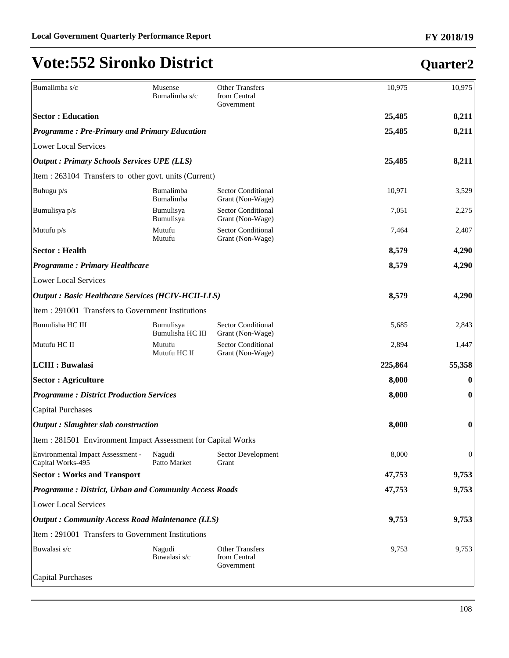| Bumalimba s/c                                                 | Musense<br>Bumalimba s/c      | <b>Other Transfers</b><br>from Central<br>Government | 10,975  | 10,975   |  |
|---------------------------------------------------------------|-------------------------------|------------------------------------------------------|---------|----------|--|
| <b>Sector: Education</b>                                      |                               |                                                      | 25,485  | 8,211    |  |
| <b>Programme: Pre-Primary and Primary Education</b>           |                               |                                                      | 25,485  | 8,211    |  |
| <b>Lower Local Services</b>                                   |                               |                                                      |         |          |  |
| <b>Output: Primary Schools Services UPE (LLS)</b>             |                               |                                                      | 25,485  | 8,211    |  |
| Item : 263104 Transfers to other govt. units (Current)        |                               |                                                      |         |          |  |
| Buhugu p/s                                                    | Bumalimba<br>Bumalimba        | <b>Sector Conditional</b><br>Grant (Non-Wage)        | 10,971  | 3,529    |  |
| Bumulisya p/s                                                 | Bumulisya<br>Bumulisya        | <b>Sector Conditional</b><br>Grant (Non-Wage)        | 7,051   | 2,275    |  |
| Mutufu p/s                                                    | Mutufu<br>Mutufu              | <b>Sector Conditional</b><br>Grant (Non-Wage)        | 7,464   | 2,407    |  |
| <b>Sector: Health</b>                                         |                               |                                                      | 8,579   | 4,290    |  |
| <b>Programme: Primary Healthcare</b>                          |                               |                                                      | 8,579   | 4,290    |  |
| Lower Local Services                                          |                               |                                                      |         |          |  |
| Output: Basic Healthcare Services (HCIV-HCII-LLS)             |                               |                                                      | 8,579   | 4,290    |  |
| Item : 291001 Transfers to Government Institutions            |                               |                                                      |         |          |  |
| Bumulisha HC III                                              | Bumulisya<br>Bumulisha HC III | <b>Sector Conditional</b><br>Grant (Non-Wage)        | 5,685   | 2,843    |  |
| Mutufu HC II                                                  | Mutufu<br>Mutufu HC II        | <b>Sector Conditional</b><br>Grant (Non-Wage)        | 2,894   | 1,447    |  |
| <b>LCIII</b> : Buwalasi                                       |                               |                                                      | 225,864 | 55,358   |  |
| <b>Sector : Agriculture</b>                                   |                               |                                                      | 8,000   | $\bf{0}$ |  |
| <b>Programme: District Production Services</b>                |                               |                                                      | 8,000   | $\bf{0}$ |  |
| Capital Purchases                                             |                               |                                                      |         |          |  |
| <b>Output</b> : Slaughter slab construction                   |                               |                                                      | 8,000   | 0        |  |
| Item : 281501 Environment Impact Assessment for Capital Works |                               |                                                      |         |          |  |
| Environmental Impact Assessment -<br>Capital Works-495        | Nagudi<br>Patto Market        | Sector Development<br>Grant                          | 8,000   | $\theta$ |  |
| <b>Sector: Works and Transport</b>                            |                               |                                                      | 47,753  | 9,753    |  |
| <b>Programme: District, Urban and Community Access Roads</b>  |                               |                                                      | 47,753  | 9,753    |  |
| Lower Local Services                                          |                               |                                                      |         |          |  |
| <b>Output: Community Access Road Maintenance (LLS)</b>        |                               |                                                      | 9,753   | 9,753    |  |
| Item : 291001 Transfers to Government Institutions            |                               |                                                      |         |          |  |
| Buwalasi s/c                                                  | Nagudi<br>Buwalasi s/c        | <b>Other Transfers</b><br>from Central<br>Government | 9,753   | 9,753    |  |
| Capital Purchases                                             |                               |                                                      |         |          |  |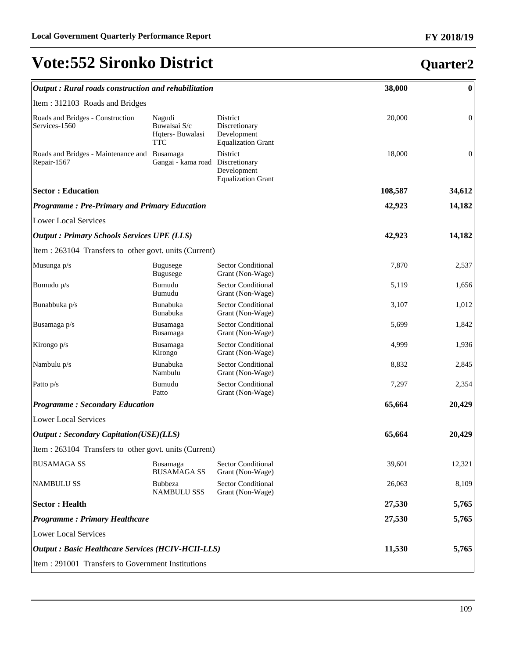| Output: Rural roads construction and rehabilitation    |                                                  |                                                                       | 38,000  | $\boldsymbol{0}$ |
|--------------------------------------------------------|--------------------------------------------------|-----------------------------------------------------------------------|---------|------------------|
| Item: 312103 Roads and Bridges                         |                                                  |                                                                       |         |                  |
| Roads and Bridges - Construction<br>Services-1560      | Nagudi<br>Buwalsai S/c<br>Hqters-Buwalasi<br>TTC | District<br>Discretionary<br>Development<br><b>Equalization Grant</b> | 20,000  | $\boldsymbol{0}$ |
| Roads and Bridges - Maintenance and<br>Repair-1567     | Busamaga<br>Gangai - kama road Discretionary     | District<br>Development<br><b>Equalization Grant</b>                  | 18,000  | $\overline{0}$   |
| <b>Sector: Education</b>                               |                                                  |                                                                       | 108,587 | 34,612           |
| <b>Programme: Pre-Primary and Primary Education</b>    |                                                  |                                                                       | 42,923  | 14,182           |
| <b>Lower Local Services</b>                            |                                                  |                                                                       |         |                  |
| <b>Output : Primary Schools Services UPE (LLS)</b>     |                                                  |                                                                       | 42,923  | 14,182           |
| Item : 263104 Transfers to other govt. units (Current) |                                                  |                                                                       |         |                  |
| Musunga p/s                                            | <b>Bugusege</b><br><b>Bugusege</b>               | <b>Sector Conditional</b><br>Grant (Non-Wage)                         | 7,870   | 2,537            |
| Bumudu p/s                                             | Bumudu<br>Bumudu                                 | <b>Sector Conditional</b><br>Grant (Non-Wage)                         | 5,119   | 1,656            |
| Bunabbuka p/s                                          | Bunabuka<br>Bunabuka                             | <b>Sector Conditional</b><br>Grant (Non-Wage)                         | 3,107   | 1,012            |
| Busamaga p/s                                           | Busamaga<br>Busamaga                             | <b>Sector Conditional</b><br>Grant (Non-Wage)                         | 5,699   | 1,842            |
| Kirongo p/s                                            | Busamaga<br>Kirongo                              | <b>Sector Conditional</b><br>Grant (Non-Wage)                         | 4,999   | 1,936            |
| Nambulu p/s                                            | Bunabuka<br>Nambulu                              | <b>Sector Conditional</b><br>Grant (Non-Wage)                         | 8,832   | 2,845            |
| Patto p/s                                              | Bumudu<br>Patto                                  | <b>Sector Conditional</b><br>Grant (Non-Wage)                         | 7,297   | 2,354            |
| <b>Programme: Secondary Education</b>                  |                                                  |                                                                       | 65,664  | 20,429           |
| <b>Lower Local Services</b>                            |                                                  |                                                                       |         |                  |
| <b>Output: Secondary Capitation(USE)(LLS)</b>          |                                                  |                                                                       | 65,664  | 20,429           |
| Item : 263104 Transfers to other govt. units (Current) |                                                  |                                                                       |         |                  |
| <b>BUSAMAGA SS</b>                                     | Busamaga<br><b>BUSAMAGA SS</b>                   | Sector Conditional<br>Grant (Non-Wage)                                | 39,601  | 12,321           |
| <b>NAMBULU SS</b>                                      | <b>Bubbeza</b><br><b>NAMBULU SSS</b>             | <b>Sector Conditional</b><br>Grant (Non-Wage)                         | 26,063  | 8,109            |
| <b>Sector: Health</b>                                  |                                                  |                                                                       | 27,530  | 5,765            |
| <b>Programme: Primary Healthcare</b>                   |                                                  |                                                                       | 27,530  | 5,765            |
| <b>Lower Local Services</b>                            |                                                  |                                                                       |         |                  |
| Output : Basic Healthcare Services (HCIV-HCII-LLS)     |                                                  |                                                                       | 11,530  | 5,765            |
| Item : 291001 Transfers to Government Institutions     |                                                  |                                                                       |         |                  |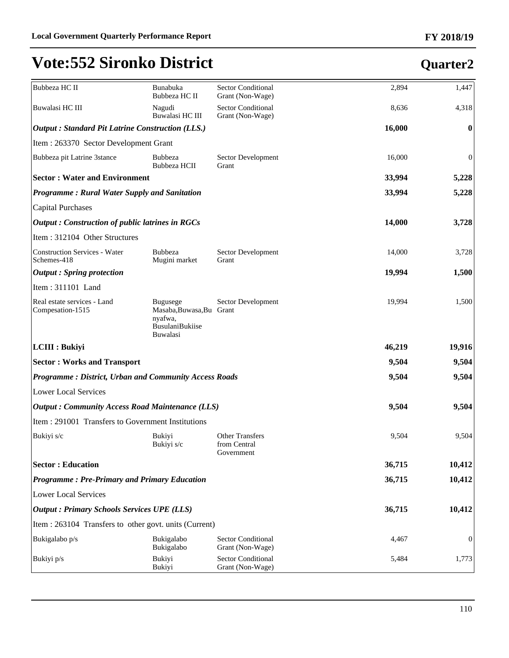| Bubbeza HC II                                                | Bunabuka<br>Bubbeza HC II                                                                           | <b>Sector Conditional</b><br>Grant (Non-Wage)        | 2,894  | 1,447            |
|--------------------------------------------------------------|-----------------------------------------------------------------------------------------------------|------------------------------------------------------|--------|------------------|
| Buwalasi HC III                                              | Nagudi<br>Buwalasi HC III                                                                           | <b>Sector Conditional</b><br>Grant (Non-Wage)        | 8,636  | 4,318            |
| <b>Output: Standard Pit Latrine Construction (LLS.)</b>      |                                                                                                     |                                                      | 16,000 | $\boldsymbol{0}$ |
| Item: 263370 Sector Development Grant                        |                                                                                                     |                                                      |        |                  |
| Bubbeza pit Latrine 3stance                                  | <b>Bubbeza</b><br>Bubbeza HCII                                                                      | Sector Development<br>Grant                          | 16,000 | $\boldsymbol{0}$ |
| <b>Sector: Water and Environment</b>                         |                                                                                                     |                                                      | 33,994 | 5,228            |
| <b>Programme: Rural Water Supply and Sanitation</b>          |                                                                                                     |                                                      | 33,994 | 5,228            |
| <b>Capital Purchases</b>                                     |                                                                                                     |                                                      |        |                  |
| <b>Output: Construction of public latrines in RGCs</b>       |                                                                                                     |                                                      | 14,000 | 3,728            |
| Item: 312104 Other Structures                                |                                                                                                     |                                                      |        |                  |
| <b>Construction Services - Water</b><br>Schemes-418          | <b>Bubbeza</b><br>Mugini market                                                                     | Sector Development<br>Grant                          | 14,000 | 3,728            |
| <b>Output</b> : Spring protection                            |                                                                                                     |                                                      | 19,994 | 1,500            |
| Item: 311101 Land                                            |                                                                                                     |                                                      |        |                  |
| Real estate services - Land<br>Compesation-1515              | <b>Bugusege</b><br>Masaba, Buwasa, Bu Grant<br>nyafwa,<br><b>BusulaniBukiise</b><br><b>Buwalasi</b> | Sector Development                                   | 19,994 | 1,500            |
| <b>LCIII</b> : Bukiyi                                        |                                                                                                     |                                                      | 46,219 | 19,916           |
| <b>Sector: Works and Transport</b>                           |                                                                                                     |                                                      | 9,504  | 9,504            |
| <b>Programme: District, Urban and Community Access Roads</b> |                                                                                                     |                                                      | 9,504  | 9,504            |
| <b>Lower Local Services</b>                                  |                                                                                                     |                                                      |        |                  |
| <b>Output: Community Access Road Maintenance (LLS)</b>       |                                                                                                     |                                                      | 9,504  | 9,504            |
| Item : 291001 Transfers to Government Institutions           |                                                                                                     |                                                      |        |                  |
| Bukiyi s/c                                                   | Bukiyi<br>Bukiyi s/c                                                                                | <b>Other Transfers</b><br>from Central<br>Government | 9,504  | 9,504            |
| <b>Sector: Education</b>                                     |                                                                                                     |                                                      | 36,715 | 10,412           |
| <b>Programme: Pre-Primary and Primary Education</b>          |                                                                                                     |                                                      | 36,715 | 10,412           |
| <b>Lower Local Services</b>                                  |                                                                                                     |                                                      |        |                  |
|                                                              | <b>Output: Primary Schools Services UPE (LLS)</b>                                                   |                                                      |        | 10,412           |
| Item : 263104 Transfers to other govt. units (Current)       |                                                                                                     |                                                      |        |                  |
| Bukigalabo p/s                                               | Bukigalabo<br>Bukigalabo                                                                            | <b>Sector Conditional</b><br>Grant (Non-Wage)        | 4,467  | 0                |
| Bukiyi p/s                                                   | Bukiyi<br><b>Bukiyi</b>                                                                             | <b>Sector Conditional</b><br>Grant (Non-Wage)        | 5,484  | 1,773            |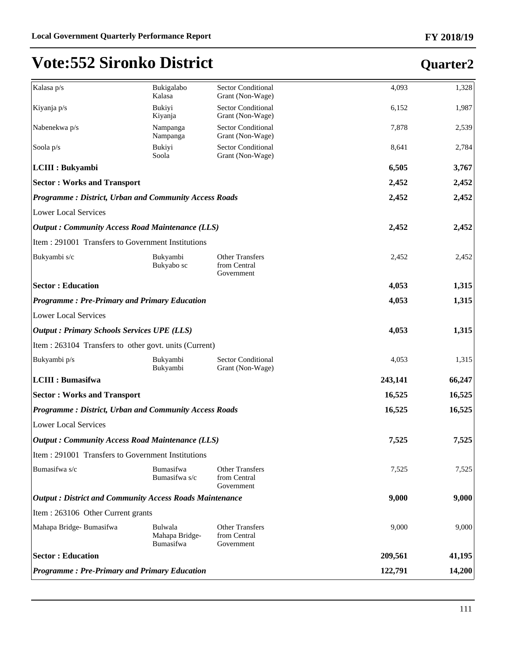#### **FY 2018/19**

| Quarter2 |
|----------|
|----------|

| Kalasa p/s                                                     | Bukigalabo<br>Kalasa                   | <b>Sector Conditional</b><br>Grant (Non-Wage)        | 4,093   | 1,328  |
|----------------------------------------------------------------|----------------------------------------|------------------------------------------------------|---------|--------|
| Kiyanja p/s                                                    | Bukiyi<br>Kiyanja                      | <b>Sector Conditional</b><br>Grant (Non-Wage)        | 6,152   | 1,987  |
| Nabenekwa p/s                                                  | Nampanga<br>Nampanga                   | <b>Sector Conditional</b><br>Grant (Non-Wage)        | 7,878   | 2,539  |
| Soola p/s                                                      | Bukiyi<br>Soola                        | <b>Sector Conditional</b><br>Grant (Non-Wage)        | 8,641   | 2,784  |
| LCIII : Bukyambi                                               |                                        |                                                      | 6,505   | 3,767  |
| <b>Sector: Works and Transport</b>                             | 2,452                                  | 2,452                                                |         |        |
| <b>Programme: District, Urban and Community Access Roads</b>   |                                        |                                                      | 2,452   | 2,452  |
| <b>Lower Local Services</b>                                    |                                        |                                                      |         |        |
| <b>Output: Community Access Road Maintenance (LLS)</b>         |                                        |                                                      | 2,452   | 2,452  |
| Item : 291001 Transfers to Government Institutions             |                                        |                                                      |         |        |
| Bukyambi s/c                                                   | Bukyambi<br>Bukyabo sc                 | <b>Other Transfers</b><br>from Central<br>Government | 2,452   | 2,452  |
| <b>Sector: Education</b>                                       | 4,053                                  | 1,315                                                |         |        |
| <b>Programme: Pre-Primary and Primary Education</b>            |                                        |                                                      | 4,053   | 1,315  |
| <b>Lower Local Services</b>                                    |                                        |                                                      |         |        |
| <b>Output : Primary Schools Services UPE (LLS)</b>             | 4,053                                  | 1,315                                                |         |        |
| Item : 263104 Transfers to other govt. units (Current)         |                                        |                                                      |         |        |
| Bukyambi p/s                                                   | Bukyambi<br>Bukyambi                   | <b>Sector Conditional</b><br>Grant (Non-Wage)        | 4,053   | 1,315  |
| <b>LCIII</b> : Bumasifwa                                       | 243,141                                | 66,247                                               |         |        |
| <b>Sector: Works and Transport</b>                             |                                        |                                                      | 16,525  | 16,525 |
| <b>Programme: District, Urban and Community Access Roads</b>   |                                        |                                                      | 16,525  | 16,525 |
| <b>Lower Local Services</b>                                    |                                        |                                                      |         |        |
| <b>Output: Community Access Road Maintenance (LLS)</b>         |                                        |                                                      | 7,525   | 7,525  |
| Item : 291001 Transfers to Government Institutions             |                                        |                                                      |         |        |
| Bumasifwa s/c                                                  | Bumasifwa<br>Bumasifwa s/c             | <b>Other Transfers</b><br>from Central<br>Government | 7,525   | 7,525  |
| <b>Output: District and Community Access Roads Maintenance</b> |                                        |                                                      | 9,000   | 9,000  |
| Item: 263106 Other Current grants                              |                                        |                                                      |         |        |
| Mahapa Bridge-Bumasifwa                                        | Bulwala<br>Mahapa Bridge-<br>Bumasifwa | <b>Other Transfers</b><br>from Central<br>Government | 9,000   | 9,000  |
| <b>Sector: Education</b>                                       |                                        |                                                      | 209,561 | 41,195 |
| <b>Programme: Pre-Primary and Primary Education</b>            |                                        |                                                      | 122,791 | 14,200 |
|                                                                |                                        |                                                      |         |        |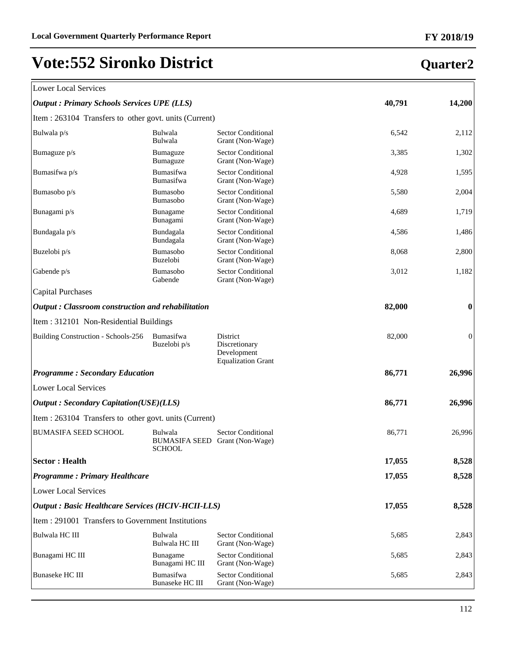## Lower Local Services

|  |  | $\alpha$ Dutput : Primary Schools Services UPE (1) |  |
|--|--|----------------------------------------------------|--|

ī

| <b>Output : Primary Schools Services UPE (LLS)</b>        |                              |                                                                       | 40,791 | 14,200           |
|-----------------------------------------------------------|------------------------------|-----------------------------------------------------------------------|--------|------------------|
| Item : 263104 Transfers to other govt. units (Current)    |                              |                                                                       |        |                  |
| Bulwala p/s                                               | Bulwala<br>Bulwala           | Sector Conditional<br>Grant (Non-Wage)                                | 6,542  | 2,112            |
| Bumaguze p/s                                              | Bumaguze<br>Bumaguze         | <b>Sector Conditional</b><br>Grant (Non-Wage)                         | 3,385  | 1,302            |
| Bumasifwa p/s                                             | Bumasifwa<br>Bumasifwa       | <b>Sector Conditional</b><br>Grant (Non-Wage)                         | 4,928  | 1,595            |
| Bumasobo p/s                                              | <b>Bumasobo</b><br>Bumasobo  | <b>Sector Conditional</b><br>Grant (Non-Wage)                         | 5,580  | 2,004            |
| Bunagami p/s                                              | Bunagame<br>Bunagami         | <b>Sector Conditional</b><br>Grant (Non-Wage)                         | 4,689  | 1,719            |
| Bundagala p/s                                             | Bundagala<br>Bundagala       | <b>Sector Conditional</b><br>Grant (Non-Wage)                         | 4,586  | 1,486            |
| Buzelobi p/s                                              | Bumasobo<br>Buzelobi         | <b>Sector Conditional</b><br>Grant (Non-Wage)                         | 8,068  | 2,800            |
| Gabende p/s                                               | Bumasobo<br>Gabende          | <b>Sector Conditional</b><br>Grant (Non-Wage)                         | 3,012  | 1,182            |
| <b>Capital Purchases</b>                                  |                              |                                                                       |        |                  |
| Output: Classroom construction and rehabilitation         |                              |                                                                       | 82,000 | $\bf{0}$         |
| Item: 312101 Non-Residential Buildings                    |                              |                                                                       |        |                  |
| Building Construction - Schools-256                       | Bumasifwa<br>Buzelobi p/s    | District<br>Discretionary<br>Development<br><b>Equalization Grant</b> | 82,000 | $\boldsymbol{0}$ |
| <b>Programme: Secondary Education</b>                     |                              |                                                                       | 86,771 | 26,996           |
| Lower Local Services                                      |                              |                                                                       |        |                  |
| <b>Output: Secondary Capitation(USE)(LLS)</b>             |                              |                                                                       | 86,771 | 26,996           |
| Item : 263104 Transfers to other govt. units (Current)    |                              |                                                                       |        |                  |
| <b>BUMASIFA SEED SCHOOL</b>                               | Bulwala<br><b>SCHOOL</b>     | <b>Sector Conditional</b><br>BUMASIFA SEED Grant (Non-Wage)           | 86,771 | 26,996           |
| <b>Sector: Health</b>                                     |                              |                                                                       | 17,055 | 8,528            |
| <b>Programme: Primary Healthcare</b>                      |                              |                                                                       | 17,055 | 8,528            |
| <b>Lower Local Services</b>                               |                              |                                                                       |        |                  |
| <b>Output : Basic Healthcare Services (HCIV-HCII-LLS)</b> |                              |                                                                       | 17,055 | 8,528            |
| Item: 291001 Transfers to Government Institutions         |                              |                                                                       |        |                  |
| Bulwala HC III                                            | Bulwala<br>Bulwala HC III    | <b>Sector Conditional</b><br>Grant (Non-Wage)                         | 5,685  | 2,843            |
| Bunagami HC III                                           | Bunagame<br>Bunagami HC III  | <b>Sector Conditional</b><br>Grant (Non-Wage)                         | 5,685  | 2,843            |
| Bunaseke HC III                                           | Bumasifwa<br>Bunaseke HC III | <b>Sector Conditional</b><br>Grant (Non-Wage)                         | 5,685  | 2,843            |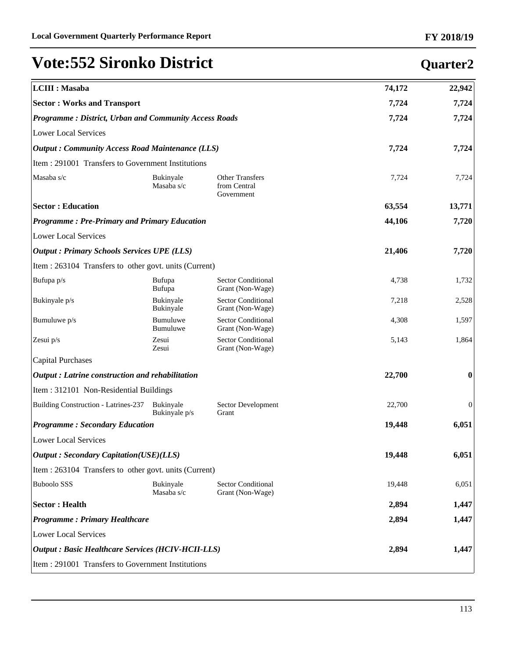| <b>LCIII</b> : Masaba                                        |                            |                                                      | 74,172 | 22,942           |
|--------------------------------------------------------------|----------------------------|------------------------------------------------------|--------|------------------|
| <b>Sector: Works and Transport</b>                           |                            |                                                      | 7,724  | 7,724            |
| <b>Programme: District, Urban and Community Access Roads</b> |                            |                                                      | 7,724  | 7,724            |
| <b>Lower Local Services</b>                                  |                            |                                                      |        |                  |
| <b>Output: Community Access Road Maintenance (LLS)</b>       |                            |                                                      | 7,724  | 7,724            |
| Item : 291001 Transfers to Government Institutions           |                            |                                                      |        |                  |
| Masaba s/c                                                   | Bukinyale<br>Masaba s/c    | <b>Other Transfers</b><br>from Central<br>Government | 7,724  | 7,724            |
| <b>Sector: Education</b>                                     |                            |                                                      | 63,554 | 13,771           |
| <b>Programme: Pre-Primary and Primary Education</b>          |                            |                                                      | 44,106 | 7,720            |
| <b>Lower Local Services</b>                                  |                            |                                                      |        |                  |
| <b>Output : Primary Schools Services UPE (LLS)</b>           |                            |                                                      | 21,406 | 7,720            |
| Item : 263104 Transfers to other govt. units (Current)       |                            |                                                      |        |                  |
| Bufupa p/s                                                   | Bufupa<br>Bufupa           | <b>Sector Conditional</b><br>Grant (Non-Wage)        | 4,738  | 1,732            |
| Bukinyale p/s                                                | Bukinyale<br>Bukinyale     | <b>Sector Conditional</b><br>Grant (Non-Wage)        | 7,218  | 2,528            |
| Bumuluwe p/s                                                 | Bumuluwe<br>Bumuluwe       | <b>Sector Conditional</b><br>Grant (Non-Wage)        | 4,308  | 1,597            |
| Zesui p/s                                                    | Zesui<br>Zesui             | <b>Sector Conditional</b><br>Grant (Non-Wage)        | 5,143  | 1,864            |
| <b>Capital Purchases</b>                                     |                            |                                                      |        |                  |
| Output: Latrine construction and rehabilitation              |                            |                                                      | 22,700 | $\boldsymbol{0}$ |
| Item: 312101 Non-Residential Buildings                       |                            |                                                      |        |                  |
| Building Construction - Latrines-237                         | Bukinyale<br>Bukinyale p/s | Sector Development<br>Grant                          | 22,700 | $\theta$         |
| <b>Programme: Secondary Education</b>                        |                            |                                                      | 19,448 | 6,051            |
| <b>Lower Local Services</b>                                  |                            |                                                      |        |                  |
| <b>Output : Secondary Capitation(USE)(LLS)</b>               |                            |                                                      | 19,448 | 6,051            |
| Item : 263104 Transfers to other govt. units (Current)       |                            |                                                      |        |                  |
| <b>Buboolo SSS</b>                                           | Bukinyale<br>Masaba s/c    | <b>Sector Conditional</b><br>Grant (Non-Wage)        | 19,448 | 6,051            |
| <b>Sector: Health</b>                                        |                            |                                                      | 2,894  | 1,447            |
| <b>Programme: Primary Healthcare</b>                         |                            |                                                      | 2,894  | 1,447            |
| <b>Lower Local Services</b>                                  |                            |                                                      |        |                  |
| <b>Output : Basic Healthcare Services (HCIV-HCII-LLS)</b>    |                            |                                                      | 2,894  | 1,447            |
| Item : 291001 Transfers to Government Institutions           |                            |                                                      |        |                  |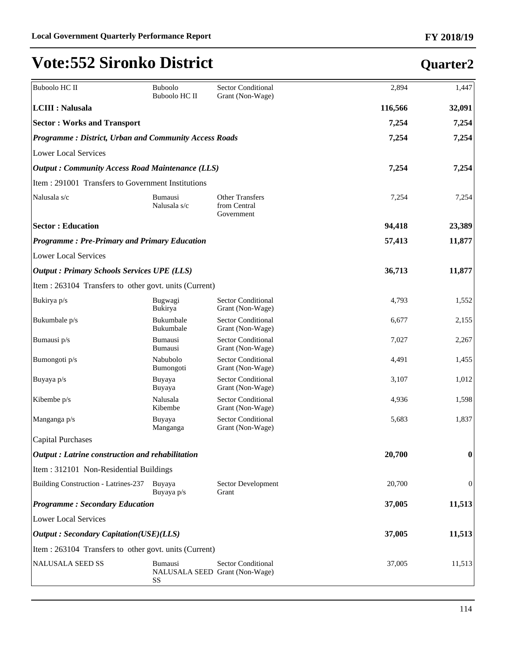| Buboolo HC II                                          | <b>Buboolo</b><br>Buboolo HC II                              | <b>Sector Conditional</b><br>Grant (Non-Wage)               | 2,894   | 1,447            |
|--------------------------------------------------------|--------------------------------------------------------------|-------------------------------------------------------------|---------|------------------|
| <b>LCIII : Nalusala</b>                                |                                                              |                                                             | 116,566 | 32,091           |
| <b>Sector: Works and Transport</b>                     |                                                              |                                                             | 7,254   | 7,254            |
|                                                        | <b>Programme: District, Urban and Community Access Roads</b> |                                                             |         | 7,254            |
| <b>Lower Local Services</b>                            |                                                              |                                                             |         |                  |
| <b>Output: Community Access Road Maintenance (LLS)</b> |                                                              |                                                             | 7,254   | 7,254            |
| Item: 291001 Transfers to Government Institutions      |                                                              |                                                             |         |                  |
| Nalusala s/c                                           | <b>Bumausi</b><br>Nalusala s/c                               | <b>Other Transfers</b><br>from Central<br>Government        | 7,254   | 7,254            |
| <b>Sector: Education</b>                               |                                                              |                                                             | 94,418  | 23,389           |
| <b>Programme: Pre-Primary and Primary Education</b>    |                                                              |                                                             | 57,413  | 11,877           |
| <b>Lower Local Services</b>                            |                                                              |                                                             |         |                  |
| <b>Output : Primary Schools Services UPE (LLS)</b>     |                                                              |                                                             | 36,713  | 11,877           |
| Item : 263104 Transfers to other govt. units (Current) |                                                              |                                                             |         |                  |
| Bukirya p/s                                            | Bugwagi<br>Bukirya                                           | <b>Sector Conditional</b><br>Grant (Non-Wage)               | 4,793   | 1,552            |
| Bukumbale p/s                                          | Bukumbale<br>Bukumbale                                       | <b>Sector Conditional</b><br>Grant (Non-Wage)               | 6,677   | 2,155            |
| Bumausi p/s                                            | <b>Bumausi</b><br><b>Bumausi</b>                             | <b>Sector Conditional</b><br>Grant (Non-Wage)               | 7,027   | 2,267            |
| Bumongoti p/s                                          | Nabubolo<br>Bumongoti                                        | <b>Sector Conditional</b><br>Grant (Non-Wage)               | 4,491   | 1,455            |
| Buyaya p/s                                             | Buyaya<br>Buyaya                                             | <b>Sector Conditional</b><br>Grant (Non-Wage)               | 3,107   | 1,012            |
| Kibembe p/s                                            | Nalusala<br>Kibembe                                          | <b>Sector Conditional</b><br>Grant (Non-Wage)               | 4,936   | 1,598            |
| Manganga p/s                                           | Buyaya<br>Manganga                                           | <b>Sector Conditional</b><br>Grant (Non-Wage)               | 5,683   | 1,837            |
| <b>Capital Purchases</b>                               |                                                              |                                                             |         |                  |
| Output : Latrine construction and rehabilitation       |                                                              |                                                             | 20,700  | $\bf{0}$         |
| Item: 312101 Non-Residential Buildings                 |                                                              |                                                             |         |                  |
| Building Construction - Latrines-237                   | Buyaya<br>Buyaya p/s                                         | Sector Development<br>Grant                                 | 20,700  | $\boldsymbol{0}$ |
| <b>Programme: Secondary Education</b>                  |                                                              |                                                             | 37,005  | 11,513           |
| <b>Lower Local Services</b>                            |                                                              |                                                             |         |                  |
| <b>Output: Secondary Capitation(USE)(LLS)</b>          |                                                              |                                                             | 37,005  | 11,513           |
| Item : 263104 Transfers to other govt. units (Current) |                                                              |                                                             |         |                  |
| NALUSALA SEED SS                                       | <b>Bumausi</b><br>SS                                         | <b>Sector Conditional</b><br>NALUSALA SEED Grant (Non-Wage) | 37,005  | 11,513           |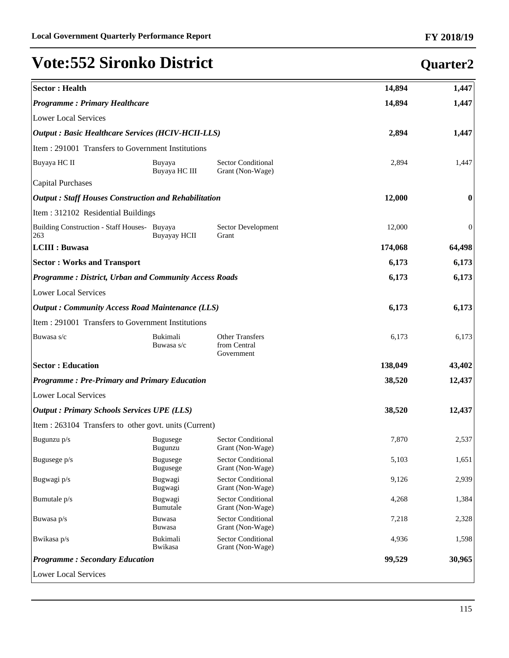| <b>Sector: Health</b>                                                              |                                      |                                                      | 14,894  | 1,447  |
|------------------------------------------------------------------------------------|--------------------------------------|------------------------------------------------------|---------|--------|
|                                                                                    | <b>Programme: Primary Healthcare</b> |                                                      |         | 1,447  |
| <b>Lower Local Services</b>                                                        |                                      |                                                      |         |        |
| <b>Output: Basic Healthcare Services (HCIV-HCII-LLS)</b>                           |                                      |                                                      | 2,894   | 1,447  |
| Item : 291001 Transfers to Government Institutions                                 |                                      |                                                      |         |        |
| Buyaya HC II                                                                       | Buyaya<br>Buyaya HC III              | <b>Sector Conditional</b><br>Grant (Non-Wage)        | 2,894   | 1,447  |
| <b>Capital Purchases</b>                                                           |                                      |                                                      |         |        |
| <b>Output: Staff Houses Construction and Rehabilitation</b>                        |                                      |                                                      | 12,000  | 0      |
| Item: 312102 Residential Buildings                                                 |                                      |                                                      |         |        |
| Building Construction - Staff Houses- Buyaya<br>263                                | Buyayay HCII                         | Sector Development<br>Grant                          | 12,000  | 0      |
| <b>LCIII</b> : Buwasa                                                              |                                      |                                                      | 174,068 | 64,498 |
| <b>Sector: Works and Transport</b>                                                 |                                      |                                                      | 6,173   | 6,173  |
| <b>Programme: District, Urban and Community Access Roads</b>                       |                                      |                                                      | 6,173   | 6,173  |
| <b>Lower Local Services</b>                                                        |                                      |                                                      |         |        |
| <b>Output: Community Access Road Maintenance (LLS)</b>                             |                                      |                                                      | 6,173   | 6,173  |
| Item : 291001 Transfers to Government Institutions                                 |                                      |                                                      |         |        |
| Buwasa s/c                                                                         | Bukimali<br>Buwasa s/c               | <b>Other Transfers</b><br>from Central<br>Government | 6,173   | 6,173  |
| <b>Sector: Education</b>                                                           |                                      |                                                      | 138,049 | 43,402 |
| <b>Programme: Pre-Primary and Primary Education</b>                                |                                      |                                                      | 38,520  | 12,437 |
| <b>Lower Local Services</b>                                                        |                                      |                                                      |         |        |
| <b>Output : Primary Schools Services UPE (LLS)</b>                                 |                                      |                                                      | 38,520  | 12,437 |
| Item : 263104 Transfers to other govt. units (Current)                             |                                      |                                                      |         |        |
| Bugunzu p/s                                                                        | <b>Bugusege</b><br>Bugunzu           | <b>Sector Conditional</b><br>Grant (Non-Wage)        | 7,870   | 2,537  |
| Bugusege p/s                                                                       | <b>Bugusege</b><br><b>Bugusege</b>   | <b>Sector Conditional</b><br>Grant (Non-Wage)        | 5,103   | 1,651  |
| <b>Sector Conditional</b><br>Bugwagi p/s<br>Bugwagi<br>Bugwagi<br>Grant (Non-Wage) |                                      |                                                      | 9,126   | 2,939  |
| Bumutale p/s                                                                       | Bugwagi<br>Bumutale                  | Sector Conditional<br>Grant (Non-Wage)               | 4,268   | 1,384  |
| Buwasa p/s                                                                         | <b>Buwasa</b><br>Buwasa              | Sector Conditional<br>Grant (Non-Wage)               | 7,218   | 2,328  |
| Bwikasa p/s                                                                        | Bukimali<br>Bwikasa                  | Sector Conditional<br>Grant (Non-Wage)               | 4,936   | 1,598  |
| <b>Programme: Secondary Education</b>                                              |                                      |                                                      | 99,529  | 30,965 |
| <b>Lower Local Services</b>                                                        |                                      |                                                      |         |        |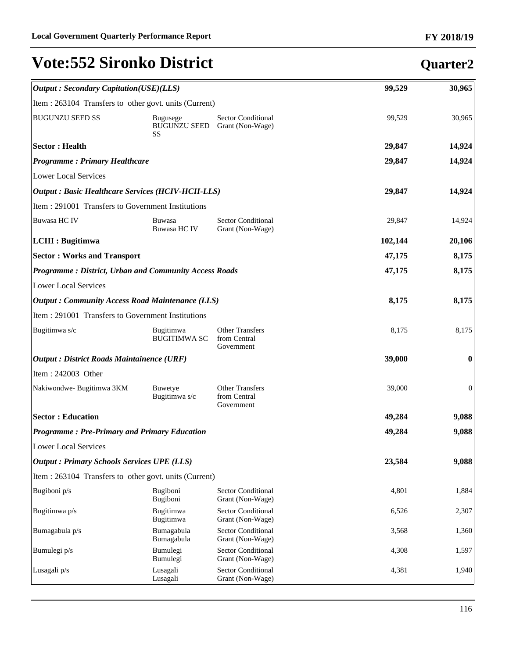|                                                              | <b>Output: Secondary Capitation(USE)(LLS)</b> |                                                      |         |                  |
|--------------------------------------------------------------|-----------------------------------------------|------------------------------------------------------|---------|------------------|
| Item : 263104 Transfers to other govt. units (Current)       |                                               |                                                      |         |                  |
| <b>BUGUNZU SEED SS</b>                                       | <b>Bugusege</b><br><b>BUGUNZU SEED</b><br>SS  | <b>Sector Conditional</b><br>Grant (Non-Wage)        | 99,529  | 30,965           |
| <b>Sector: Health</b>                                        |                                               |                                                      | 29,847  | 14,924           |
| <b>Programme: Primary Healthcare</b>                         |                                               |                                                      | 29,847  | 14,924           |
| Lower Local Services                                         |                                               |                                                      |         |                  |
| Output : Basic Healthcare Services (HCIV-HCII-LLS)           |                                               |                                                      | 29,847  | 14,924           |
| Item : 291001 Transfers to Government Institutions           |                                               |                                                      |         |                  |
| Buwasa HC IV                                                 | Buwasa<br>Buwasa HC IV                        | <b>Sector Conditional</b><br>Grant (Non-Wage)        | 29,847  | 14,924           |
| LCIII : Bugitimwa                                            |                                               |                                                      | 102,144 | 20,106           |
| <b>Sector: Works and Transport</b>                           |                                               |                                                      | 47,175  | 8,175            |
| <b>Programme: District, Urban and Community Access Roads</b> |                                               |                                                      | 47,175  | 8,175            |
| Lower Local Services                                         |                                               |                                                      |         |                  |
| <b>Output: Community Access Road Maintenance (LLS)</b>       |                                               |                                                      | 8,175   | 8,175            |
| Item : 291001 Transfers to Government Institutions           |                                               |                                                      |         |                  |
| Bugitimwa s/c                                                | Bugitimwa<br><b>BUGITIMWA SC</b>              | <b>Other Transfers</b><br>from Central<br>Government | 8,175   | 8,175            |
| <b>Output : District Roads Maintainence (URF)</b>            |                                               |                                                      | 39,000  | $\bf{0}$         |
| Item: 242003 Other                                           |                                               |                                                      |         |                  |
| Nakiwondwe-Bugitimwa 3KM                                     | <b>Buwetye</b><br>Bugitimwa s/c               | <b>Other Transfers</b><br>from Central<br>Government | 39,000  | $\boldsymbol{0}$ |
| <b>Sector: Education</b>                                     |                                               |                                                      | 49,284  | 9,088            |
| <b>Programme: Pre-Primary and Primary Education</b>          |                                               |                                                      | 49,284  | 9,088            |
| Lower Local Services                                         |                                               |                                                      |         |                  |
| <b>Output: Primary Schools Services UPE (LLS)</b>            |                                               |                                                      | 23,584  | 9,088            |
| Item : 263104 Transfers to other govt. units (Current)       |                                               |                                                      |         |                  |
| Bugiboni p/s                                                 | Bugiboni<br>Bugiboni                          | <b>Sector Conditional</b><br>Grant (Non-Wage)        | 4,801   | 1,884            |
| Bugitimwa p/s                                                | Bugitimwa<br>Bugitimwa                        | Sector Conditional<br>Grant (Non-Wage)               | 6,526   | 2,307            |
| Bumagabula p/s                                               | Bumagabula<br>Bumagabula                      | <b>Sector Conditional</b><br>Grant (Non-Wage)        | 3,568   | 1,360            |
| Bumulegi p/s                                                 | Bumulegi<br>Bumulegi                          | <b>Sector Conditional</b><br>Grant (Non-Wage)        | 4,308   | 1,597            |
| Lusagali p/s                                                 | Lusagali<br>Lusagali                          | Sector Conditional<br>Grant (Non-Wage)               | 4,381   | 1,940            |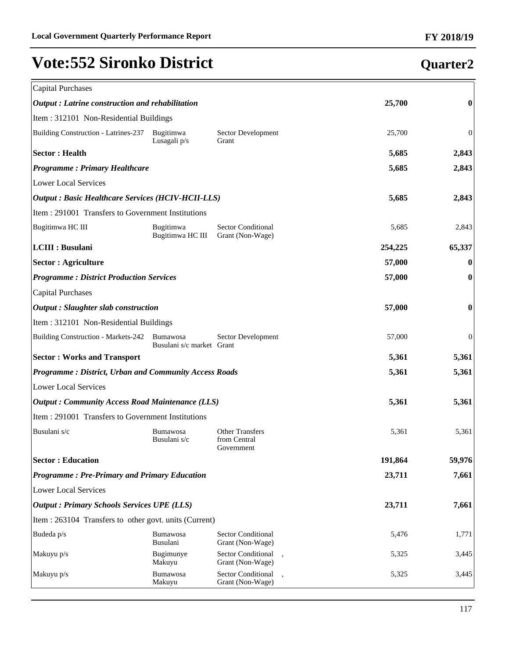| <b>Capital Purchases</b>                                     |                                              |                                                      |         |                  |
|--------------------------------------------------------------|----------------------------------------------|------------------------------------------------------|---------|------------------|
| Output: Latrine construction and rehabilitation              |                                              |                                                      | 25,700  | 0                |
| Item: 312101 Non-Residential Buildings                       |                                              |                                                      |         |                  |
| Building Construction - Latrines-237                         | Bugitimwa<br>Lusagali p/s                    | Sector Development<br>Grant                          | 25,700  | $\boldsymbol{0}$ |
| <b>Sector: Health</b>                                        |                                              |                                                      | 5,685   | 2,843            |
| <b>Programme: Primary Healthcare</b>                         |                                              |                                                      | 5,685   | 2,843            |
| <b>Lower Local Services</b>                                  |                                              |                                                      |         |                  |
| <b>Output : Basic Healthcare Services (HCIV-HCII-LLS)</b>    |                                              |                                                      | 5,685   | 2,843            |
| Item : 291001 Transfers to Government Institutions           |                                              |                                                      |         |                  |
| Bugitimwa HC III                                             | Bugitimwa<br>Bugitimwa HC III                | <b>Sector Conditional</b><br>Grant (Non-Wage)        | 5,685   | 2,843            |
| <b>LCIII : Busulani</b>                                      |                                              |                                                      | 254,225 | 65,337           |
| <b>Sector : Agriculture</b>                                  |                                              |                                                      | 57,000  | $\bf{0}$         |
| <b>Programme: District Production Services</b>               |                                              |                                                      | 57,000  | $\bf{0}$         |
| <b>Capital Purchases</b>                                     |                                              |                                                      |         |                  |
| <b>Output</b> : Slaughter slab construction                  | 57,000                                       | 0                                                    |         |                  |
| Item: 312101 Non-Residential Buildings                       |                                              |                                                      |         |                  |
| Building Construction - Markets-242                          | <b>Bumawosa</b><br>Busulani s/c market Grant | Sector Development                                   | 57,000  | $\boldsymbol{0}$ |
| <b>Sector: Works and Transport</b>                           |                                              |                                                      | 5,361   | 5,361            |
| <b>Programme: District, Urban and Community Access Roads</b> |                                              |                                                      | 5,361   | 5,361            |
| <b>Lower Local Services</b>                                  |                                              |                                                      |         |                  |
| <b>Output: Community Access Road Maintenance (LLS)</b>       |                                              |                                                      | 5,361   | 5,361            |
| Item : 291001 Transfers to Government Institutions           |                                              |                                                      |         |                  |
| Busulani s/c                                                 | <b>Bumawosa</b><br>Busulani s/c              | <b>Other Transfers</b><br>from Central<br>Government | 5,361   | 5,361            |
| <b>Sector: Education</b>                                     |                                              |                                                      | 191,864 | 59,976           |
| <b>Programme: Pre-Primary and Primary Education</b>          |                                              |                                                      | 23,711  | 7,661            |
| <b>Lower Local Services</b>                                  |                                              |                                                      |         |                  |
| <b>Output : Primary Schools Services UPE (LLS)</b>           |                                              |                                                      | 23,711  | 7,661            |
| Item : 263104 Transfers to other govt. units (Current)       |                                              |                                                      |         |                  |
| Budeda p/s                                                   | <b>Bumawosa</b><br>Busulani                  | <b>Sector Conditional</b><br>Grant (Non-Wage)        | 5,476   | 1,771            |
| Makuyu p/s                                                   | Bugimunye<br>Makuyu                          | Sector Conditional<br>Grant (Non-Wage)               | 5,325   | 3,445            |
| Makuyu p/s                                                   | Bumawosa<br>Makuyu                           | <b>Sector Conditional</b><br>Grant (Non-Wage)        | 5,325   | 3,445            |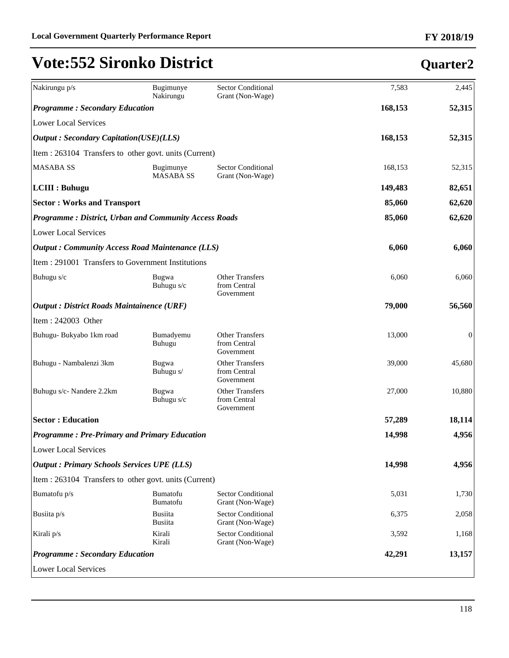| Nakirungu p/s                                                | Bugimunye<br>Nakirungu           | <b>Sector Conditional</b><br>Grant (Non-Wage)        | 7,583   | 2,445  |
|--------------------------------------------------------------|----------------------------------|------------------------------------------------------|---------|--------|
| <b>Programme: Secondary Education</b>                        |                                  |                                                      | 168,153 | 52,315 |
| <b>Lower Local Services</b>                                  |                                  |                                                      |         |        |
| <b>Output : Secondary Capitation(USE)(LLS)</b>               |                                  |                                                      | 168,153 | 52,315 |
| Item : 263104 Transfers to other govt. units (Current)       |                                  |                                                      |         |        |
| <b>MASABA SS</b>                                             | Bugimunye<br><b>MASABA SS</b>    | <b>Sector Conditional</b><br>Grant (Non-Wage)        | 168,153 | 52,315 |
| <b>LCIII</b> : Buhugu                                        |                                  |                                                      | 149,483 | 82,651 |
| <b>Sector: Works and Transport</b>                           |                                  |                                                      | 85,060  | 62,620 |
| <b>Programme: District, Urban and Community Access Roads</b> |                                  |                                                      | 85,060  | 62,620 |
| <b>Lower Local Services</b>                                  |                                  |                                                      |         |        |
| <b>Output: Community Access Road Maintenance (LLS)</b>       |                                  |                                                      | 6,060   | 6,060  |
| Item : 291001 Transfers to Government Institutions           |                                  |                                                      |         |        |
| Buhugu s/c                                                   | Bugwa<br>Buhugu s/c              | <b>Other Transfers</b><br>from Central<br>Government | 6,060   | 6,060  |
| <b>Output : District Roads Maintainence (URF)</b>            |                                  |                                                      | 79,000  | 56,560 |
| Item: 242003 Other                                           |                                  |                                                      |         |        |
| Buhugu- Bukyabo 1km road                                     | Bumadyemu<br>Buhugu              | <b>Other Transfers</b><br>from Central<br>Government | 13,000  | 0      |
| Buhugu - Nambalenzi 3km                                      | Bugwa<br>Buhugu s/               | <b>Other Transfers</b><br>from Central<br>Government | 39,000  | 45,680 |
| Buhugu s/c- Nandere 2.2km                                    | Bugwa<br>Buhugu s/c              | <b>Other Transfers</b><br>from Central<br>Government | 27,000  | 10,880 |
| <b>Sector: Education</b>                                     |                                  |                                                      | 57,289  | 18,114 |
| <b>Programme: Pre-Primary and Primary Education</b>          |                                  |                                                      | 14,998  | 4,956  |
| Lower Local Services                                         |                                  |                                                      |         |        |
| <b>Output : Primary Schools Services UPE (LLS)</b>           |                                  |                                                      | 14,998  | 4,956  |
| Item : 263104 Transfers to other govt. units (Current)       |                                  |                                                      |         |        |
| Bumatofu p/s                                                 | Bumatofu<br>Bumatofu             | <b>Sector Conditional</b><br>Grant (Non-Wage)        | 5,031   | 1,730  |
| Busiita p/s                                                  | <b>Busiita</b><br><b>Busiita</b> | <b>Sector Conditional</b><br>Grant (Non-Wage)        | 6,375   | 2,058  |
| Kirali p/s                                                   | Kirali<br>Kirali                 | <b>Sector Conditional</b><br>Grant (Non-Wage)        | 3,592   | 1,168  |
| <b>Programme: Secondary Education</b>                        |                                  |                                                      | 42,291  | 13,157 |
| <b>Lower Local Services</b>                                  |                                  |                                                      |         |        |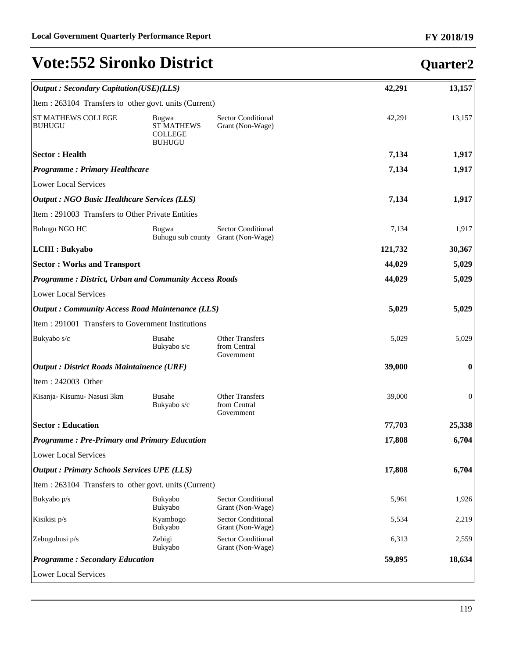| <b>Output: Secondary Capitation(USE)(LLS)</b>                |                                                               |                                                      | 42,291  | 13,157           |
|--------------------------------------------------------------|---------------------------------------------------------------|------------------------------------------------------|---------|------------------|
| Item : 263104 Transfers to other govt. units (Current)       |                                                               |                                                      |         |                  |
| ST MATHEWS COLLEGE<br><b>BUHUGU</b>                          | Bugwa<br><b>ST MATHEWS</b><br><b>COLLEGE</b><br><b>BUHUGU</b> | <b>Sector Conditional</b><br>Grant (Non-Wage)        | 42,291  | 13,157           |
| <b>Sector: Health</b>                                        |                                                               |                                                      | 7,134   | 1,917            |
| <b>Programme: Primary Healthcare</b>                         |                                                               |                                                      | 7,134   | 1,917            |
| <b>Lower Local Services</b>                                  |                                                               |                                                      |         |                  |
| <b>Output : NGO Basic Healthcare Services (LLS)</b>          |                                                               |                                                      | 7,134   | 1,917            |
| Item: 291003 Transfers to Other Private Entities             |                                                               |                                                      |         |                  |
| Buhugu NGO HC                                                | Bugwa<br>Buhugu sub county                                    | <b>Sector Conditional</b><br>Grant (Non-Wage)        | 7,134   | 1,917            |
| <b>LCIII</b> : Bukyabo                                       |                                                               |                                                      | 121,732 | 30,367           |
| <b>Sector: Works and Transport</b>                           |                                                               |                                                      | 44,029  | 5,029            |
| <b>Programme: District, Urban and Community Access Roads</b> |                                                               |                                                      | 44,029  | 5,029            |
| <b>Lower Local Services</b>                                  |                                                               |                                                      |         |                  |
| <b>Output: Community Access Road Maintenance (LLS)</b>       |                                                               |                                                      | 5,029   | 5,029            |
| Item: 291001 Transfers to Government Institutions            |                                                               |                                                      |         |                  |
| Bukyabo s/c                                                  | <b>Busahe</b><br>Bukyabo s/c                                  | <b>Other Transfers</b><br>from Central<br>Government | 5,029   | 5,029            |
| <b>Output</b> : District Roads Maintainence (URF)            |                                                               |                                                      | 39,000  | $\bf{0}$         |
| Item: 242003 Other                                           |                                                               |                                                      |         |                  |
| Kisanja- Kisumu- Nasusi 3km                                  | <b>Busahe</b><br>Bukyabo s/c                                  | <b>Other Transfers</b><br>from Central<br>Government | 39,000  | $\boldsymbol{0}$ |
| <b>Sector: Education</b>                                     |                                                               |                                                      | 77,703  | 25,338           |
| <b>Programme: Pre-Primary and Primary Education</b>          |                                                               |                                                      | 17,808  | 6,704            |
| Lower Local Services                                         |                                                               |                                                      |         |                  |
| <b>Output: Primary Schools Services UPE (LLS)</b>            |                                                               |                                                      | 17,808  | 6,704            |
| Item : 263104 Transfers to other govt. units (Current)       |                                                               |                                                      |         |                  |
| Bukyabo p/s                                                  | Bukyabo<br>Bukyabo                                            | <b>Sector Conditional</b><br>Grant (Non-Wage)        | 5,961   | 1,926            |
| Kisikisi p/s                                                 | Kyambogo<br>Bukyabo                                           | Sector Conditional<br>Grant (Non-Wage)               | 5,534   | 2,219            |
| Zebugubusi p/s                                               | Zebigi<br>Bukyabo                                             | Sector Conditional<br>Grant (Non-Wage)               | 6,313   | 2,559            |
| <b>Programme: Secondary Education</b>                        |                                                               |                                                      | 59,895  | 18,634           |
| <b>Lower Local Services</b>                                  |                                                               |                                                      |         |                  |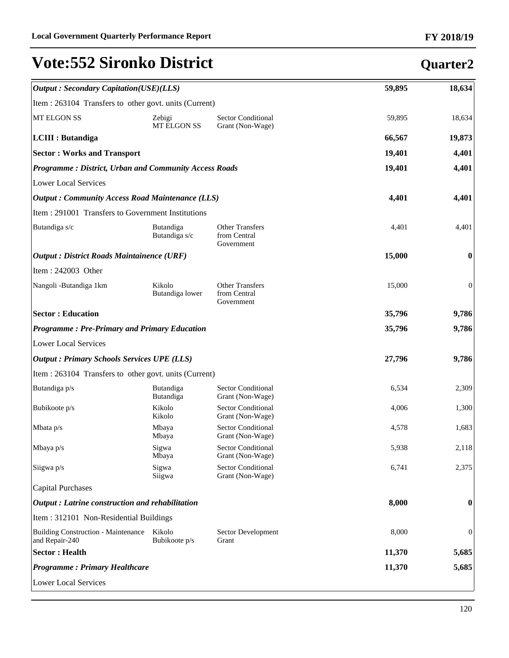| <b>Output: Secondary Capitation(USE)(LLS)</b>                |                                                   |                                                      | 59,895 | 18,634           |
|--------------------------------------------------------------|---------------------------------------------------|------------------------------------------------------|--------|------------------|
| Item : 263104 Transfers to other govt. units (Current)       |                                                   |                                                      |        |                  |
| MT ELGON SS                                                  | Zebigi<br>MT ELGON SS                             | <b>Sector Conditional</b><br>Grant (Non-Wage)        | 59,895 | 18,634           |
| <b>LCIII</b> : Butandiga                                     |                                                   |                                                      | 66,567 | 19,873           |
| <b>Sector: Works and Transport</b>                           |                                                   |                                                      | 19,401 | 4,401            |
| <b>Programme: District, Urban and Community Access Roads</b> |                                                   |                                                      | 19,401 | 4,401            |
| <b>Lower Local Services</b>                                  |                                                   |                                                      |        |                  |
| <b>Output: Community Access Road Maintenance (LLS)</b>       |                                                   |                                                      | 4,401  | 4,401            |
| Item : 291001 Transfers to Government Institutions           |                                                   |                                                      |        |                  |
| Butandiga s/c                                                | Butandiga<br>Butandiga s/c                        | <b>Other Transfers</b><br>from Central<br>Government | 4,401  | 4,401            |
|                                                              | <b>Output</b> : District Roads Maintainence (URF) |                                                      |        | $\boldsymbol{0}$ |
| Item: 242003 Other                                           |                                                   |                                                      |        |                  |
| Nangoli -Butandiga 1km                                       | Kikolo<br>Butandiga lower                         | <b>Other Transfers</b><br>from Central<br>Government | 15,000 | $\boldsymbol{0}$ |
| <b>Sector: Education</b>                                     |                                                   |                                                      | 35,796 | 9,786            |
| <b>Programme: Pre-Primary and Primary Education</b>          |                                                   |                                                      | 35,796 | 9,786            |
| <b>Lower Local Services</b>                                  |                                                   |                                                      |        |                  |
| <b>Output : Primary Schools Services UPE (LLS)</b>           |                                                   |                                                      | 27,796 | 9,786            |
| Item : 263104 Transfers to other govt. units (Current)       |                                                   |                                                      |        |                  |
| Butandiga p/s                                                | Butandiga<br>Butandiga                            | <b>Sector Conditional</b><br>Grant (Non-Wage)        | 6,534  | 2,309            |
| Bubikoote p/s                                                | Kikolo<br>Kikolo                                  | <b>Sector Conditional</b><br>Grant (Non-Wage)        | 4,006  | 1,300            |
| Mbata p/s                                                    | Mbaya<br>Mbaya                                    | <b>Sector Conditional</b><br>Grant (Non-Wage)        | 4,578  | 1,683            |
| Mbaya $p/s$                                                  | Sigwa<br>Mbaya                                    | Sector Conditional<br>Grant (Non-Wage)               | 5,938  | 2,118            |
| Siigwa p/s                                                   | Sigwa<br>Siigwa                                   | <b>Sector Conditional</b><br>Grant (Non-Wage)        | 6,741  | 2,375            |
| <b>Capital Purchases</b>                                     |                                                   |                                                      |        |                  |
| Output: Latrine construction and rehabilitation              |                                                   |                                                      | 8,000  | $\boldsymbol{0}$ |
| Item: 312101 Non-Residential Buildings                       |                                                   |                                                      |        |                  |
| <b>Building Construction - Maintenance</b><br>and Repair-240 | Kikolo<br>Bubikoote p/s                           | Sector Development<br>Grant                          | 8,000  | $\boldsymbol{0}$ |
| <b>Sector: Health</b>                                        |                                                   |                                                      | 11,370 | 5,685            |
| <b>Programme: Primary Healthcare</b>                         |                                                   |                                                      | 11,370 | 5,685            |
| Lower Local Services                                         |                                                   |                                                      |        |                  |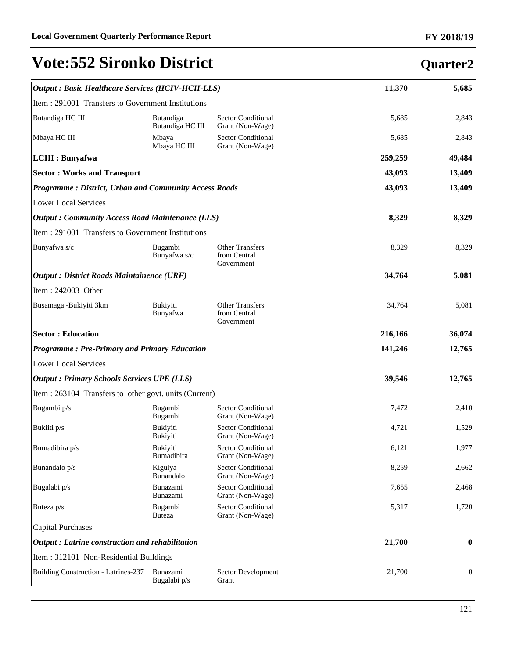| <b>Output: Basic Healthcare Services (HCIV-HCII-LLS)</b>     |                                      |                                                      | 11,370  | 5,685            |
|--------------------------------------------------------------|--------------------------------------|------------------------------------------------------|---------|------------------|
| Item : 291001 Transfers to Government Institutions           |                                      |                                                      |         |                  |
| Butandiga HC III                                             | <b>Butandiga</b><br>Butandiga HC III | <b>Sector Conditional</b><br>Grant (Non-Wage)        | 5,685   | 2,843            |
| Mbaya HC III                                                 | Mbaya<br>Mbaya HC III                | <b>Sector Conditional</b><br>Grant (Non-Wage)        | 5,685   | 2,843            |
| <b>LCIII</b> : Bunyafwa                                      |                                      |                                                      | 259,259 | 49,484           |
| <b>Sector: Works and Transport</b>                           |                                      |                                                      | 43,093  | 13,409           |
| <b>Programme: District, Urban and Community Access Roads</b> |                                      |                                                      | 43,093  | 13,409           |
| <b>Lower Local Services</b>                                  |                                      |                                                      |         |                  |
| <b>Output: Community Access Road Maintenance (LLS)</b>       |                                      |                                                      | 8,329   | 8,329            |
| Item: 291001 Transfers to Government Institutions            |                                      |                                                      |         |                  |
| Bunyafwa s/c                                                 | Bugambi<br>Bunyafwa s/c              | <b>Other Transfers</b><br>from Central<br>Government | 8,329   | 8,329            |
| <b>Output : District Roads Maintainence (URF)</b>            |                                      |                                                      | 34,764  | 5,081            |
| Item: 242003 Other                                           |                                      |                                                      |         |                  |
| Busamaga -Bukiyiti 3km                                       | <b>Bukiyiti</b><br>Bunyafwa          | <b>Other Transfers</b><br>from Central<br>Government | 34,764  | 5,081            |
| <b>Sector: Education</b>                                     |                                      |                                                      | 216,166 | 36,074           |
| <b>Programme: Pre-Primary and Primary Education</b>          |                                      |                                                      | 141,246 | 12,765           |
| <b>Lower Local Services</b>                                  |                                      |                                                      |         |                  |
| <b>Output : Primary Schools Services UPE (LLS)</b>           |                                      |                                                      | 39,546  | 12,765           |
| Item : 263104 Transfers to other govt. units (Current)       |                                      |                                                      |         |                  |
| Bugambi p/s                                                  | Bugambi<br>Bugambi                   | <b>Sector Conditional</b><br>Grant (Non-Wage)        | 7,472   | 2,410            |
| Bukiiti p/s                                                  | Bukiyiti<br>Bukiyiti                 | Sector Conditional<br>Grant (Non-Wage)               | 4,721   | 1,529            |
| Bumadibira p/s                                               | Bukiyiti<br>Bumadibira               | <b>Sector Conditional</b><br>Grant (Non-Wage)        | 6,121   | 1,977            |
| Bunandalo p/s                                                | Kigulya<br>Bunandalo                 | <b>Sector Conditional</b><br>Grant (Non-Wage)        | 8,259   | 2,662            |
| Bugalabi p/s                                                 | Bunazami<br>Bunazami                 | <b>Sector Conditional</b><br>Grant (Non-Wage)        | 7,655   | 2,468            |
| Buteza p/s                                                   | Bugambi<br><b>Buteza</b>             | <b>Sector Conditional</b><br>Grant (Non-Wage)        | 5,317   | 1,720            |
| <b>Capital Purchases</b>                                     |                                      |                                                      |         |                  |
| Output: Latrine construction and rehabilitation              |                                      |                                                      | 21,700  | 0                |
| Item: 312101 Non-Residential Buildings                       |                                      |                                                      |         |                  |
| Building Construction - Latrines-237                         | Bunazami<br>Bugalabi p/s             | Sector Development<br>Grant                          | 21,700  | $\boldsymbol{0}$ |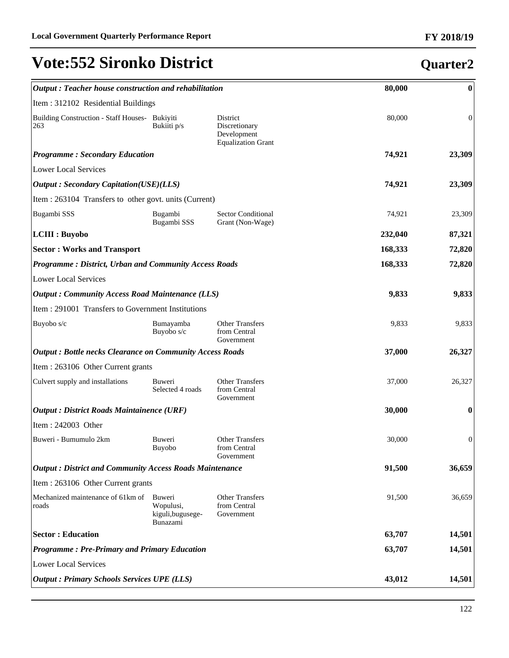| Output: Teacher house construction and rehabilitation           |                                                      |                                                                       | 80,000  | $\boldsymbol{0}$ |
|-----------------------------------------------------------------|------------------------------------------------------|-----------------------------------------------------------------------|---------|------------------|
| Item: 312102 Residential Buildings                              |                                                      |                                                                       |         |                  |
| Building Construction - Staff Houses- Bukiyiti<br>263           | Bukiiti p/s                                          | District<br>Discretionary<br>Development<br><b>Equalization Grant</b> | 80,000  | $\overline{0}$   |
| <b>Programme: Secondary Education</b>                           |                                                      |                                                                       | 74,921  | 23,309           |
| <b>Lower Local Services</b>                                     |                                                      |                                                                       |         |                  |
| <b>Output: Secondary Capitation(USE)(LLS)</b>                   |                                                      |                                                                       | 74,921  | 23,309           |
| Item : 263104 Transfers to other govt. units (Current)          |                                                      |                                                                       |         |                  |
| Bugambi SSS                                                     | Bugambi<br>Bugambi SSS                               | <b>Sector Conditional</b><br>Grant (Non-Wage)                         | 74,921  | 23,309           |
| <b>LCIII</b> : Buyobo                                           |                                                      |                                                                       | 232,040 | 87,321           |
| <b>Sector: Works and Transport</b>                              |                                                      |                                                                       | 168,333 | 72,820           |
| <b>Programme: District, Urban and Community Access Roads</b>    |                                                      |                                                                       | 168,333 | 72,820           |
| <b>Lower Local Services</b>                                     |                                                      |                                                                       |         |                  |
| <b>Output: Community Access Road Maintenance (LLS)</b>          |                                                      |                                                                       | 9,833   | 9,833            |
| Item : 291001 Transfers to Government Institutions              |                                                      |                                                                       |         |                  |
| Buyobo s/c                                                      | Bumayamba<br>Buyobo s/c                              | <b>Other Transfers</b><br>from Central<br>Government                  | 9,833   | 9,833            |
| <b>Output: Bottle necks Clearance on Community Access Roads</b> |                                                      |                                                                       | 37,000  | 26,327           |
| Item: 263106 Other Current grants                               |                                                      |                                                                       |         |                  |
| Culvert supply and installations                                | Buweri<br>Selected 4 roads                           | <b>Other Transfers</b><br>from Central<br>Government                  | 37,000  | 26,327           |
| <b>Output : District Roads Maintainence (URF)</b>               |                                                      |                                                                       | 30,000  | $\boldsymbol{0}$ |
| Item: 242003 Other                                              |                                                      |                                                                       |         |                  |
| Buweri - Bumumulo 2km                                           | Buweri<br>Buyobo                                     | <b>Other Transfers</b><br>from Central<br>Government                  | 30,000  | $\boldsymbol{0}$ |
| <b>Output: District and Community Access Roads Maintenance</b>  |                                                      |                                                                       | 91,500  | 36,659           |
| Item: 263106 Other Current grants                               |                                                      |                                                                       |         |                  |
| Mechanized maintenance of 61km of<br>roads                      | Buweri<br>Wopulusi,<br>kiguli, bugusege-<br>Bunazami | <b>Other Transfers</b><br>from Central<br>Government                  | 91,500  | 36,659           |
| <b>Sector: Education</b>                                        |                                                      |                                                                       | 63,707  | 14,501           |
| <b>Programme: Pre-Primary and Primary Education</b>             |                                                      |                                                                       | 63,707  | 14,501           |
| <b>Lower Local Services</b>                                     |                                                      |                                                                       |         |                  |
| <b>Output : Primary Schools Services UPE (LLS)</b>              |                                                      |                                                                       | 43,012  | 14,501           |